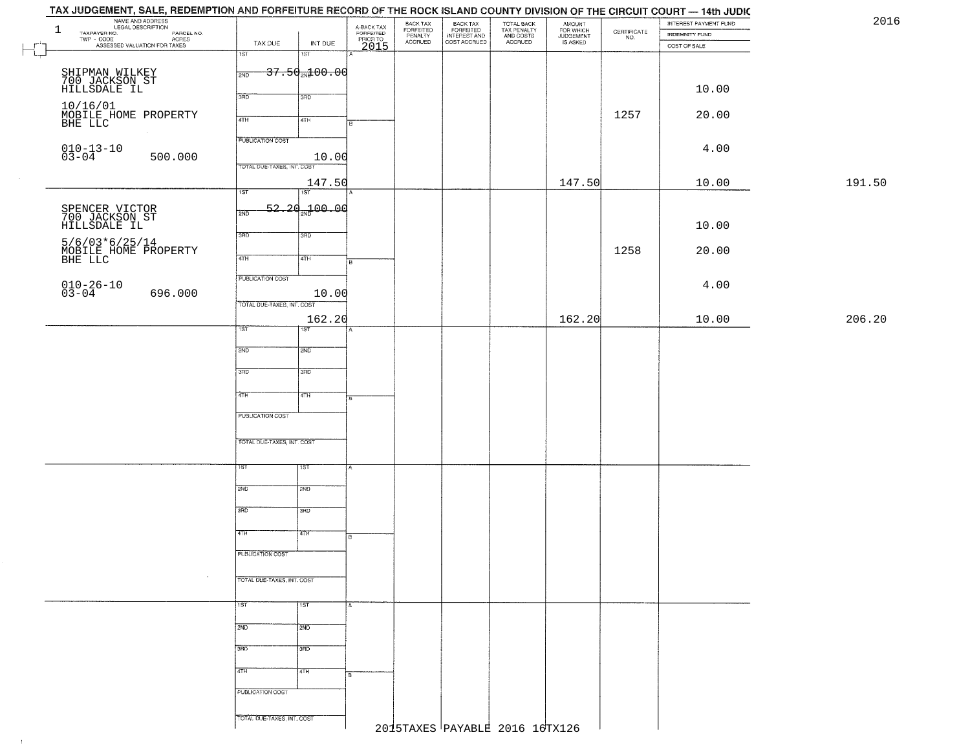| NAME AND ADDRESS<br>LEGAL DESCRIPTION<br>$\mathbf{1}$<br>TAXPAYER NO.                           |                                     | A-BACK TAX<br>FORFEITED<br>PRIOR TO | BACK TAX<br>FORFEITED<br>PENALTY | BACK TAX<br>FORFEITED<br>INTEREST AND | TOTAL BACK<br>TAX PENALTY<br>AND COSTS | AMOUNT<br>FOR WHICH<br>JUDGEMENT |                                                                 | INTEREST PAYMENT FUND | 2016   |
|-------------------------------------------------------------------------------------------------|-------------------------------------|-------------------------------------|----------------------------------|---------------------------------------|----------------------------------------|----------------------------------|-----------------------------------------------------------------|-----------------------|--------|
| ECONOMIC DESCRIPTION PARCEL NO.<br>- CODE ACRES<br>- ASSESSED VALUATION FOR TAXES<br>TWP - CODE | TAX DUE<br>INT DUE                  |                                     | ACCRUED                          | COST ACCRUED                          | ACCRUED                                | IS ASKED                         | $\begin{array}{c} \text{CERTIFICATE} \\ \text{NO.} \end{array}$ | <b>INDEMNITY FUND</b> |        |
|                                                                                                 | $\overline{1ST}$<br>1ST             | 2015                                |                                  |                                       |                                        |                                  |                                                                 | COST OF SALE          |        |
|                                                                                                 | $37.50 + 00.00$                     |                                     |                                  |                                       |                                        |                                  |                                                                 |                       |        |
| SHIPMAN WILKEY<br>700 JACKSON ST<br>HILLSDALE IL                                                | 2ND                                 |                                     |                                  |                                       |                                        |                                  |                                                                 |                       |        |
|                                                                                                 | 3RD<br>3RD                          |                                     |                                  |                                       |                                        |                                  |                                                                 | 10.00                 |        |
| 10/16/01<br>MOBILE HOME PROPERTY<br>BHE LLC                                                     |                                     |                                     |                                  |                                       |                                        |                                  | 1257                                                            | 20.00                 |        |
|                                                                                                 | 4TH<br>4TH                          | в                                   |                                  |                                       |                                        |                                  |                                                                 |                       |        |
|                                                                                                 | <b>PUBLICATION COST</b>             |                                     |                                  |                                       |                                        |                                  |                                                                 |                       |        |
| $010 - 13 - 10$<br>$03 - 04$<br>500.000                                                         | 10.00                               |                                     |                                  |                                       |                                        |                                  |                                                                 | 4.00                  |        |
|                                                                                                 | TOTAL DUE-TAXES, INT. COST          |                                     |                                  |                                       |                                        |                                  |                                                                 |                       |        |
|                                                                                                 | 147.50                              |                                     |                                  |                                       |                                        | 147.50                           |                                                                 | 10.00                 | 191.50 |
|                                                                                                 | 1ST<br>$\overline{1ST}$             |                                     |                                  |                                       |                                        |                                  |                                                                 |                       |        |
| SPENCER VICTOR<br>700 JACKSON ST<br>HILLSDALE IL                                                | <del>52.20.100.00</del><br>2ND      |                                     |                                  |                                       |                                        |                                  |                                                                 |                       |        |
|                                                                                                 |                                     |                                     |                                  |                                       |                                        |                                  |                                                                 | 10.00                 |        |
|                                                                                                 | 3RD<br>3HD                          |                                     |                                  |                                       |                                        |                                  |                                                                 |                       |        |
| 5/6/03*6/25/14<br>MOBILE HOME PROPERTY<br>BHE LLC                                               | 47H<br>4TH                          | E                                   |                                  |                                       |                                        |                                  | 1258                                                            | 20.00                 |        |
|                                                                                                 |                                     |                                     |                                  |                                       |                                        |                                  |                                                                 |                       |        |
| $010 - 26 - 10$<br>$03 - 04$                                                                    | PUBLICATION COST                    |                                     |                                  |                                       |                                        |                                  |                                                                 | 4.00                  |        |
| 696.000                                                                                         | 10.00<br>TOTAL DUE-TAXES, INT. COST |                                     |                                  |                                       |                                        |                                  |                                                                 |                       |        |
|                                                                                                 | 162.20                              |                                     |                                  |                                       |                                        | 162.20                           |                                                                 | 10.00                 | 206.20 |
|                                                                                                 | 1ST<br>1ST.                         |                                     |                                  |                                       |                                        |                                  |                                                                 |                       |        |
|                                                                                                 | 2ND<br>2ND                          |                                     |                                  |                                       |                                        |                                  |                                                                 |                       |        |
|                                                                                                 |                                     |                                     |                                  |                                       |                                        |                                  |                                                                 |                       |        |
|                                                                                                 | 3 <sub>BD</sub><br>3BD              |                                     |                                  |                                       |                                        |                                  |                                                                 |                       |        |
|                                                                                                 |                                     |                                     |                                  |                                       |                                        |                                  |                                                                 |                       |        |
|                                                                                                 | 4TH<br>4TH                          | l B                                 |                                  |                                       |                                        |                                  |                                                                 |                       |        |
|                                                                                                 | <b>PUBLICATION COST</b>             |                                     |                                  |                                       |                                        |                                  |                                                                 |                       |        |
|                                                                                                 |                                     |                                     |                                  |                                       |                                        |                                  |                                                                 |                       |        |
|                                                                                                 | TOTAL OUE-TAXES, INT. COST          |                                     |                                  |                                       |                                        |                                  |                                                                 |                       |        |
|                                                                                                 | ाडा<br>ιsτ                          |                                     |                                  |                                       |                                        |                                  |                                                                 |                       |        |
|                                                                                                 |                                     |                                     |                                  |                                       |                                        |                                  |                                                                 |                       |        |
|                                                                                                 | 2ND<br>2ND                          |                                     |                                  |                                       |                                        |                                  |                                                                 |                       |        |
|                                                                                                 | 3BD<br>3BD                          |                                     |                                  |                                       |                                        |                                  |                                                                 |                       |        |
|                                                                                                 |                                     |                                     |                                  |                                       |                                        |                                  |                                                                 |                       |        |
|                                                                                                 | 4TH<br>4TH                          | в                                   |                                  |                                       |                                        |                                  |                                                                 |                       |        |
|                                                                                                 | PUBLICATION COST                    |                                     |                                  |                                       |                                        |                                  |                                                                 |                       |        |
|                                                                                                 |                                     |                                     |                                  |                                       |                                        |                                  |                                                                 |                       |        |
| $\cdot$                                                                                         | TOTAL OUE-TAXES, INT. COST          |                                     |                                  |                                       |                                        |                                  |                                                                 |                       |        |
|                                                                                                 |                                     |                                     |                                  |                                       |                                        |                                  |                                                                 |                       |        |
|                                                                                                 | <b>TST</b><br>1ST                   | $\overline{A}$                      |                                  |                                       |                                        |                                  |                                                                 |                       |        |
|                                                                                                 | 2ND<br>2ND                          |                                     |                                  |                                       |                                        |                                  |                                                                 |                       |        |
|                                                                                                 |                                     |                                     |                                  |                                       |                                        |                                  |                                                                 |                       |        |
|                                                                                                 | 3BD<br>3BD                          |                                     |                                  |                                       |                                        |                                  |                                                                 |                       |        |
|                                                                                                 | 4TH<br>4TH                          |                                     |                                  |                                       |                                        |                                  |                                                                 |                       |        |
|                                                                                                 |                                     |                                     |                                  |                                       |                                        |                                  |                                                                 |                       |        |
|                                                                                                 | PUBLICATION COST                    |                                     |                                  |                                       |                                        |                                  |                                                                 |                       |        |
|                                                                                                 | TOTAL DUE-TAXES, INT. COST          |                                     |                                  |                                       |                                        |                                  |                                                                 |                       |        |
|                                                                                                 |                                     |                                     |                                  |                                       | 2015TAXES PAYABLE 2016 16TX126         |                                  |                                                                 |                       |        |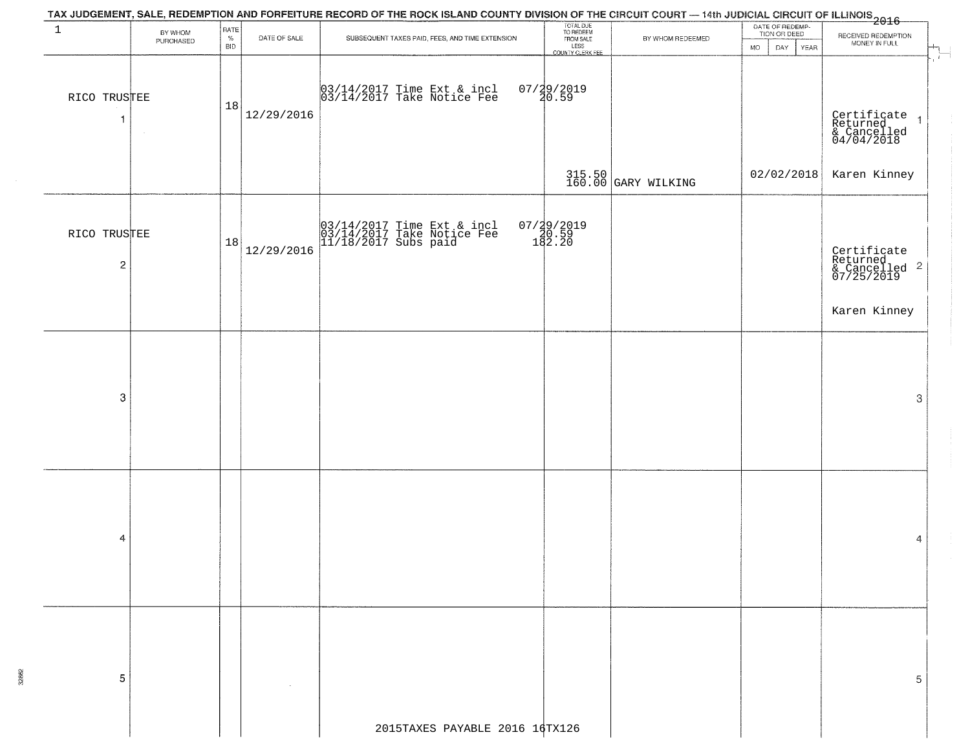|                                         |                      |                            |              | TAX JUDGEMENT, SALE, REDEMPTION AND FORFEITURE RECORD OF THE ROCK ISLAND COUNTY DIVISION OF THE CIRCUIT COURT — 14th JUDICIAL CIRCUIT OF ILLINOIS<br>2016 - The Contract of Linux Council City Contract City Council City Contrac |                                                                 |                               |                                                             |                                                                                       |
|-----------------------------------------|----------------------|----------------------------|--------------|-----------------------------------------------------------------------------------------------------------------------------------------------------------------------------------------------------------------------------------|-----------------------------------------------------------------|-------------------------------|-------------------------------------------------------------|---------------------------------------------------------------------------------------|
| $\mathbf{1}$                            | BY WHOM<br>PURCHASED | RATE<br>$\%$<br><b>BID</b> | DATE OF SALE | SUBSEQUENT TAXES PAID, FEES, AND TIME EXTENSION                                                                                                                                                                                   | TOTAL DUE<br>TO REDEEM<br>FROM SALE<br>LESS<br>COUNTY CLERK FEE | BY WHOM REDEEMED              | DATE OF REDEMP-<br>TION OR DEED<br>DAY<br>YEAR<br><b>MO</b> | RECEIVED REDEMPTION<br>MONEY IN FULL                                                  |
| RICO TRUSTEE<br>$\mathbf{1}$            |                      | 18                         | 12/29/2016   | 03/14/2017 Time Ext & incl<br>03/14/2017 Take Notice Fee                                                                                                                                                                          | $07/29/2019$<br>$40.59$                                         |                               |                                                             | $\hat{I}$ .<br>Certificate<br>Returned<br>& Cancelled<br>04/04/2018<br>$\overline{1}$ |
|                                         |                      |                            |              |                                                                                                                                                                                                                                   |                                                                 | 315.50<br>160.00 GARY WILKING |                                                             | $02/02/2018$ Karen Kinney                                                             |
| RICO TRUSTEE<br>$\overline{\mathbf{c}}$ |                      | 18                         | 12/29/2016   | 03/14/2017 Time Ext & incl<br>03/14/2017 Take Notice Fee<br>11/18/2017 Subs paid                                                                                                                                                  | 07/29/2019<br>20.59<br>182.20                                   |                               |                                                             | Certificate<br>Returned<br>& Cancelled <sup>2</sup><br>07/25/2019                     |
|                                         |                      |                            |              |                                                                                                                                                                                                                                   |                                                                 |                               |                                                             | Karen Kinney                                                                          |
| 3                                       |                      |                            |              |                                                                                                                                                                                                                                   |                                                                 |                               |                                                             | 3                                                                                     |
| 4                                       |                      |                            |              |                                                                                                                                                                                                                                   |                                                                 |                               |                                                             | 4                                                                                     |
| 5                                       |                      |                            |              |                                                                                                                                                                                                                                   |                                                                 |                               |                                                             | 5                                                                                     |
|                                         |                      |                            |              | 2015TAXES PAYABLE 2016 16TX126                                                                                                                                                                                                    |                                                                 |                               |                                                             |                                                                                       |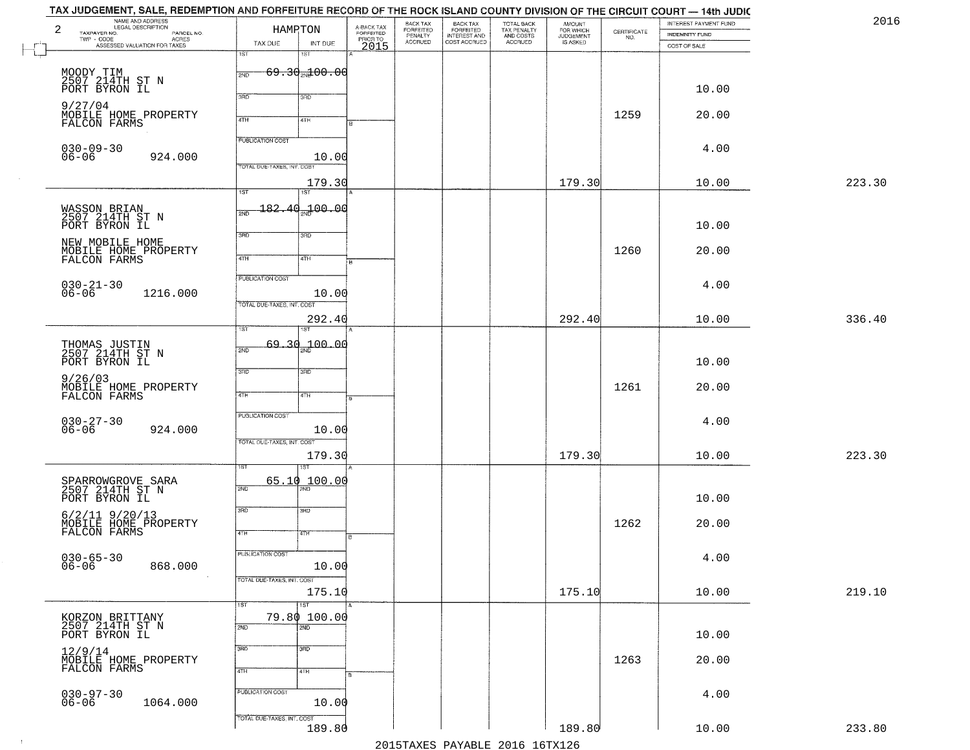|              | TAX JUDGEMENT, SALE, REDEMPTION AND FORFEITURE RECORD OF THE ROCK ISLAND COUNTY DIVISION OF THE CIRCUIT COURT — 14th JUDIC<br>NAME AND ADDRESS<br>LEGAL DESCRIPTION<br>2 |                            | HAMPTON                             |                                             | BACK TAX<br>FORFEITED<br>PENALTY | BACK TAX<br>FORFEITED<br>INTEREST AND | TOTAL BACK<br>TAX PENALTY<br>AND COSTS | AMOUNT<br>FOR WHICH<br>JUDGEMENT<br>IS ASKED |                                                                 | INTEREST PAYMENT FUND                 | 2016   |
|--------------|--------------------------------------------------------------------------------------------------------------------------------------------------------------------------|----------------------------|-------------------------------------|---------------------------------------------|----------------------------------|---------------------------------------|----------------------------------------|----------------------------------------------|-----------------------------------------------------------------|---------------------------------------|--------|
|              | TAXPAYER NO.<br>LEGAL DESCRIPTION<br>- CODE PARCEL NO.<br>- CODE ACRES<br>- ASSESSED VALUATION FOR TAXES<br>$\textsf{TWP} \textsf{-}\textsf{CODE}$                       | TAX DUE                    | INT DUE                             | A-BACK TAX<br>FORFEITED<br>PRIOR TO<br>2015 | <b>ACCRUED</b>                   | COST ACCRUED                          | ACCRUED                                |                                              | $\begin{array}{c} \text{CERTIFICATE} \\ \text{NO.} \end{array}$ | <b>INDEMNITY FUND</b><br>COST OF SALE |        |
| $\mathbb{L}$ |                                                                                                                                                                          | 1ST                        | 1ST                                 |                                             |                                  |                                       |                                        |                                              |                                                                 |                                       |        |
|              | MOODY TIM<br>2507 214TH ST N<br>PORT BYRON IL                                                                                                                            | 2ND                        | <del>69.30<sub>20</sub>100.00</del> |                                             |                                  |                                       |                                        |                                              |                                                                 |                                       |        |
|              |                                                                                                                                                                          | 370                        | 3RD                                 |                                             |                                  |                                       |                                        |                                              |                                                                 | 10.00                                 |        |
|              | 9/27/04<br>MOBILE HOME PROPERTY                                                                                                                                          | 4TH                        | 41H                                 |                                             |                                  |                                       |                                        |                                              | 1259                                                            | 20.00                                 |        |
|              | FALCON FARMS                                                                                                                                                             |                            |                                     |                                             |                                  |                                       |                                        |                                              |                                                                 |                                       |        |
|              | $030 - 09 - 30$                                                                                                                                                          | <b>FUBLICATION COST</b>    |                                     |                                             |                                  |                                       |                                        |                                              |                                                                 | 4.00                                  |        |
|              | 924.000<br>$06 - 06$                                                                                                                                                     | TOTAL DUE-TAXES, INT. COST | 10.00                               |                                             |                                  |                                       |                                        |                                              |                                                                 |                                       |        |
|              |                                                                                                                                                                          | 1ST                        | 179.30<br>1ST                       |                                             |                                  |                                       |                                        | 179.30                                       |                                                                 | 10.00                                 | 223.30 |
|              |                                                                                                                                                                          |                            | _182.40 <sub>aa</sub> 100.00        |                                             |                                  |                                       |                                        |                                              |                                                                 |                                       |        |
|              | WASSON BRIAN<br>2507 214TH ST N<br>PORT BYRON IL                                                                                                                         | 2ND                        |                                     |                                             |                                  |                                       |                                        |                                              |                                                                 | 10.00                                 |        |
|              | NEW MOBILE HOME                                                                                                                                                          | 3BD                        | 3RD                                 |                                             |                                  |                                       |                                        |                                              |                                                                 |                                       |        |
|              | MOBILE HOME PROPERTY<br>FALCON FARMS                                                                                                                                     | $\sqrt{47H}$               | 4TH                                 |                                             |                                  |                                       |                                        |                                              | 1260                                                            | 20.00                                 |        |
|              |                                                                                                                                                                          | PUBLICATION COST           |                                     |                                             |                                  |                                       |                                        |                                              |                                                                 |                                       |        |
|              | $030 - 21 - 30$<br>06-06<br>1216.000                                                                                                                                     |                            | 10.00                               |                                             |                                  |                                       |                                        |                                              |                                                                 | 4.00                                  |        |
|              |                                                                                                                                                                          | TOTAL DUE-TAXES, INT. COST |                                     |                                             |                                  |                                       |                                        |                                              |                                                                 |                                       |        |
|              |                                                                                                                                                                          | 1ST                        | 292.40                              |                                             |                                  |                                       |                                        | 292.40                                       |                                                                 | 10.00                                 | 336.40 |
|              | THOMAS JUSTIN<br>2507 214TH ST N                                                                                                                                         | 69.30<br>2ND               | 100.00                              |                                             |                                  |                                       |                                        |                                              |                                                                 |                                       |        |
|              | PORT BYRON IL                                                                                                                                                            |                            |                                     |                                             |                                  |                                       |                                        |                                              |                                                                 | 10.00                                 |        |
|              | 9/26/03                                                                                                                                                                  | 3RD                        | 3RD                                 |                                             |                                  |                                       |                                        |                                              | 1261                                                            | 20.00                                 |        |
|              | MOBILE HOME PROPERTY<br>FALCON FARMS                                                                                                                                     | 4TH                        | 4TH                                 |                                             |                                  |                                       |                                        |                                              |                                                                 |                                       |        |
|              |                                                                                                                                                                          | <b>PUBLICATION COST</b>    |                                     |                                             |                                  |                                       |                                        |                                              |                                                                 | 4.00                                  |        |
|              | $030 - 27 - 30$<br>06-06<br>924.000                                                                                                                                      | TOTAL OUE-TAXES, INT. COST | 10.00                               |                                             |                                  |                                       |                                        |                                              |                                                                 |                                       |        |
|              |                                                                                                                                                                          |                            | 179.30                              |                                             |                                  |                                       |                                        | 179.30                                       |                                                                 | 10.00                                 | 223.30 |
|              |                                                                                                                                                                          |                            |                                     |                                             |                                  |                                       |                                        |                                              |                                                                 |                                       |        |
|              | SPARROWGROVE SARA<br>2507 214TH ST N                                                                                                                                     | 65.10<br>2ND               | 100.00                              |                                             |                                  |                                       |                                        |                                              |                                                                 |                                       |        |
|              | PORT BYRON IL                                                                                                                                                            | 3RD                        | 3BD                                 |                                             |                                  |                                       |                                        |                                              |                                                                 | 10.00                                 |        |
|              | $6/2/11$ $9/20/13$ MOBILE HOME PROPERTY FALCON FARMS                                                                                                                     |                            |                                     |                                             |                                  |                                       |                                        |                                              | 1262                                                            | 20.00                                 |        |
|              |                                                                                                                                                                          | 4TH                        | 4TH                                 | ۱B.                                         |                                  |                                       |                                        |                                              |                                                                 |                                       |        |
|              | $030 - 65 - 30$<br>06-06<br>868.000                                                                                                                                      | PUBLICATION COST           | 10.00                               |                                             |                                  |                                       |                                        |                                              |                                                                 | 4.00                                  |        |
|              |                                                                                                                                                                          | TOTAL DUE-TAXES, INT. COST |                                     |                                             |                                  |                                       |                                        |                                              |                                                                 |                                       |        |
|              |                                                                                                                                                                          |                            | 175.10                              |                                             |                                  |                                       |                                        | 175.10                                       |                                                                 | 10.00                                 | 219.10 |
|              |                                                                                                                                                                          | 1ST                        | <b>IST</b><br>79.80 100.00          |                                             |                                  |                                       |                                        |                                              |                                                                 |                                       |        |
|              | KORZON BRITTANY<br>2507 214TH ST N<br>PORT BYRON IL                                                                                                                      | 2ND                        | $\overline{2ND}$                    |                                             |                                  |                                       |                                        |                                              |                                                                 | 10.00                                 |        |
|              | 12/9/14<br>MOBILE HOME PROPERTY                                                                                                                                          | 3RD                        | 3BD                                 |                                             |                                  |                                       |                                        |                                              |                                                                 |                                       |        |
|              | FALCON FARMS                                                                                                                                                             | 4TH                        | 4TH                                 |                                             |                                  |                                       |                                        |                                              | 1263                                                            | 20.00                                 |        |
|              |                                                                                                                                                                          | PUBLICATION COST           |                                     |                                             |                                  |                                       |                                        |                                              |                                                                 |                                       |        |
|              | $030 - 97 - 30$<br>06-06<br>1064.000                                                                                                                                     |                            | 10.00                               |                                             |                                  |                                       |                                        |                                              |                                                                 | 4.00                                  |        |
|              |                                                                                                                                                                          | TOTAL DUE-TAXES, INT. COST | 189.80                              |                                             |                                  |                                       |                                        | 189.80                                       |                                                                 | 10.00                                 | 233.80 |
|              |                                                                                                                                                                          |                            |                                     |                                             |                                  |                                       | 2015 TAVEC DAVADIE 2016 16 TV126       |                                              |                                                                 |                                       |        |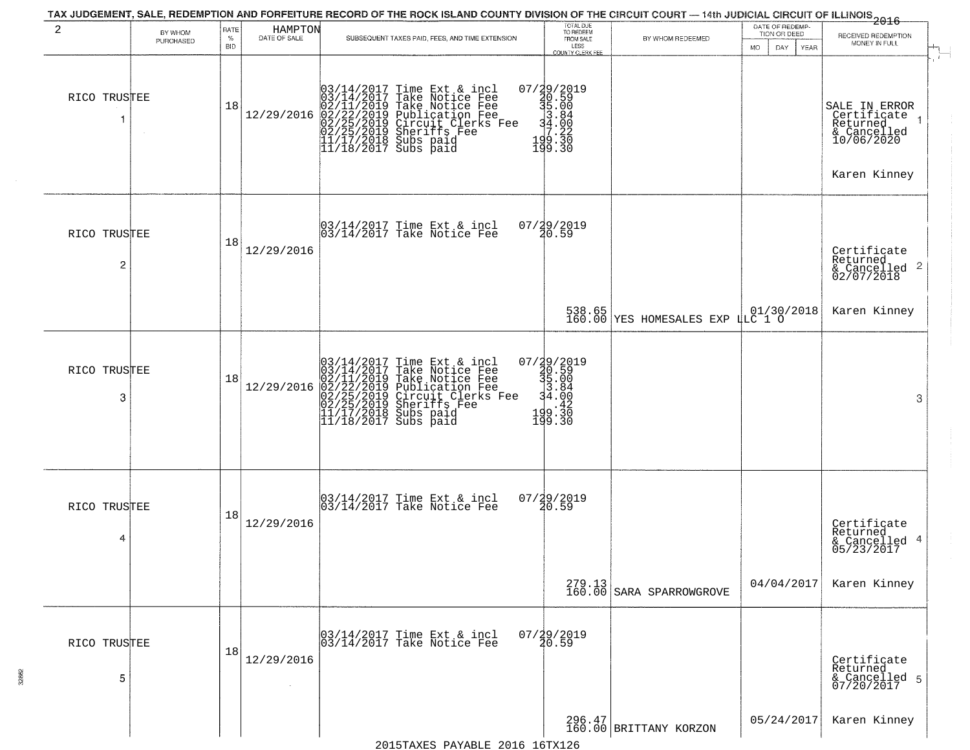| 2                 | BY WHOM<br>PURCHASED | RATE<br>%<br><b>BID</b> | HAMPTON<br>DATE OF SALE | SUBSEQUENT TAXES PAID, FEES, AND TIME EXTENSION                                                                                                                                                                                            | TOTAL DUE<br>TO REDEEM<br>FROM SALE<br>LESS<br><b>COUNTY CLERK FEE</b>        | BY WHOM REDEEMED                                                  | DATE OF REDEMP-<br>TION OR DEED<br><b>MO</b><br>DAY<br><b>YEAR</b> | <del>2016</del><br>RECEIVED REDEMPTION<br>MONEY IN FULL                               |
|-------------------|----------------------|-------------------------|-------------------------|--------------------------------------------------------------------------------------------------------------------------------------------------------------------------------------------------------------------------------------------|-------------------------------------------------------------------------------|-------------------------------------------------------------------|--------------------------------------------------------------------|---------------------------------------------------------------------------------------|
| RICO TRUSTEE      |                      | 18                      | 12/29/2016              | $03/14/2017$ Time Ext & incl<br>$03/14/2017$ Take Notice Fee<br>$02/11/2019$ Take Notice Fee<br>$02/22/2019$ Publication Fee<br>$02/25/2019$ Sheriffs Fee<br>$02/25/2019$ Sheriffs Fee<br>$11/17/2018$ Subs paid<br>$11/18/2017$ Subs paid | 07/29/2019<br>$39.59$<br>$33.80$<br>$34.80$<br>$7.222$<br>$199.320$<br>199.30 |                                                                   |                                                                    | SALE IN ERROR<br>Certificate<br>Returned<br>& Cancelled<br>10/06/2020<br>Karen Kinney |
| RICO TRUSTEE<br>2 |                      | 18                      | 12/29/2016              | 03/14/2017 Time Ext & incl<br>03/14/2017 Take Notice Fee                                                                                                                                                                                   | 07/29/2019<br>20.59                                                           |                                                                   |                                                                    | Certificate<br>Returned<br>$\frac{1}{2}$ Cancelled 2<br>02/07/2018                    |
|                   |                      |                         |                         |                                                                                                                                                                                                                                            |                                                                               | 538.65<br>160.00 YES HOMESALES EXP LLC 1 0                        |                                                                    | Karen Kinney                                                                          |
| RICO TRUSTEE<br>3 |                      | 18                      | 12/29/2016              | $03/14/2017$ Time Ext & incl<br>$03/14/2017$ Take Notice Fee<br>$02/11/2019$ Take Notice Fee<br>$02/22/2019$ Publication Fee<br>$02/25/2019$ Sheriffs Fee<br>$02/25/2019$ Sheriffs Fee<br>$11/17/2018$ Subs paid<br>$11/18/2017$ Subs paid | 07/29/2019<br>30.59<br>35.00<br>3.84<br>34.00<br>$199.30$<br>199.30           |                                                                   |                                                                    | 3                                                                                     |
| RICO TRUSTEE<br>4 |                      | 18                      | 12/29/2016              | 03/14/2017 Time Ext & incl<br>03/14/2017 Take Notice Fee                                                                                                                                                                                   | 07/29/2019<br>20.59                                                           |                                                                   |                                                                    | Certificate<br>Returned<br>& Cancelled 4<br>05/23/2017                                |
|                   |                      |                         |                         |                                                                                                                                                                                                                                            |                                                                               | $\begin{array}{c} 279.13 \\ 160.00 \end{array}$ SARA SPARROWGROVE | 04/04/2017                                                         | Karen Kinney                                                                          |
| RICO TRUSTEE<br>5 |                      | 18                      | 12/29/2016              | 03/14/2017 Time Ext & incl<br>03/14/2017 Take Notice Fee                                                                                                                                                                                   | $07/\frac{19}{20}.59$                                                         |                                                                   |                                                                    | Certificate<br>Returned<br>& Cancelled 5<br>07/20/2017                                |
|                   |                      |                         |                         |                                                                                                                                                                                                                                            |                                                                               | $296.47$<br>160.00 BRITTANY KORZON                                | 05/24/2017                                                         | Karen Kinney                                                                          |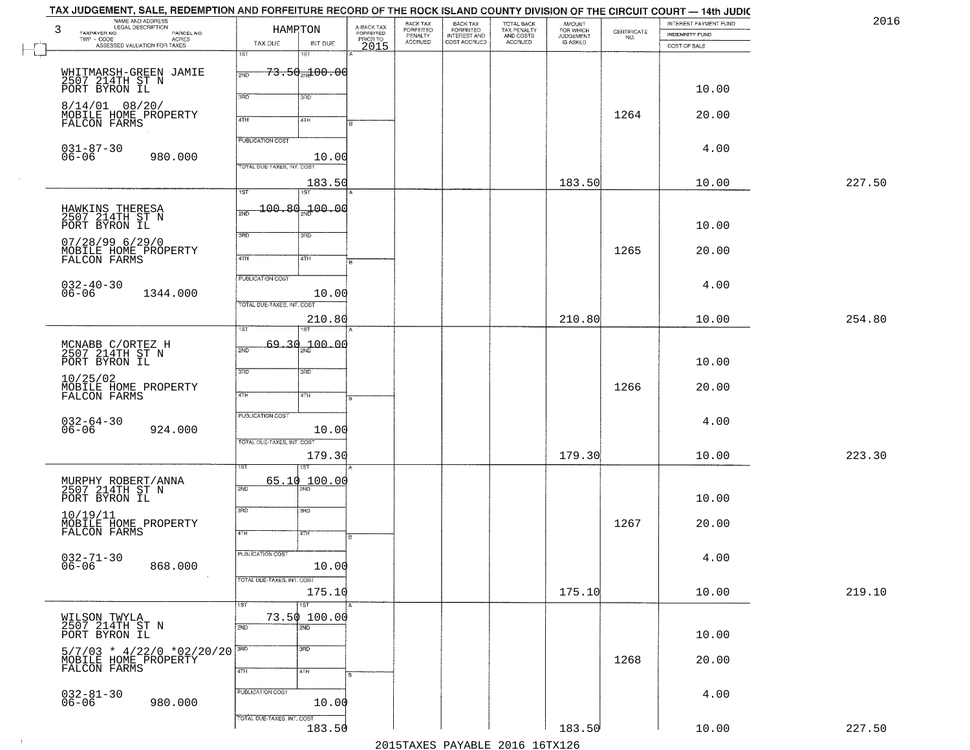| 2016   | INTEREST PAYMENT FUND | CERTIFICATE | <b>AMOUNT</b>                      | TOTAL BACK<br>TAX PENALTY<br>AND COSTS<br>ACCRUED | BACK TAX<br>FORFEITED        | BACK TAX<br>FORFEITED<br>PENALTY |                                     | HAMPTON                             |                            | NAME AND ADDRESS<br>LEGAL DESCRIPTION                                                                                 |
|--------|-----------------------|-------------|------------------------------------|---------------------------------------------------|------------------------------|----------------------------------|-------------------------------------|-------------------------------------|----------------------------|-----------------------------------------------------------------------------------------------------------------------|
|        | <b>INDEMNITY FUND</b> | NO.         | FOR WHICH<br>JUDGEMENT<br>IS ASKED |                                                   | INTEREST AND<br>COST ACCRUED | <b>ACCRUED</b>                   | A-BACK TAX<br>FORFEITED<br>PRIOR TO | INT DUE                             | TAX DUE                    | TAXPAYER NO.<br>PARCEL NO.<br>ACRES<br>TWP - CODE                                                                     |
|        | COST OF SALE          |             |                                    |                                                   |                              |                                  | 2015                                | 1ST                                 | 1ST                        | ASSESSED VALUATION FOR TAXES                                                                                          |
|        |                       |             |                                    |                                                   |                              |                                  |                                     | <del>73.50<sub>2N</sub>100.00</del> |                            |                                                                                                                       |
|        |                       |             |                                    |                                                   |                              |                                  |                                     |                                     | 2ND                        | WHITMARSH-GREEN JAMIE<br>2507 214TH ST N                                                                              |
|        | 10.00                 |             |                                    |                                                   |                              |                                  |                                     | 3RD                                 | 3BD                        | PORT BYRON IL                                                                                                         |
|        | 20.00                 | 1264        |                                    |                                                   |                              |                                  |                                     |                                     |                            | $8/14/01$ 08/20/                                                                                                      |
|        |                       |             |                                    |                                                   |                              |                                  |                                     | 4TH                                 | 4TH                        | MOBILE HOME PROPERTY<br>FALCON FARMS                                                                                  |
|        |                       |             |                                    |                                                   |                              |                                  |                                     |                                     | PUBLICATION COST           |                                                                                                                       |
|        | 4.00                  |             |                                    |                                                   |                              |                                  |                                     | 10.00                               |                            | $031 - 87 - 30$<br>06-06<br>980.000                                                                                   |
|        |                       |             |                                    |                                                   |                              |                                  |                                     |                                     | TOTAL DUE-TAXES, INT. COST |                                                                                                                       |
| 227.50 | 10.00                 |             | 183.50                             |                                                   |                              |                                  |                                     | 183.50                              |                            |                                                                                                                       |
|        |                       |             |                                    |                                                   |                              |                                  |                                     | 1ST                                 | $\overline{157}$           |                                                                                                                       |
|        |                       |             |                                    |                                                   |                              |                                  |                                     | 100.80 100.00                       | 2ND                        | HAWKINS THERESA<br>2507 214TH ST N                                                                                    |
|        | 10.00                 |             |                                    |                                                   |                              |                                  |                                     |                                     | 3RD                        | PORT BYRON IL                                                                                                         |
|        |                       |             |                                    |                                                   |                              |                                  |                                     | 3RD                                 |                            | 07/28/99 6/29/0                                                                                                       |
|        | 20.00                 | 1265        |                                    |                                                   |                              |                                  |                                     | 4TH                                 | $\overline{47H}$           | MOBILE HOME PROPERTY<br>FALCON FARMS                                                                                  |
|        |                       |             |                                    |                                                   |                              |                                  |                                     |                                     | PUBLICATION COST           |                                                                                                                       |
|        | 4.00                  |             |                                    |                                                   |                              |                                  |                                     |                                     |                            | $032 - 40 - 30$                                                                                                       |
|        |                       |             |                                    |                                                   |                              |                                  |                                     | 10.00                               | TOTAL DUE-TAXES, INT. COST | 1344.000                                                                                                              |
| 254.80 | 10.00                 |             | 210.80                             |                                                   |                              |                                  |                                     | 210.80                              |                            |                                                                                                                       |
|        |                       |             |                                    |                                                   |                              |                                  |                                     |                                     | īst                        |                                                                                                                       |
|        |                       |             |                                    |                                                   |                              |                                  |                                     | <sub>2N</sub> 200.0d                | 69,30<br>2ND               | MCNABB C/ORTEZ H<br>2507 214TH ST N                                                                                   |
|        | 10.00                 |             |                                    |                                                   |                              |                                  |                                     |                                     |                            | PORT BYRON IL                                                                                                         |
|        |                       |             |                                    |                                                   |                              |                                  |                                     | 3RD                                 | 3BD                        | 10/25/02                                                                                                              |
|        | 20.00                 | 1266        |                                    |                                                   |                              |                                  |                                     | 4TH                                 | 4TH                        | MOBILE HOME PROPERTY<br>FALCON FARMS                                                                                  |
|        |                       |             |                                    |                                                   |                              |                                  |                                     |                                     |                            |                                                                                                                       |
|        | 4.00                  |             |                                    |                                                   |                              |                                  |                                     |                                     | <b>PUBLICATION COST</b>    | 032-64-30<br>06-06                                                                                                    |
|        |                       |             |                                    |                                                   |                              |                                  |                                     | 10.00                               | TOTAL OUE-TAXES, INT. COST | 924.000                                                                                                               |
| 223.30 | 10.00                 |             | 179.30                             |                                                   |                              |                                  |                                     | 179.30                              |                            |                                                                                                                       |
|        |                       |             |                                    |                                                   |                              |                                  |                                     |                                     |                            |                                                                                                                       |
|        |                       |             |                                    |                                                   |                              |                                  |                                     | 65.10 100.00                        | 2ND                        | MURPHY ROBERT/ANNA<br>2507 214TH ST N                                                                                 |
|        | 10.00                 |             |                                    |                                                   |                              |                                  |                                     |                                     |                            | PORT BYRON IL                                                                                                         |
|        |                       |             |                                    |                                                   |                              |                                  |                                     | 3BD                                 | 3RD                        |                                                                                                                       |
|        | 20.00                 | 1267        |                                    |                                                   |                              |                                  |                                     | वाम                                 | 4TH                        | 10/19/11<br>MOBILE HOME PROPERTY<br>FALCON FARMS                                                                      |
|        |                       |             |                                    |                                                   |                              |                                  |                                     |                                     |                            |                                                                                                                       |
|        | 4.00                  |             |                                    |                                                   |                              |                                  |                                     |                                     | PUBLICATION COST           | $032 - 71 - 30$<br>06-06                                                                                              |
|        |                       |             |                                    |                                                   |                              |                                  |                                     | 10.00                               |                            | 868.000                                                                                                               |
| 219.10 | 10.00                 |             | 175.10                             |                                                   |                              |                                  |                                     | 175.10                              | TOTAL DUE-TAXES, INT. COST |                                                                                                                       |
|        |                       |             |                                    |                                                   |                              |                                  |                                     | 1ST                                 | 1ST                        |                                                                                                                       |
|        |                       |             |                                    |                                                   |                              |                                  |                                     | 73.50 100.00                        |                            | WILSON TWYLA<br>2507 214TH ST N                                                                                       |
|        | 10.00                 |             |                                    |                                                   |                              |                                  |                                     | $\overline{2ND}$                    | 2ND                        | PORT BYRON IL                                                                                                         |
|        |                       |             |                                    |                                                   |                              |                                  |                                     | 3 <sub>BD</sub>                     | 3HD                        |                                                                                                                       |
|        | 20.00                 | 1268        |                                    |                                                   |                              |                                  |                                     |                                     |                            | $\begin{array}{lll} 5/7/03 & * & 4/22/0 & *02/20/20 \\ \text{MOBILE HOME PROPERTY} & \text{FALCON FARMS} \end{array}$ |
|        |                       |             |                                    |                                                   |                              |                                  |                                     | 4TH                                 | 4TH                        |                                                                                                                       |
|        | 4.00                  |             |                                    |                                                   |                              |                                  |                                     |                                     | PUBLICATION COST           |                                                                                                                       |
|        |                       |             |                                    |                                                   |                              |                                  |                                     | 10.00                               |                            | $032 - 81 - 30$<br>06-06<br>980.000                                                                                   |
|        |                       |             |                                    |                                                   |                              |                                  |                                     |                                     |                            |                                                                                                                       |
| 227.50 | 10.00                 |             | 183.50                             |                                                   |                              |                                  |                                     | 183.50                              | TOTAL DUE-TAXES, INT. COST |                                                                                                                       |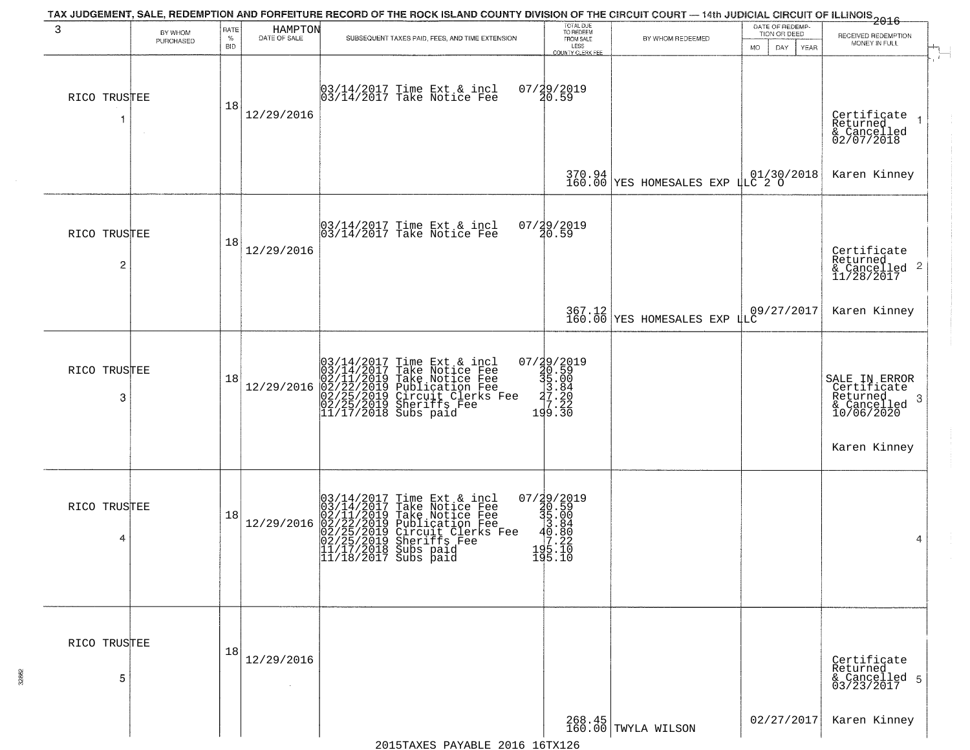| 3                 | BY WHOM<br>PURCHASED | RATE<br>$\%$<br><b>BID</b> | HAMPTON<br>DATE OF SALE | TAX JUDGEMENT, SALE, REDEMPTION AND FORFEITURE RECORD OF THE ROCK ISLAND COUNTY DIVISION OF THE CIRCUIT COURT — 14th JUDICIAL CIRCUIT OF ILLINOIS 2016<br>SUBSEQUENT TAXES PAID, FEES, AND TIME EXTENSION                                  | TOTAL DUE<br>TO REDEEM<br>FROM SALE<br>LESS<br><b>COUNTY CLERK FEE</b>                               | BY WHOM REDEEMED                   | DATE OF REDEMP-<br>TION OR DEED<br>MO.<br>DAY.<br><b>YEAR</b> | RECEIVED REDEMPTION<br>MONEY IN FULL                                        |
|-------------------|----------------------|----------------------------|-------------------------|--------------------------------------------------------------------------------------------------------------------------------------------------------------------------------------------------------------------------------------------|------------------------------------------------------------------------------------------------------|------------------------------------|---------------------------------------------------------------|-----------------------------------------------------------------------------|
| RICO TRUSTEE<br>1 | $\sim$               | 18                         | 12/29/2016              | 03/14/2017 Time Ext & incl<br>03/14/2017 Take Notice Fee                                                                                                                                                                                   | 07/29/2019<br>20.59                                                                                  |                                    |                                                               | Certificate<br>Returned<br>& Cancelled<br>02/07/2018                        |
|                   |                      |                            |                         |                                                                                                                                                                                                                                            |                                                                                                      | 370.94 YES HOMESALES EXP LLC 2 0   |                                                               | Karen Kinney                                                                |
| RICO TRUSTEE<br>2 |                      | 18                         | 12/29/2016              | 03/14/2017 Time Ext & incl<br>03/14/2017 Take Notice Fee                                                                                                                                                                                   | 07/29/2019<br>20.59                                                                                  |                                    |                                                               | Certificate<br>Returned<br>$\overline{c}$<br>& Cancelled<br>11/28/2017      |
|                   |                      |                            |                         |                                                                                                                                                                                                                                            |                                                                                                      | 367.12<br>160.00 YES HOMESALES EXP | 09/27/2017<br>LLČ                                             | Karen Kinney                                                                |
| RICO TRUSTEE<br>3 |                      | 18                         | 12/29/2016              | 03/14/2017 Time Ext & incl<br>03/14/2017 Take Notice Fee<br>02/11/2019 Take Notice Fee<br>02/22/2019 Publication Fee<br>02/22/2019 Circuit Clerks Fee<br>02/25/2019 Sheriffs Fee<br>11/17/2018 Subs paid                                   | $\begin{smallmatrix} 07/39/2019\\ 40.59\\ 35.00\\ 37.20\\ -27.22\\ 199.30 \end{smallmatrix}$         |                                    |                                                               | SALE IN ERROR<br>Certificate<br>Returned<br>-3<br>& Cancelled<br>10/06/2020 |
|                   |                      |                            |                         |                                                                                                                                                                                                                                            |                                                                                                      |                                    |                                                               | Karen Kinney                                                                |
| RICO TRUSTEE<br>4 |                      | 18                         | 12/29/2016              | $03/14/2017$ Time Ext & incl<br>$03/14/2017$ Take Notice Fee<br>$02/11/2019$ Take Notice Fee<br>$02/22/2019$ Publication Fee<br>$02/25/2019$ Sheriffs Fee<br>$02/25/2019$ Sheriffs Fee<br>$11/17/2018$ Subs paid<br>$11/18/2017$ Subs paid | $\begin{smallmatrix} 07/39/2019\\ 30.59\\ 35.00\\ 3.84\\ 10.84\\ -195.10\\ 195.10 \end{smallmatrix}$ |                                    |                                                               | 4                                                                           |
| RICO TRUSTEE<br>5 |                      | 18                         | 12/29/2016              |                                                                                                                                                                                                                                            |                                                                                                      |                                    |                                                               | Certificate<br>Returned<br>& Cancelled 5<br>03/23/2017                      |
|                   |                      |                            |                         |                                                                                                                                                                                                                                            |                                                                                                      | 268.45<br>160.00 TWYLA WILSON      | 02/27/2017                                                    | Karen Kinney                                                                |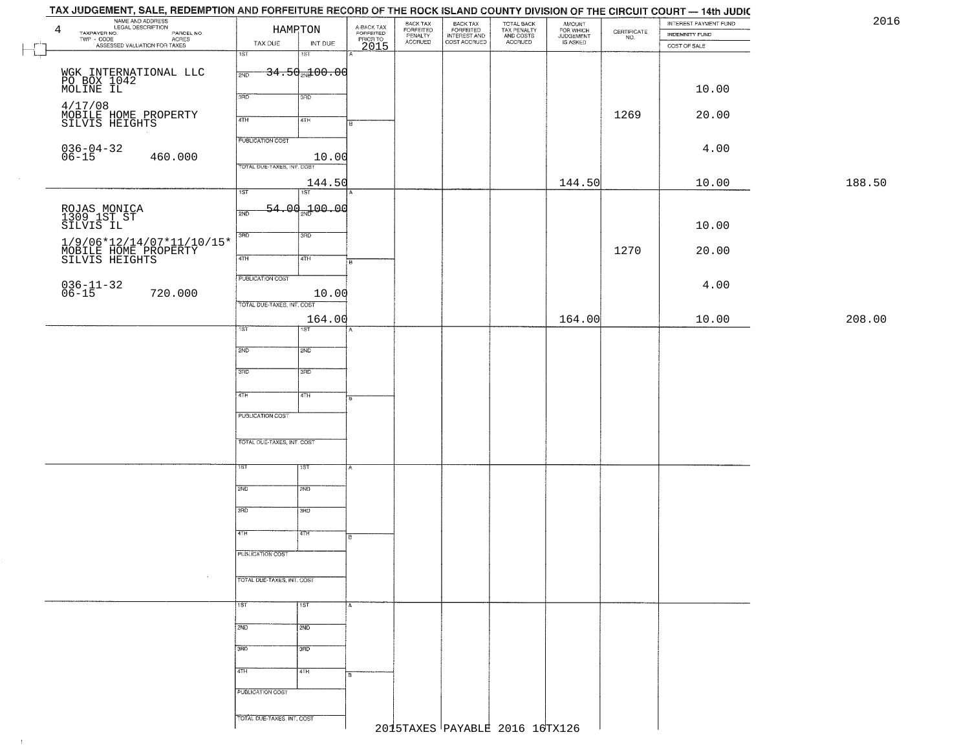| 4 | NAME AND ADDRESS<br>LEGAL DESCRIPTION                                            |                            | HAMRTON                             |                                             | BACK TAX<br>FORFEITED<br>PENALTY<br>ACCRUED | BACK TAX<br>FORFEITED<br>INTEREST AND<br>COST ACCRUED | TOTAL BACK<br>TAX PENALTY<br>AND COSTS<br>ACCRUED | AMOUNT<br>FOR WHICH<br>JUDGEMENT<br>IS ASKED | $\begin{array}{c} \text{CERTIFICATE} \\ \text{NO.} \end{array}$ | INTEREST PAYMENT FUND<br>INDEMNITY FUND |        |
|---|----------------------------------------------------------------------------------|----------------------------|-------------------------------------|---------------------------------------------|---------------------------------------------|-------------------------------------------------------|---------------------------------------------------|----------------------------------------------|-----------------------------------------------------------------|-----------------------------------------|--------|
|   | LEGAL DESCRIPTION PARCEL NO.<br>TWP - CODE AGRES<br>ASSESSED VALUATION FOR TAXES | TAX DUE                    | INT DUE                             | A-BACK TAX<br>FORFEITED<br>PRIOR TO<br>2015 |                                             |                                                       |                                                   |                                              |                                                                 | COST OF SALE                            |        |
|   |                                                                                  | 1ST                        | $\overline{181}$                    |                                             |                                             |                                                       |                                                   |                                              |                                                                 |                                         |        |
|   |                                                                                  | 2ND                        | <del>34.50<sub>20</sub>100.00</del> |                                             |                                             |                                                       |                                                   |                                              |                                                                 |                                         |        |
|   | WGK INTERNATIONAL LLC<br>PO BOX 1042<br>MOLINE IL                                |                            |                                     |                                             |                                             |                                                       |                                                   |                                              |                                                                 | 10.00                                   |        |
|   |                                                                                  | 3BD                        | 3RD                                 |                                             |                                             |                                                       |                                                   |                                              |                                                                 |                                         |        |
|   | 4/17/08<br>MOBILE HOME PROPERTY<br>SILVIS HEIGHTS                                | 4TH                        | 4TH                                 |                                             |                                             |                                                       |                                                   |                                              | 1269                                                            | 20.00                                   |        |
|   |                                                                                  | <b>PUBLICATION COST</b>    |                                     |                                             |                                             |                                                       |                                                   |                                              |                                                                 |                                         |        |
|   | $036 - 04 - 32$<br>06-15                                                         |                            |                                     |                                             |                                             |                                                       |                                                   |                                              |                                                                 | 4.00                                    |        |
|   | 460.000                                                                          | TOTAL DUE-TAXES, INT. COST | 10.00                               |                                             |                                             |                                                       |                                                   |                                              |                                                                 |                                         |        |
|   |                                                                                  |                            | 144.50                              |                                             |                                             |                                                       |                                                   | 144.50                                       |                                                                 | 10.00                                   | 188.50 |
|   |                                                                                  | $\overline{1ST}$           | 15T                                 |                                             |                                             |                                                       |                                                   |                                              |                                                                 |                                         |        |
|   |                                                                                  | 2ND                        | <del>54.00<sub>2N</sub>100.00</del> |                                             |                                             |                                                       |                                                   |                                              |                                                                 |                                         |        |
|   | ROJAS MONICA<br>1309 1ST ST<br>SILVIS IL                                         |                            |                                     |                                             |                                             |                                                       |                                                   |                                              |                                                                 | 10.00                                   |        |
|   |                                                                                  | 3RD                        | 3RD                                 |                                             |                                             |                                                       |                                                   |                                              |                                                                 |                                         |        |
|   | $1/9/06*12/14/07*11/10/15*$ MOBILE HOME PROPERTY SILVIS HEIGHTS                  | 47H                        | 4TH                                 |                                             |                                             |                                                       |                                                   |                                              | 1270                                                            | 20.00                                   |        |
|   |                                                                                  | PUBLICATION COST           |                                     |                                             |                                             |                                                       |                                                   |                                              |                                                                 |                                         |        |
|   | $036 - 11 - 32$<br>06-15<br>720.000                                              |                            | 10.00                               |                                             |                                             |                                                       |                                                   |                                              |                                                                 | 4.00                                    |        |
|   |                                                                                  | TOTAL DUE-TAXES, INT. COST |                                     |                                             |                                             |                                                       |                                                   |                                              |                                                                 |                                         |        |
|   |                                                                                  |                            | 164.00                              |                                             |                                             |                                                       |                                                   | 164.00                                       |                                                                 | 10.00                                   | 208.00 |
|   |                                                                                  | ist                        | IST                                 |                                             |                                             |                                                       |                                                   |                                              |                                                                 |                                         |        |
|   |                                                                                  | 2ND                        | 5 <sub>MD</sub>                     |                                             |                                             |                                                       |                                                   |                                              |                                                                 |                                         |        |
|   |                                                                                  |                            |                                     |                                             |                                             |                                                       |                                                   |                                              |                                                                 |                                         |        |
|   |                                                                                  | 3 <sub>BD</sub>            | 3RD                                 |                                             |                                             |                                                       |                                                   |                                              |                                                                 |                                         |        |
|   |                                                                                  | 4TH                        | 4TH                                 |                                             |                                             |                                                       |                                                   |                                              |                                                                 |                                         |        |
|   |                                                                                  | <b>PUBLICATION COST</b>    |                                     |                                             |                                             |                                                       |                                                   |                                              |                                                                 |                                         |        |
|   |                                                                                  |                            |                                     |                                             |                                             |                                                       |                                                   |                                              |                                                                 |                                         |        |
|   |                                                                                  | TOTAL OUE-TAXES, INT. COST |                                     |                                             |                                             |                                                       |                                                   |                                              |                                                                 |                                         |        |
|   |                                                                                  |                            |                                     |                                             |                                             |                                                       |                                                   |                                              |                                                                 |                                         |        |
|   |                                                                                  | ιsτ                        | १९४                                 |                                             |                                             |                                                       |                                                   |                                              |                                                                 |                                         |        |
|   |                                                                                  | 2ND                        | 2ND                                 |                                             |                                             |                                                       |                                                   |                                              |                                                                 |                                         |        |
|   |                                                                                  | 3RD                        | 3BD                                 |                                             |                                             |                                                       |                                                   |                                              |                                                                 |                                         |        |
|   |                                                                                  |                            |                                     |                                             |                                             |                                                       |                                                   |                                              |                                                                 |                                         |        |
|   |                                                                                  | 4TH                        | वितमा                               | в.                                          |                                             |                                                       |                                                   |                                              |                                                                 |                                         |        |
|   |                                                                                  | PUBLICATION COST           |                                     |                                             |                                             |                                                       |                                                   |                                              |                                                                 |                                         |        |
|   |                                                                                  |                            |                                     |                                             |                                             |                                                       |                                                   |                                              |                                                                 |                                         |        |
|   |                                                                                  | TOTAL DUE-TAXES, INT. COST |                                     |                                             |                                             |                                                       |                                                   |                                              |                                                                 |                                         |        |
|   |                                                                                  | 1ST                        | 1ST                                 |                                             |                                             |                                                       |                                                   |                                              |                                                                 |                                         |        |
|   |                                                                                  |                            |                                     |                                             |                                             |                                                       |                                                   |                                              |                                                                 |                                         |        |
|   |                                                                                  | 2ND                        | 2ND                                 |                                             |                                             |                                                       |                                                   |                                              |                                                                 |                                         |        |
|   |                                                                                  | 3RD                        | 3RD                                 |                                             |                                             |                                                       |                                                   |                                              |                                                                 |                                         |        |
|   |                                                                                  |                            |                                     |                                             |                                             |                                                       |                                                   |                                              |                                                                 |                                         |        |
|   |                                                                                  | 4TH                        | 4TH                                 |                                             |                                             |                                                       |                                                   |                                              |                                                                 |                                         |        |
|   |                                                                                  | PUBLICATION COST           |                                     |                                             |                                             |                                                       |                                                   |                                              |                                                                 |                                         |        |
|   |                                                                                  |                            |                                     |                                             |                                             |                                                       |                                                   |                                              |                                                                 |                                         |        |
|   |                                                                                  | TOTAL DUE-TAXES, INT. COST |                                     |                                             |                                             | 2015TAXES PAYABLE 2016 16TX126                        |                                                   |                                              |                                                                 |                                         |        |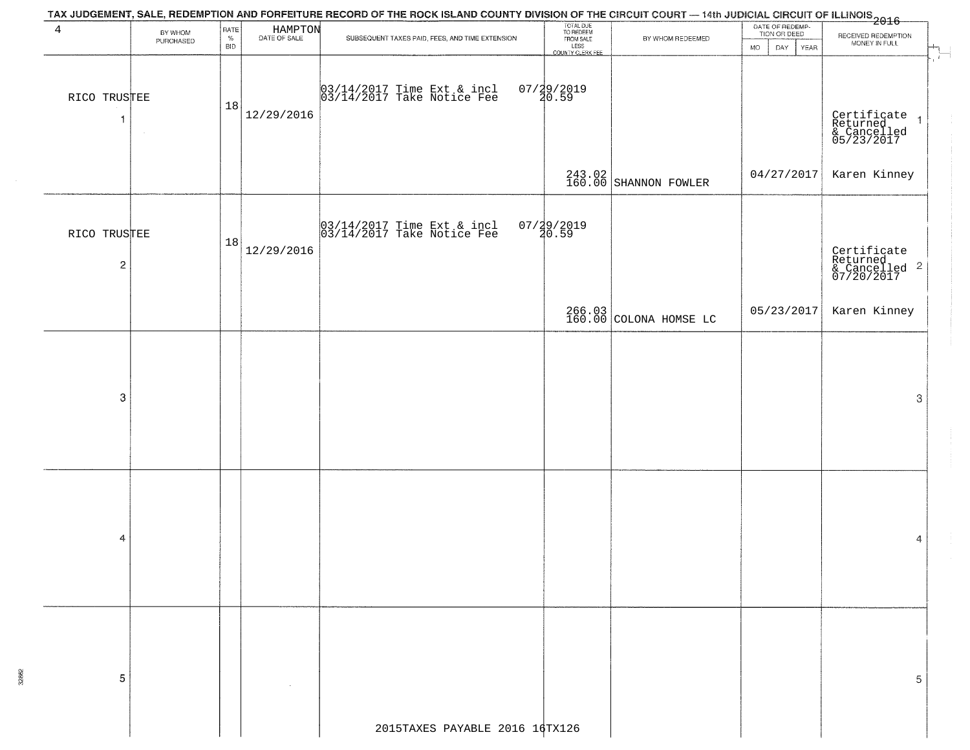|                                |                      |                            |                         | TAX JUDGEMENT, SALE, REDEMPTION AND FORFEITURE RECORD OF THE ROCK ISLAND COUNTY DIVISION OF THE CIRCUIT COURT — 14th JUDICIAL CIRCUIT OF ILLINOIS<br>1 2016 - 1 2017 2018 |                                                                         |                                  |                                                             |                                                        |
|--------------------------------|----------------------|----------------------------|-------------------------|---------------------------------------------------------------------------------------------------------------------------------------------------------------------------|-------------------------------------------------------------------------|----------------------------------|-------------------------------------------------------------|--------------------------------------------------------|
| $\overline{4}$                 | BY WHOM<br>PURCHASED | RATE<br>$\%$<br><b>BID</b> | HAMPTON<br>DATE OF SALE | SUBSEQUENT TAXES PAID, FEES, AND TIME EXTENSION                                                                                                                           | TOTAL DUE<br>TO REDEEM<br>FROM SALE<br>LESS<br>LESS<br>COUNTY CLERK FEE | BY WHOM REDEEMED                 | DATE OF REDEMP-<br>TION OR DEED<br><b>MO</b><br>DAY<br>YEAR | RECEIVED REDEMPTION<br>MONEY IN FULL                   |
| RICO TRUSTEE<br>-1             |                      | 18                         | 12/29/2016              | 03/14/2017 Time Ext & incl<br>03/14/2017 Take Notice Fee                                                                                                                  | 07/29/2019<br>20.59                                                     |                                  |                                                             | Certificate<br>Returned<br>& Cancelled<br>05/23/2017   |
|                                |                      |                            |                         |                                                                                                                                                                           |                                                                         | 243.02<br>160.00 SHANNON FOWLER  | 04/27/2017                                                  | Karen Kinney                                           |
| RICO TRUSTEE<br>$\overline{c}$ |                      | 18                         | 12/29/2016              | 03/14/2017 Time Ext & incl<br>03/14/2017 Take Notice Fee                                                                                                                  | $07/29/2019$<br>$20.59$                                                 |                                  |                                                             | Certificate<br>Returned<br>& Cancelled 2<br>07/20/2017 |
|                                |                      |                            |                         |                                                                                                                                                                           |                                                                         | 266.03<br>160.00 COLONA HOMSE LC | 05/23/2017                                                  | Karen Kinney                                           |
|                                |                      |                            |                         |                                                                                                                                                                           |                                                                         |                                  |                                                             |                                                        |
| 3                              |                      |                            |                         |                                                                                                                                                                           |                                                                         |                                  |                                                             | $\ensuremath{\mathbf{3}}$                              |
|                                |                      |                            |                         |                                                                                                                                                                           |                                                                         |                                  |                                                             |                                                        |
|                                |                      |                            |                         |                                                                                                                                                                           |                                                                         |                                  |                                                             |                                                        |
| 4                              |                      |                            |                         |                                                                                                                                                                           |                                                                         |                                  |                                                             | 4                                                      |
|                                |                      |                            |                         |                                                                                                                                                                           |                                                                         |                                  |                                                             |                                                        |
|                                |                      |                            |                         |                                                                                                                                                                           |                                                                         |                                  |                                                             |                                                        |
| 5                              |                      |                            |                         |                                                                                                                                                                           |                                                                         |                                  |                                                             | 5                                                      |
|                                |                      |                            |                         | 2015TAXES PAYABLE 2016 16TX126                                                                                                                                            |                                                                         |                                  |                                                             |                                                        |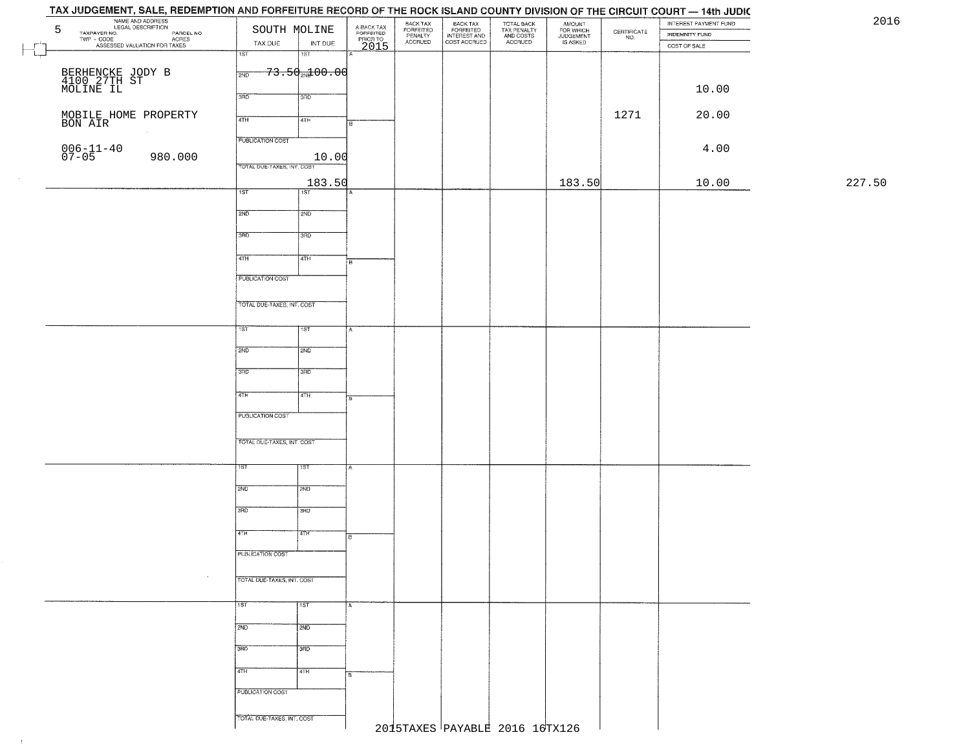| 5                                                                                                                       | SOUTH MOLINE               |                                     |                                     | BACK TAX                        |                                                       |                                                   |                                              |                                                                 | INTEREST PAYMENT FUND |        |
|-------------------------------------------------------------------------------------------------------------------------|----------------------------|-------------------------------------|-------------------------------------|---------------------------------|-------------------------------------------------------|---------------------------------------------------|----------------------------------------------|-----------------------------------------------------------------|-----------------------|--------|
| MARE AND ADDRESS<br>NAME AND ADDRESS<br>LEGAL DESCRIPTION<br>TAYPAYER NO.<br>TWP - CODE<br>ASSESSED VALUATION FOR TAXES | TAX DUE                    | INT DUE                             | A-BACK TAX<br>FORFEITED<br>PRIOR TO | FORFEITED<br>PENALTY<br>ACCRUED | BACK TAX<br>FORFEITED<br>INTEREST AND<br>COST ACCRUED | TOTAL BACK<br>TAX PENALTY<br>AND COSTS<br>ACCRUED | AMOUNT<br>FOR WHICH<br>JUDGEMENT<br>IS ASKED | $\begin{array}{c} \text{CERTIFICATE} \\ \text{NO.} \end{array}$ | <b>INDEMNITY FUND</b> |        |
|                                                                                                                         | $\overline{1ST}$           | $\overline{181}$                    | 2015                                |                                 |                                                       |                                                   |                                              |                                                                 | COST OF SALE          |        |
|                                                                                                                         |                            | <del>73.50<sub>2№</sub>100.00</del> |                                     |                                 |                                                       |                                                   |                                              |                                                                 |                       |        |
| BERHENCKE JODY B<br>4100 27TH ST<br>MOLINE IL                                                                           | 2ND                        |                                     |                                     |                                 |                                                       |                                                   |                                              |                                                                 |                       |        |
|                                                                                                                         | 3RD                        | 3RD                                 |                                     |                                 |                                                       |                                                   |                                              |                                                                 | 10.00                 |        |
|                                                                                                                         |                            |                                     |                                     |                                 |                                                       |                                                   |                                              |                                                                 |                       |        |
| MOBILE HOME PROPERTY<br>BON AIR                                                                                         | 4TH                        | 4TH                                 | В.                                  |                                 |                                                       |                                                   |                                              | 1271                                                            | 20.00                 |        |
|                                                                                                                         | <b>PUBLICATION COST</b>    |                                     |                                     |                                 |                                                       |                                                   |                                              |                                                                 |                       |        |
| $006 - 11 - 40$<br>07-05                                                                                                |                            |                                     |                                     |                                 |                                                       |                                                   |                                              |                                                                 | 4.00                  |        |
| 980.000                                                                                                                 | TOTAL DUE-TAXES, INT. COST | 10.00                               |                                     |                                 |                                                       |                                                   |                                              |                                                                 |                       |        |
|                                                                                                                         |                            | 183.50                              |                                     |                                 |                                                       |                                                   | 183.50                                       |                                                                 | 10.00                 | 227.50 |
|                                                                                                                         | 1ST                        | 1ST                                 |                                     |                                 |                                                       |                                                   |                                              |                                                                 |                       |        |
|                                                                                                                         |                            |                                     |                                     |                                 |                                                       |                                                   |                                              |                                                                 |                       |        |
|                                                                                                                         | 2ND                        | 2ND                                 |                                     |                                 |                                                       |                                                   |                                              |                                                                 |                       |        |
|                                                                                                                         | 3BD                        | 3RD                                 |                                     |                                 |                                                       |                                                   |                                              |                                                                 |                       |        |
|                                                                                                                         |                            |                                     |                                     |                                 |                                                       |                                                   |                                              |                                                                 |                       |        |
|                                                                                                                         | 47H                        | 4TH                                 | łв                                  |                                 |                                                       |                                                   |                                              |                                                                 |                       |        |
|                                                                                                                         | <b>PUBLICATION COST</b>    |                                     |                                     |                                 |                                                       |                                                   |                                              |                                                                 |                       |        |
|                                                                                                                         |                            |                                     |                                     |                                 |                                                       |                                                   |                                              |                                                                 |                       |        |
|                                                                                                                         | TOTAL DUE-TAXES, INT. COST |                                     |                                     |                                 |                                                       |                                                   |                                              |                                                                 |                       |        |
|                                                                                                                         |                            |                                     |                                     |                                 |                                                       |                                                   |                                              |                                                                 |                       |        |
|                                                                                                                         | 1ST.                       | 1ST                                 | A                                   |                                 |                                                       |                                                   |                                              |                                                                 |                       |        |
|                                                                                                                         | 2ND                        | <b>SMD</b>                          |                                     |                                 |                                                       |                                                   |                                              |                                                                 |                       |        |
|                                                                                                                         |                            |                                     |                                     |                                 |                                                       |                                                   |                                              |                                                                 |                       |        |
|                                                                                                                         | 3RD                        | 3RD                                 |                                     |                                 |                                                       |                                                   |                                              |                                                                 |                       |        |
|                                                                                                                         |                            |                                     |                                     |                                 |                                                       |                                                   |                                              |                                                                 |                       |        |
|                                                                                                                         | 4TH                        | 4TH                                 |                                     |                                 |                                                       |                                                   |                                              |                                                                 |                       |        |
|                                                                                                                         | PUBLICATION COST           |                                     |                                     |                                 |                                                       |                                                   |                                              |                                                                 |                       |        |
|                                                                                                                         |                            |                                     |                                     |                                 |                                                       |                                                   |                                              |                                                                 |                       |        |
|                                                                                                                         | TOTAL OUE-TAXES, INT. COST |                                     |                                     |                                 |                                                       |                                                   |                                              |                                                                 |                       |        |
|                                                                                                                         |                            |                                     |                                     |                                 |                                                       |                                                   |                                              |                                                                 |                       |        |
|                                                                                                                         | 1ST                        | १९४                                 |                                     |                                 |                                                       |                                                   |                                              |                                                                 |                       |        |
|                                                                                                                         | 2ND                        | 2ND                                 |                                     |                                 |                                                       |                                                   |                                              |                                                                 |                       |        |
|                                                                                                                         |                            |                                     |                                     |                                 |                                                       |                                                   |                                              |                                                                 |                       |        |
|                                                                                                                         | 3RD                        | 3BD                                 |                                     |                                 |                                                       |                                                   |                                              |                                                                 |                       |        |
|                                                                                                                         |                            |                                     |                                     |                                 |                                                       |                                                   |                                              |                                                                 |                       |        |
|                                                                                                                         | 4TH                        | 4TH                                 | ाह                                  |                                 |                                                       |                                                   |                                              |                                                                 |                       |        |
|                                                                                                                         | PUBLICATION COST           |                                     |                                     |                                 |                                                       |                                                   |                                              |                                                                 |                       |        |
|                                                                                                                         |                            |                                     |                                     |                                 |                                                       |                                                   |                                              |                                                                 |                       |        |
|                                                                                                                         | TOTAL DUE-TAXES, INT. COST |                                     |                                     |                                 |                                                       |                                                   |                                              |                                                                 |                       |        |
|                                                                                                                         |                            |                                     |                                     |                                 |                                                       |                                                   |                                              |                                                                 |                       |        |
|                                                                                                                         | 15T                        | 1ST                                 | А                                   |                                 |                                                       |                                                   |                                              |                                                                 |                       |        |
|                                                                                                                         | 2ND                        | 2ND                                 |                                     |                                 |                                                       |                                                   |                                              |                                                                 |                       |        |
|                                                                                                                         |                            |                                     |                                     |                                 |                                                       |                                                   |                                              |                                                                 |                       |        |
|                                                                                                                         | 3BD                        | 3 <sub>RD</sub>                     |                                     |                                 |                                                       |                                                   |                                              |                                                                 |                       |        |
|                                                                                                                         |                            |                                     |                                     |                                 |                                                       |                                                   |                                              |                                                                 |                       |        |
|                                                                                                                         | 4TH                        | 4TH                                 | ļВ                                  |                                 |                                                       |                                                   |                                              |                                                                 |                       |        |
|                                                                                                                         | PUBLICATION COST           |                                     |                                     |                                 |                                                       |                                                   |                                              |                                                                 |                       |        |
|                                                                                                                         |                            |                                     |                                     |                                 |                                                       |                                                   |                                              |                                                                 |                       |        |
|                                                                                                                         |                            |                                     |                                     |                                 |                                                       |                                                   |                                              |                                                                 |                       |        |

 $\sim 10^{-1}$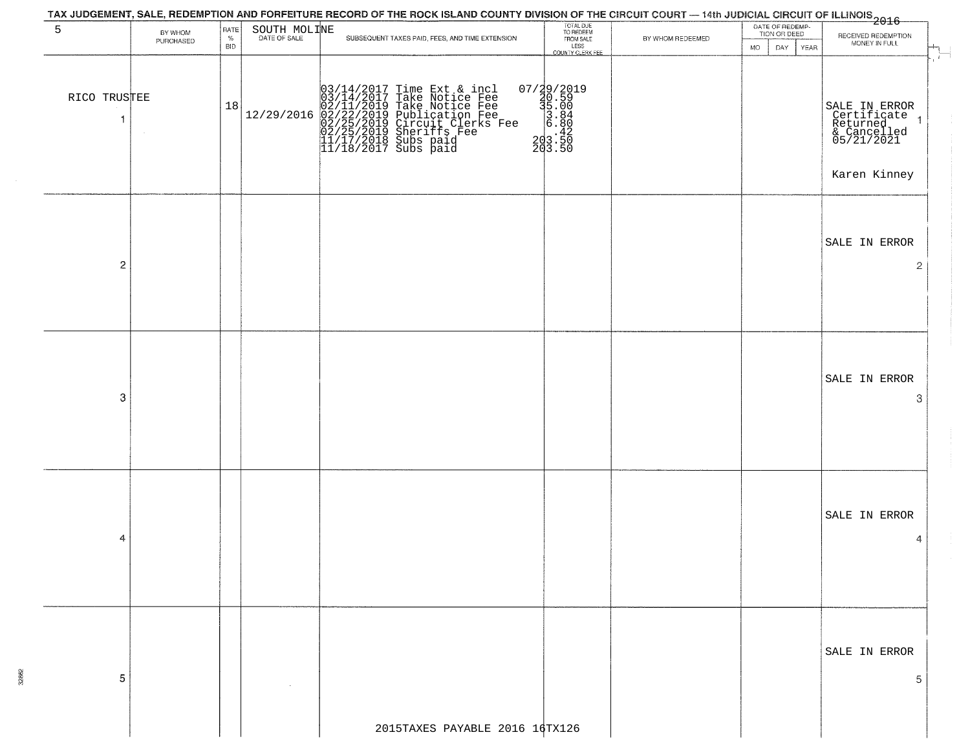|                              |                      |              |                              | TAX JUDGEMENT, SALE, REDEMPTION AND FORFEITURE RECORD OF THE ROCK ISLAND COUNTY DIVISION OF THE CIRCUIT COURT — 14th JUDICIAL CIRCUIT OF ILLINOIS<br>2016 - 1992                                                                           |                                                                                                    |                  |                                 |                                                                                       |
|------------------------------|----------------------|--------------|------------------------------|--------------------------------------------------------------------------------------------------------------------------------------------------------------------------------------------------------------------------------------------|----------------------------------------------------------------------------------------------------|------------------|---------------------------------|---------------------------------------------------------------------------------------|
| 5                            | BY WHOM<br>PURCHASED | RATE<br>$\%$ | SOUTH MOLINE<br>DATE OF SALE | SUBSEQUENT TAXES PAID, FEES, AND TIME EXTENSION                                                                                                                                                                                            | TOTAL DUE<br>TO REDEEM<br>FROM SALE                                                                | BY WHOM REDEEMED | DATE OF REDEMP-<br>TION OR DEED | RECEIVED REDEMPTION                                                                   |
|                              |                      | <b>BID</b>   |                              |                                                                                                                                                                                                                                            | LESS<br>COUNTY CLERK FEE                                                                           |                  | <b>MO</b><br>DAY<br><b>YEAR</b> | MONEY IN FULL<br>$\mathbf{r}$                                                         |
| RICO TRUSTEE<br>$\mathbf{1}$ |                      | 18           | 12/29/2016                   | $03/14/2017$ Time Ext & incl<br>$03/14/2017$ Take Notice Fee<br>$02/11/2019$ Take Notice Fee<br>$02/22/2019$ Publication Fee<br>$02/25/2019$ Sheriffs Fee<br>$02/25/2019$ Sheriffs Fee<br>$11/17/2018$ Subs paid<br>$11/18/2017$ Subs paid | $\begin{smallmatrix} 07/29/2019\\ 20.59\\ 35.00\\ 3.84\\ 8.86\\ 203.50\\ 203.50 \end{smallmatrix}$ |                  |                                 | SALE IN ERROR<br>Certificate<br>Returned<br>& Cancelled<br>05/21/2021<br>Karen Kinney |
| $\overline{c}$               |                      |              |                              |                                                                                                                                                                                                                                            |                                                                                                    |                  |                                 | SALE IN ERROR<br>2                                                                    |
| 3                            |                      |              |                              |                                                                                                                                                                                                                                            |                                                                                                    |                  |                                 | SALE IN ERROR<br>3                                                                    |
| 4                            |                      |              |                              |                                                                                                                                                                                                                                            |                                                                                                    |                  |                                 | SALE IN ERROR<br>4                                                                    |
| 5                            |                      |              |                              |                                                                                                                                                                                                                                            |                                                                                                    |                  |                                 | SALE IN ERROR<br>5                                                                    |
|                              |                      |              |                              | 2015TAXES PAYABLE 2016 $14$ TX126                                                                                                                                                                                                          |                                                                                                    |                  |                                 |                                                                                       |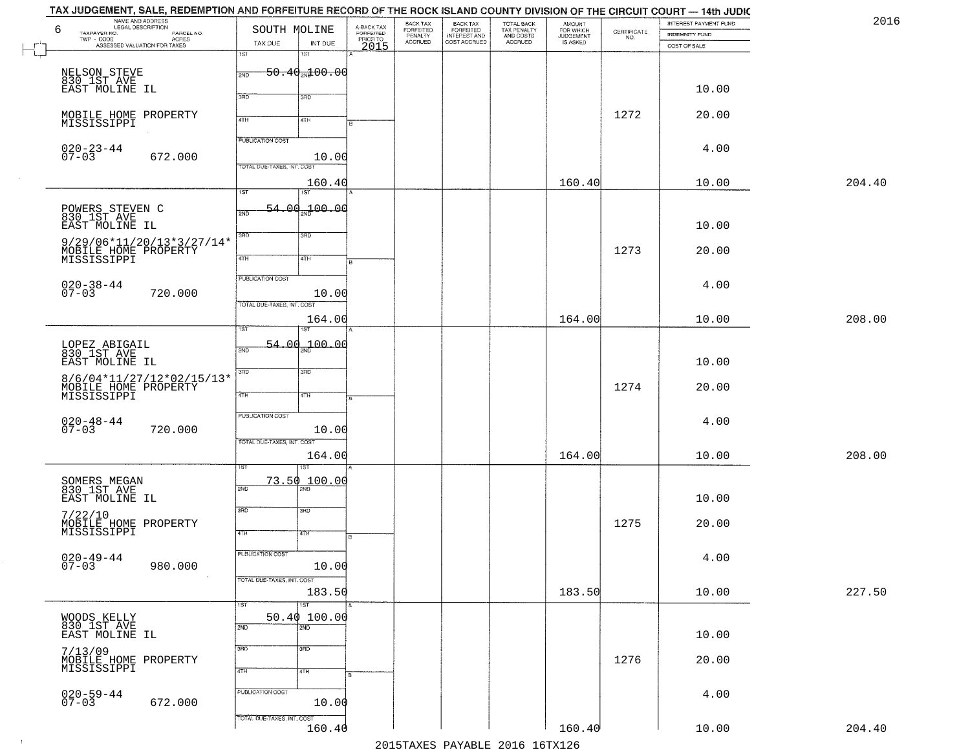| TAX JUDGEMENT, SALE, REDEMPTION AND FORFEITURE RECORD OF THE ROCK ISLAND COUNTY DIVISION OF THE CIRCUIT COURT — 14th JUDIC<br>NAME AND ADDRESS<br>LEGAL DESCRIPTION |                                      |                                             | BACK TAX                        |                                                       |                                                   | <b>AMOUNT</b>                      |                                                                 | INTEREST PAYMENT FUND | 2016   |
|---------------------------------------------------------------------------------------------------------------------------------------------------------------------|--------------------------------------|---------------------------------------------|---------------------------------|-------------------------------------------------------|---------------------------------------------------|------------------------------------|-----------------------------------------------------------------|-----------------------|--------|
| 6<br>TAXPAYER NO.<br>PARCEL NO.<br>$\mathsf{TWP} \, \cdot \, \mathsf{CODE}$<br>- CODE<br>ACRES<br>ASSESSED VALUATION FOR TAXES                                      | SOUTH MOLINE<br>TAX DUE<br>INT DUE   | A-BACK TAX<br>FORFEITED<br>PRIOR TO<br>2015 | FORFEITED<br>PENALTY<br>ACCRUED | BACK TAX<br>FORFEITED<br>INTEREST AND<br>COST ACCRUED | TOTAL BACK<br>TAX PENALTY<br>AND COSTS<br>ACCRUED | FOR WHICH<br>JUDGEMENT<br>IS ASKED | $\begin{array}{c} \text{CERTIFICATE} \\ \text{NO.} \end{array}$ | INDEMNITY FUND        |        |
|                                                                                                                                                                     | 1ST<br>1ST                           |                                             |                                 |                                                       |                                                   |                                    |                                                                 | COST OF SALE          |        |
| NELSON STEVE<br>830 1ST AVE                                                                                                                                         | $50.40$ and $00.00$<br>2ND           |                                             |                                 |                                                       |                                                   |                                    |                                                                 |                       |        |
| EAST MOLINE IL                                                                                                                                                      |                                      |                                             |                                 |                                                       |                                                   |                                    |                                                                 | 10.00                 |        |
|                                                                                                                                                                     | 3RD<br>3RD                           |                                             |                                 |                                                       |                                                   |                                    |                                                                 |                       |        |
| MOBILE HOME PROPERTY<br>MISSISSIPPI                                                                                                                                 | 4TH<br>4TH                           |                                             |                                 |                                                       |                                                   |                                    | 1272                                                            | 20.00                 |        |
|                                                                                                                                                                     | <b>PUBLICATION COST</b>              |                                             |                                 |                                                       |                                                   |                                    |                                                                 |                       |        |
| $020 - 23 - 44$<br>07-03<br>672.000                                                                                                                                 | 10.00                                |                                             |                                 |                                                       |                                                   |                                    |                                                                 | 4.00                  |        |
|                                                                                                                                                                     | TOTAL DUE-TAXES, INT. COST           |                                             |                                 |                                                       |                                                   |                                    |                                                                 |                       |        |
|                                                                                                                                                                     | 160.40                               |                                             |                                 |                                                       |                                                   | 160.40                             |                                                                 | 10.00                 | 204.40 |
|                                                                                                                                                                     | $\overline{1ST}$<br>1ST<br>54.00     |                                             |                                 |                                                       |                                                   |                                    |                                                                 |                       |        |
| POWERS STEVEN C<br>830 1ST AVE                                                                                                                                      | 200.00<br>2ND                        |                                             |                                 |                                                       |                                                   |                                    |                                                                 |                       |        |
| EAST MOLINE IL                                                                                                                                                      | 3RD<br>3RD                           |                                             |                                 |                                                       |                                                   |                                    |                                                                 | 10.00                 |        |
| 9/29/06*11/20/13*3/27/14*<br>MOBILE HOME PROPERTY<br>MISSISSIPPI                                                                                                    |                                      |                                             |                                 |                                                       |                                                   |                                    | 1273                                                            | 20.00                 |        |
|                                                                                                                                                                     | $\sqrt{47H}$<br>4TH                  |                                             |                                 |                                                       |                                                   |                                    |                                                                 |                       |        |
| $020 - 38 - 44$<br>07-03                                                                                                                                            | PUBLICATION COST                     |                                             |                                 |                                                       |                                                   |                                    |                                                                 | 4.00                  |        |
| 720.000                                                                                                                                                             | 10.00<br>TOTAL DUE-TAXES, INT. COST  |                                             |                                 |                                                       |                                                   |                                    |                                                                 |                       |        |
|                                                                                                                                                                     | 164.00                               |                                             |                                 |                                                       |                                                   | 164.00                             |                                                                 | 10.00                 | 208.00 |
|                                                                                                                                                                     | isT<br>1ST                           |                                             |                                 |                                                       |                                                   |                                    |                                                                 |                       |        |
| LOPEZ ABIGAIL<br>830_1ST_AVE                                                                                                                                        | $54.00_{20}100.00$<br>2ND            |                                             |                                 |                                                       |                                                   |                                    |                                                                 |                       |        |
| EAST MOLINE IL                                                                                                                                                      | 3BD<br>3 <sub>BD</sub>               |                                             |                                 |                                                       |                                                   |                                    |                                                                 | 10.00                 |        |
| 8/6/04*11/27/12*02/15/13*                                                                                                                                           |                                      |                                             |                                 |                                                       |                                                   |                                    | 1274                                                            | 20.00                 |        |
| MOBILE HOME PROPERTY<br>MISSISSIPPI                                                                                                                                 | 4TH<br>4TH                           |                                             |                                 |                                                       |                                                   |                                    |                                                                 |                       |        |
|                                                                                                                                                                     | <b>PUBLICATION COST</b>              |                                             |                                 |                                                       |                                                   |                                    |                                                                 | 4.00                  |        |
| $020 - 48 - 44$<br>07-03<br>720.000                                                                                                                                 | 10.00                                |                                             |                                 |                                                       |                                                   |                                    |                                                                 |                       |        |
|                                                                                                                                                                     | TOTAL OUE-TAXES, INT. COST<br>164.00 |                                             |                                 |                                                       |                                                   | 164.00                             |                                                                 | 10.00                 | 208.00 |
|                                                                                                                                                                     | ख़                                   |                                             |                                 |                                                       |                                                   |                                    |                                                                 |                       |        |
| SOMERS MEGAN<br>830 1ST AVE                                                                                                                                         | 73.50 100.00<br>2ND                  |                                             |                                 |                                                       |                                                   |                                    |                                                                 |                       |        |
| EAST MOLINE IL                                                                                                                                                      |                                      |                                             |                                 |                                                       |                                                   |                                    |                                                                 | 10.00                 |        |
| 7/22/10                                                                                                                                                             | 3RD<br>3BD                           |                                             |                                 |                                                       |                                                   |                                    |                                                                 |                       |        |
| MOBILE HOME PROPERTY<br>MISSISSIPPI                                                                                                                                 | 4TH<br>वाम                           |                                             |                                 |                                                       |                                                   |                                    | 1275                                                            | 20.00                 |        |
|                                                                                                                                                                     | PUBLICATION COST                     |                                             |                                 |                                                       |                                                   |                                    |                                                                 |                       |        |
| 020-49-44<br>07-03<br>980.000                                                                                                                                       | 10.00                                |                                             |                                 |                                                       |                                                   |                                    |                                                                 | 4.00                  |        |
| $\sim 100$                                                                                                                                                          | TOTAL DUE-TAXES, INT. COST           |                                             |                                 |                                                       |                                                   |                                    |                                                                 |                       |        |
|                                                                                                                                                                     | 183.50<br>$\overline{1ST}$<br>1ST    |                                             |                                 |                                                       |                                                   | 183.50                             |                                                                 | 10.00                 | 227.50 |
| WOODS KELLY<br>830 1ST AVE                                                                                                                                          | 50.40100.00                          |                                             |                                 |                                                       |                                                   |                                    |                                                                 |                       |        |
| EAST MOLINE IL                                                                                                                                                      | 2ND<br>$\overline{2ND}$              |                                             |                                 |                                                       |                                                   |                                    |                                                                 | 10.00                 |        |
| 7/13/09                                                                                                                                                             | 3RD<br>3 <sub>BD</sub>               |                                             |                                 |                                                       |                                                   |                                    |                                                                 |                       |        |
| MOBILE HOME PROPERTY<br>MISSISSIPPI                                                                                                                                 | 4TH<br>4TH                           |                                             |                                 |                                                       |                                                   |                                    | 1276                                                            | 20.00                 |        |
|                                                                                                                                                                     |                                      |                                             |                                 |                                                       |                                                   |                                    |                                                                 |                       |        |
| $020 - 59 - 44$<br>07-03<br>672.000                                                                                                                                 | PUBLICATION COST<br>10.00            |                                             |                                 |                                                       |                                                   |                                    |                                                                 | 4.00                  |        |
|                                                                                                                                                                     | TOTAL DUE-TAXES, INT. COST           |                                             |                                 |                                                       |                                                   |                                    |                                                                 |                       |        |
|                                                                                                                                                                     | 160.40                               |                                             |                                 |                                                       |                                                   | 160.40                             |                                                                 | 10.00                 | 204.40 |
|                                                                                                                                                                     |                                      |                                             |                                 |                                                       | 2015 TAVEC DAVADIE 2016 16 TV126                  |                                    |                                                                 |                       |        |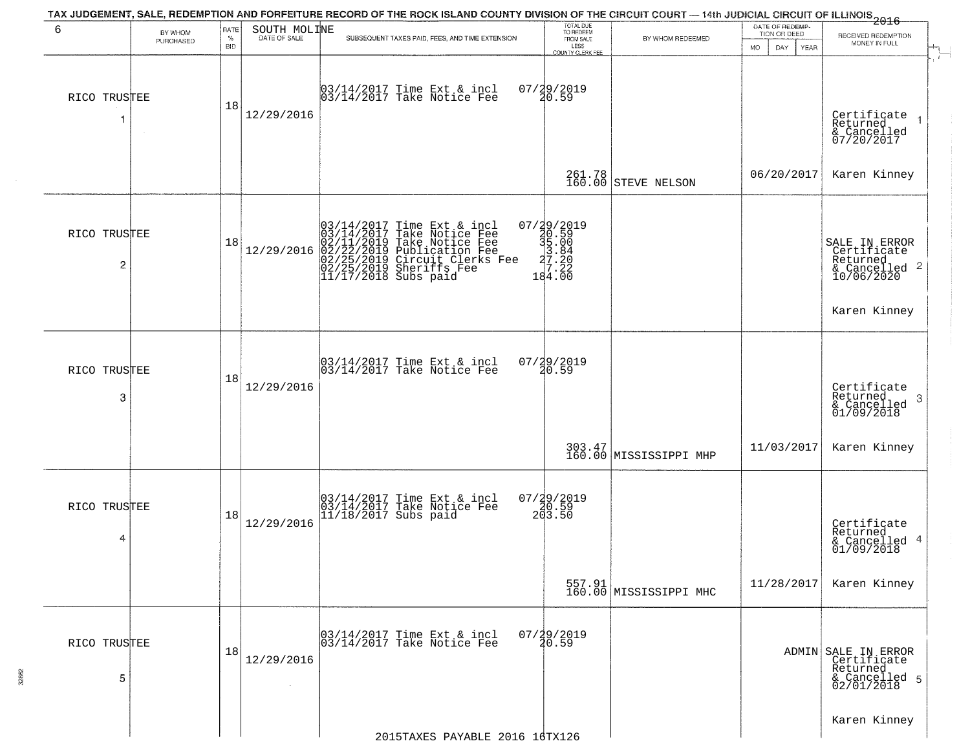| 6                 | BY WHOM<br>PURCHASED | RATE<br>$\%$<br><b>BID</b> | SOUTH MOLINE | TAX JUDGEMENT, SALE, REDEMPTION AND FORFEITURE RECORD OF THE ROCK ISLAND COUNTY DIVISION OF THE CIRCUIT COURT — 14th JUDICIAL CIRCUIT OF ILLINOIS 2016<br>SUBSEQUENT TAXES PAID, FEES, AND TIME EXTENSION  | TOTAL DUE<br>TO REDEEM<br>FROM SALE<br>LESS<br>COUNTY CLERK FEE                                                                                                                                                                                                                                                                                                                                                                                                | BY WHOM REDEEMED                 | DATE OF REDEMP-<br>TION OR DEED<br>DAY<br><b>MO</b><br><b>YEAR</b> | RECEIVED REDEMPTION<br>MONEY IN FULL                                          |
|-------------------|----------------------|----------------------------|--------------|------------------------------------------------------------------------------------------------------------------------------------------------------------------------------------------------------------|----------------------------------------------------------------------------------------------------------------------------------------------------------------------------------------------------------------------------------------------------------------------------------------------------------------------------------------------------------------------------------------------------------------------------------------------------------------|----------------------------------|--------------------------------------------------------------------|-------------------------------------------------------------------------------|
| RICO TRUSTEE<br>1 |                      | 18                         | 12/29/2016   | 03/14/2017 Time Ext & incl<br>03/14/2017 Take Notice Fee                                                                                                                                                   | 07/29/2019<br>20.59                                                                                                                                                                                                                                                                                                                                                                                                                                            |                                  |                                                                    | Certificate<br>Returned<br>& Cancelled<br>07/20/2017                          |
|                   |                      |                            |              |                                                                                                                                                                                                            |                                                                                                                                                                                                                                                                                                                                                                                                                                                                | 261.78<br>160.00 STEVE NELSON    | 06/20/2017                                                         | Karen Kinney                                                                  |
| RICO TRUSTEE<br>2 |                      | 18                         | 12/29/2016   | $03/14/2017$ Time Ext & incl<br>03/14/2017 Take Notice Fee<br>02/11/2019 Take Notice Fee<br>02/22/2019 Publication Fee<br>02/22/2019 Circuit Clerks Fee<br>02/25/2019 Sheriffs Fee<br>11/17/2018 Subs paid | $\begin{smallmatrix} 07 \ / \ \textcolor{red}{29} \ / \textcolor{red}{2019} \\ \textcolor{red}{\mathbf{30}} \ . \ \textcolor{red}{59} \\ \textcolor{red}{\mathbf{39}} \ . \ \textcolor{red}{59} \\ \textcolor{red}{\mathbf{39}} \ . \ \textcolor{red}{204} \\ \textcolor{red}{\mathbf{29}} \ . \ \textcolor{red}{204} \\ \textcolor{red}{\mathbf{29}} \ . \ \textcolor{red}{222} \\ \textcolor{red}{\mathbf{184}} \ . \ \textcolor{red}{00} \end{smallmatrix}$ |                                  |                                                                    | SALE IN ERROR<br>Certificate<br>Returned<br>& Cancelled 2<br>10/06/2020       |
|                   |                      |                            |              |                                                                                                                                                                                                            |                                                                                                                                                                                                                                                                                                                                                                                                                                                                |                                  |                                                                    | Karen Kinney                                                                  |
| RICO TRUSTEE<br>3 |                      | 18                         | 12/29/2016   | 03/14/2017 Time Ext & incl<br>03/14/2017 Take Notice Fee                                                                                                                                                   | 07/29/2019<br>20.59                                                                                                                                                                                                                                                                                                                                                                                                                                            |                                  |                                                                    | Certificate<br>Returned<br>-3<br>& Cancelled<br>01/09/2018                    |
|                   |                      |                            |              |                                                                                                                                                                                                            |                                                                                                                                                                                                                                                                                                                                                                                                                                                                | 303.47<br>160.00 MISSISSIPPI MHP | 11/03/2017                                                         | Karen Kinney                                                                  |
| RICO TRUSTEE<br>4 |                      | 18                         | 12/29/2016   | 03/14/2017 Time Ext & incl<br>03/14/2017 Take Notice Fee<br>11/18/2017 Subs paid                                                                                                                           | $07/29/2019$<br>20.59<br>203.50                                                                                                                                                                                                                                                                                                                                                                                                                                |                                  |                                                                    | Certificate<br>Returned<br>& Cancelled 4<br>01/09/2018                        |
|                   |                      |                            |              |                                                                                                                                                                                                            |                                                                                                                                                                                                                                                                                                                                                                                                                                                                | 557.91<br>160.00 MISSISSIPPI MHC | 11/28/2017                                                         | Karen Kinney                                                                  |
| RICO TRUSTEE<br>5 |                      | 18                         | 12/29/2016   | 03/14/2017 Time Ext & incl<br>03/14/2017 Take Notice Fee                                                                                                                                                   | $07/29/2019$<br>$20.59$                                                                                                                                                                                                                                                                                                                                                                                                                                        |                                  |                                                                    | ADMIN SALE IN ERROR<br>Certificate<br>Returned<br>& Cancelled 5<br>02/01/2018 |
|                   |                      |                            |              | 2015TAXES PAYABLE 2016 16TX126                                                                                                                                                                             |                                                                                                                                                                                                                                                                                                                                                                                                                                                                |                                  |                                                                    | Karen Kinney                                                                  |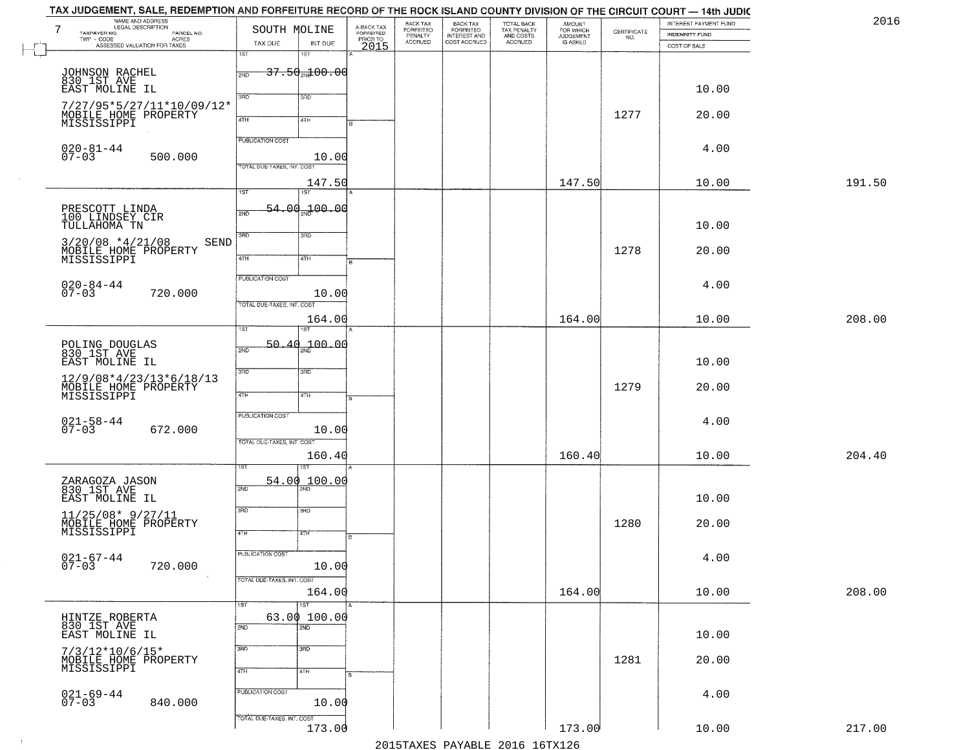| 2016   | INTEREST PAYMENT FUND | CERTIFICATE | <b>AMOUNT</b>                      |                                                   | BACK TAX<br>FORFEITED        | BACK TAX<br>FORFEITED<br>PENALTY |                                     |                                | SOUTH MOLINE               | NAME AND ADDRESS<br>LEGAL DESCRIPTION                                             |
|--------|-----------------------|-------------|------------------------------------|---------------------------------------------------|------------------------------|----------------------------------|-------------------------------------|--------------------------------|----------------------------|-----------------------------------------------------------------------------------|
|        | <b>INDEMNITY FUND</b> | NO.         | FOR WHICH<br>JUDGEMENT<br>IS ASKED | TOTAL BACK<br>TAX PENALTY<br>AND COSTS<br>ACCRUED | INTEREST AND<br>COST ACCRUED | <b>ACCRUED</b>                   | A-BACK TAX<br>FORFEITED<br>PRIOR TO | INT DUE                        | TAX DUE                    | TAXPAYER NO.<br>PARCEL NO.<br>ACRES<br>TWP - CODE<br>ASSESSED VALUATION FOR TAXES |
|        | COST OF SALE          |             |                                    |                                                   |                              |                                  | 2015                                | 1ST                            | 1ST                        |                                                                                   |
|        |                       |             |                                    |                                                   |                              |                                  |                                     | $37.50$ <sub>2N</sub> $100.00$ | 2ND                        |                                                                                   |
|        | 10.00                 |             |                                    |                                                   |                              |                                  |                                     |                                |                            | JOHNSON RACHEL<br>830 1ST AVE<br>EAST MOLINE IL                                   |
|        |                       |             |                                    |                                                   |                              |                                  |                                     | 3RD                            | 3RD                        | 7/27/95*5/27/11*10/09/12*                                                         |
|        | 20.00                 | 1277        |                                    |                                                   |                              |                                  |                                     | 4TH                            | 4TH                        | MOBILE HOME PROPERTY<br>MISSISSIPPI                                               |
|        |                       |             |                                    |                                                   |                              |                                  |                                     |                                |                            |                                                                                   |
|        | 4.00                  |             |                                    |                                                   |                              |                                  |                                     |                                | PUBLICATION COST           | $020 - 81 - 44$<br>07-03                                                          |
|        |                       |             |                                    |                                                   |                              |                                  |                                     | 10.00                          | TOTAL DUE-TAXES, INT. COST | 500.000                                                                           |
| 191.50 | 10.00                 |             | 147.50                             |                                                   |                              |                                  |                                     | 147.50                         |                            |                                                                                   |
|        |                       |             |                                    |                                                   |                              |                                  |                                     | 1ST                            | $\overline{1ST}$           |                                                                                   |
|        |                       |             |                                    |                                                   |                              |                                  |                                     | $54.00 - 00$                   | 2ND                        | PRESCOTT LINDA<br>100 LINDSEY CIR                                                 |
|        | 10.00                 |             |                                    |                                                   |                              |                                  |                                     | 3RD                            | 3RD                        | TULLAHOMA TN                                                                      |
|        | 20.00                 | 1278        |                                    |                                                   |                              |                                  |                                     |                                |                            | $3/20/08$ *4/21/08<br>SEND                                                        |
|        |                       |             |                                    |                                                   |                              |                                  |                                     | 4TH                            | $\overline{47H}$           | MOBILE HOME PROPERTY<br>MISSISSIPPI                                               |
|        | 4.00                  |             |                                    |                                                   |                              |                                  |                                     |                                | PUBLICATION COST           | $020 - 84 - 44$                                                                   |
|        |                       |             |                                    |                                                   |                              |                                  |                                     | 10.00                          |                            | 720.000                                                                           |
| 208.00 | 10.00                 |             | 164.00                             |                                                   |                              |                                  |                                     | 164.00                         | TOTAL DUE-TAXES, INT. COST |                                                                                   |
|        |                       |             |                                    |                                                   |                              |                                  |                                     |                                | īst                        |                                                                                   |
|        |                       |             |                                    |                                                   |                              |                                  |                                     | 100.00                         | 50.40<br>2ND               | POLING DOUGLAS<br>830 1ST AVE                                                     |
|        | 10.00                 |             |                                    |                                                   |                              |                                  |                                     |                                |                            | EAST MOLINE IL                                                                    |
|        |                       |             |                                    |                                                   |                              |                                  |                                     | 3RD                            | 3RD                        | 12/9/08*4/23/13*6/18/13                                                           |
|        | 20.00                 | 1279        |                                    |                                                   |                              |                                  |                                     | 4TH                            | 4TH                        | MOBILE HOME PROPERTY                                                              |
|        |                       |             |                                    |                                                   |                              |                                  |                                     |                                | <b>PUBLICATION COST</b>    |                                                                                   |
|        | 4.00                  |             |                                    |                                                   |                              |                                  |                                     | 10.00                          |                            | $021 - 58 - 44$<br>07-03<br>672.000                                               |
|        |                       |             |                                    |                                                   |                              |                                  |                                     |                                | TOTAL OUE-TAXES, INT. COST |                                                                                   |
| 204.40 | 10.00                 |             | 160.40                             |                                                   |                              |                                  |                                     | 160.40                         |                            |                                                                                   |
|        |                       |             |                                    |                                                   |                              |                                  |                                     | 54.00 100.00                   |                            |                                                                                   |
|        | 10.00                 |             |                                    |                                                   |                              |                                  |                                     |                                | 2ND                        | ZARAGOZA JASON<br>830 1ST AVE<br>EAST MOLINE IL                                   |
|        |                       |             |                                    |                                                   |                              |                                  |                                     | $\overline{3BD}$               | 3RD                        |                                                                                   |
|        | 20.00                 | 1280        |                                    |                                                   |                              |                                  |                                     | वाम                            | 4TH                        | 11/25/08* 9/27/11<br>MOBILE HOME PROPERTY<br>MISSISSIPPI                          |
|        |                       |             |                                    |                                                   |                              |                                  |                                     |                                |                            |                                                                                   |
|        | 4.00                  |             |                                    |                                                   |                              |                                  |                                     | 10.00                          | PUBLICATION COST           | 021-67-44<br>07-03<br>720.000                                                     |
|        |                       |             |                                    |                                                   |                              |                                  |                                     |                                | TOTAL DUE-TAXES, INT. COST |                                                                                   |
| 208.00 | 10.00                 |             | 164.00                             |                                                   |                              |                                  |                                     | 164.00                         |                            |                                                                                   |
|        |                       |             |                                    |                                                   |                              |                                  |                                     | 1ST<br>63.00 100.00            | 1ST                        |                                                                                   |
|        |                       |             |                                    |                                                   |                              |                                  |                                     | $\overline{2ND}$               | 2ND                        | HINTZE ROBERTA<br>830 IST AVE<br>EAST MOLINE IL                                   |
|        | 10.00                 |             |                                    |                                                   |                              |                                  |                                     | 3 <sub>BD</sub>                | 3RD                        |                                                                                   |
|        | 20.00                 | 1281        |                                    |                                                   |                              |                                  |                                     |                                |                            | 7/3/12*10/6/15*<br>MOBILE HOME PROPERTY<br>MISSISSIPPI                            |
|        |                       |             |                                    |                                                   |                              |                                  |                                     | 4TH                            | 4TH                        |                                                                                   |
|        |                       |             |                                    |                                                   |                              |                                  |                                     |                                | PUBLICATION COST           |                                                                                   |
|        | 4.00                  |             |                                    |                                                   |                              |                                  |                                     |                                |                            |                                                                                   |
|        |                       |             |                                    |                                                   |                              |                                  |                                     | 10.00                          | TOTAL DUE-TAXES, INT. COST | $021 - 69 - 44$<br>07-03<br>840.000                                               |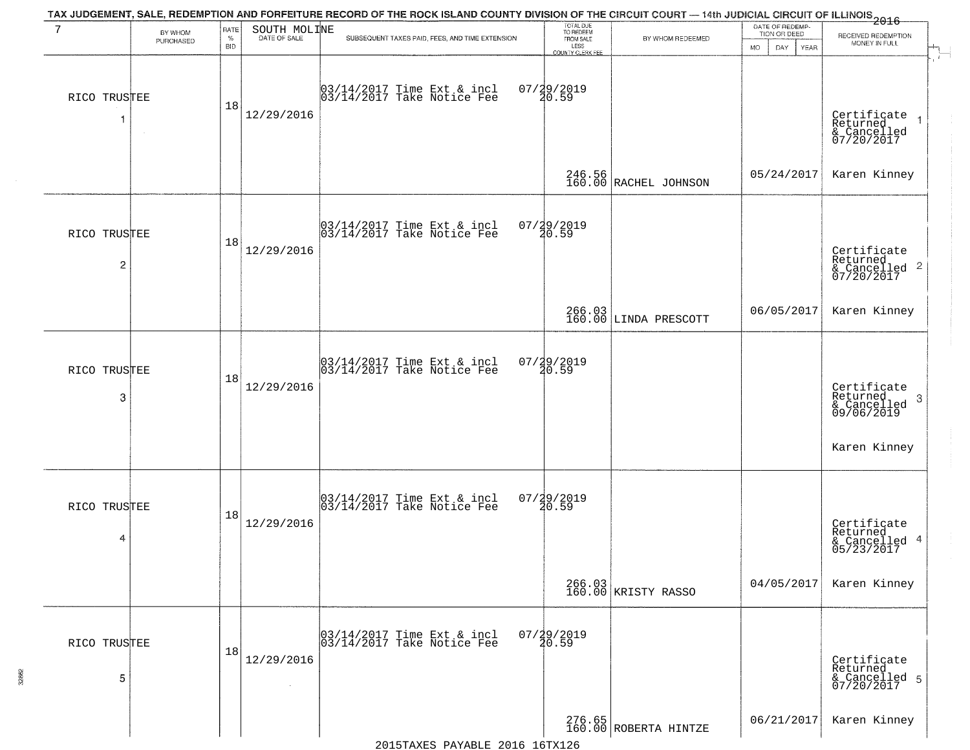| $7\phantom{.0}$                | BY WHOM   | RATE               | SOUTH MOLINE | TAX JUDGEMENT, SALE, REDEMPTION AND FORFEITURE RECORD OF THE ROCK ISLAND COUNTY DIVISION OF THE CIRCUIT COURT — 14th JUDICIAL CIRCUIT OF ILLINOIS 2016 | TOTAL DUE<br>TO REDEEM<br>FROM SALE |                                 | DATE OF REDEMP-<br>TION OR DEED | RECEIVED REDEMPTION                                       |
|--------------------------------|-----------|--------------------|--------------|--------------------------------------------------------------------------------------------------------------------------------------------------------|-------------------------------------|---------------------------------|---------------------------------|-----------------------------------------------------------|
|                                | PURCHASED | $\%$<br><b>BID</b> | DATE OF SALE | SUBSEQUENT TAXES PAID, FEES, AND TIME EXTENSION                                                                                                        | LESS<br><b>COUNTY CLERK FEE</b>     | BY WHOM REDEEMED                | MO.<br>DAY.<br>YEAR             | MONEY IN FULL                                             |
| RICO TRUSTEE                   |           | 18                 | 12/29/2016   | 03/14/2017 Time Ext & incl<br>03/14/2017 Take Notice Fee                                                                                               | 07/29/2019<br>20.59                 |                                 |                                 | Certificate<br>Returned<br>& Cancelled<br>07/20/2017      |
|                                |           |                    |              |                                                                                                                                                        |                                     | 246.56<br>160.00 RACHEL JOHNSON | 05/24/2017                      | Karen Kinney                                              |
| RICO TRUSTEE<br>$\overline{c}$ |           | 18                 | 12/29/2016   | 03/14/2017 Time Ext & incl<br>03/14/2017 Take Notice Fee                                                                                               | 07/29/2019<br>20.59                 |                                 |                                 | Certificate<br>Returned<br>& Cancelled 2<br>07/20/2017    |
|                                |           |                    |              |                                                                                                                                                        |                                     | 266.03<br>160.00 LINDA PRESCOTT | 06/05/2017                      | Karen Kinney                                              |
| RICO TRUSTEE<br>3              |           | 18                 | 12/29/2016   | $\begin{bmatrix} 03/14/2017 \\ 03/14/2017 \end{bmatrix}$ Time Ext & incl                                                                               | 07/29/2019<br>20.59                 |                                 |                                 | Certificate<br>Returned<br>3<br>& Cancelled<br>09/06/2019 |
|                                |           |                    |              |                                                                                                                                                        |                                     |                                 |                                 | Karen Kinney                                              |
| RICO TRUSTEE<br>4              |           | 18                 | 12/29/2016   | $\begin{bmatrix} 03/14/2017 \\ 03/14/2017 \end{bmatrix}$ Time Ext & incl                                                                               | $07/29/2019$<br>$20.59$             |                                 |                                 | Certificate<br>Returned<br>& Cancelled 4<br>05/23/2017    |
|                                |           |                    |              |                                                                                                                                                        |                                     | 266.03<br>160.00 KRISTY RASSO   | 04/05/2017                      | Karen Kinney                                              |
| RICO TRUSTEE<br>5              |           | 18                 | 12/29/2016   | 03/14/2017 Time Ext & incl<br>03/14/2017 Take Notice Fee                                                                                               | $07/29/2019$<br>$20.59$             |                                 |                                 | Certificate<br>Returned<br>& Cancelled 5<br>07/20/2017    |
|                                |           |                    |              |                                                                                                                                                        |                                     | 276.65<br>160.00 ROBERTA HINTZE | 06/21/2017                      | Karen Kinney                                              |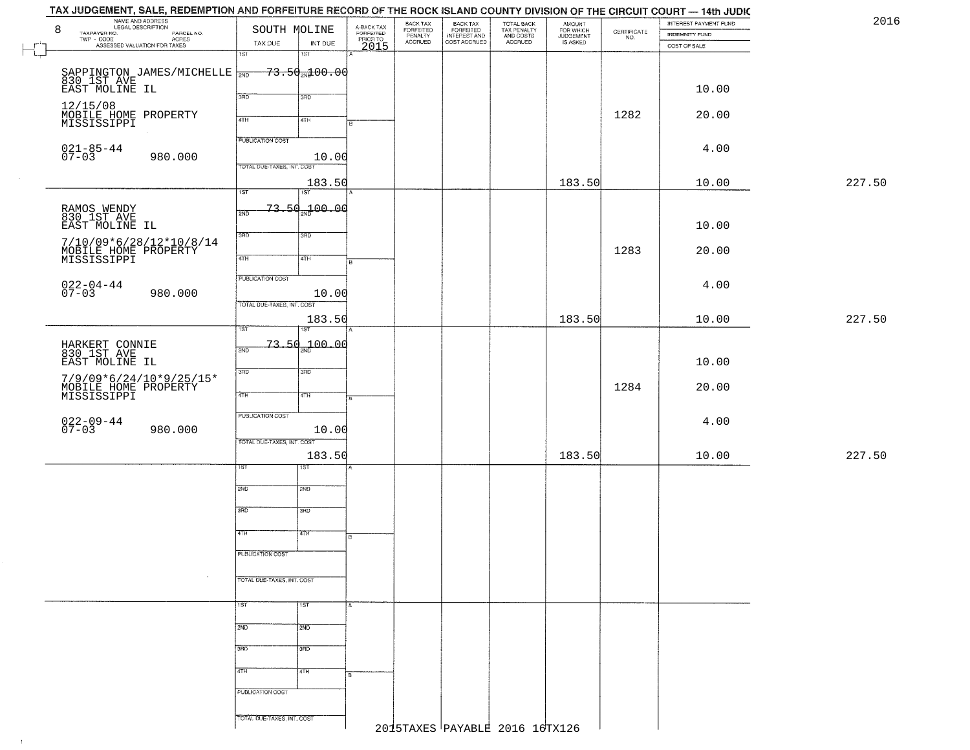| NAME AND ADDRESS<br>LEGAL DESCRIPTION<br>8<br>TAXPAYER NO.                                                 |         |                                   | SOUTH MOLINE                       | A-BACK TAX<br>FORFEITED<br>PRIOR TO<br>2015 | BACK TAX<br>FORFEITED<br>PENALTY | BACK TAX<br>FORFEITED<br>INTEREST AND<br>COST ACCRUED | TOTAL BACK<br>TAX PENALTY<br>AND COSTS | AMOUNT<br>FOR WHICH<br>JUDGEMENT<br>IS ASKED | $\begin{array}{c} \text{CERTIFICATE} \\ \text{NO.} \end{array}$ | INTEREST PAYMENT FUND<br><b>INDEMNITY FUND</b> |        |
|------------------------------------------------------------------------------------------------------------|---------|-----------------------------------|------------------------------------|---------------------------------------------|----------------------------------|-------------------------------------------------------|----------------------------------------|----------------------------------------------|-----------------------------------------------------------------|------------------------------------------------|--------|
| LEGAL DESCRIPTION PARCEL NO.<br>- CODE ACRES<br>- CODE ACRES<br>ASSESSED VALUATION FOR TAXES<br>TWP - CODE |         | TAX DUE                           | INT DUE                            |                                             | ACCRUED                          |                                                       | ACCRUED                                |                                              |                                                                 | COST OF SALE                                   |        |
|                                                                                                            |         | 1ST                               | 1ST                                |                                             |                                  |                                                       |                                        |                                              |                                                                 |                                                |        |
|                                                                                                            |         |                                   |                                    |                                             |                                  |                                                       |                                        |                                              |                                                                 |                                                |        |
| SAPPINGTON JAMES/MICHELLE WE<br>830 1ST AVE<br>EAST MOLINE IL                                              |         |                                   | $-73.50$ <sub>2N</sub> $100.00$    |                                             |                                  |                                                       |                                        |                                              |                                                                 |                                                |        |
|                                                                                                            |         |                                   |                                    |                                             |                                  |                                                       |                                        |                                              |                                                                 | 10.00                                          |        |
|                                                                                                            |         | 3PD                               | 3RD                                |                                             |                                  |                                                       |                                        |                                              |                                                                 |                                                |        |
| 12/15/08<br>MOBILE HOME PROPERTY                                                                           |         |                                   |                                    |                                             |                                  |                                                       |                                        |                                              | 1282                                                            | 20.00                                          |        |
| MISSISSIPPI                                                                                                |         | 4TH                               | 4TH                                |                                             |                                  |                                                       |                                        |                                              |                                                                 |                                                |        |
|                                                                                                            |         | <b>PUBLICATION COST</b>           |                                    |                                             |                                  |                                                       |                                        |                                              |                                                                 |                                                |        |
| $021 - 85 - 44$<br>07-03                                                                                   |         |                                   |                                    |                                             |                                  |                                                       |                                        |                                              |                                                                 | 4.00                                           |        |
|                                                                                                            | 980.000 | <b>TOTAL DUE-TAXES, INT. COST</b> | 10.00                              |                                             |                                  |                                                       |                                        |                                              |                                                                 |                                                |        |
|                                                                                                            |         |                                   |                                    |                                             |                                  |                                                       |                                        |                                              |                                                                 |                                                |        |
|                                                                                                            |         |                                   | 183.50                             |                                             |                                  |                                                       |                                        | 183.50                                       |                                                                 | 10.00                                          | 227.50 |
|                                                                                                            |         | $\overline{1ST}$                  | 1ST                                |                                             |                                  |                                                       |                                        |                                              |                                                                 |                                                |        |
| RAMOS WENDY<br>830 1ST AVE                                                                                 |         | 2ND                               | <del>73.50<sub>m</sub>100.00</del> |                                             |                                  |                                                       |                                        |                                              |                                                                 |                                                |        |
| EAST MOLINE IL                                                                                             |         |                                   |                                    |                                             |                                  |                                                       |                                        |                                              |                                                                 | 10.00                                          |        |
|                                                                                                            |         | 3RD                               | 3RD                                |                                             |                                  |                                                       |                                        |                                              |                                                                 |                                                |        |
| 7/10/09*6/28/12*10/8/14                                                                                    |         |                                   |                                    |                                             |                                  |                                                       |                                        |                                              | 1283                                                            | 20.00                                          |        |
| MOBILE HOME PROPERTY<br>MISSISSIPPI                                                                        |         | $\sqrt{47H}$                      | 4TH                                | $\overline{B}$                              |                                  |                                                       |                                        |                                              |                                                                 |                                                |        |
|                                                                                                            |         |                                   |                                    |                                             |                                  |                                                       |                                        |                                              |                                                                 |                                                |        |
|                                                                                                            |         | <b>PUBLICATION COST</b>           |                                    |                                             |                                  |                                                       |                                        |                                              |                                                                 | 4.00                                           |        |
| $022 - 04 - 44$<br>07-03                                                                                   | 980.000 |                                   | 10.00                              |                                             |                                  |                                                       |                                        |                                              |                                                                 |                                                |        |
|                                                                                                            |         | TOTAL DUE-TAXES, INT. COST        |                                    |                                             |                                  |                                                       |                                        |                                              |                                                                 |                                                |        |
|                                                                                                            |         |                                   | 183.50                             |                                             |                                  |                                                       |                                        | 183.50                                       |                                                                 | 10.00                                          | 227.50 |
|                                                                                                            |         | 1ST                               |                                    |                                             |                                  |                                                       |                                        |                                              |                                                                 |                                                |        |
| HARKERT CONNIE<br>830 1ST AVE                                                                              |         | 2ND                               | $-73.50 - 00.00$                   |                                             |                                  |                                                       |                                        |                                              |                                                                 |                                                |        |
| EAST MOLINE IL                                                                                             |         |                                   |                                    |                                             |                                  |                                                       |                                        |                                              |                                                                 | 10.00                                          |        |
|                                                                                                            |         | 3RD                               | 3 <sub>BD</sub>                    |                                             |                                  |                                                       |                                        |                                              |                                                                 |                                                |        |
| 7/9/09*6/24/10*9/25/15*                                                                                    |         |                                   |                                    |                                             |                                  |                                                       |                                        |                                              | 1284                                                            |                                                |        |
| MOBILE HOME PROPERTY<br>MISSISSIPPI                                                                        |         | 4TH                               | 4TH                                |                                             |                                  |                                                       |                                        |                                              |                                                                 | 20.00                                          |        |
|                                                                                                            |         |                                   |                                    |                                             |                                  |                                                       |                                        |                                              |                                                                 |                                                |        |
| $022 - 09 - 44$<br>07-03                                                                                   |         | <b>PUBLICATION COST</b>           |                                    |                                             |                                  |                                                       |                                        |                                              |                                                                 | 4.00                                           |        |
|                                                                                                            | 980.000 |                                   | 10.00                              |                                             |                                  |                                                       |                                        |                                              |                                                                 |                                                |        |
|                                                                                                            |         | TOTAL OUE-TAXES, INT. COST        |                                    |                                             |                                  |                                                       |                                        |                                              |                                                                 |                                                |        |
|                                                                                                            |         |                                   | 183.50                             |                                             |                                  |                                                       |                                        | 183.50                                       |                                                                 | 10.00                                          | 227.50 |
|                                                                                                            |         | ısт                               | ड़ा                                |                                             |                                  |                                                       |                                        |                                              |                                                                 |                                                |        |
|                                                                                                            |         |                                   |                                    |                                             |                                  |                                                       |                                        |                                              |                                                                 |                                                |        |
|                                                                                                            |         | 2ND                               | 2ND                                |                                             |                                  |                                                       |                                        |                                              |                                                                 |                                                |        |
|                                                                                                            |         | 3RD                               | 3BD                                |                                             |                                  |                                                       |                                        |                                              |                                                                 |                                                |        |
|                                                                                                            |         |                                   |                                    |                                             |                                  |                                                       |                                        |                                              |                                                                 |                                                |        |
|                                                                                                            |         | 4TH                               | 'वाम                               | в.                                          |                                  |                                                       |                                        |                                              |                                                                 |                                                |        |
|                                                                                                            |         |                                   |                                    |                                             |                                  |                                                       |                                        |                                              |                                                                 |                                                |        |
|                                                                                                            |         | <b>PUBLICATION COST</b>           |                                    |                                             |                                  |                                                       |                                        |                                              |                                                                 |                                                |        |
|                                                                                                            |         |                                   |                                    |                                             |                                  |                                                       |                                        |                                              |                                                                 |                                                |        |
|                                                                                                            |         | TOTAL DUE-TAXES, INT. COST        |                                    |                                             |                                  |                                                       |                                        |                                              |                                                                 |                                                |        |
|                                                                                                            |         |                                   |                                    |                                             |                                  |                                                       |                                        |                                              |                                                                 |                                                |        |
|                                                                                                            |         | 1ST                               | 1ST                                |                                             |                                  |                                                       |                                        |                                              |                                                                 |                                                |        |
|                                                                                                            |         |                                   |                                    |                                             |                                  |                                                       |                                        |                                              |                                                                 |                                                |        |
|                                                                                                            |         | 2ND                               | 2ND                                |                                             |                                  |                                                       |                                        |                                              |                                                                 |                                                |        |
|                                                                                                            |         | 3RD                               | 3 <sub>BD</sub>                    |                                             |                                  |                                                       |                                        |                                              |                                                                 |                                                |        |
|                                                                                                            |         |                                   |                                    |                                             |                                  |                                                       |                                        |                                              |                                                                 |                                                |        |
|                                                                                                            |         | 4TH                               | 4TH                                |                                             |                                  |                                                       |                                        |                                              |                                                                 |                                                |        |
|                                                                                                            |         |                                   |                                    |                                             |                                  |                                                       |                                        |                                              |                                                                 |                                                |        |
|                                                                                                            |         | PUBLICATION COST                  |                                    |                                             |                                  |                                                       |                                        |                                              |                                                                 |                                                |        |
|                                                                                                            |         |                                   |                                    |                                             |                                  |                                                       |                                        |                                              |                                                                 |                                                |        |
|                                                                                                            |         | TOTAL DUE-TAXES, INT. COST        |                                    |                                             |                                  |                                                       |                                        |                                              |                                                                 |                                                |        |
|                                                                                                            |         |                                   |                                    |                                             |                                  |                                                       | 2015TAXES PAYABLE 2016 16TX126         |                                              |                                                                 |                                                |        |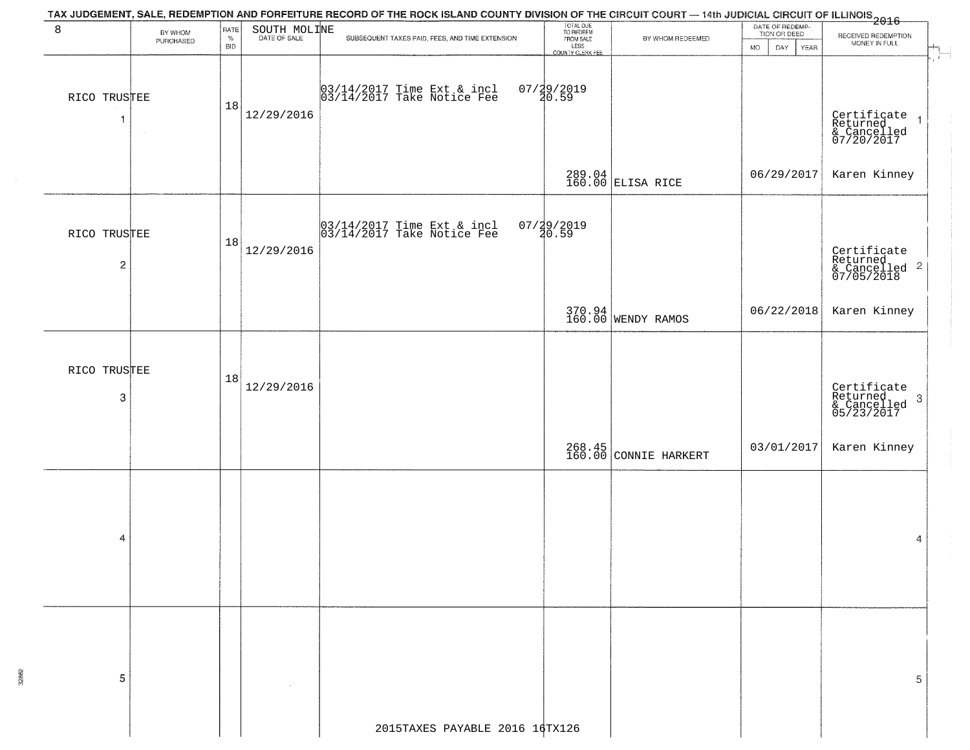|                                         |                      |                            |              | TAX JUDGEMENT, SALE, REDEMPTION AND FORFEITURE RECORD OF THE ROCK ISLAND COUNTY DIVISION OF THE CIRCUIT COURT — 14th JUDICIAL CIRCUIT OF ILLINOIS<br>2016 - 1992 - 1993 - 1994 - 1995 - 1996 - 1997 - 1998 - 1999 - 1999 - 1999 - |                                                                 |                                 |                                                        |                                                                          |
|-----------------------------------------|----------------------|----------------------------|--------------|-----------------------------------------------------------------------------------------------------------------------------------------------------------------------------------------------------------------------------------|-----------------------------------------------------------------|---------------------------------|--------------------------------------------------------|--------------------------------------------------------------------------|
| 8                                       | BY WHOM<br>PURCHASED | RATE<br>$\%$<br><b>BID</b> | SOUTH MOLINE | SUBSEQUENT TAXES PAID, FEES, AND TIME EXTENSION                                                                                                                                                                                   | TOTAL DUE<br>TO REDEEM<br>FROM SALE<br>LESS<br>COUNTY CLERK FEE | BY WHOM REDEEMED                | DATE OF REDEMP-<br>TION OR DEED<br>MO.<br>YEAR<br>DAY. | RECEIVED REDEMPTION<br>MONEY IN FULL<br>$\overline{\phantom{a}}$         |
| RICO TRUSTEE<br>$\mathbf{1}$            |                      | 18                         | 12/29/2016   | 03/14/2017 Time Ext & incl<br>03/14/2017 Take Notice Fee                                                                                                                                                                          | 07/29/2019<br>20.59                                             |                                 |                                                        | Certificate<br>Returned 1<br>& Cancelled<br>07/20/2017                   |
|                                         |                      |                            |              |                                                                                                                                                                                                                                   |                                                                 | 289.04<br>160.00 ELISA RICE     | 06/29/2017                                             | Karen Kinney                                                             |
| RICO TRUSTEE<br>$\overline{\mathbf{c}}$ |                      | 18                         | 12/29/2016   | 03/14/2017 Time Ext & incl<br>03/14/2017 Take Notice Fee                                                                                                                                                                          | 07/29/2019<br>20.59                                             |                                 |                                                        | Certificate<br>Returned<br>& Cancelled <sup>2</sup><br>07/05/2018        |
|                                         |                      |                            |              |                                                                                                                                                                                                                                   |                                                                 | 370.94<br>160.00 WENDY RAMOS    | 06/22/2018                                             | Karen Kinney                                                             |
| RICO TRUSTEE<br>3                       |                      | 18                         | 12/29/2016   |                                                                                                                                                                                                                                   |                                                                 |                                 |                                                        | Certificate<br>Returned<br>$\boldsymbol{3}$<br>& Cancelled<br>05/23/2017 |
|                                         |                      |                            |              |                                                                                                                                                                                                                                   |                                                                 | 268.45<br>160.00 CONNIE HARKERT | 03/01/2017                                             | Karen Kinney                                                             |
| 4                                       |                      |                            |              |                                                                                                                                                                                                                                   |                                                                 |                                 |                                                        | 4                                                                        |
| 5                                       |                      |                            |              |                                                                                                                                                                                                                                   |                                                                 |                                 |                                                        | 5                                                                        |
|                                         |                      |                            |              | 2015TAXES PAYABLE 2016 16TX126                                                                                                                                                                                                    |                                                                 |                                 |                                                        |                                                                          |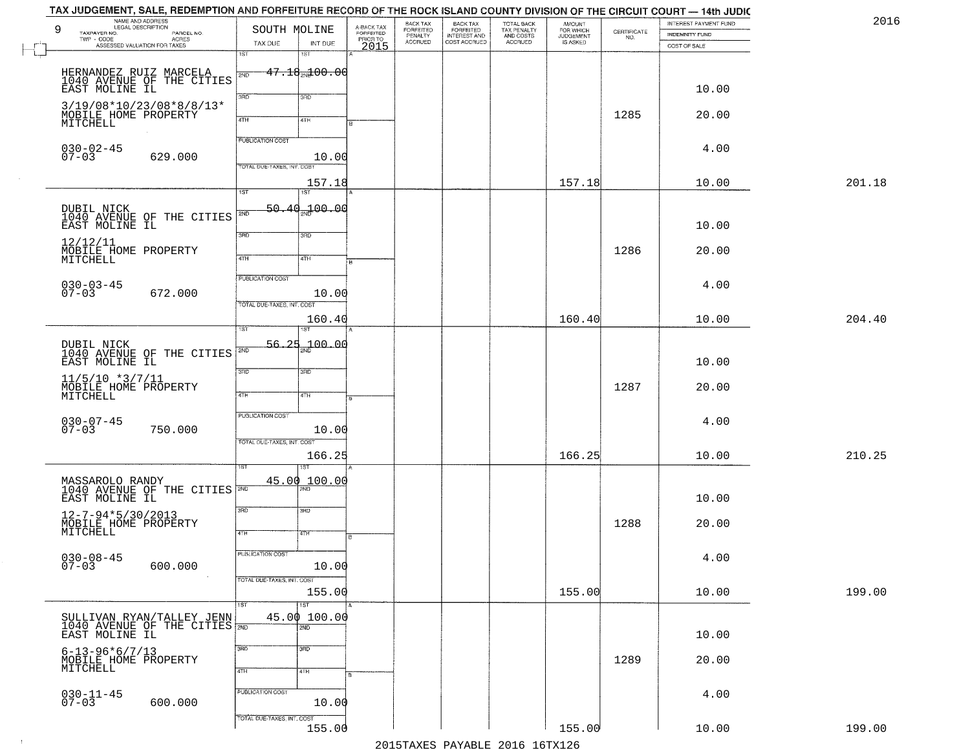|        | INTEREST PAYMENT FUND<br>INDEMNITY FUND | $\begin{array}{c} \text{CERTIFICATE} \\ \text{NO.} \end{array}$ | <b>AMOUNT</b><br>FOR WHICH<br>IS ASKED | TOTAL BACK<br>TAX PENALTY<br>AND COSTS<br>ACCRUED | <b>BACK TAX</b><br>FORFEITED<br>INTEREST AND<br>COST ACCRUED | BACK TAX<br>FORFEITED<br>PENALTY<br>ACCRUED | A-BACK TAX<br>FORFEITED<br>PRIOR TO<br>2015 | INT DUE                                 | SOUTH MOLINE<br>TAX DUE                               | NAME AND ADDRESS<br>PARCEL NO.<br>- CODE<br>ACRES<br>ASSESSED VALUATION FOR TAXES | 9<br>TAXPAYER NO.<br>$TWP - CODE$                                 |
|--------|-----------------------------------------|-----------------------------------------------------------------|----------------------------------------|---------------------------------------------------|--------------------------------------------------------------|---------------------------------------------|---------------------------------------------|-----------------------------------------|-------------------------------------------------------|-----------------------------------------------------------------------------------|-------------------------------------------------------------------|
|        | COST OF SALE                            |                                                                 |                                        |                                                   |                                                              |                                             |                                             | 18T                                     | 1ST                                                   |                                                                                   |                                                                   |
|        | 10.00                                   |                                                                 |                                        |                                                   |                                                              |                                             |                                             | $-47.18$ and $00.00$                    | 2ND<br>3BD                                            | HERNANDEZ RUIZ MARCELA<br>1040 AVENUE OF THE CITIES<br>EAST MOLINE IL             |                                                                   |
|        | 20.00                                   | 1285                                                            |                                        |                                                   |                                                              |                                             |                                             | 3RD<br>4TH                              | 4TH                                                   | 3/19/08*10/23/08*8/8/13*                                                          | MOBILE HOME PROPERTY<br>MITCHELL                                  |
|        | 4.00                                    |                                                                 |                                        |                                                   |                                                              |                                             |                                             | 10.00                                   | <b>PUBLICATION COST</b><br>TOTAL DUE-TAXES, INT. COST | 629.000                                                                           | $030 - 02 - 45$<br>$07 - 03$                                      |
| 201.18 | 10.00                                   |                                                                 | 157.18                                 |                                                   |                                                              |                                             |                                             | 157.18                                  |                                                       |                                                                                   |                                                                   |
|        | 10.00                                   |                                                                 |                                        |                                                   |                                                              |                                             |                                             | 1ST<br>00 ممب                           | 1ST<br>50.40<br>2ND                                   | DUBIL NICK<br>104 <u>0</u> AVENUE OF THE CITIES                                   |                                                                   |
|        | 20.00                                   | 1286                                                            |                                        |                                                   |                                                              |                                             |                                             | 3RD<br>4TH                              | 3BD<br>47H                                            |                                                                                   | EAST MOLINE IL<br>12/12/11<br>MOBILE HOME PROPERTY<br>MITCHELL    |
|        | 4.00                                    |                                                                 |                                        |                                                   |                                                              |                                             |                                             | 10.00                                   | <b>PUBLICATION COST</b>                               | 672.000                                                                           | $030 - 03 - 45$<br>07-03                                          |
| 204.40 | 10.00                                   |                                                                 | 160.40                                 |                                                   |                                                              |                                             |                                             | 160.40                                  | TOTAL DUE-TAXES, INT. COST<br>ist                     |                                                                                   |                                                                   |
|        | 10.00                                   |                                                                 |                                        |                                                   |                                                              |                                             |                                             | 700.00                                  | 56.25<br>2ND                                          | 1040 AVENUE OF THE CITIES                                                         | DUBIL NICK<br>EAST MOLINE IL                                      |
|        | 20.00                                   | 1287                                                            |                                        |                                                   |                                                              |                                             |                                             | 3 <sub>3</sub><br>4TH                   | 3BD<br>4TH                                            |                                                                                   | $11/5/10$ *3/7/11<br>MOBILE HOME PROPERTY<br>MITCHELL             |
|        | 4.00                                    |                                                                 |                                        |                                                   |                                                              |                                             |                                             | 10.00                                   | PUBLICATION COST                                      | 750.000                                                                           | $030 - 07 - 45$<br>07-03                                          |
| 210.25 | 10.00                                   |                                                                 | 166.25                                 |                                                   |                                                              |                                             |                                             | 166.25                                  | TOTAL OUE-TAXES, INT. COST                            |                                                                                   |                                                                   |
|        | 10.00                                   |                                                                 |                                        |                                                   |                                                              |                                             |                                             | 45.00 100.00                            |                                                       | MASSAROLO RANDY<br>1040 AVENUE OF THE CITIES                                      | EAST MOLINE IL                                                    |
|        | 20.00                                   | 1288                                                            |                                        |                                                   |                                                              |                                             |                                             | 3BD<br>47H                              | 3RD<br>4TH                                            |                                                                                   | $12 - 7 - 94 * 5 / 30 / 2013$<br>MOBILE HOME PROPERTY<br>MITCHELL |
|        | 4.00                                    |                                                                 |                                        |                                                   |                                                              |                                             |                                             | 10.00                                   | <b>PUBLICATION COST</b>                               | 600.000                                                                           | $030 - 08 - 45$<br>$07 - 03$                                      |
| 199.00 | 10.00                                   |                                                                 | 155.00                                 |                                                   |                                                              |                                             |                                             | 155.00                                  | TOTAL DUE-TAXES, INT. COST                            |                                                                                   |                                                                   |
|        | 10.00                                   |                                                                 |                                        |                                                   |                                                              |                                             |                                             | $\overline{1ST}$<br>45.00 100.00<br>2ND | 1ST                                                   | SULLIVAN RYAN/TALLEY JENN<br>1040 AVENUE OF THE CITIES 2ND                        | EAST MOLINE IL                                                    |
|        | 20.00                                   | 1289                                                            |                                        |                                                   |                                                              |                                             |                                             | 3 <sub>BD</sub><br>4TH                  | 3RD<br>4TH                                            |                                                                                   | $6 - 13 - 96 * 6 / 7 / 13$<br>MOBILE HOME PROPERTY<br>MITCHELL    |
|        | 4.00                                    |                                                                 |                                        |                                                   |                                                              |                                             |                                             | 10.00                                   | PUBLICATION COST                                      | 600.000                                                                           | $030 - 11 - 45$<br>07-03                                          |
| 199.00 | 10.00                                   |                                                                 | 155.00                                 |                                                   |                                                              |                                             |                                             | 155.00                                  | TOTAL DUE-TAXES, INT. COST                            |                                                                                   |                                                                   |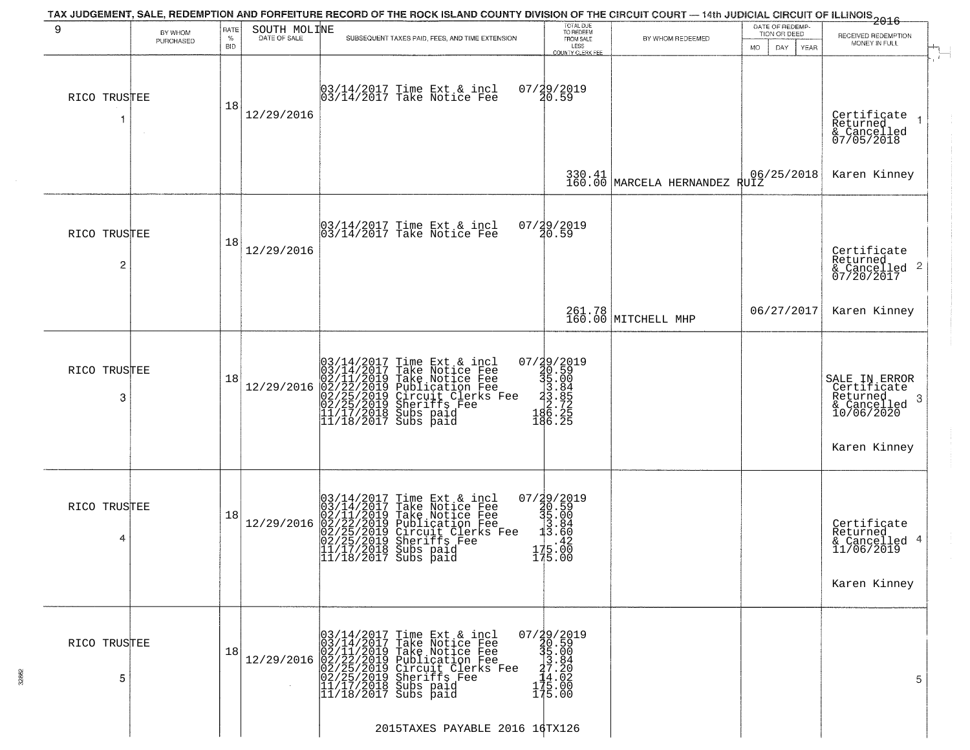| PURCHASED    | <b>BID</b>                                                   |            |                                                                                                                             | LESS<br>COUNTY CLERK FEE                                                                                                                                                                                                                                                                                                                                                                                                                                                                                                                                                                                                                      |                                                                                                                                                                                                                                                                                                                    | MO.<br>DAY<br><b>YEAR</b>     | MONEY IN FULL                                                                                            |
|--------------|--------------------------------------------------------------|------------|-----------------------------------------------------------------------------------------------------------------------------|-----------------------------------------------------------------------------------------------------------------------------------------------------------------------------------------------------------------------------------------------------------------------------------------------------------------------------------------------------------------------------------------------------------------------------------------------------------------------------------------------------------------------------------------------------------------------------------------------------------------------------------------------|--------------------------------------------------------------------------------------------------------------------------------------------------------------------------------------------------------------------------------------------------------------------------------------------------------------------|-------------------------------|----------------------------------------------------------------------------------------------------------|
| RICO TRUSTEE | 18                                                           | 12/29/2016 | 03/14/2017 Time Ext & incl<br>03/14/2017 Take Notice Fee                                                                    | 07/29/2019<br>20.59                                                                                                                                                                                                                                                                                                                                                                                                                                                                                                                                                                                                                           |                                                                                                                                                                                                                                                                                                                    |                               | Certificate<br>Returned<br>& Cancelled<br>07/05/2018                                                     |
|              |                                                              |            |                                                                                                                             |                                                                                                                                                                                                                                                                                                                                                                                                                                                                                                                                                                                                                                               |                                                                                                                                                                                                                                                                                                                    | 06/25/2018                    | Karen Kinney                                                                                             |
|              | 18                                                           | 12/29/2016 | 03/14/2017 Time Ext & incl<br>03/14/2017 Take Notice Fee                                                                    |                                                                                                                                                                                                                                                                                                                                                                                                                                                                                                                                                                                                                                               |                                                                                                                                                                                                                                                                                                                    |                               | Certificate<br>Returned<br>& Cancelled 2<br>07/20/2017                                                   |
|              |                                                              |            |                                                                                                                             |                                                                                                                                                                                                                                                                                                                                                                                                                                                                                                                                                                                                                                               |                                                                                                                                                                                                                                                                                                                    | 06/27/2017                    | Karen Kinney                                                                                             |
|              | 18                                                           | 12/29/2016 |                                                                                                                             |                                                                                                                                                                                                                                                                                                                                                                                                                                                                                                                                                                                                                                               |                                                                                                                                                                                                                                                                                                                    |                               | SALE IN ERROR<br>Certificate<br>Returned<br>- 3<br>$\frac{1}{2}$ Cancelled<br>10/06/2020<br>Karen Kinney |
|              | 18                                                           | 12/29/2016 | Time Ext & incl<br>Take Notice Fee<br>Take Notice Fee<br>Publication Fee<br>Circuit Clerks Fee<br>Sheriffs Fee<br>Subs paid |                                                                                                                                                                                                                                                                                                                                                                                                                                                                                                                                                                                                                                               |                                                                                                                                                                                                                                                                                                                    |                               | Certificate<br>Returned<br>& Cancelled 4<br>11/06/2019<br>Karen Kinney                                   |
|              | 18                                                           |            | 03/14/2017 Time Ext & incl<br>03/14/2017 Take Notice Fee                                                                    |                                                                                                                                                                                                                                                                                                                                                                                                                                                                                                                                                                                                                                               |                                                                                                                                                                                                                                                                                                                    |                               | 5                                                                                                        |
|              | RICO TRUSTEE<br>RICO TRUSTEE<br>RICO TRUSTEE<br>RICO TRUSTEE |            |                                                                                                                             | $03/14/2017$ Time Ext & incl<br>$03/14/2017$ Take Notice Fee<br>$02/11/2019$ Take Notice Fee<br>$02/22/2019$ Publication Fee<br>$02/25/2019$ Sheriffs Fee<br>$02/25/2019$ Sheriffs Fee<br>$11/17/2018$ Subs paid<br>$11/18/2017$ Subs paid<br>03/14/2017 Time Ext &<br>03/14/2017 Take Notic<br>02/11/2019 Take Notic<br>02/22/2019 Publicatic<br>02/25/2019 Sheriffs F<br>11/17/2018 Subs paid<br>11/17/2018 Subs paid<br>11/18/2017 Subs paid<br>12/29/2016 02/11/2019 Take Notice Fee<br>12/29/2016 02/22/2019 Publication Fee<br>02/25/2019 Circuit Clerks Fee<br>02/25/2019 Sheriffs Fee<br>11/17/2018 Subs paid<br>11/18/2017 Subs paid | 07/29/2019<br>20.59<br>07/29/2019<br>30.59<br>35.00<br>3.885<br>3.72<br>2.72<br>186.25<br>186.25<br>07/29/2019<br>30.59<br>35.00<br>3.84<br>3.60<br>$175.00$<br>$175.00$<br>$\begin{smallmatrix} 07/39/2019\\ 30.59\\ 35.00\\ 33.84\\ 14.02\\ 175.00\\ 175.00 \end{smallmatrix}$<br>2015TAXES PAYABLE 2016 16TX126 | 261.78<br>160.00 MITCHELL MHP | $\begin{array}{c c} 330.41 & 06 \\ 160.00 & \text{MARGELA HERNANDEZ RUIZ} \end{array}$                   |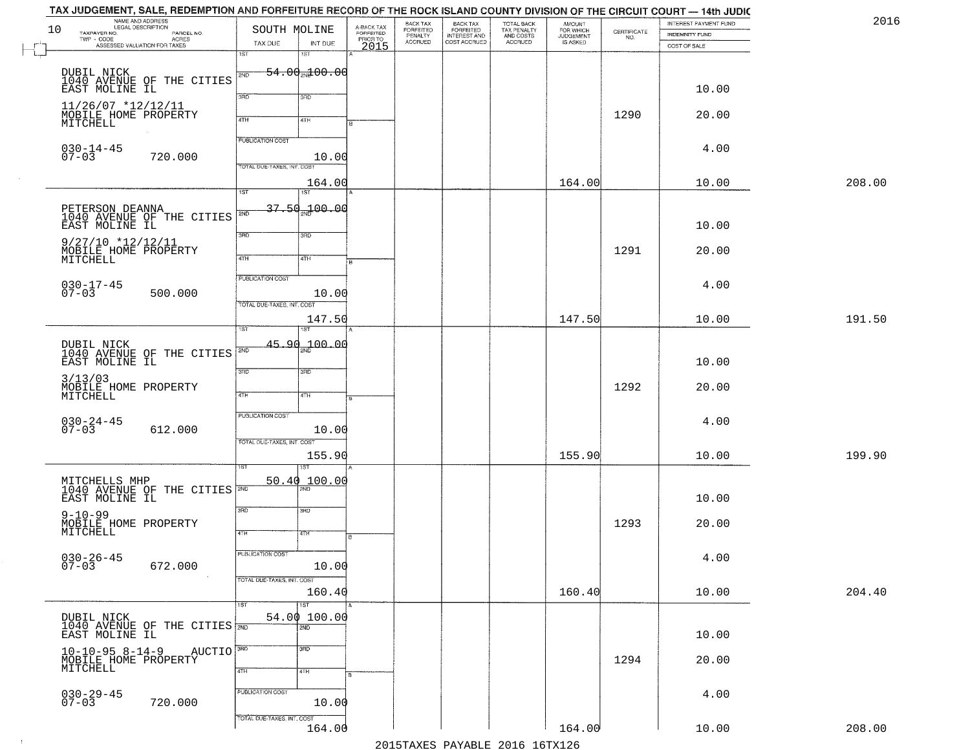| 10 | NAME AND ADDRESS<br>LEGAL DESCRIPTION<br>TAXPAYER NO.<br>PARCEL NO.<br>TWP - CODE<br>ASSESSED VALUATION FOR TAXES | SOUTH MOLINE<br>TAX DUE                               | INT DUE                                        | A-BACK TAX<br>FORFEITED<br>PRIOR TO<br>2015 | BACK TAX<br>FORFEITED<br>PENALTY<br>ACCRUED | <b>BACK TAX</b><br>FORFEITED<br>INTEREST AND<br>COST ACCRUED | TOTAL BACK<br>TAX PENALTY<br>AND COSTS<br>ACCRUED | <b>AMOUNT</b><br>FOR WHICH<br>JUDGEMENT<br>IS ASKED | $\begin{array}{c} \text{CERTIFICATE} \\ \text{NO.} \end{array}$ | INTEREST PAYMENT FUND<br>INDEMNITY FUND<br>COST OF SALE |        |
|----|-------------------------------------------------------------------------------------------------------------------|-------------------------------------------------------|------------------------------------------------|---------------------------------------------|---------------------------------------------|--------------------------------------------------------------|---------------------------------------------------|-----------------------------------------------------|-----------------------------------------------------------------|---------------------------------------------------------|--------|
|    |                                                                                                                   | iST                                                   | 18T                                            |                                             |                                             |                                                              |                                                   |                                                     |                                                                 |                                                         |        |
|    | DUBIL NICK<br>1040 AVENUE OF THE CITIES<br>EAST MOLINE IL                                                         | 2ND<br>3RD                                            | $-54.00 - 00$<br>3RD                           |                                             |                                             |                                                              |                                                   |                                                     |                                                                 | 10.00                                                   |        |
|    | 11/26/07 *12/12/11<br>MOBILE HOME PROPERTY<br>MITCHELL                                                            | 4TH                                                   | 4TH                                            |                                             |                                             |                                                              |                                                   |                                                     | 1290                                                            | 20.00                                                   |        |
|    | $030 - 14 - 45$<br>$07 - 03$<br>720.000                                                                           | <b>PUBLICATION COST</b><br>TOTAL DUE-TAXES, INT. COST | 10.00                                          |                                             |                                             |                                                              |                                                   |                                                     |                                                                 | 4.00                                                    |        |
|    |                                                                                                                   | $\overline{1ST}$                                      | 164.00<br>1ST                                  |                                             |                                             |                                                              |                                                   | 164.00                                              |                                                                 | 10.00                                                   | 208.00 |
|    | PETERSON DEANNA<br>1040 AVENUE OF THE CITIES<br>EAST MOLINE IL                                                    | 2ND                                                   | 37 50 100 00                                   |                                             |                                             |                                                              |                                                   |                                                     |                                                                 | 10.00                                                   |        |
|    | $9/27/10$ *12/12/11<br>MOBILE HOME PROPERTY<br>MITCHELL                                                           | 3BD<br>47H                                            | 3RD<br>4TH                                     |                                             |                                             |                                                              |                                                   |                                                     | 1291                                                            | 20.00                                                   |        |
|    | $030 - 17 - 45$<br>07-03<br>500.000                                                                               | PUBLICATION COST                                      | 10.00                                          |                                             |                                             |                                                              |                                                   |                                                     |                                                                 | 4.00                                                    |        |
|    |                                                                                                                   | TOTAL DUE-TAXES, INT. COST                            | 147.50                                         |                                             |                                             |                                                              |                                                   | 147.50                                              |                                                                 | 10.00                                                   | 191.50 |
|    | DUBIL NICK<br>1040 AVENUE OF THE CITIES<br>EAST MOLINE IL                                                         | ist<br>2ND                                            | 45.90 <sub>22</sub> 00.00                      |                                             |                                             |                                                              |                                                   |                                                     |                                                                 | 10.00                                                   |        |
|    | 3/13/03<br>MOBILE HOME PROPERTY<br>MITCHELL                                                                       | 3RD<br>4TH                                            | 3 <sub>3</sub><br>4TH                          |                                             |                                             |                                                              |                                                   |                                                     | 1292                                                            | 20.00                                                   |        |
|    | $030 - 24 - 45$<br>07-03<br>612.000                                                                               | PUBLICATION COST                                      | 10.00                                          |                                             |                                             |                                                              |                                                   |                                                     |                                                                 | 4.00                                                    |        |
|    |                                                                                                                   | TOTAL OUE-TAXES, INT. COST                            | 155.90                                         |                                             |                                             |                                                              |                                                   | 155.90                                              |                                                                 | 10.00                                                   | 199.90 |
|    | MITCHELLS MHP<br>1040 AVENUE OF THE CITIES<br>EAST MOLINE IL                                                      |                                                       | 50.40 100.00                                   |                                             |                                             |                                                              |                                                   |                                                     |                                                                 | 10.00                                                   |        |
|    | $9 - 10 - 99$<br>MOBILE HOME PROPERTY<br>MITCHELL                                                                 | 3RD<br>4TH                                            | 3BD<br>47H                                     | в                                           |                                             |                                                              |                                                   |                                                     | 1293                                                            | 20.00                                                   |        |
|    | $030 - 26 - 45$<br>07-03<br>672.000                                                                               | <b>PUBLICATION COST</b>                               | 10.00                                          |                                             |                                             |                                                              |                                                   |                                                     |                                                                 | 4.00                                                    |        |
|    |                                                                                                                   | TOTAL DUE-TAXES, INT. COST                            | 160.40                                         |                                             |                                             |                                                              |                                                   | 160.40                                              |                                                                 | 10.00                                                   | 204.40 |
|    | DUBIL NICK<br>1040 AVENUE OF THE CITIES 700<br>EAST MOLINE IL                                                     | 1ST                                                   | $\overline{\text{1ST}}$<br>54.00 100.00<br>2ND |                                             |                                             |                                                              |                                                   |                                                     |                                                                 | 10.00                                                   |        |
|    | AUCTIO <sup>3RD</sup><br>$10 - 10 - 95 8 - 14 - 9$<br>MOBILE HOME PROPERTY<br>MITCHELL                            | 4TH                                                   | 3 <sub>BD</sub><br>4TH                         |                                             |                                             |                                                              |                                                   |                                                     | 1294                                                            | 20.00                                                   |        |
|    | $030 - 29 - 45$<br>07-03<br>720.000                                                                               | PUBLICATION COST                                      | 10.00                                          |                                             |                                             |                                                              |                                                   |                                                     |                                                                 | 4.00                                                    |        |
|    |                                                                                                                   | TOTAL DUE-TAXES, INT. COST                            | 164.00                                         |                                             |                                             |                                                              |                                                   | 164.00                                              |                                                                 | 10.00                                                   | 208.00 |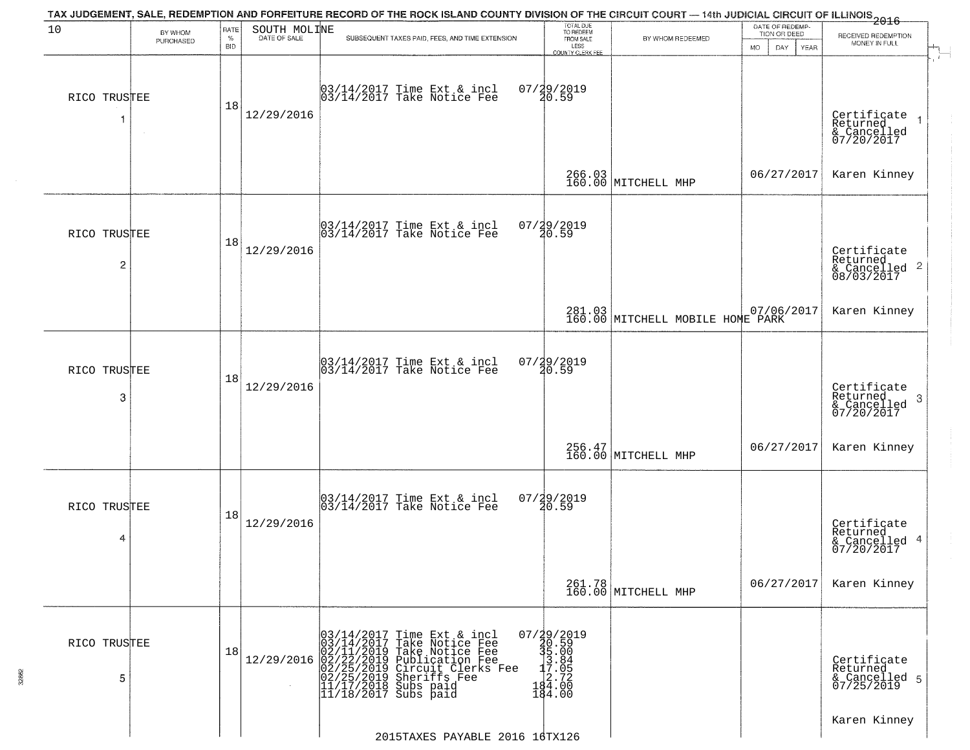| 10                | BY WHOM   | RATE               | SOUTH MOLINE | TAX JUDGEMENT, SALE, REDEMPTION AND FORFEITURE RECORD OF THE ROCK ISLAND COUNTY DIVISION OF THE CIRCUIT COURT — 14th JUDICIAL CIRCUIT OF ILLINOIS 2016                                                        | TOTAL DUE<br>TO REDEEM                                                       |                                                       | DATE OF REDEMP-<br>TION OR DEED | RECEIVED REDEMPTION                                                |
|-------------------|-----------|--------------------|--------------|---------------------------------------------------------------------------------------------------------------------------------------------------------------------------------------------------------------|------------------------------------------------------------------------------|-------------------------------------------------------|---------------------------------|--------------------------------------------------------------------|
|                   | PURCHASED | $\%$<br><b>BID</b> | DATE OF SALE | SUBSEQUENT TAXES PAID, FEES, AND TIME EXTENSION                                                                                                                                                               | FROM SALE<br>LESS<br><b>COUNTY CLERK FEE</b>                                 | BY WHOM REDEEMED                                      | MO.<br>DAY.<br>YEAR             | MONEY IN FULL                                                      |
| RICO TRUSTEE<br>1 | $\sim$    | 18                 | 12/29/2016   | 03/14/2017 Time Ext & incl<br>03/14/2017 Take Notice Fee                                                                                                                                                      | 07/29/2019<br>20.59                                                          |                                                       |                                 | Certificate<br>Returned<br>& Cancelled<br>07/20/2017               |
|                   |           |                    |              |                                                                                                                                                                                                               |                                                                              | 266.03<br>160.00 MITCHELL MHP                         | 06/27/2017                      | Karen Kinney                                                       |
| RICO TRUSTEE<br>2 |           | 18                 | 12/29/2016   | $\begin{bmatrix} 03/14/2017 \\ 03/14/2017 \end{bmatrix}$ Time Ext & incl                                                                                                                                      | 07/29/2019<br>20.59                                                          |                                                       |                                 | Certificate<br>Returned<br>$\frac{1}{2}$ Cancelled 2<br>08/03/2017 |
|                   |           |                    |              |                                                                                                                                                                                                               |                                                                              | 281.03 07/06/2017<br>160.00 MITCHELL MOBILE HOME PARK |                                 | Karen Kinney                                                       |
| RICO TRUSTEE<br>3 |           | 18                 | 12/29/2016   | 03/14/2017 Time Ext & incl<br>03/14/2017 Take Notice Fee                                                                                                                                                      | 07/29/2019<br>20.59                                                          |                                                       |                                 | Certificate<br>Returned<br>3<br>& Cancelled<br>07/20/2017          |
|                   |           |                    |              |                                                                                                                                                                                                               |                                                                              | 256.47<br>160.00 MITCHELL MHP                         | 06/27/2017                      | Karen Kinney                                                       |
| RICO TRUSTEE<br>4 |           | 18                 | 12/29/2016   | 03/14/2017 Time Ext & incl<br>03/14/2017 Take Notice Fee                                                                                                                                                      | $07/29/2019$<br>20.59                                                        |                                                       |                                 | Certificate<br>Returned<br>& Cancelled 4<br>07/20/2017             |
|                   |           |                    |              |                                                                                                                                                                                                               |                                                                              | 261.78<br>160.00 MITCHELL MHP                         | 06/27/2017                      | Karen Kinney                                                       |
| RICO TRUSTEE<br>5 |           | 18                 | 12/29/2016   | $03/14/2017$ Time Ext & incl<br>$03/14/2017$ Take Notice Fee<br>$02/11/2019$ Take Notice Fee<br>$02/22/2019$ Publication Fee<br>$02/25/2019$ Sheriffs Fee<br>$11/17/2018$ Subs paid<br>$11/18/2017$ Subs paid | 07/29/2019<br>30.59<br>35.00<br>35.00<br>-3.84<br>-3.72<br>-484.00<br>184.00 |                                                       |                                 | Certificate<br>Returned<br>& Cancelled 5<br>07/25/2019             |
|                   |           |                    |              | 2015TAXES PAYABLE 2016 16TX126                                                                                                                                                                                |                                                                              |                                                       |                                 | Karen Kinney                                                       |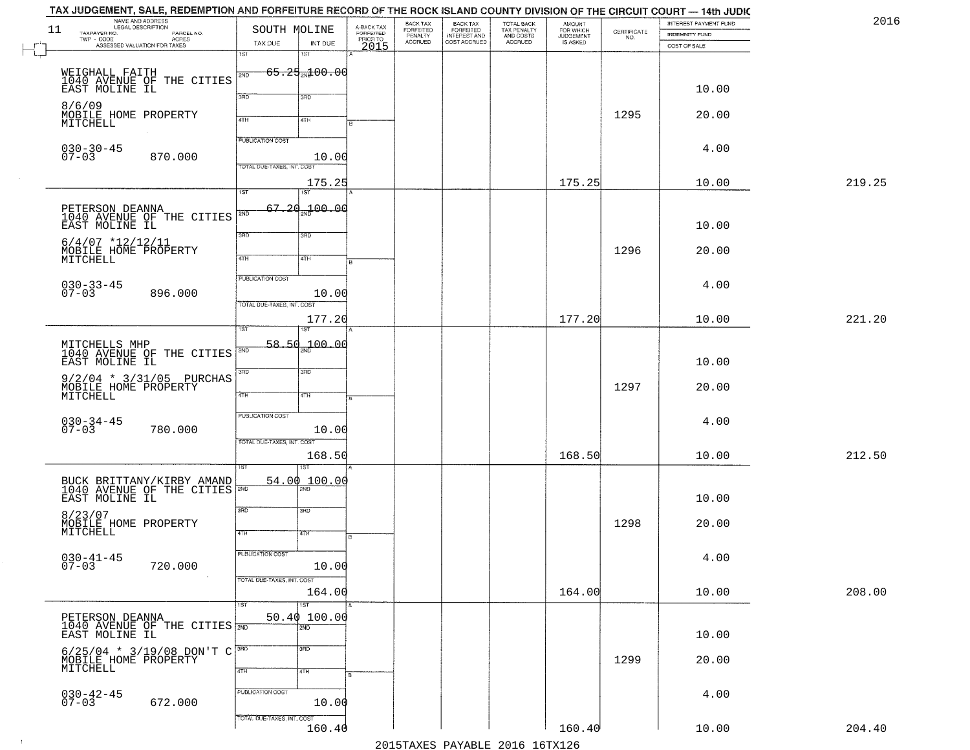|        | INTEREST PAYMENT FUND<br>INDEMNITY FUND | $\begin{array}{c} \text{CERTIFICATE} \\ \text{NO.} \end{array}$ | <b>AMOUNT</b><br>FOR WHICH<br>IS ASKED | TOTAL BACK<br>TAX PENALTY<br>AND COSTS<br>ACCRUED | <b>BACK TAX</b><br>FORFEITED<br>INTEREST AND<br>COST ACCRUED | BACK TAX<br>FORFEITED<br>PENALTY<br>ACCRUED | A-BACK TAX<br>FORFEITED<br>PRIOR TO<br>2015 | INT DUE                                        | SOUTH MOLINE<br>TAX DUE                               | NAME AND ADDRESS<br>LEGAL DESCRIPTION<br>PARCEL NO.<br>TWP - CODE<br>ASSESSED VALUATION FOR TAXES | 11<br>TAXPAYER NO.              |
|--------|-----------------------------------------|-----------------------------------------------------------------|----------------------------------------|---------------------------------------------------|--------------------------------------------------------------|---------------------------------------------|---------------------------------------------|------------------------------------------------|-------------------------------------------------------|---------------------------------------------------------------------------------------------------|---------------------------------|
|        | COST OF SALE                            |                                                                 |                                        |                                                   |                                                              |                                             |                                             | 18T                                            | iST                                                   |                                                                                                   |                                 |
|        | 10.00                                   |                                                                 |                                        |                                                   |                                                              |                                             |                                             | <del>65.25 M 00.00</del><br>3RD                | 2ND<br>3BD                                            | WEIGHALL FAITH<br>1040 AVENUE OF THE CITIES<br>EAST MOLINE IL                                     |                                 |
|        | 20.00                                   | 1295                                                            |                                        |                                                   |                                                              |                                             |                                             | 4TH                                            | 4TH                                                   | MOBILE HOME PROPERTY                                                                              | 8/6/09<br>MITCHELL              |
|        | 4.00                                    |                                                                 |                                        |                                                   |                                                              |                                             |                                             | 10.00                                          | <b>PUBLICATION COST</b><br>TOTAL DUE-TAXES, INT. COST | 870.000                                                                                           | $030 - 30 - 45$<br>$07 - 03$    |
| 219.25 | 10.00                                   |                                                                 | 175.25                                 |                                                   |                                                              |                                             |                                             | 175.25                                         | 1ST                                                   |                                                                                                   |                                 |
|        | 10.00                                   |                                                                 |                                        |                                                   |                                                              |                                             |                                             | 1ST<br>00 - 100 - 100                          | 67.20<br>2ND                                          | PETERSON DEANNA<br>1040 AVENUE OF THE CITIES                                                      | EAST MOLINE IL                  |
|        | 20.00                                   | 1296                                                            |                                        |                                                   |                                                              |                                             |                                             | 3RD<br>4TH                                     | 3BD<br>47H                                            | $6/4/07$ *12/12/11<br>MOBILE HOME PROPERTY                                                        | MITCHELL                        |
|        | 4.00                                    |                                                                 |                                        |                                                   |                                                              |                                             |                                             | 10.00                                          | PUBLICATION COST                                      | 896.000                                                                                           | $030 - 33 - 45$<br>07-03        |
| 221.20 | 10.00                                   |                                                                 | 177.20                                 |                                                   |                                                              |                                             |                                             | 177.20                                         | TOTAL DUE-TAXES, INT. COST                            |                                                                                                   |                                 |
|        | 10.00                                   |                                                                 |                                        |                                                   |                                                              |                                             |                                             | $58.50 - 00.00$                                | ist<br>  2ND                                          | 1040 AVENUE OF THE CITIES                                                                         | MITCHELLS MHP<br>EAST MOLINE IL |
|        | 20.00                                   | 1297                                                            |                                        |                                                   |                                                              |                                             |                                             | 3 <sub>BD</sub><br>4TH                         | 3RD<br>4TH                                            | 9/2/04 * 3/31/05 PURCHAS<br>MOBILE HOME PROPERTY<br>MITCHELL                                      |                                 |
|        | 4.00                                    |                                                                 |                                        |                                                   |                                                              |                                             |                                             | 10.00                                          | PUBLICATION COST<br>TOTAL OUE-TAXES, INT. COST        | 780.000                                                                                           | $030 - 34 - 45$<br>07-03        |
| 212.50 | 10.00                                   |                                                                 | 168.50                                 |                                                   |                                                              |                                             |                                             | 168.50                                         |                                                       |                                                                                                   |                                 |
|        | 10.00                                   |                                                                 |                                        |                                                   |                                                              |                                             |                                             | 54.00 100.00                                   |                                                       | BUCK BRITTANY/KIRBY AMAND =                                                                       | EAST MOLINE IL                  |
|        | 20.00                                   | 1298                                                            |                                        |                                                   |                                                              |                                             |                                             | 3BD<br>47H                                     | 3RD<br>4TH                                            | MOBILE HOME PROPERTY<br>MITCHELL                                                                  | 8/23/07                         |
|        | 4.00                                    |                                                                 |                                        |                                                   |                                                              |                                             |                                             | 10.00                                          | <b>PUBLICATION COST</b>                               | 720.000                                                                                           | $030 - 41 - 45$<br>$07 - 03$    |
| 208.00 | 10.00                                   |                                                                 | 164.00                                 |                                                   |                                                              |                                             |                                             | 164.00                                         | TOTAL DUE-TAXES, INT. COST                            |                                                                                                   |                                 |
|        | 10.00                                   |                                                                 |                                        |                                                   |                                                              |                                             |                                             | $\overline{\text{1ST}}$<br>50.40 100.00<br>2ND |                                                       | PETERSON DEANNA<br>1040 AVENUE OF THE CITIES <b>FOR SAST MOLINE IL</b>                            |                                 |
|        | 20.00                                   | 1299                                                            |                                        |                                                   |                                                              |                                             |                                             | 3 <sub>BD</sub><br>4TH                         | 3RD<br>4TH                                            | $6/25/04$ * 3/19/08 DON'T C<br>MOBILE HOME PROPERTY<br>MITCHELL                                   |                                 |
|        | 4.00                                    |                                                                 |                                        |                                                   |                                                              |                                             |                                             | 10.00                                          | PUBLICATION COST                                      | 672.000                                                                                           | $030 - 42 - 45$<br>07-03        |
| 204.40 | 10.00                                   |                                                                 | 160.40                                 |                                                   |                                                              |                                             |                                             | 160.40                                         | TOTAL DUE-TAXES, INT. COST                            |                                                                                                   |                                 |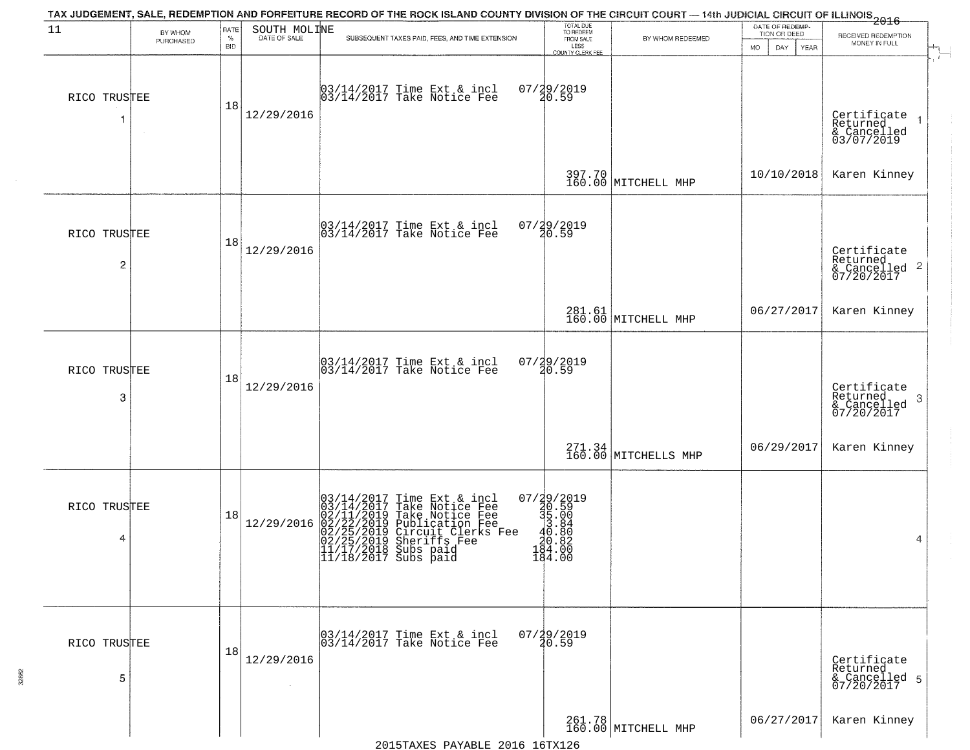| 11                             | BY WHOM<br>PURCHASED | RATE<br>$\%$     | SOUTH MOLINE<br>DATE OF SALE | TAX JUDGEMENT, SALE, REDEMPTION AND FORFEITURE RECORD OF THE ROCK ISLAND COUNTY DIVISION OF THE CIRCUIT COURT — 14th JUDICIAL CIRCUIT OF ILLINOIS 2016<br>SUBSEQUENT TAXES PAID, FEES, AND TIME EXTENSION                                  | TOTAL DUE<br>TO REDEEM<br>FROM SALE                                                                           | BY WHOM REDEEMED               | DATE OF REDEMP-<br>TION OR DEED | RECEIVED REDEMPTION<br>MONEY IN FULL                      |
|--------------------------------|----------------------|------------------|------------------------------|--------------------------------------------------------------------------------------------------------------------------------------------------------------------------------------------------------------------------------------------|---------------------------------------------------------------------------------------------------------------|--------------------------------|---------------------------------|-----------------------------------------------------------|
| RICO TRUSTEE                   |                      | <b>BID</b><br>18 | 12/29/2016                   | 03/14/2017 Time Ext & incl<br>03/14/2017 Take Notice Fee                                                                                                                                                                                   | LESS<br>COUNTY CLERK FEE<br>07/29/2019<br>20.59                                                               |                                | MO.<br>DAY.<br>YEAR             | Certificate<br>Returned<br>& Cancelled<br>03/07/2019      |
|                                |                      |                  |                              |                                                                                                                                                                                                                                            |                                                                                                               | 397.70<br>160.00 MITCHELL MHP  | 10/10/2018                      | Karen Kinney                                              |
| RICO TRUSTEE<br>$\overline{c}$ |                      | 18               | 12/29/2016                   | 03/14/2017 Time Ext & incl<br>03/14/2017 Take Notice Fee                                                                                                                                                                                   | 07/29/2019<br>20.59                                                                                           |                                |                                 | Certificate<br>Returned<br>& Cancelled 2<br>07/20/2017    |
|                                |                      |                  |                              |                                                                                                                                                                                                                                            |                                                                                                               | 281.61<br>160.00 MITCHELL MHP  | 06/27/2017                      | Karen Kinney                                              |
| RICO TRUSTEE<br>3              |                      | 18               | 12/29/2016                   | 03/14/2017 Time Ext & incl<br>03/14/2017 Take Notice Fee                                                                                                                                                                                   | 07/29/2019<br>20.59                                                                                           |                                |                                 | Certificate<br>Returned<br>3<br>& Cancelled<br>07/20/2017 |
|                                |                      |                  |                              |                                                                                                                                                                                                                                            |                                                                                                               | 271.34<br>160.00 MITCHELLS MHP | 06/29/2017                      | Karen Kinney                                              |
| RICO TRUSTEE<br>4              |                      | 18               | 12/29/2016                   | $03/14/2017$ Time Ext & incl<br>$03/14/2017$ Take Notice Fee<br>$02/11/2019$ Take Notice Fee<br>$02/22/2019$ Publication Fee<br>$02/25/2019$ Sheriffs Fee<br>$02/25/2019$ Sheriffs Fee<br>$11/17/2018$ Subs paid<br>$11/18/2017$ Subs paid | $\begin{smallmatrix} 07/39/2019\\ 30.59\\ 35.00\\ 43.84\\ 10.80\\ 194.00\\ 184.00\\ 144.00 \end{smallmatrix}$ |                                |                                 | 4                                                         |
| RICO TRUSTEE<br>5              |                      | 18               | 12/29/2016                   | 03/14/2017 Time Ext & incl<br>03/14/2017 Take Notice Fee                                                                                                                                                                                   | $07/29/2019$<br>$20.59$                                                                                       |                                |                                 | Certificate<br>Returned<br>& Cancelled 5<br>07/20/2017    |
|                                |                      |                  |                              |                                                                                                                                                                                                                                            |                                                                                                               | 261.78<br>160.00 MITCHELL MHP  | 06/27/2017                      | Karen Kinney                                              |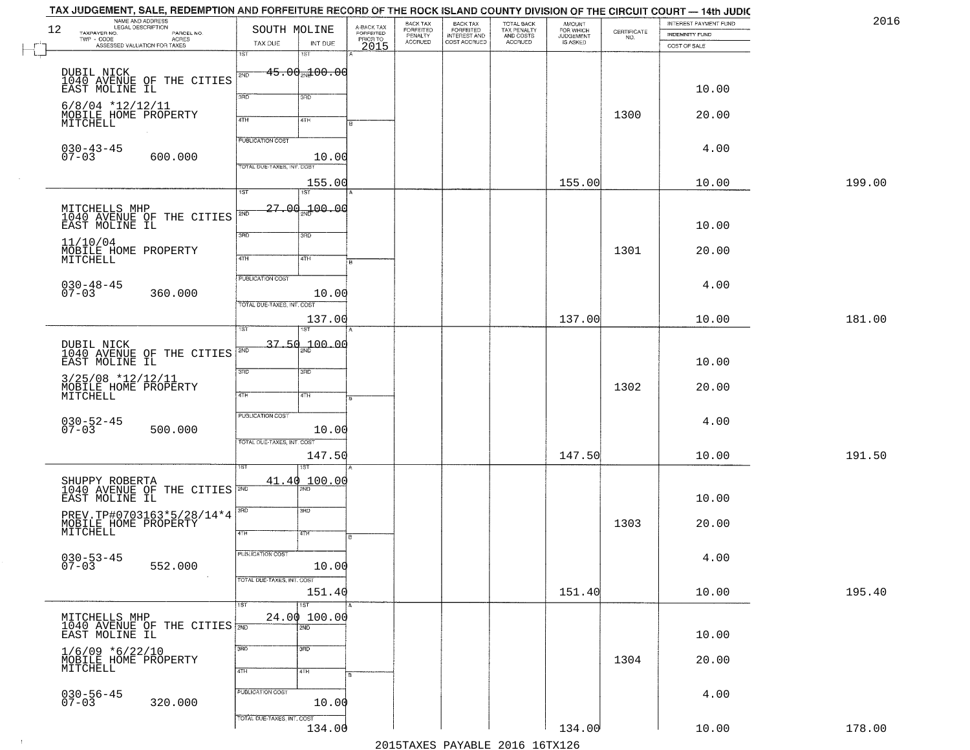| 12 | NAME AND ADDRESS<br>LEGAL DESCRIPTION<br>TAXPAYER NO.<br>PARCEL NO. | SOUTH MOLINE               |                      | A-BACK TAX<br>FORFEITED<br>PRIOR TO<br>2015 | BACK TAX<br>FORFEITED<br>PENALTY<br>ACCRUED | <b>BACK TAX</b><br>FORFEITED<br>INTEREST AND | TOTAL BACK<br>TAX PENALTY<br>AND COSTS | <b>AMOUNT</b><br>FOR WHICH | $\begin{array}{c} \text{CERTIFICATE} \\ \text{NO.} \end{array}$ | INTEREST PAYMENT FUND<br>INDEMNITY FUND |        |
|----|---------------------------------------------------------------------|----------------------------|----------------------|---------------------------------------------|---------------------------------------------|----------------------------------------------|----------------------------------------|----------------------------|-----------------------------------------------------------------|-----------------------------------------|--------|
|    | TWP - CODE<br>ASSESSED VALUATION FOR TAXES                          | TAX DUE<br>iST             | INT DUE<br>18T       |                                             |                                             | COST ACCRUED                                 | ACCRUED                                | IS ASKED                   |                                                                 | COST OF SALE                            |        |
|    |                                                                     |                            | $-45.00$ and $00.00$ |                                             |                                             |                                              |                                        |                            |                                                                 |                                         |        |
|    | DUBIL NICK<br>1040 AVENUE OF THE CITIES                             | 2ND                        |                      |                                             |                                             |                                              |                                        |                            |                                                                 |                                         |        |
|    | EAST MOLINE IL                                                      | 3RD                        | 3RD                  |                                             |                                             |                                              |                                        |                            |                                                                 | 10.00                                   |        |
|    | $6/8/04$ *12/12/11<br>MOBILE HOME PROPERTY                          | 4TH                        | 4TH                  |                                             |                                             |                                              |                                        |                            | 1300                                                            | 20.00                                   |        |
|    | MITCHELL                                                            |                            |                      |                                             |                                             |                                              |                                        |                            |                                                                 |                                         |        |
|    | $030 - 43 - 45$                                                     | <b>PUBLICATION COST</b>    |                      |                                             |                                             |                                              |                                        |                            |                                                                 | 4.00                                    |        |
|    | $07 - 03$<br>600.000                                                | TOTAL DUE-TAXES, INT. COST | 10.00                |                                             |                                             |                                              |                                        |                            |                                                                 |                                         |        |
|    |                                                                     |                            | 155.00               |                                             |                                             |                                              |                                        | 155.00                     |                                                                 | 10.00                                   | 199.00 |
|    |                                                                     | $\overline{1ST}$           | 1ST                  |                                             |                                             |                                              |                                        |                            |                                                                 |                                         |        |
|    | MITCHELLS MHP<br>1040 AVENUE OF THE CITIES                          | 2ND                        | 27.00.100.00         |                                             |                                             |                                              |                                        |                            |                                                                 |                                         |        |
|    | EAST MOLINE IL                                                      | 3BD                        | 3RD                  |                                             |                                             |                                              |                                        |                            |                                                                 | 10.00                                   |        |
|    | 11/10/04<br>MOBILE HOME PROPERTY                                    |                            |                      |                                             |                                             |                                              |                                        |                            | 1301                                                            | 20.00                                   |        |
|    | MITCHELL                                                            | 47H                        | 4TH                  |                                             |                                             |                                              |                                        |                            |                                                                 |                                         |        |
|    | $030 - 48 - 45$<br>07-03                                            | <b>PUBLICATION COST</b>    |                      |                                             |                                             |                                              |                                        |                            |                                                                 | 4.00                                    |        |
|    | 360.000                                                             | TOTAL DUE-TAXES, INT. COST | 10.00                |                                             |                                             |                                              |                                        |                            |                                                                 |                                         |        |
|    |                                                                     |                            | 137.00               |                                             |                                             |                                              |                                        | 137.00                     |                                                                 | 10.00                                   | 181.00 |
|    |                                                                     | ist                        |                      |                                             |                                             |                                              |                                        |                            |                                                                 |                                         |        |
|    | DUBIL NICK<br>1040 AVENUE OF THE CITIES                             | 2ND                        | $37.50 - 00.00$      |                                             |                                             |                                              |                                        |                            |                                                                 |                                         |        |
|    | EAST MOLINE IL                                                      | 3BD                        | 3 <sub>3</sub>       |                                             |                                             |                                              |                                        |                            |                                                                 | 10.00                                   |        |
|    | $3/25/08$ *12/12/11                                                 |                            |                      |                                             |                                             |                                              |                                        |                            | 1302                                                            | 20.00                                   |        |
|    | MOBILE HOME PROPERTY<br>MITCHELL                                    | 4TH                        | 4TH                  |                                             |                                             |                                              |                                        |                            |                                                                 |                                         |        |
|    |                                                                     | PUBLICATION COST           |                      |                                             |                                             |                                              |                                        |                            |                                                                 | 4.00                                    |        |
|    | $030 - 52 - 45$<br>07-03<br>500.000                                 |                            | 10.00                |                                             |                                             |                                              |                                        |                            |                                                                 |                                         |        |
|    |                                                                     | TOTAL OUE-TAXES, INT. COST | 147.50               |                                             |                                             |                                              |                                        | 147.50                     |                                                                 | 10.00                                   | 191.50 |
|    |                                                                     |                            |                      |                                             |                                             |                                              |                                        |                            |                                                                 |                                         |        |
|    | SHUPPY ROBERTA<br>1040 AVENUE OF THE CITIES                         |                            | 41.40 100.00         |                                             |                                             |                                              |                                        |                            |                                                                 |                                         |        |
|    | EAST MOLINE IL                                                      |                            |                      |                                             |                                             |                                              |                                        |                            |                                                                 | 10.00                                   |        |
|    | PREV.TP#0703163*5/28/14*4<br>MOBILE HOME PROPERTY<br>MITCHELL       | 3RD                        | 3BD                  |                                             |                                             |                                              |                                        |                            | 1303                                                            | 20.00                                   |        |
|    |                                                                     | 4TH                        | वाम                  | в                                           |                                             |                                              |                                        |                            |                                                                 |                                         |        |
|    | $030 - 53 - 45$                                                     | <b>PUBLICATION COST</b>    |                      |                                             |                                             |                                              |                                        |                            |                                                                 | 4.00                                    |        |
|    | $07 - 03$<br>552.000                                                |                            | 10.00                |                                             |                                             |                                              |                                        |                            |                                                                 |                                         |        |
|    |                                                                     | TOTAL DUE-TAXES, INT. COST | 151.40               |                                             |                                             |                                              |                                        | 151.40                     |                                                                 | 10.00                                   | 195.40 |
|    |                                                                     | 1ST                        | $\overline{151}$     |                                             |                                             |                                              |                                        |                            |                                                                 |                                         |        |
|    | MITCHELLS MHP<br>1040 AVENUE OF THE CITIES 700                      |                            | 24.00100.00<br>2ND   |                                             |                                             |                                              |                                        |                            |                                                                 |                                         |        |
|    | EAST MOLINE IL                                                      |                            |                      |                                             |                                             |                                              |                                        |                            |                                                                 | 10.00                                   |        |
|    | $1/6/09$ *6/22/10<br>MOBILE HOME PROPERTY                           | 3RD                        | 3 <sub>BD</sub>      |                                             |                                             |                                              |                                        |                            | 1304                                                            | 20.00                                   |        |
|    | MITCHELL                                                            | 4TH                        | 4TH                  |                                             |                                             |                                              |                                        |                            |                                                                 |                                         |        |
|    |                                                                     | PUBLICATION COST           |                      |                                             |                                             |                                              |                                        |                            |                                                                 | 4.00                                    |        |
|    | $030 - 56 - 45$<br>07-03<br>320.000                                 |                            | 10.00                |                                             |                                             |                                              |                                        |                            |                                                                 |                                         |        |
|    |                                                                     | TOTAL DUE-TAXES, INT. COST |                      |                                             |                                             |                                              |                                        |                            |                                                                 |                                         |        |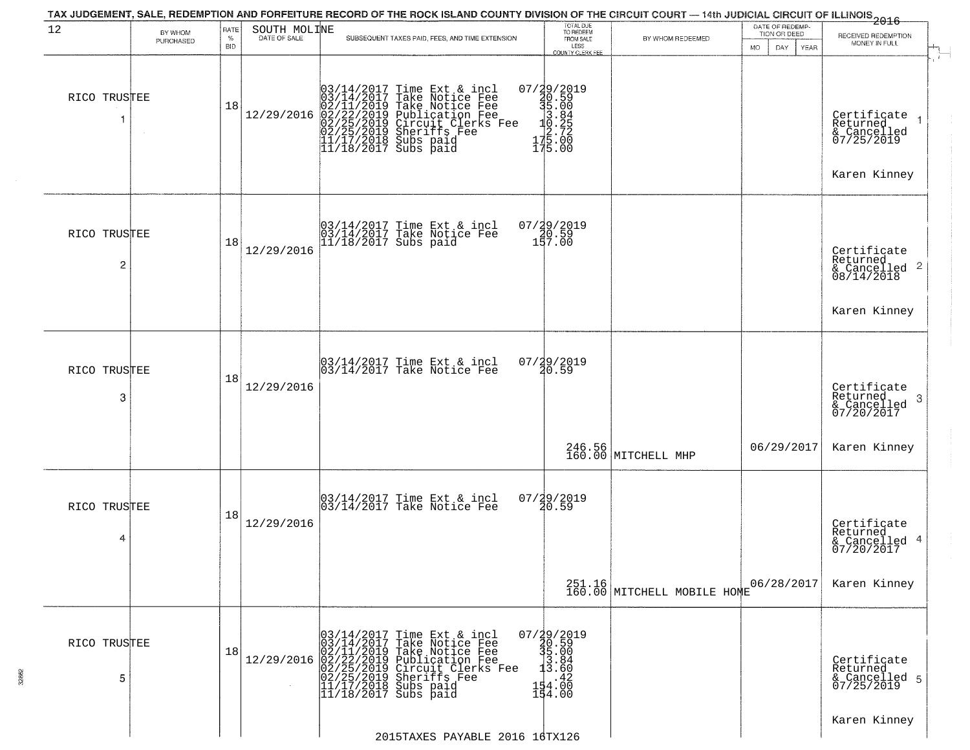| 12                | BY WHOM<br>PURCHASED | RATE<br>$\%$<br><b>BID</b> | SOUTH MOLINE | TAX JUDGEMENT, SALE, REDEMPTION AND FORFEITURE RECORD OF THE ROCK ISLAND COUNTY DIVISION OF THE CIRCUIT COURT — 14th JUDICIAL CIRCUIT OF ILLINOIS<br>2016 - 14th Juli 2017<br>SUBSEQUENT TAXES PAID, FEES, AND TIME EXTENSION                                                                                                                                             | TOTAL DUE<br>TO REDEEM<br>FROM SALE                                                       | BY WHOM REDEEMED              | DATE OF REDEMP-<br>TION OR DEED<br>DAY<br>MO.<br><b>YEAR</b> | RECEIVED REDEMPTION<br>MONEY IN FULL                                               |
|-------------------|----------------------|----------------------------|--------------|---------------------------------------------------------------------------------------------------------------------------------------------------------------------------------------------------------------------------------------------------------------------------------------------------------------------------------------------------------------------------|-------------------------------------------------------------------------------------------|-------------------------------|--------------------------------------------------------------|------------------------------------------------------------------------------------|
| RICO TRUSTEE<br>1 |                      | 18                         | 12/29/2016   | $03/14/2017$ Time Ext & incl<br>$03/14/2017$ Take Notice Fee<br>$02/11/2019$ Take Notice Fee<br>$02/22/2019$ Publication Fee<br>$02/25/2019$ Sheriffs Fee<br>$02/25/2019$ Sheriffs Fee<br>$11/17/2018$ Subs paid<br>$11/18/2017$ Subs paid                                                                                                                                | LESS<br>COUNTY CLERK FEE<br>175.00                                                        |                               |                                                              | Certificate<br>Returned<br>& Cancelled<br>07/25/2019<br>Karen Kinney               |
| RICO TRUSTEE<br>2 |                      | 18                         | 12/29/2016   | 03/14/2017 Time Ext & incl<br>03/14/2017 Take Notice Fee<br>11/18/2017 Subs paid                                                                                                                                                                                                                                                                                          | 07/29/2019<br>20.59<br>157.00                                                             |                               |                                                              | Certificate<br>Returned<br>$\frac{1}{6}$ Cancelled 2<br>08/14/2018<br>Karen Kinney |
| RICO TRUSTEE<br>3 |                      | 18                         | 12/29/2016   | 03/14/2017 Time Ext & incl<br>03/14/2017 Take Notice Fee                                                                                                                                                                                                                                                                                                                  | 07/29/2019<br>20.59                                                                       |                               |                                                              | Certificate<br>Returned<br>-3<br>& Cancelled<br>07/20/2017                         |
| RICO TRUSTEE<br>4 |                      | 18                         | 12/29/2016   | 03/14/2017 Time Ext & incl<br>03/14/2017 Take Notice Fee                                                                                                                                                                                                                                                                                                                  | $07/29/2019$<br>$20.59$                                                                   | 246.56<br>160.00 MITCHELL MHP | 06/29/2017                                                   | Karen Kinney<br>Certificate<br>Returned<br>& Cancelled 4<br>07/20/2017             |
| RICO TRUSTEE<br>5 |                      | 18                         |              | $[03/14/2017 \t1m \t\t\t\t\t\text{Ext} \t\t\t\t\& \t\t\t\t\text{incl} \t\t\t\t0 \\ 03/14/2017 \t\t\t\t\tTake Notice Free \t\t\t\t02/11/2019 \t\t\t\tTake Notice Free \t\t\t\t02/22/2019 \t\t\t\to \t\t\t\& \t\t\t\text{rec} \t\t\t\& \t\t\t\text{rec} \t\t\t\& \t\t\t\& \t\t\t\& \t\t\t\& \t\t\t\& \t\t\t\& \t\t\t\& \t\t\t\& \t\t\t\& \t\t\t\& \t\t\t\& \t\t\t\& \t\t\t$ | $07/29/2019$<br>$35.00$<br>$3.84$<br>$3.60$<br>$= 13.60$<br>$154.\overline{00}$<br>154.00 | $251.16$ MITCHELL MOBILE HOME | 06/28/2017                                                   | Karen Kinney<br>Certificate<br>Returned<br>& Cancelled 5<br>07/25/2019             |
|                   |                      |                            |              | 2015TAXES PAYABLE 2016 16TX126                                                                                                                                                                                                                                                                                                                                            |                                                                                           |                               |                                                              | Karen Kinney                                                                       |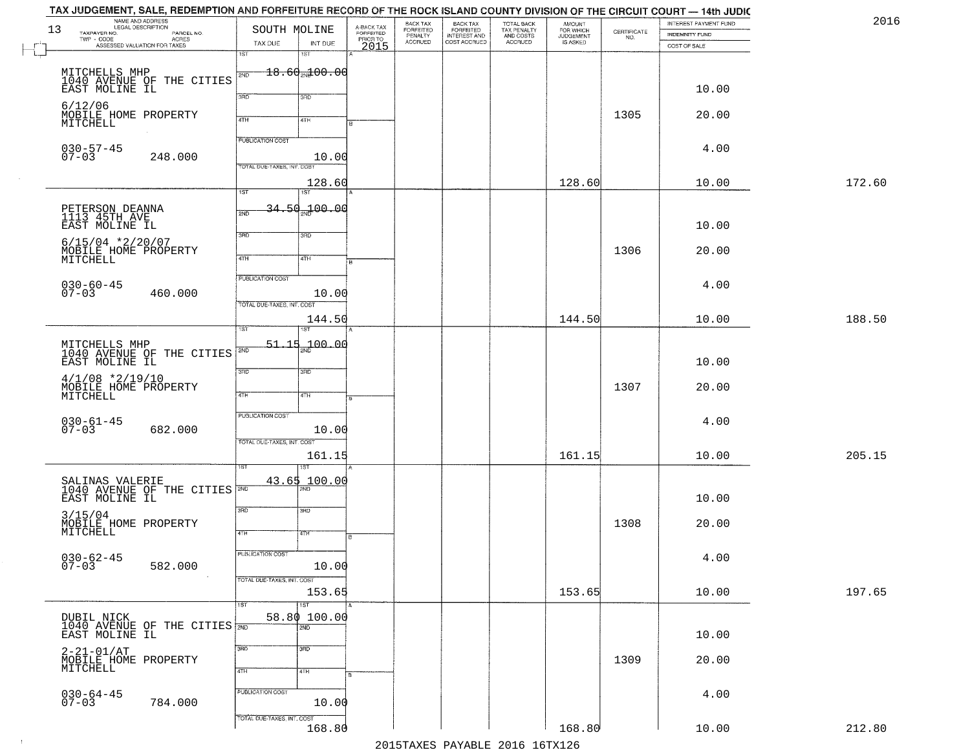|        | INTEREST PAYMENT FUND<br>INDEMNITY FUND | $\begin{array}{c} \text{CERTIFICATE} \\ \text{NO.} \end{array}$ | <b>AMOUNT</b><br>FOR WHICH<br>JUDGEMENT<br>IS ASKED | TOTAL BACK<br>TAX PENALTY<br>AND COSTS<br>ACCRUED | <b>BACK TAX</b><br>FORFEITED<br>INTEREST AND | BACK TAX<br>FORFEITED<br>PENALTY<br>ACCRUED |                                             |                     | SOUTH MOLINE               | NAME AND ADDRESS<br>LEGAL DESCRIPTION<br>PARCEL NO. | 13<br>TAXPAYER NO.                                 |
|--------|-----------------------------------------|-----------------------------------------------------------------|-----------------------------------------------------|---------------------------------------------------|----------------------------------------------|---------------------------------------------|---------------------------------------------|---------------------|----------------------------|-----------------------------------------------------|----------------------------------------------------|
|        | COST OF SALE                            |                                                                 |                                                     |                                                   | COST ACCRUED                                 |                                             | A-BACK TAX<br>FORFEITED<br>PRIOR TO<br>2015 | INT DUE<br>18T      | TAX DUE<br>iST             | TWP - CODE<br>ASSESSED VALUATION FOR TAXES          |                                                    |
|        |                                         |                                                                 |                                                     |                                                   |                                              |                                             |                                             | $-18.60$ $-18.00$   | 2ND                        | MITCHELLS MHP<br>1040 AVENUE OF THE CITIES          |                                                    |
|        | 10.00                                   |                                                                 |                                                     |                                                   |                                              |                                             |                                             | 3RD                 | 3BD                        |                                                     | EAST MOLINE IL                                     |
|        | 20.00                                   | 1305                                                            |                                                     |                                                   |                                              |                                             |                                             | 4TH                 | 4TH                        |                                                     | 6/12/06<br>MOBILE HOME PROPERTY                    |
|        |                                         |                                                                 |                                                     |                                                   |                                              |                                             |                                             |                     | <b>PUBLICATION COST</b>    |                                                     | MITCHELL                                           |
|        | 4.00                                    |                                                                 |                                                     |                                                   |                                              |                                             |                                             | 10.00               |                            | 248.000                                             | $030 - 57 - 45$<br>$07 - 03$                       |
| 172.60 | 10.00                                   |                                                                 | 128.60                                              |                                                   |                                              |                                             |                                             | 128.60              | TOTAL DUE-TAXES, INT. COST |                                                     |                                                    |
|        |                                         |                                                                 |                                                     |                                                   |                                              |                                             |                                             | 1ST                 | $\overline{1ST}$           |                                                     |                                                    |
|        | 10.00                                   |                                                                 |                                                     |                                                   |                                              |                                             |                                             | 34.50 100.00        | 2ND                        |                                                     | PETERSON DEANNA<br>1113 45TH AVE<br>EAST MOLINE IL |
|        |                                         | 1306                                                            |                                                     |                                                   |                                              |                                             |                                             | 3RD                 | $\overline{3\text{RD}}$    |                                                     | $6/15/04$ *2/20/07                                 |
|        | 20.00                                   |                                                                 |                                                     |                                                   |                                              |                                             |                                             | 4TH                 | 47H                        |                                                     | MOBILE HOME PROPERTY<br>MITCHELL                   |
|        | 4.00                                    |                                                                 |                                                     |                                                   |                                              |                                             |                                             | 10.00               | PUBLICATION COST           | 460.000                                             | $030 - 60 - 45$<br>07-03                           |
|        |                                         |                                                                 |                                                     |                                                   |                                              |                                             |                                             |                     | TOTAL DUE-TAXES, INT. COST |                                                     |                                                    |
| 188.50 | 10.00                                   |                                                                 | 144.50                                              |                                                   |                                              |                                             |                                             | 144.50              | ist                        |                                                     |                                                    |
|        |                                         |                                                                 |                                                     |                                                   |                                              |                                             |                                             | $-100.00$           | 51.15<br>2ND               | 1040 AVENUE OF THE CITIES                           | MITCHELLS MHP                                      |
|        | 10.00                                   |                                                                 |                                                     |                                                   |                                              |                                             |                                             | 3 <sub>BD</sub>     | 3RD                        |                                                     | EAST MOLINE IL<br>$4/1/08$ *2/19/10                |
|        | 20.00                                   | 1307                                                            |                                                     |                                                   |                                              |                                             |                                             | 4TH                 | 4TH                        |                                                     | MOBILE HOME PROPERTY<br>MITCHELL                   |
|        | 4.00                                    |                                                                 |                                                     |                                                   |                                              |                                             |                                             |                     | PUBLICATION COST           |                                                     |                                                    |
|        |                                         |                                                                 |                                                     |                                                   |                                              |                                             |                                             | 10.00               | TOTAL OUE-TAXES, INT. COST | 682.000                                             | $030 - 61 - 45$<br>07-03                           |
| 205.15 | 10.00                                   |                                                                 | 161.15                                              |                                                   |                                              |                                             |                                             | 161.15              |                            |                                                     |                                                    |
|        |                                         |                                                                 |                                                     |                                                   |                                              |                                             |                                             | 43.65 100.00        |                            | SALINAS VALERIE<br>1040 AVENUE OF THE CITIES        |                                                    |
|        | 10.00                                   |                                                                 |                                                     |                                                   |                                              |                                             |                                             | 3BD                 | 3RD                        |                                                     | EAST MOLINE IL                                     |
|        | 20.00                                   | 1308                                                            |                                                     |                                                   |                                              |                                             |                                             | 47H                 | 4TH                        |                                                     | 3/15/04<br>MOBILE HOME PROPERTY<br>MITCHELL        |
|        |                                         |                                                                 |                                                     |                                                   |                                              |                                             | в                                           |                     | <b>PUBLICATION COST</b>    |                                                     |                                                    |
|        | 4.00                                    |                                                                 |                                                     |                                                   |                                              |                                             |                                             | 10.00               |                            | 582.000                                             | $030 - 62 - 45$<br>07-03                           |
| 197.65 | 10.00                                   |                                                                 | 153.65                                              |                                                   |                                              |                                             |                                             | 153.65              | TOTAL DUE-TAXES, INT. COST |                                                     |                                                    |
|        |                                         |                                                                 |                                                     |                                                   |                                              |                                             |                                             | 1ST<br>58.80 100.00 | 1ST                        |                                                     | DUBIL NICK                                         |
|        | 10.00                                   |                                                                 |                                                     |                                                   |                                              |                                             |                                             | 2ND                 |                            | 1040 AVENUE OF THE CITIES 700                       | EAST MOLINE IL                                     |
|        | 20.00                                   | 1309                                                            |                                                     |                                                   |                                              |                                             |                                             | 3 <sub>BD</sub>     | 3RD                        |                                                     | $2 - 21 - 01/AT$                                   |
|        |                                         |                                                                 |                                                     |                                                   |                                              |                                             |                                             | 4TH                 | 4TH                        |                                                     | MOBILE HOME PROPERTY<br>MITCHELL                   |
|        | 4.00                                    |                                                                 |                                                     |                                                   |                                              |                                             |                                             | 10.00               | PUBLICATION COST           | 784.000                                             | $030 - 64 - 45$<br>07-03                           |
|        |                                         |                                                                 |                                                     |                                                   |                                              |                                             |                                             |                     |                            |                                                     |                                                    |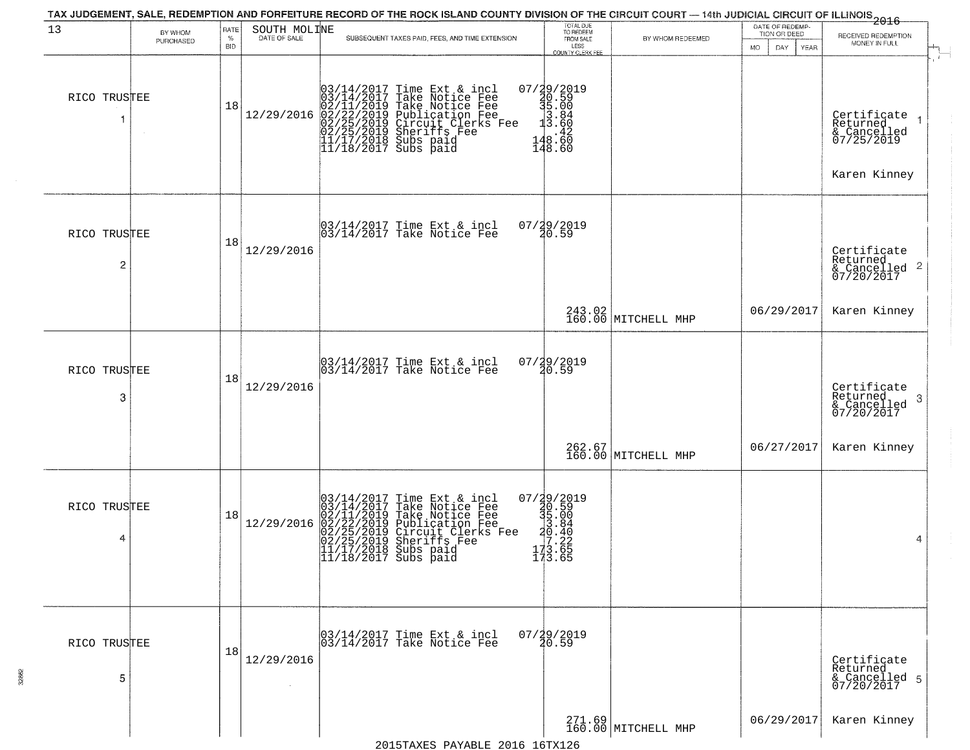| 13                             | BY WHOM<br>PURCHASED | <b>RATE</b><br>$\%$<br><b>BID</b> | SOUTH MOLINE<br>DATE OF SALE | SUBSEQUENT TAXES PAID, FEES, AND TIME EXTENSION                                                                                                                                                                                            | TOTAL DUE<br>TO REDEEM<br>FROM SALE<br>LESS                                          | BY WHOM REDEEMED              | DATE OF REDEMP-<br>TION OR DEED | $-2016$<br>RECEIVED REDEMPTION<br>MONEY IN FULL                                        |
|--------------------------------|----------------------|-----------------------------------|------------------------------|--------------------------------------------------------------------------------------------------------------------------------------------------------------------------------------------------------------------------------------------|--------------------------------------------------------------------------------------|-------------------------------|---------------------------------|----------------------------------------------------------------------------------------|
| RICO TRUSTEE                   |                      | 18                                | 12/29/2016                   | $03/14/2017$ Time Ext & incl<br>$03/14/2017$ Take Notice Fee<br>$02/11/2019$ Take Notice Fee<br>$02/22/2019$ Publication Fee<br>$02/25/2019$ Sheriffs Fee<br>$02/25/2019$ Sheriffs Fee<br>$11/17/2018$ Subs paid<br>$11/18/2017$ Subs paid | COUNTY CLERK FEE<br>07/29/2019<br>20.59<br>35.00<br>3.84<br>3.60<br>148.60<br>148.60 |                               | <b>MO</b><br>DAY<br>YEAR        | $\mathbf{r}$<br>Certifiçate 1<br>Returned<br>& Cancelled<br>07/25/2019<br>Karen Kinney |
| RICO TRUSTEE<br>$\overline{c}$ |                      | 18                                | 12/29/2016                   | 03/14/2017 Time Ext & incl<br>03/14/2017 Take Notice Fee                                                                                                                                                                                   | 07/29/2019<br>20.59                                                                  |                               |                                 | Certificate<br>Returned<br>& Cancelled 2<br>07/20/2017                                 |
|                                |                      |                                   |                              |                                                                                                                                                                                                                                            |                                                                                      | 243.02<br>160.00 MITCHELL MHP | 06/29/2017                      | Karen Kinney                                                                           |
| RICO TRUSTEE<br>3              |                      | 18                                | 12/29/2016                   | 03/14/2017 Time Ext & incl<br>03/14/2017 Take Notice Fee                                                                                                                                                                                   | 07/29/2019<br>20.59                                                                  |                               |                                 | Certificate<br>Returned<br>& Cancelled<br>07/20/2017<br>-3                             |
|                                |                      |                                   |                              |                                                                                                                                                                                                                                            |                                                                                      | 262.67<br>160.00 MITCHELL MHP | 06/27/2017                      | Karen Kinney                                                                           |
| RICO TRUSTEE<br>4              |                      | 18                                | 12/29/2016                   | $03/14/2017$ Time Ext & incl<br>$03/14/2017$ Take Notice Fee<br>$02/11/2019$ Take Notice Fee<br>$02/22/2019$ Publication Fee<br>$02/25/2019$ Sheriffs Fee<br>$02/25/2019$ Sheriffs Fee<br>$11/17/2018$ Subs paid<br>$11/18/2017$ Subs paid | 07/29/2019<br>30.59<br>35.004<br>30.40<br>30.40<br>773.225<br>173.65<br>173.65       |                               |                                 | 4                                                                                      |
| RICO TRUSTEE<br>5              |                      | 18                                | 12/29/2016                   | 03/14/2017 Time Ext & incl<br>03/14/2017 Take Notice Fee                                                                                                                                                                                   | $07/29/2019$<br>$20.59$                                                              |                               |                                 | Certificate<br>Returned<br>& Cancelled 5<br>07/20/2017                                 |
|                                |                      |                                   |                              | 2015 TAVES DAVARIE 2016 16 TO 126                                                                                                                                                                                                          |                                                                                      | 271.69<br>160.00 MITCHELL MHP | 06/29/2017                      | Karen Kinney                                                                           |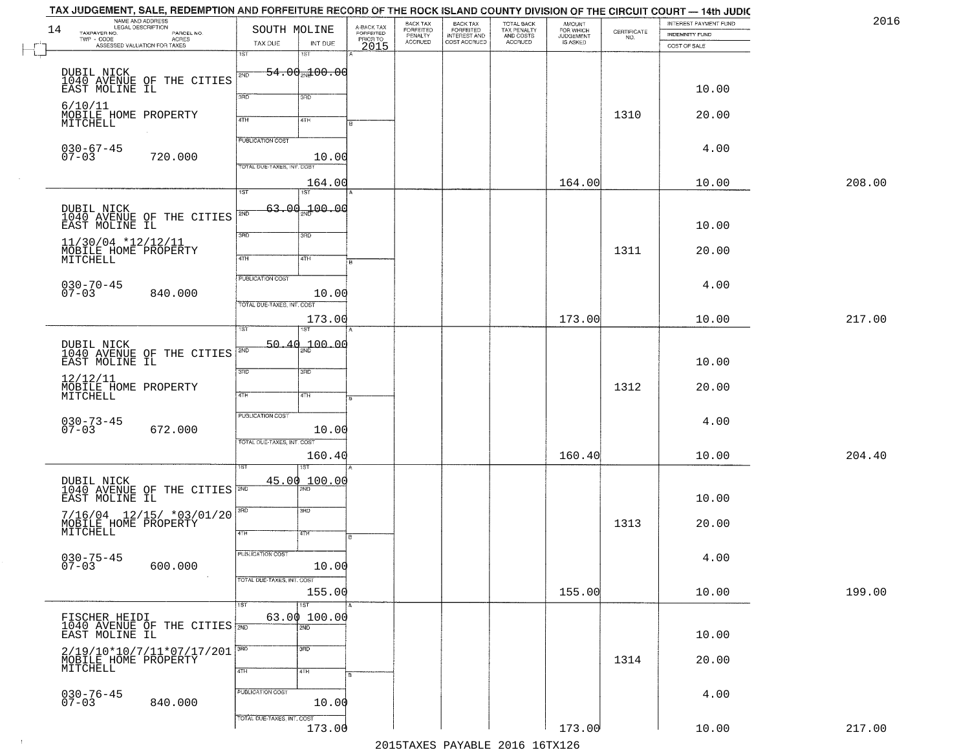| 2016   | INTEREST PAYMENT FUND<br>INDEMNITY FUND | $\begin{array}{c} \text{CERTIFICATE} \\ \text{NO.} \end{array}$ | AMOUNT<br>FOR WHICH<br><b>JUDGEMENT</b> | TOTAL BACK<br>TAX PENALTY<br>AND COSTS<br><b>ACCRUED</b> | BACK TAX<br>FORFEITED<br>INTEREST AND | BACK TAX<br>FORFEITED<br>PENALTY<br><b>ACCRUED</b> | A-BACK TAX<br>FORFEITED<br>PRIOR TO | SOUTH MOLINE                        |                            | NAME AND ADDRESS<br>LEGAL DESCRIPTION<br>PARCEL NO.<br><b>ACRES</b> | 14<br>TAXPAYER NO.                          |
|--------|-----------------------------------------|-----------------------------------------------------------------|-----------------------------------------|----------------------------------------------------------|---------------------------------------|----------------------------------------------------|-------------------------------------|-------------------------------------|----------------------------|---------------------------------------------------------------------|---------------------------------------------|
|        | COST OF SALE                            |                                                                 | IS ASKED                                |                                                          | COST ACCRUED                          |                                                    | 2015                                | INT DUE<br>1ST                      | TAX DUE<br>1ST             | ASSESSED VALUATION FOR TAXES                                        |                                             |
|        |                                         |                                                                 |                                         |                                                          |                                       |                                                    |                                     | <del>54.00<sub>20</sub>100.00</del> | 2ND                        |                                                                     |                                             |
|        | 10.00                                   |                                                                 |                                         |                                                          |                                       |                                                    |                                     | 3 <sub>BD</sub>                     | 3HD                        | DUBIL NICK<br>1040 AVENUE OF THE CITIES<br>EAST MOLINE IL           |                                             |
|        | 20.00                                   | 1310                                                            |                                         |                                                          |                                       |                                                    |                                     |                                     |                            |                                                                     | 6/10/11<br>MOBILE HOME PROPERTY<br>MITCHELL |
|        |                                         |                                                                 |                                         |                                                          |                                       |                                                    |                                     | 4TH                                 | 4TH                        |                                                                     |                                             |
|        | 4.00                                    |                                                                 |                                         |                                                          |                                       |                                                    |                                     |                                     | <b>PUBLICATION COST</b>    |                                                                     | $030 - 67 - 45$                             |
|        |                                         |                                                                 |                                         |                                                          |                                       |                                                    |                                     | 10.00                               | TOTAL DUE-TAXES, INT. COST | 720.000                                                             | $07 - 03$                                   |
| 208.00 | 10.00                                   |                                                                 | 164.00                                  |                                                          |                                       |                                                    |                                     | 164.00<br>1ST                       | IST.                       |                                                                     |                                             |
|        |                                         |                                                                 |                                         |                                                          |                                       |                                                    |                                     | $63.00 - 00$                        |                            |                                                                     |                                             |
|        | 10.00                                   |                                                                 |                                         |                                                          |                                       |                                                    |                                     |                                     | 2ND                        | DUBIL NICK<br>1040 AVENUE OF THE CITIES                             | EAST MOLINE IL                              |
|        | 20.00                                   | 1311                                                            |                                         |                                                          |                                       |                                                    |                                     | 3HD                                 | 3RD                        |                                                                     | 11/30/04 *12/12/11<br>MOBILE HOME PROPERTY  |
|        |                                         |                                                                 |                                         |                                                          |                                       |                                                    |                                     | 4TH                                 | 47H                        |                                                                     | MITCHELL                                    |
|        | 4.00                                    |                                                                 |                                         |                                                          |                                       |                                                    |                                     |                                     | PUBLICATION COST           |                                                                     | $030 - 70 - 45$                             |
|        |                                         |                                                                 |                                         |                                                          |                                       |                                                    |                                     | 10.00                               | TOTAL DUE-TAXES, INT. COST | 840.000                                                             | $07 - 03$                                   |
| 217.00 | 10.00                                   |                                                                 | 173.00                                  |                                                          |                                       |                                                    |                                     | 173.00<br>ST                        |                            |                                                                     |                                             |
|        |                                         |                                                                 |                                         |                                                          |                                       |                                                    |                                     | 700.00                              | 50.40                      |                                                                     |                                             |
|        | 10.00                                   |                                                                 |                                         |                                                          |                                       |                                                    |                                     |                                     | SVD                        | DUBIL NICK<br>1040 AVENUE OF THE CITIES                             | EAST MOLINE IL                              |
|        | 20.00                                   |                                                                 |                                         |                                                          |                                       |                                                    |                                     | 3 <sub>BD</sub>                     | 3RD                        |                                                                     | 12/12/11<br>MOBILE HOME PROPERTY            |
|        |                                         | 1312                                                            |                                         |                                                          |                                       |                                                    |                                     | 4TH                                 | 4TH                        |                                                                     | MITCHELL                                    |
|        | 4.00                                    |                                                                 |                                         |                                                          |                                       |                                                    |                                     |                                     | <b>PUBLICATION COST</b>    |                                                                     | $030 - 73 - 45$<br>07-03                    |
|        |                                         |                                                                 |                                         |                                                          |                                       |                                                    |                                     | 10.00                               | TOTAL OUE-TAXES, INT. COST | 672.000                                                             |                                             |
| 204.40 | 10.00                                   |                                                                 | 160.40                                  |                                                          |                                       |                                                    |                                     | 160.40                              |                            |                                                                     |                                             |
|        |                                         |                                                                 |                                         |                                                          |                                       |                                                    |                                     | $\frac{45.00}{200}$ 100.00          |                            |                                                                     |                                             |
|        | 10.00                                   |                                                                 |                                         |                                                          |                                       |                                                    |                                     |                                     |                            | DUBIL NICK<br>1040 AVENUE OF THE CITIES                             | EAST MOLINE IL                              |
|        |                                         |                                                                 |                                         |                                                          |                                       |                                                    |                                     | 3BD                                 | 3RD                        | $7/16/04$ 12/15/ *03/01/20                                          |                                             |
|        | 20.00                                   | 1313                                                            |                                         |                                                          |                                       |                                                    |                                     | ৰাম                                 | 4TH                        |                                                                     | MOBILE HOME PROPERTY                        |
|        | 4.00                                    |                                                                 |                                         |                                                          |                                       |                                                    |                                     |                                     | PUBLICATION COST           |                                                                     | $030 - 75 - 45$<br>07-03                    |
|        |                                         |                                                                 |                                         |                                                          |                                       |                                                    |                                     | 10.00                               | TOTAL DUE-TAXES, INT. COST | 600.000                                                             |                                             |
| 199.00 | 10.00                                   |                                                                 | 155.00                                  |                                                          |                                       |                                                    |                                     | 155.00                              |                            |                                                                     |                                             |
|        |                                         |                                                                 |                                         |                                                          |                                       |                                                    |                                     | 1ST<br>63.00 100.00                 | 1ST                        |                                                                     |                                             |
|        | 10.00                                   |                                                                 |                                         |                                                          |                                       |                                                    |                                     | 2ND                                 |                            | FISCHER HEIDI<br>1040 AVENUE OF THE CITIES                          | EAST MOLINE IL                              |
|        |                                         |                                                                 |                                         |                                                          |                                       |                                                    |                                     | 3RD                                 | 3RD                        | 2/19/10*10/7/11*07/17/201                                           |                                             |
|        | 20.00                                   | 1314                                                            |                                         |                                                          |                                       |                                                    |                                     | 4TH                                 | 4TH                        |                                                                     | MOBILE HOME PROPERTY<br>MITCHELL            |
|        | 4.00                                    |                                                                 |                                         |                                                          |                                       |                                                    |                                     |                                     | PUBLICATION COST           |                                                                     |                                             |
|        |                                         |                                                                 |                                         |                                                          |                                       |                                                    |                                     | 10.00                               |                            | 840.000                                                             | $030 - 76 - 45$<br>07-03                    |
| 217.00 | 10.00                                   |                                                                 | 173.00                                  |                                                          |                                       |                                                    |                                     | 173.00                              | TOTAL DUE-TAXES, INT. COST |                                                                     |                                             |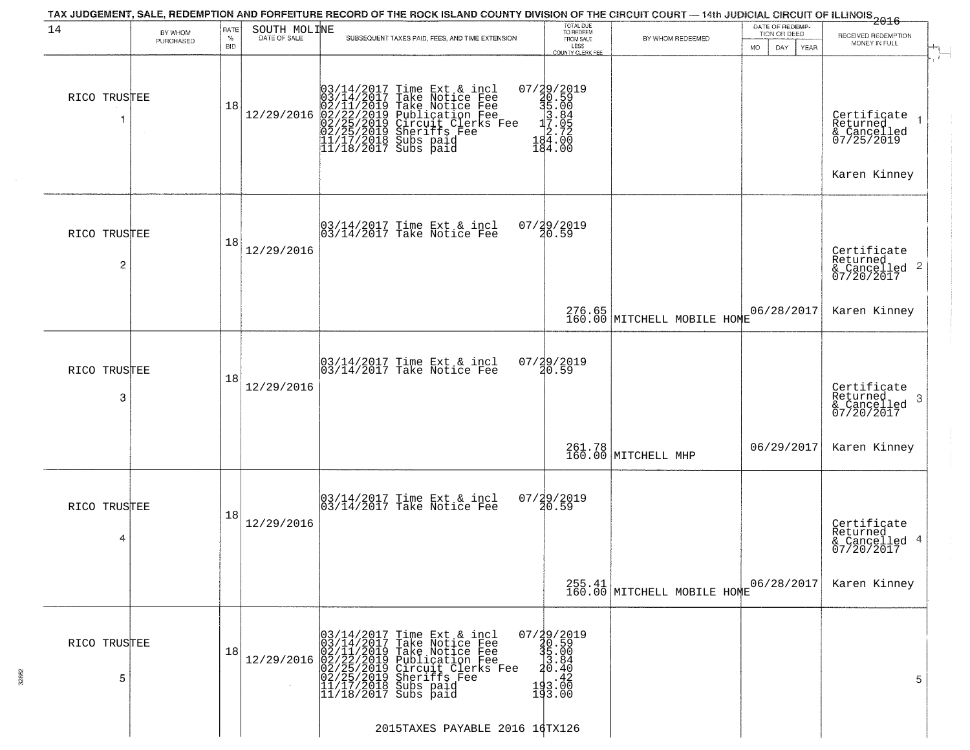| 14                             | BY WHOM   | RATE               | SOUTH MOLINE | TAX JUDGEMENT, SALE, REDEMPTION AND FORFEITURE RECORD OF THE ROCK ISLAND COUNTY DIVISION OF THE CIRCUIT COURT — 14th JUDICIAL CIRCUIT OF ILLINOIS 2016                                                                                                 | TOTAL DUE<br>TO REDEEM<br>FROM SALE                                         |                               | DATE OF REDEMP-<br>TION OR DEED |                                                                      |
|--------------------------------|-----------|--------------------|--------------|--------------------------------------------------------------------------------------------------------------------------------------------------------------------------------------------------------------------------------------------------------|-----------------------------------------------------------------------------|-------------------------------|---------------------------------|----------------------------------------------------------------------|
|                                | PURCHASED | $\%$<br><b>BID</b> | DATE OF SALE | SUBSEQUENT TAXES PAID, FEES, AND TIME EXTENSION                                                                                                                                                                                                        | LESS<br>COUNTY CLERK FEE                                                    | BY WHOM REDEEMED              | <b>MO</b><br>DAY<br>YEAR        | RECEIVED REDEMPTION<br>MONEY IN FULL                                 |
| RICO TRUSTEE                   |           | 18                 | 12/29/2016   | $03/14/2017$ Time Ext & incl<br>$03/14/2017$ Take Notice Fee<br>$02/11/2019$ Take Notice Fee<br>$02/22/2019$ Publication Fee<br>$02/25/2019$ Sheriffs Fee<br>$02/25/2019$ Sheriffs Fee<br>$11/17/2018$ Subs paid<br>$11/18/2017$ Subs paid             | 07/29/2019<br>30.59<br>31.00<br>31.00<br>3.00<br>34.000<br>184.00           |                               |                                 | Certificate<br>Returned<br>& Cancelled<br>07/25/2019<br>Karen Kinney |
| RICO TRUSTEE<br>$\overline{c}$ |           | 18                 | 12/29/2016   | 03/14/2017 Time Ext & incl<br>03/14/2017 Take Notice Fee                                                                                                                                                                                               | 07/29/2019<br>20.59                                                         |                               |                                 | Certificate<br>Returned<br>& Cancelled 2<br>07/20/2017               |
|                                |           |                    |              |                                                                                                                                                                                                                                                        |                                                                             | 276.65 MITCHELL MOBILE HOME   | 06/28/2017                      | Karen Kinney                                                         |
| RICO TRUSTEE<br>3              |           | 18                 | 12/29/2016   | 03/14/2017 Time Ext & incl<br>03/14/2017 Take Notice Fee                                                                                                                                                                                               | 07/29/2019<br>20.59                                                         |                               |                                 | Certificate<br>Returned<br>-3<br>& Cancelled<br>07/20/2017           |
|                                |           |                    |              |                                                                                                                                                                                                                                                        |                                                                             | 261.78<br>160.00 MITCHELL MHP | 06/29/2017                      | Karen Kinney                                                         |
| RICO TRUSTEE<br>4              |           | 18                 | 12/29/2016   | 03/14/2017 Time Ext & incl<br>03/14/2017 Take Notice Fee                                                                                                                                                                                               | $07/29/2019$<br>$20.59$                                                     |                               |                                 | Certificate<br>Returned<br>& Cancelled 4<br>07/20/2017               |
|                                |           |                    |              |                                                                                                                                                                                                                                                        |                                                                             | $255.41$ MITCHELL MOBILE HOME | 06/28/2017                      | Karen Kinney                                                         |
| RICO TRUSTEE<br>5              |           | 18                 |              | 03/14/2017 Time Ext & incl<br>03/14/2017 Take Notice Fee<br>12/29/2016 02/11/2019 Take Notice Fee<br>12/29/2016 02/22/2019 Publication Fee<br>02/25/2019 Circuit Clerks Fee<br>02/25/2019 Sheriffs Fee<br>11/17/2018 Subs paid<br>11/18/2017 Subs paid | $07/\frac{19}{20}.59$<br>$35.00$<br>$3.84$<br>$2.40.40$<br>193.00<br>193.00 |                               |                                 | 5                                                                    |
|                                |           |                    |              | 2015TAXES PAYABLE 2016 16TX126                                                                                                                                                                                                                         |                                                                             |                               |                                 |                                                                      |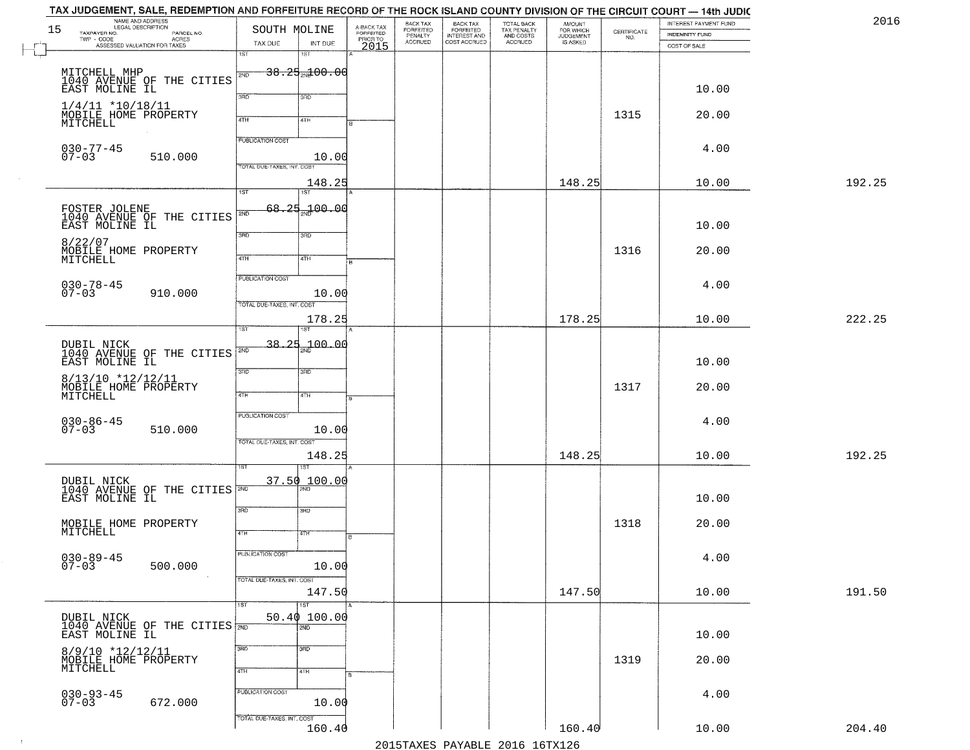|    | TAX JUDGEMENT, SALE, REDEMPTION AND FORFEITURE RECORD OF THE ROCK ISLAND COUNTY DIVISION OF THE CIRCUIT COURT — 14th JUDIC<br>NAME AND ADDRESS<br>LEGAL DESCRIPTION |                                                                 |                                             | BACK TAX                        |                                                       |                                                   | <b>AMOUNT</b>                      |                                                                 | INTEREST PAYMENT FUND | 2016   |
|----|---------------------------------------------------------------------------------------------------------------------------------------------------------------------|-----------------------------------------------------------------|---------------------------------------------|---------------------------------|-------------------------------------------------------|---------------------------------------------------|------------------------------------|-----------------------------------------------------------------|-----------------------|--------|
| 15 | TAXPAYER NO.<br>PARCEL NO.<br>$\mathsf{TWP} \, \cdot \, \mathsf{CODE}$<br>- CODE<br>ACRES<br>ASSESSED VALUATION FOR TAXES                                           | SOUTH MOLINE<br>TAX DUE<br>INT DUE                              | A-BACK TAX<br>FORFEITED<br>PRIOR TO<br>2015 | FORFEITED<br>PENALTY<br>ACCRUED | BACK TAX<br>FORFEITED<br>INTEREST AND<br>COST ACCRUED | TOTAL BACK<br>TAX PENALTY<br>AND COSTS<br>ACCRUED | FOR WHICH<br>JUDGEMENT<br>IS ASKED | $\begin{array}{c} \text{CERTIFICATE} \\ \text{NO.} \end{array}$ | INDEMNITY FUND        |        |
|    |                                                                                                                                                                     | 1ST<br>1ST                                                      |                                             |                                 |                                                       |                                                   |                                    |                                                                 | COST OF SALE          |        |
|    | MITCHELL MHP<br>1040 AVENUE OF THE CITIES<br>EAST MOLINE IL                                                                                                         | $38.25 + 00.00$<br>2ND                                          |                                             |                                 |                                                       |                                                   |                                    |                                                                 |                       |        |
|    | $1/4/11$ *10/18/11                                                                                                                                                  | 3RD<br>3RD                                                      |                                             |                                 |                                                       |                                                   |                                    |                                                                 | 10.00                 |        |
|    | MOBILE HOME PROPERTY<br>MITCHELL                                                                                                                                    | 4TH<br>4TH                                                      |                                             |                                 |                                                       |                                                   |                                    | 1315                                                            | 20.00                 |        |
|    | $030 - 77 - 45$                                                                                                                                                     | <b>PUBLICATION COST</b>                                         |                                             |                                 |                                                       |                                                   |                                    |                                                                 | 4.00                  |        |
|    | $07 - 03$<br>510.000                                                                                                                                                | 10.00<br>TOTAL DUE-TAXES, INT. COST                             |                                             |                                 |                                                       |                                                   |                                    |                                                                 |                       |        |
|    |                                                                                                                                                                     | 148.25<br>1ST<br>1ST                                            |                                             |                                 |                                                       |                                                   | 148.25                             |                                                                 | 10.00                 | 192.25 |
|    | FOSTER JOLENE<br>1040 AVENUE OF THE CITIES<br>EAST MOLINE IL                                                                                                        | 68,25<br>700.00<br>2ND                                          |                                             |                                 |                                                       |                                                   |                                    |                                                                 | 10.00                 |        |
|    | 8/22/07<br>MOBILE HOME PROPERTY<br>MITCHELL                                                                                                                         | 3BD<br>3RD<br>47H<br>4TH                                        |                                             |                                 |                                                       |                                                   |                                    | 1316                                                            | 20.00                 |        |
|    | $030 - 78 - 45$<br>07-03<br>910.000                                                                                                                                 | PUBLICATION COST<br>10.00                                       |                                             |                                 |                                                       |                                                   |                                    |                                                                 | 4.00                  |        |
|    |                                                                                                                                                                     | TOTAL DUE-TAXES, INT. COST<br>178.25                            |                                             |                                 |                                                       |                                                   | 178.25                             |                                                                 | 10.00                 | 222.25 |
|    | DUBIL NICK<br>1040 AVENUE OF THE CITIES                                                                                                                             | $-38.25 + 100.00$<br>S/ID                                       |                                             |                                 |                                                       |                                                   |                                    |                                                                 |                       |        |
|    | EAST MOLINE IL<br>8/13/10 *12/12/11                                                                                                                                 | 3RD<br>3 <sub>BD</sub>                                          |                                             |                                 |                                                       |                                                   |                                    |                                                                 | 10.00                 |        |
|    | MOBILE HOME PROPERTY<br>MITCHELL                                                                                                                                    | 4TH<br>4TH                                                      |                                             |                                 |                                                       |                                                   |                                    | 1317                                                            | 20.00                 |        |
|    | $030 - 86 - 45$<br>07-03<br>510.000                                                                                                                                 | <b>PUBLICATION COST</b><br>10.00                                |                                             |                                 |                                                       |                                                   |                                    |                                                                 | 4.00                  |        |
|    |                                                                                                                                                                     | TOTAL OUE-TAXES, INT. COST<br>148.25<br>ख़                      |                                             |                                 |                                                       |                                                   | 148.25                             |                                                                 | 10.00                 | 192.25 |
|    | DUBIL NICK<br>1040 AVENUE OF THE CITIES                                                                                                                             | 37.50 100.00                                                    |                                             |                                 |                                                       |                                                   |                                    |                                                                 |                       |        |
|    | EAST MOLINE IL                                                                                                                                                      | 3RD<br>3BD                                                      |                                             |                                 |                                                       |                                                   |                                    |                                                                 | 10.00                 |        |
|    | MOBILE HOME PROPERTY<br>MITCHELL                                                                                                                                    | 4TH<br>वाम                                                      |                                             |                                 |                                                       |                                                   |                                    | 1318                                                            | 20.00                 |        |
|    | $030 - 89 - 45$<br>07-03<br>500.000                                                                                                                                 | PUBLICATION COST<br>10.00                                       |                                             |                                 |                                                       |                                                   |                                    |                                                                 | 4.00                  |        |
|    |                                                                                                                                                                     | TOTAL DUE-TAXES, INT. COST<br>147.50<br>$\overline{1ST}$<br>1ST |                                             |                                 |                                                       |                                                   | 147.50                             |                                                                 | 10.00                 | 191.50 |
|    | DUBIL NICK<br>1040 AVENUE OF THE CITIES<br>EAST MOLINE IL                                                                                                           | 50.40 100.00<br>$\overline{2ND}$                                |                                             |                                 |                                                       |                                                   |                                    |                                                                 | 10.00                 |        |
|    | 8/9/10 *12/12/11                                                                                                                                                    | 3RD<br>3 <sub>BD</sub>                                          |                                             |                                 |                                                       |                                                   |                                    |                                                                 |                       |        |
|    | MOBILE HOME PROPERTY<br>MITCHELL                                                                                                                                    | 4TH<br>4TH                                                      |                                             |                                 |                                                       |                                                   |                                    | 1319                                                            | 20.00                 |        |
|    | $030 - 93 - 45$<br>07-03<br>672.000                                                                                                                                 | PUBLICATION COST<br>10.00                                       |                                             |                                 |                                                       |                                                   |                                    |                                                                 | 4.00                  |        |
|    |                                                                                                                                                                     | TOTAL DUE-TAXES, INT. COST<br>160.40                            |                                             |                                 |                                                       |                                                   | 160.40                             |                                                                 | 10.00                 | 204.40 |
|    |                                                                                                                                                                     |                                                                 |                                             |                                 |                                                       | 2015 TAVEC DAVADIE 2016 16 TV126                  |                                    |                                                                 |                       |        |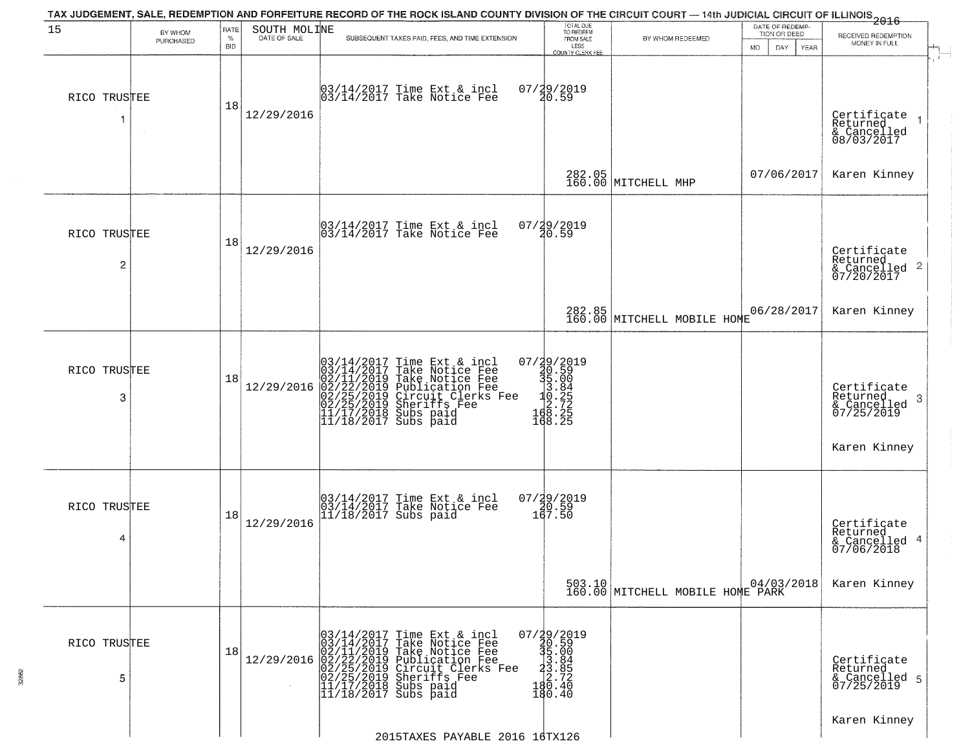| 15                | BY WHOM   | RATE               | SOUTH MOLINE | TAX JUDGEMENT, SALE, REDEMPTION AND FORFEITURE RECORD OF THE ROCK ISLAND COUNTY DIVISION OF THE CIRCUIT COURT — 14th JUDICIAL CIRCUIT OF ILLINOIS 2016                                                                                     | TOTAL DUE<br>TO REDEEM                                                                                           |                                                  | DATE OF REDEMP<br>TION OR DEED | RECEIVED REDEMPTION                                                       |
|-------------------|-----------|--------------------|--------------|--------------------------------------------------------------------------------------------------------------------------------------------------------------------------------------------------------------------------------------------|------------------------------------------------------------------------------------------------------------------|--------------------------------------------------|--------------------------------|---------------------------------------------------------------------------|
|                   | PURCHASED | $\%$<br><b>BID</b> | DATE OF SALE | SUBSEQUENT TAXES PAID, FEES, AND TIME EXTENSION                                                                                                                                                                                            | FROM SALE<br>LESS<br><b>COUNTY CLERK FEE</b>                                                                     | BY WHOM REDEEMED                                 | MO.<br>DAY.<br>YEAR            | MONEY IN FULL                                                             |
| RICO TRUSTEE<br>1 |           | 18                 | 12/29/2016   | 03/14/2017 Time Ext & incl<br>03/14/2017 Take Notice Fee                                                                                                                                                                                   | 07/29/2019<br>20.59                                                                                              |                                                  |                                | Certificate<br>Returned<br>& Cancelled<br>08/03/2017                      |
|                   |           |                    |              |                                                                                                                                                                                                                                            |                                                                                                                  | 282.05<br>160.00 MITCHELL MHP                    | 07/06/2017                     | Karen Kinney                                                              |
| RICO TRUSTEE<br>2 |           | 18                 | 12/29/2016   | $\begin{bmatrix} 03/14/2017 \\ 03/14/2017 \end{bmatrix}$ Time Ext & incl                                                                                                                                                                   | 07/29/2019<br>20.59                                                                                              |                                                  |                                | Certificate<br>Returned<br>& Cancelled 2<br>07/20/2017                    |
|                   |           |                    |              |                                                                                                                                                                                                                                            |                                                                                                                  | 282.85 MITCHELL MOBILE HOME                      | 06/28/2017                     | Karen Kinney                                                              |
| RICO TRUSTEE<br>3 |           | 18                 | 12/29/2016   | $03/14/2017$ Time Ext & incl<br>$03/14/2017$ Take Notice Fee<br>$02/11/2019$ Take Notice Fee<br>$02/22/2019$ Publication Fee<br>$02/25/2019$ Sheriffs Fee<br>$02/25/2019$ Sheriffs Fee<br>$11/17/2018$ Subs paid<br>$11/18/2017$ Subs paid | ${\footnotesize \begin{array}{c} 07/39/2019 \\ 30.59 \\ 35.00 \\ 13.84 \\ 2.72 \\ 168.25 \\ 168.25 \end{array}}$ |                                                  |                                | Certificate<br>Returned<br>3<br>& Cancelled<br>07/25/2019<br>Karen Kinney |
| RICO TRUSTEE<br>4 |           | 18                 | 12/29/2016   | 03/14/2017 Time Ext & incl<br>03/14/2017 Take Notice Fee<br>11/18/2017 Subs paid                                                                                                                                                           | $07/29/2019$<br>$20.59$<br>$167.50$                                                                              |                                                  |                                | Certificate<br>Returned<br>& Cancelled 4<br>07/06/2018                    |
|                   |           |                    |              |                                                                                                                                                                                                                                            |                                                                                                                  | 503.10 04/03<br>160.00 MITCHELL MOBILE HOME PARK | 04/03/2018                     | Karen Kinney                                                              |
| RICO TRUSTEE<br>5 |           | 18                 | 12/29/2016   | $03/14/2017$ Time Ext & incl<br>$03/14/2017$ Take Notice Fee<br>$02/11/2019$ Take Notice Fee<br>$02/22/2019$ Publication Fee<br>$02/25/2019$ Sheriffs Fee<br>$11/17/2018$ Subs paid<br>$11/18/2017$ Subs paid                              | 07/29/2019<br>30.59<br>31.004<br>3.885<br>3.722<br>480.40<br>180.40                                              |                                                  |                                | Certificate<br>Returned<br>& Cancelled 5<br>07/25/2019                    |
|                   |           |                    |              | 2015TAXES PAYABLE 2016 16TX126                                                                                                                                                                                                             |                                                                                                                  |                                                  |                                | Karen Kinney                                                              |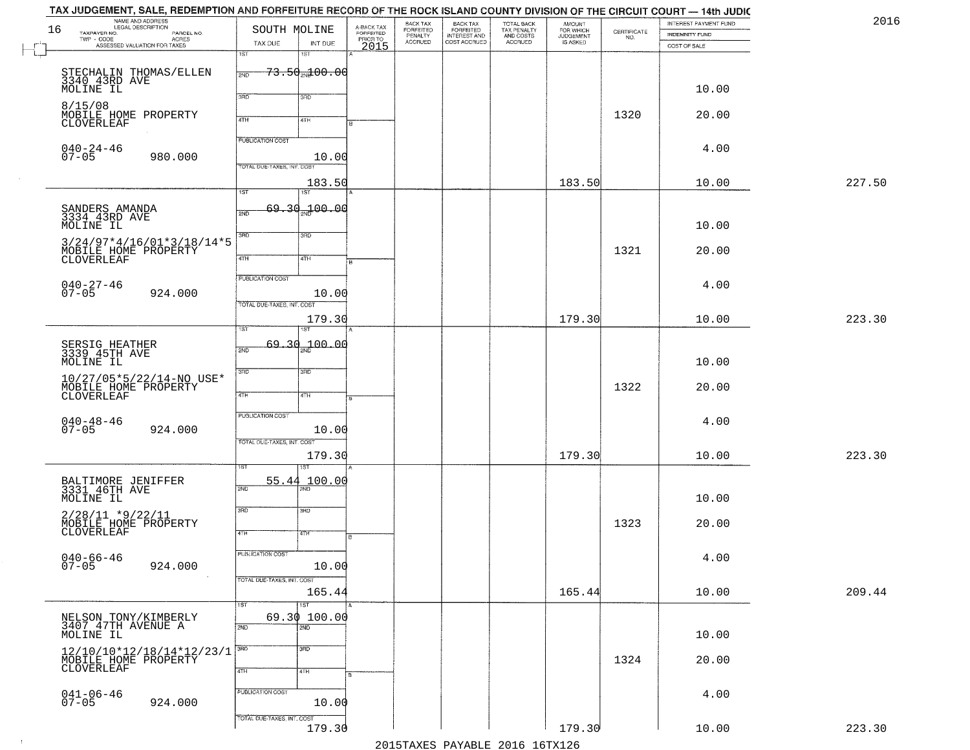|        | INTEREST PAYMENT FUND<br><b>INDEMNITY FUND</b> | CERTIFICATE | <b>AMOUNT</b><br>FOR WHICH<br>JUDGEMENT<br>IS ASKED | TOTAL BACK<br>TAX PENALTY<br>AND COSTS<br>ACCRUED | BACK TAX<br>FORFEITED<br>INTEREST AND<br>COST ACCRUED | BACK TAX<br>FORFEITED<br>PENALTY<br>ACCRUED | A-BACK TAX<br>FORFEITED |                            | SOUTH MOLINE                      | NAME AND ADDRESS<br>LEGAL DESCRIPTION<br>PARCEL NO. | 16<br>TAXPAYER NO.           |
|--------|------------------------------------------------|-------------|-----------------------------------------------------|---------------------------------------------------|-------------------------------------------------------|---------------------------------------------|-------------------------|----------------------------|-----------------------------------|-----------------------------------------------------|------------------------------|
|        | COST OF SALE                                   | NO.         |                                                     |                                                   |                                                       |                                             | PRICRTO                 | INT DUE<br>1ST             | TAX DUE<br>1ST                    | - CODE ACRES<br>ASSESSED VALUATION FOR TAXES        | TWP - CODE                   |
|        |                                                |             |                                                     |                                                   |                                                       |                                             |                         | <del>73.50 ad 00.00</del>  | 2ND                               | STECHALIN THOMAS/ELLEN<br>3340_43RD AVE             |                              |
|        | 10.00                                          |             |                                                     |                                                   |                                                       |                                             |                         | 3RD                        | 3BD                               |                                                     | MOLINE IL                    |
|        | 20.00                                          | 1320        |                                                     |                                                   |                                                       |                                             |                         | 4TH                        | 4TH                               | MOBILE HOME PROPERTY                                | 8/15/08                      |
|        |                                                |             |                                                     |                                                   |                                                       |                                             |                         |                            | <b>PUBLICATION COST</b>           |                                                     | CLOVERLEAF                   |
|        | 4.00                                           |             |                                                     |                                                   |                                                       |                                             |                         | 10.00                      |                                   | 980.000                                             | $040 - 24 - 46$<br>$07 - 05$ |
| 227.50 | 10.00                                          |             | 183.50                                              |                                                   |                                                       |                                             |                         | 183.50                     | <b>TOTAL DUE-TAXES, INT. COST</b> |                                                     |                              |
|        |                                                |             |                                                     |                                                   |                                                       |                                             |                         | 1ST                        | $\overline{1ST}$                  |                                                     |                              |
|        | 10.00                                          |             |                                                     |                                                   |                                                       |                                             |                         | 69.30 <sub>2N</sub> 100.00 | 2ND                               | SANDERS AMANDA<br>3334 43RD AVE                     | MOLINE IL                    |
|        | 20.00                                          | 1321        |                                                     |                                                   |                                                       |                                             |                         | 3RD                        | 3RD                               | $3/24/97*4/16/01*3/18/14*5$                         |                              |
|        |                                                |             |                                                     |                                                   |                                                       |                                             |                         | 4TH                        | $\overline{47H}$                  | MOBILE HOME PROPERTY                                | CLOVERLEAF                   |
|        | 4.00                                           |             |                                                     |                                                   |                                                       |                                             |                         | 10.00                      | PUBLICATION COST                  | 924.000                                             | 040-27-46<br>07-05           |
|        |                                                |             |                                                     |                                                   |                                                       |                                             |                         |                            | TOTAL DUE-TAXES, INT. COST        |                                                     |                              |
| 223.30 | 10.00                                          |             | 179.30                                              |                                                   |                                                       |                                             |                         | 179.30                     | ist                               |                                                     |                              |
|        | 10.00                                          |             |                                                     |                                                   |                                                       |                                             |                         | <sub>2N</sub> 200.00       | 69,30<br>2ND                      | SERSIG HEATHER<br>3339 45TH AVE                     | MOLINE IL                    |
|        | 20.00                                          | 1322        |                                                     |                                                   |                                                       |                                             |                         | 3RD                        | 3RD                               | $10/27/05*5/22/14-NO$ USE*<br>MOBILE HOME PROPERTY  |                              |
|        |                                                |             |                                                     |                                                   |                                                       |                                             |                         | 4TH                        | 4TH                               |                                                     | CLOVERLEAF                   |
|        | 4.00                                           |             |                                                     |                                                   |                                                       |                                             |                         | 10.00                      | PUBLICATION COST                  | 924.000                                             | $040 - 48 - 46$<br>07-05     |
| 223.30 | 10.00                                          |             | 179.30                                              |                                                   |                                                       |                                             |                         | 179.30                     | TOTAL OUE-TAXES, INT. COST        |                                                     |                              |
|        |                                                |             |                                                     |                                                   |                                                       |                                             |                         | 100.00                     | 55.44                             |                                                     |                              |
|        | 10.00                                          |             |                                                     |                                                   |                                                       |                                             |                         |                            | 2ND                               | BALTIMORE JENIFFER<br>3331 46TH AVE                 | MOLINE IL                    |
|        | 20.00                                          | 1323        |                                                     |                                                   |                                                       |                                             |                         | 3RD                        | 3RD                               | $2/28/11$ *9/22/11<br>MOBILE HOME PROPERTY          |                              |
|        |                                                |             |                                                     |                                                   |                                                       |                                             |                         | 47H                        | 4TH                               |                                                     | CLOVERLEAF                   |
|        | 4.00                                           |             |                                                     |                                                   |                                                       |                                             |                         | 10.00                      | <b>PUBLICATION COST</b>           | 924.000                                             | 040-66-46<br>07-05           |
| 209.44 | 10.00                                          |             | 165.44                                              |                                                   |                                                       |                                             |                         | 165.44                     | TOTAL DUE-TAXES, INT. COST        |                                                     |                              |
|        |                                                |             |                                                     |                                                   |                                                       |                                             |                         | $\overline{1ST}$           | 1ST                               |                                                     |                              |
|        | 10.00                                          |             |                                                     |                                                   |                                                       |                                             |                         | 69.30100.00<br>2ND         | 2ND                               | NELSON TONY/KIMBERLY<br>3407 47TH AVENUE A          | MOLINE IL                    |
|        | 20.00                                          | 1324        |                                                     |                                                   |                                                       |                                             |                         | 3 <sub>RD</sub><br>4TH     | 3RD<br>4TH                        | 12/10/10*12/18/14*12/23/1<br>MOBILE HOME PROPERTY   |                              |
|        |                                                |             |                                                     |                                                   |                                                       |                                             |                         |                            | PUBLICATION COST                  |                                                     |                              |
|        | 4.00                                           |             |                                                     |                                                   |                                                       |                                             |                         | 10.00                      |                                   | 924.000                                             | $041 - 06 - 46$<br>07-05     |
| 223.30 | 10.00                                          |             | 179.30                                              |                                                   |                                                       |                                             |                         | 179.30                     | TOTAL DUE-TAXES, INT. COST        |                                                     |                              |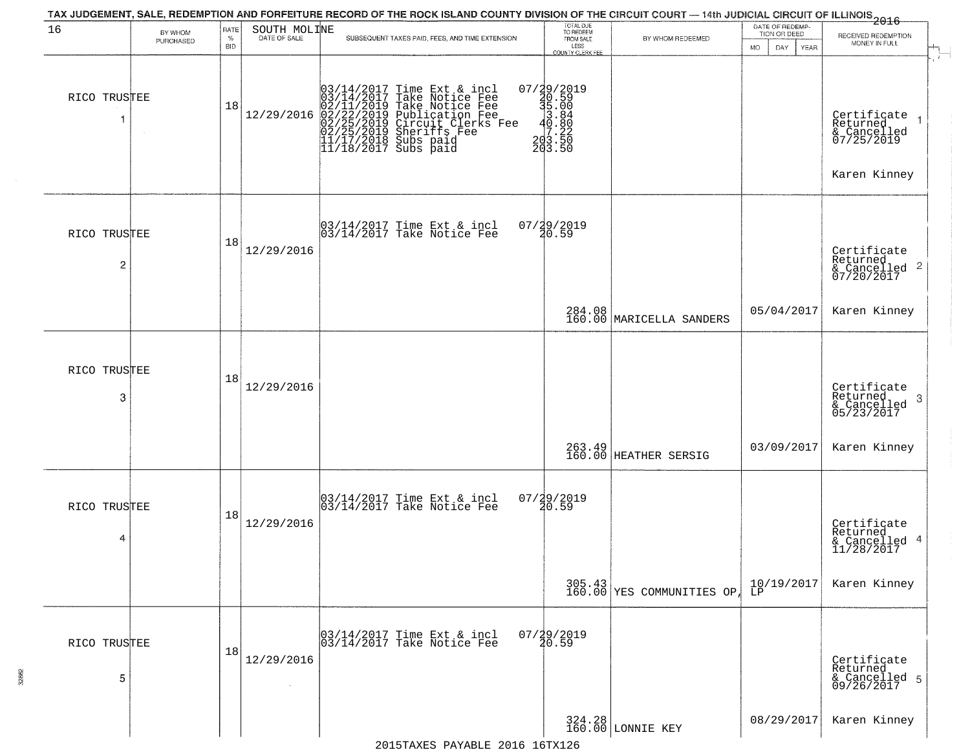| 16                             | BY WHOM   | RATE<br>$\%$ | SOUTH MOLINE<br>DATE OF SALE | SUBSEQUENT TAXES PAID, FEES, AND TIME EXTENSION                                                                                                                                                                                                                                                                                                                       | TOTAL DUE<br>TO REDEEM<br>FROM SALE                                                                 | BY WHOM REDEEMED                    | DATE OF REDEMP-<br>TION OR DEED          | $\frac{2016}{2016}$<br>RECEIVED REDEMPTION                 |
|--------------------------------|-----------|--------------|------------------------------|-----------------------------------------------------------------------------------------------------------------------------------------------------------------------------------------------------------------------------------------------------------------------------------------------------------------------------------------------------------------------|-----------------------------------------------------------------------------------------------------|-------------------------------------|------------------------------------------|------------------------------------------------------------|
|                                | PURCHASED | <b>BID</b>   |                              |                                                                                                                                                                                                                                                                                                                                                                       | LESS<br><b>COUNTY CLERK FEE</b>                                                                     |                                     | <b>MO</b><br>DAY.<br>YEAR                | MONEY IN FULL<br>$\overline{1}$                            |
| RICO TRUSTEE                   |           | 18           |                              | $[03/14/2017 \text{ Time Ext & incl} \ \hline \begin{array}{c} 03/14/2017 \text{ Time Ext & incl} \\ 03/14/2017 \text{ Take Notice Free} \\ 02/11/2019 \text{ Take Notice Free} \\ 02/22/2019 \text{ Publication Free} \\ 02/25/2019 \text{ Circuit.} \\ 02/25/2019 \text{Sheriffs Free} \\ 11/17/2018 \text{ Subs paid} \\ 11/18/2017 \text{ Subs paid} \end{array}$ | $\begin{smallmatrix} 07/29/2019\\ 20.59\\ 35.00\\ 3.84\\ -4.86\\ 203.50\\ 203.50 \end{smallmatrix}$ |                                     |                                          | Certificate<br>Returned<br>& Cancelled<br>07/25/2019       |
|                                |           |              |                              |                                                                                                                                                                                                                                                                                                                                                                       |                                                                                                     |                                     |                                          | Karen Kinney                                               |
| RICO TRUSTEE<br>$\overline{c}$ |           | 18           | 12/29/2016                   | 03/14/2017 Time Ext & incl<br>03/14/2017 Take Notice Fee                                                                                                                                                                                                                                                                                                              | 07/29/2019<br>20.59                                                                                 |                                     |                                          | Certificate<br>Returned<br>& Cancelled 2<br>07/20/2017     |
|                                |           |              |                              |                                                                                                                                                                                                                                                                                                                                                                       |                                                                                                     | 284.08<br>160.00 MARICELLA SANDERS  | 05/04/2017                               | Karen Kinney                                               |
| RICO TRUSTEE<br>3              |           | 18           | 12/29/2016                   |                                                                                                                                                                                                                                                                                                                                                                       |                                                                                                     |                                     |                                          | Certificate<br>Returned<br>& Cancelled<br>05/23/2017<br>-3 |
|                                |           |              |                              |                                                                                                                                                                                                                                                                                                                                                                       |                                                                                                     | 263.49<br>160.00 HEATHER SERSIG     | 03/09/2017                               | Karen Kinney                                               |
| RICO TRUSTEE<br>4              |           | 18           | 12/29/2016                   | 03/14/2017 Time Ext & incl<br>03/14/2017 Take Notice Fee                                                                                                                                                                                                                                                                                                              | 07/29/2019<br>20.59                                                                                 |                                     |                                          | Certificate<br>Returned<br>& Cancelled 4<br>11/28/2017     |
|                                |           |              |                              |                                                                                                                                                                                                                                                                                                                                                                       |                                                                                                     | 305.43<br>160.00 YES COMMUNITIES OP | $\left  \frac{10}{18} \right/ 19 / 2017$ | Karen Kinney                                               |
| RICO TRUSTEE<br>5              |           | 18           | 12/29/2016                   | 03/14/2017 Time Ext & incl<br>03/14/2017 Take Notice Fee                                                                                                                                                                                                                                                                                                              | $07/\frac{1}{4}9/\frac{2019}{59}$                                                                   |                                     |                                          | Certificate<br>Returned<br>& Cancelled 5<br>09/26/2017     |
|                                |           |              |                              | $2015$ $T375C$ $D375F$ $F$ $2016$ $16T$ $T36$                                                                                                                                                                                                                                                                                                                         |                                                                                                     | 324.28<br>160.00 LONNIE KEY         | 08/29/2017                               | Karen Kinney                                               |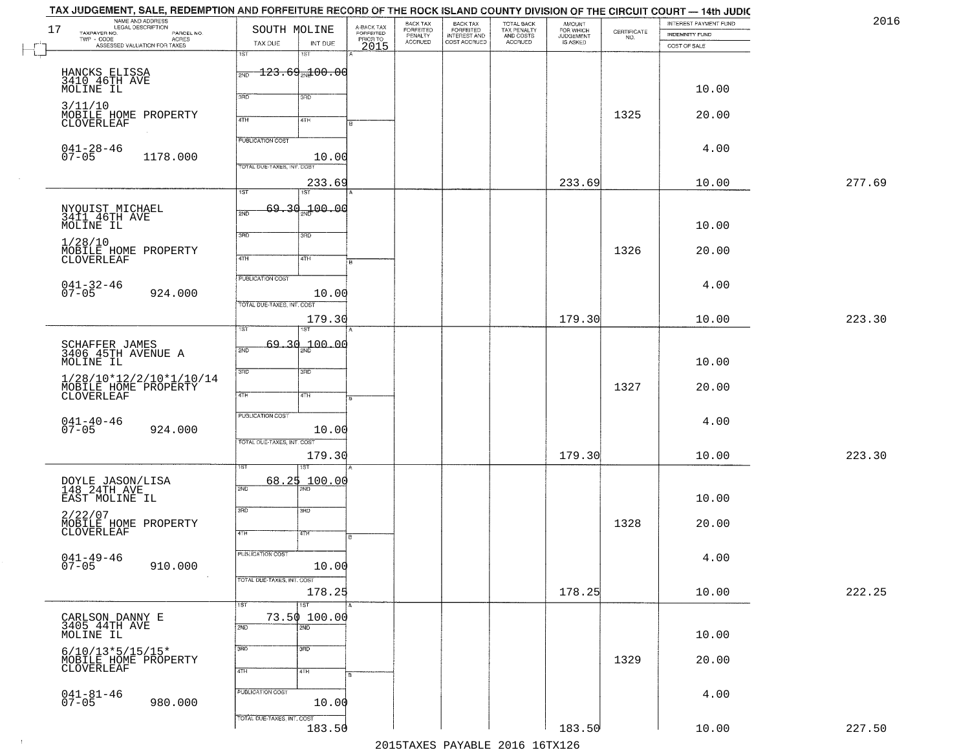|        | INTEREST PAYMENT FUND<br><b>INDEMNITY FUND</b> | $\begin{array}{c} \text{CERTIFICATE} \\ \text{NO.} \end{array}$ | AMOUNT<br>FOR WHICH<br>JUDGEMENT<br>IS ASKED | TOTAL BACK<br>TAX PENALTY<br>AND COSTS<br>ACCRUED | BACK TAX<br>FORFEITED<br>INTEREST AND<br>COST ACCRUED | BACK TAX<br>FORFEITED<br>PENALTY<br>ACCRUED |                                             | SOUTH MOLINE               |                                 | NAME AND ADDRESS<br>LEGAL DESCRIPTION<br>TAXPAYER NO.<br>PARCEL NO. |
|--------|------------------------------------------------|-----------------------------------------------------------------|----------------------------------------------|---------------------------------------------------|-------------------------------------------------------|---------------------------------------------|---------------------------------------------|----------------------------|---------------------------------|---------------------------------------------------------------------|
|        | COST OF SALE                                   |                                                                 |                                              |                                                   |                                                       |                                             | A-BACK TAX<br>FORFEITED<br>PRIOR TO<br>2015 | INT DUE<br>18T             | TAX DUE<br>1ST                  | TWP - CODE<br>ASSESSED VALUATION FOR TAXES                          |
|        |                                                |                                                                 |                                              |                                                   |                                                       |                                             |                                             |                            |                                 |                                                                     |
|        |                                                |                                                                 |                                              |                                                   |                                                       |                                             |                                             |                            | $\frac{123.69}{{}^{200}}$ 00.00 | HANCKS ELISSA<br>3410 46TH AVE                                      |
|        | 10.00                                          |                                                                 |                                              |                                                   |                                                       |                                             |                                             | 3RD                        | 3BD                             | MOLINE IL                                                           |
|        | 20.00                                          | 1325                                                            |                                              |                                                   |                                                       |                                             |                                             |                            |                                 | 3/11/10<br>MOBILE HOME PROPERTY                                     |
|        |                                                |                                                                 |                                              |                                                   |                                                       |                                             |                                             | 4TH                        | 4TH                             | <b>CLOVERLEAF</b>                                                   |
|        | 4.00                                           |                                                                 |                                              |                                                   |                                                       |                                             |                                             |                            | <b>PUBLICATION COST</b>         | $041 - 28 - 46$                                                     |
|        |                                                |                                                                 |                                              |                                                   |                                                       |                                             |                                             | 10.00                      |                                 | $07 - 05$<br>1178.000                                               |
|        |                                                |                                                                 |                                              |                                                   |                                                       |                                             |                                             |                            | TOTAL DUE-TAXES, INT. COST      |                                                                     |
| 277.69 | 10.00                                          |                                                                 | 233.69                                       |                                                   |                                                       |                                             |                                             | 233.69<br>1ST              | $\overline{1ST}$                |                                                                     |
|        |                                                |                                                                 |                                              |                                                   |                                                       |                                             |                                             | 69.30.100.00               |                                 |                                                                     |
|        | 10.00                                          |                                                                 |                                              |                                                   |                                                       |                                             |                                             |                            | 2ND                             | NYQUIST MICHAEL<br>3411 46TH AVE<br>MOLINE IL                       |
|        |                                                |                                                                 |                                              |                                                   |                                                       |                                             |                                             | 3RD                        | 3BD                             | 1/28/10                                                             |
|        | 20.00                                          | 1326                                                            |                                              |                                                   |                                                       |                                             |                                             | 4TH                        | 47H                             | MOBILE HOME PROPERTY<br>CLOVERLEAF                                  |
|        |                                                |                                                                 |                                              |                                                   |                                                       |                                             |                                             |                            |                                 |                                                                     |
|        | 4.00                                           |                                                                 |                                              |                                                   |                                                       |                                             |                                             |                            | PUBLICATION COST                | $041 - 32 - 46$<br>07-05                                            |
|        |                                                |                                                                 |                                              |                                                   |                                                       |                                             |                                             | 10.00                      | TOTAL DUE-TAXES, INT. COST      | 924.000                                                             |
| 223.30 | 10.00                                          |                                                                 | 179.30                                       |                                                   |                                                       |                                             |                                             | 179.30                     |                                 |                                                                     |
|        |                                                |                                                                 |                                              |                                                   |                                                       |                                             |                                             |                            | īst                             |                                                                     |
|        |                                                |                                                                 |                                              |                                                   |                                                       |                                             |                                             | 69.30 <sub>an</sub> 100.00 | 2ND                             | SCHAFFER JAMES<br>3406 45TH AVENUE A                                |
|        | 10.00                                          |                                                                 |                                              |                                                   |                                                       |                                             |                                             | 3 <sub>3</sub>             | 3RD                             | MOLINE IL                                                           |
|        |                                                | 1327                                                            |                                              |                                                   |                                                       |                                             |                                             |                            |                                 | 1/28/10*12/2/10*1/10/14                                             |
|        | 20.00                                          |                                                                 |                                              |                                                   |                                                       |                                             |                                             | 4TH                        | 4TH                             | MOBILE HOME PROPERTY                                                |
|        |                                                |                                                                 |                                              |                                                   |                                                       |                                             |                                             |                            | PUBLICATION COST                |                                                                     |
|        | 4.00                                           |                                                                 |                                              |                                                   |                                                       |                                             |                                             | 10.00                      |                                 | $041 - 40 - 46$<br>07-05<br>924.000                                 |
|        |                                                |                                                                 |                                              |                                                   |                                                       |                                             |                                             |                            | TOTAL OUE-TAXES, INT. COST      |                                                                     |
| 223.30 | 10.00                                          |                                                                 | 179.30                                       |                                                   |                                                       |                                             |                                             | 179.30                     |                                 |                                                                     |
|        |                                                |                                                                 |                                              |                                                   |                                                       |                                             |                                             | 68.25 100.00               |                                 | DOYLE JASON/LISA<br>148 24TH AVE                                    |
|        | 10.00                                          |                                                                 |                                              |                                                   |                                                       |                                             |                                             |                            | 2ND                             | EAST MOLINE IL                                                      |
|        |                                                |                                                                 |                                              |                                                   |                                                       |                                             |                                             | 3BD                        | 3RD                             | 2/22/07                                                             |
|        | 20.00                                          | 1328                                                            |                                              |                                                   |                                                       |                                             |                                             | 47H                        | 4TH                             | MOBILE HOME PROPERTY<br>CLOVERLEAF                                  |
|        |                                                |                                                                 |                                              |                                                   |                                                       |                                             | в                                           |                            |                                 |                                                                     |
|        | 4.00                                           |                                                                 |                                              |                                                   |                                                       |                                             |                                             | 10.00                      | <b>PUBLICATION COST</b>         | $041 - 49 - 46$<br>$07 - 05$<br>910.000                             |
|        |                                                |                                                                 |                                              |                                                   |                                                       |                                             |                                             |                            | TOTAL DUE-TAXES, INT. COST      |                                                                     |
| 222.25 | 10.00                                          |                                                                 | 178.25                                       |                                                   |                                                       |                                             |                                             | 178.25                     |                                 |                                                                     |
|        |                                                |                                                                 |                                              |                                                   |                                                       |                                             |                                             | $\overline{1ST}$           | 1ST                             |                                                                     |
|        |                                                |                                                                 |                                              |                                                   |                                                       |                                             |                                             | 73.50 100.00<br>2ND        | 2ND                             | CARLSON DANNY E<br>3405 44TH AVE                                    |
|        | 10.00                                          |                                                                 |                                              |                                                   |                                                       |                                             |                                             |                            | 3RD                             | MOLINE IL                                                           |
|        | 20.00                                          | 1329                                                            |                                              |                                                   |                                                       |                                             |                                             | 3 <sub>BD</sub>            |                                 | $6/10/13*5/15/15*$<br>MOBILE HOME PROPERTY                          |
|        |                                                |                                                                 |                                              |                                                   |                                                       |                                             |                                             | 4TH                        | 4TH                             | CLOVERLEAF                                                          |
|        | 4.00                                           |                                                                 |                                              |                                                   |                                                       |                                             |                                             |                            | PUBLICATION COST                |                                                                     |
|        |                                                |                                                                 |                                              |                                                   |                                                       |                                             |                                             | 10.00                      |                                 | $041 - 81 - 46$<br>07-05<br>980.000                                 |
|        |                                                |                                                                 |                                              |                                                   |                                                       |                                             |                                             |                            | TOTAL DUE-TAXES, INT. COST      |                                                                     |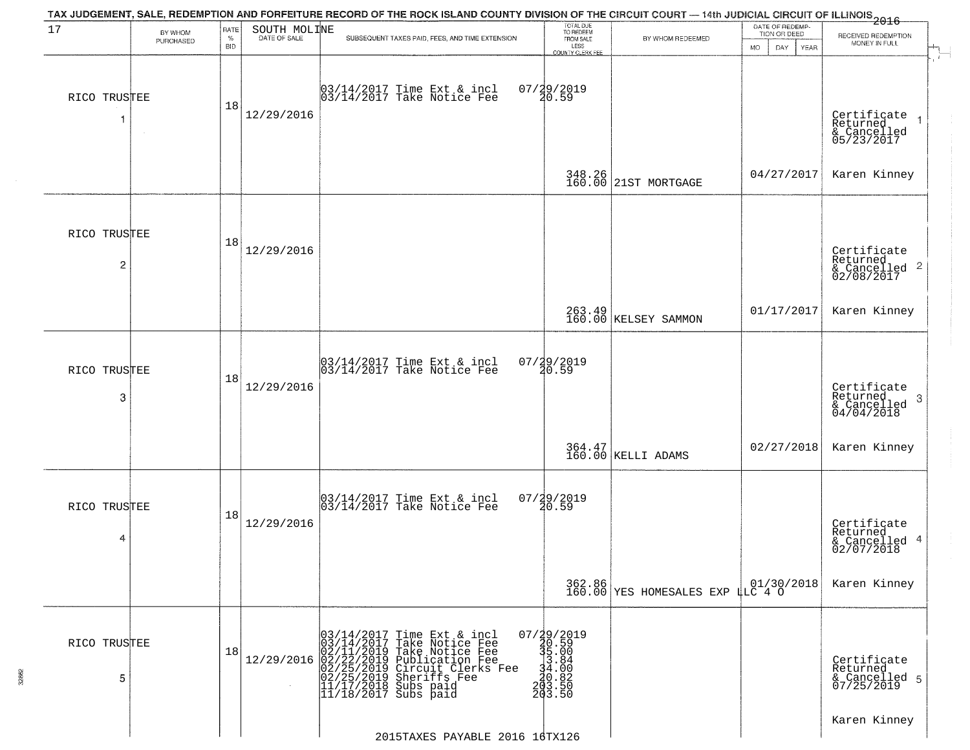| 17                | BY WHOM   | RATE               | SOUTH MOLINE | TAX JUDGEMENT, SALE, REDEMPTION AND FORFEITURE RECORD OF THE ROCK ISLAND COUNTY DIVISION OF THE CIRCUIT COURT — 14th JUDICIAL CIRCUIT OF ILLINOIS 2016                                                        | TOTAL DUE<br>TO REDEEM                                              |                                            | DATE OF REDEMP<br>TION OR DEED | RECEIVED REDEMPTION                                       |
|-------------------|-----------|--------------------|--------------|---------------------------------------------------------------------------------------------------------------------------------------------------------------------------------------------------------------|---------------------------------------------------------------------|--------------------------------------------|--------------------------------|-----------------------------------------------------------|
|                   | PURCHASED | $\%$<br><b>BID</b> | DATE OF SALE | SUBSEQUENT TAXES PAID, FEES, AND TIME EXTENSION                                                                                                                                                               | FROM SALE<br>LESS<br>COUNTY CLERK FEE                               | BY WHOM REDEEMED                           | MO.<br>DAY.<br>YEAR            | MONEY IN FULL                                             |
| RICO TRUSTEE<br>1 | $\sim$    | 18                 | 12/29/2016   | 03/14/2017 Time Ext & incl<br>03/14/2017 Take Notice Fee                                                                                                                                                      | 07/29/2019<br>20.59                                                 |                                            |                                | Certificate<br>Returned<br>& Cancelled<br>05/23/2017      |
|                   |           |                    |              |                                                                                                                                                                                                               |                                                                     | 348.26<br>160.00 21ST MORTGAGE             | 04/27/2017                     | Karen Kinney                                              |
| RICO TRUSTEE<br>2 |           | 18                 | 12/29/2016   |                                                                                                                                                                                                               |                                                                     |                                            |                                | Certificate<br>Returned<br>& Cancelled 2<br>02/08/2017    |
|                   |           |                    |              |                                                                                                                                                                                                               |                                                                     | 263.49<br>160.00 KELSEY SAMMON             | 01/17/2017                     | Karen Kinney                                              |
| RICO TRUSTEE<br>3 |           | 18                 | 12/29/2016   | $\begin{bmatrix} 03/14/2017 \\ 03/14/2017 \end{bmatrix}$ Time Ext & incl                                                                                                                                      | 07/29/2019<br>20.59                                                 |                                            |                                | Certificate<br>Returned<br>3<br>& Cancelled<br>04/04/2018 |
|                   |           |                    |              |                                                                                                                                                                                                               |                                                                     | 364.47<br>160.00 KELLI ADAMS               | 02/27/2018                     | Karen Kinney                                              |
| RICO TRUSTEE<br>4 |           | 18                 | 12/29/2016   | 03/14/2017 Time Ext & incl<br>03/14/2017 Take Notice Fee                                                                                                                                                      | $07/29/2019$<br>20.59                                               |                                            |                                | Certificate<br>Returned<br>& Cancelled 4<br>02/07/2018    |
|                   |           |                    |              |                                                                                                                                                                                                               |                                                                     | 362.86<br>160.00 YES HOMESALES EXP LLC 4 O | 01/30/2018                     | Karen Kinney                                              |
| RICO TRUSTEE<br>5 |           | 18                 | 12/29/2016   | $03/14/2017$ Time Ext & incl<br>$03/14/2017$ Take Notice Fee<br>$02/11/2019$ Take Notice Fee<br>$02/22/2019$ Publication Fee<br>$02/25/2019$ Sheriffs Fee<br>$11/17/2018$ Subs paid<br>$11/18/2017$ Subs paid | 07/29/2019<br>30.59<br>31.00<br>34.00<br>30.82<br>2013.50<br>203.50 |                                            |                                | Certificate<br>Returned<br>& Cancelled 5<br>07/25/2019    |
|                   |           |                    |              | 2015TAXES PAYABLE 2016 16TX126                                                                                                                                                                                |                                                                     |                                            |                                | Karen Kinney                                              |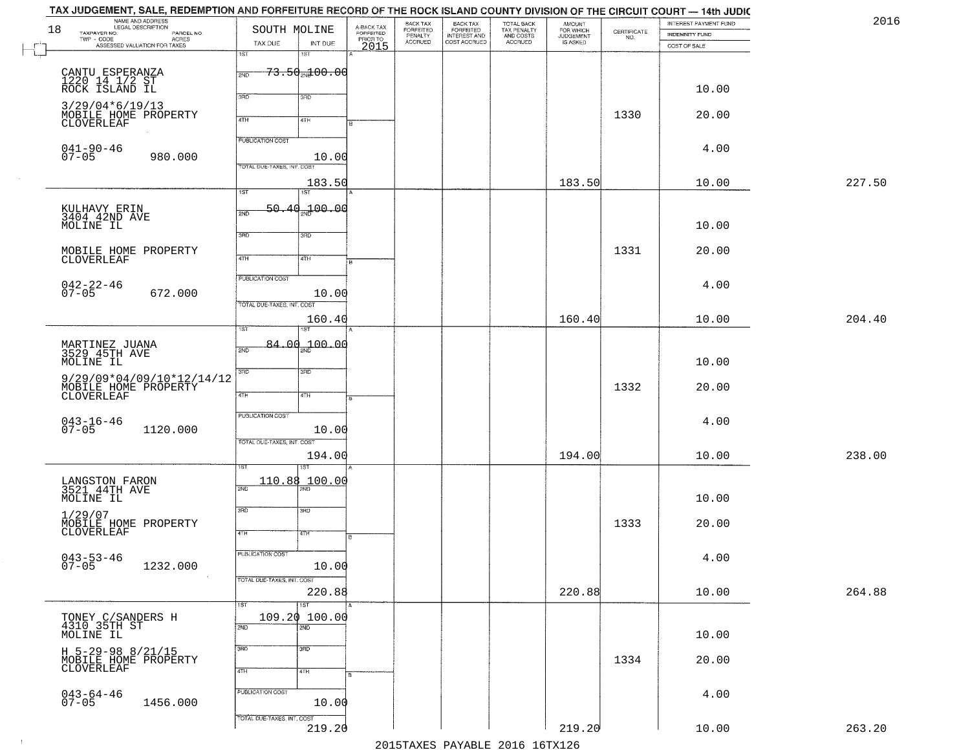|    | TAX JUDGEMENT, SALE, REDEMPTION AND FORFEITURE RECORD OF THE ROCK ISLAND COUNTY DIVISION OF THE CIRCUIT COURT — 14th JUDIC |                            |                                     |                         |                              |                                                       |                                                   |                                    |                    |                       |        |
|----|----------------------------------------------------------------------------------------------------------------------------|----------------------------|-------------------------------------|-------------------------|------------------------------|-------------------------------------------------------|---------------------------------------------------|------------------------------------|--------------------|-----------------------|--------|
| 18 | NAME AND ADDRESS<br>LEGAL DESCRIPTION                                                                                      | SOUTH MOLINE               |                                     | A-BACK TAX<br>FORFEITED | BACK TAX<br><b>FORFEITED</b> |                                                       |                                                   | <b>AMOUNT</b>                      |                    | INTEREST PAYMENT FUND | 2016   |
|    | TAXPAYER NO.<br>PARCEL NO.<br>TWP - CODE<br>- CODE ACRES<br>ASSESSED VALUATION FOR TAXES                                   |                            |                                     |                         | PENALTY<br>ACCRUED           | BACK TAX<br>FORFEITED<br>INTEREST AND<br>COST ACCRUED | TOTAL BACK<br>TAX PENALTY<br>AND COSTS<br>ACCRUED | FOR WHICH<br>JUDGEMENT<br>IS ASKED | CERTIFICATE<br>NO. | <b>INDEMNITY FUND</b> |        |
|    |                                                                                                                            | TAX DUE<br>1ST             | INT DUE<br>15T                      | PRIORTO                 |                              |                                                       |                                                   |                                    |                    | COST OF SALE          |        |
|    |                                                                                                                            |                            |                                     |                         |                              |                                                       |                                                   |                                    |                    |                       |        |
|    | CANTU ESPERANZA<br>1220 14 1/2 ST<br>ROCK ISLAND IL                                                                        | 2ND                        | <del>73.50<sub>20</sub>100.00</del> |                         |                              |                                                       |                                                   |                                    |                    |                       |        |
|    |                                                                                                                            |                            |                                     |                         |                              |                                                       |                                                   |                                    |                    | 10.00                 |        |
|    |                                                                                                                            | 3RD                        | 3RD                                 |                         |                              |                                                       |                                                   |                                    |                    |                       |        |
|    | $3/29/04*6/19/13$<br>MOBILE HOME PROPERTY                                                                                  |                            |                                     |                         |                              |                                                       |                                                   |                                    | 1330               | 20.00                 |        |
|    | CLOVERLEAF                                                                                                                 | 4TH                        | 4TH                                 |                         |                              |                                                       |                                                   |                                    |                    |                       |        |
|    |                                                                                                                            | <b>PUBLICATION COST</b>    |                                     |                         |                              |                                                       |                                                   |                                    |                    |                       |        |
|    | $041 - 90 - 46$                                                                                                            |                            |                                     |                         |                              |                                                       |                                                   |                                    |                    | 4.00                  |        |
|    | $07 - 05$<br>980.000                                                                                                       | TOTAL DUE-TAXES, INT. COST | 10.00                               |                         |                              |                                                       |                                                   |                                    |                    |                       |        |
|    |                                                                                                                            |                            |                                     |                         |                              |                                                       |                                                   |                                    |                    |                       |        |
|    |                                                                                                                            | $\overline{1ST}$           | 183.50<br>1ST                       |                         |                              |                                                       |                                                   | 183.50                             |                    | 10.00                 | 227.50 |
|    |                                                                                                                            |                            |                                     |                         |                              |                                                       |                                                   |                                    |                    |                       |        |
|    | KULHAVY ERIN<br>3404 42ND AVE                                                                                              | 50.40<br>2ND               | 700.00                              |                         |                              |                                                       |                                                   |                                    |                    |                       |        |
|    | MOLINE IL                                                                                                                  |                            |                                     |                         |                              |                                                       |                                                   |                                    |                    | 10.00                 |        |
|    |                                                                                                                            | 3RD                        | 3RD                                 |                         |                              |                                                       |                                                   |                                    |                    |                       |        |
|    | MOBILE HOME PROPERTY<br>CLOVERLEAF                                                                                         |                            |                                     |                         |                              |                                                       |                                                   |                                    | 1331               | 20.00                 |        |
|    |                                                                                                                            | $\overline{47H}$           | 4TH                                 |                         |                              |                                                       |                                                   |                                    |                    |                       |        |
|    |                                                                                                                            | PUBLICATION COST           |                                     |                         |                              |                                                       |                                                   |                                    |                    |                       |        |
|    | $042 - 22 - 46$<br>07-05                                                                                                   |                            |                                     |                         |                              |                                                       |                                                   |                                    |                    | 4.00                  |        |
|    | 672.000                                                                                                                    | TOTAL DUE-TAXES, INT. COST | 10.00                               |                         |                              |                                                       |                                                   |                                    |                    |                       |        |
|    |                                                                                                                            |                            |                                     |                         |                              |                                                       |                                                   |                                    |                    |                       |        |
|    |                                                                                                                            | 1ST                        | 160.40<br>ST                        |                         |                              |                                                       |                                                   | 160.40                             |                    | 10.00                 | 204.40 |
|    |                                                                                                                            |                            |                                     |                         |                              |                                                       |                                                   |                                    |                    |                       |        |
|    | MARTINEZ JUANA<br>3529 45TH AVE                                                                                            | 2ND                        | $84.00 - 00$                        |                         |                              |                                                       |                                                   |                                    |                    |                       |        |
|    | MOLINE IL                                                                                                                  |                            |                                     |                         |                              |                                                       |                                                   |                                    |                    | 10.00                 |        |
|    | $9/29/09*04/09/10*12/14/12$                                                                                                | 3 <sub>BD</sub>            | 3BD                                 |                         |                              |                                                       |                                                   |                                    |                    |                       |        |
|    | MOBILE HOME PROPERTY                                                                                                       |                            |                                     |                         |                              |                                                       |                                                   |                                    | 1332               | 20.00                 |        |
|    | CLOVERLEAF                                                                                                                 | 4TH                        | 4TH                                 |                         |                              |                                                       |                                                   |                                    |                    |                       |        |
|    |                                                                                                                            | <b>PUBLICATION COST</b>    |                                     |                         |                              |                                                       |                                                   |                                    |                    |                       |        |
|    | $043 - 16 - 46$<br>07-05<br>1120.000                                                                                       |                            | 10.00                               |                         |                              |                                                       |                                                   |                                    |                    | 4.00                  |        |
|    |                                                                                                                            | TOTAL OUE-TAXES, INT. COST |                                     |                         |                              |                                                       |                                                   |                                    |                    |                       |        |
|    |                                                                                                                            |                            | 194.00                              |                         |                              |                                                       |                                                   | 194.00                             |                    | 10.00                 | 238.00 |
|    |                                                                                                                            |                            | १९४                                 |                         |                              |                                                       |                                                   |                                    |                    |                       |        |
|    |                                                                                                                            |                            | 110.88 100.00                       |                         |                              |                                                       |                                                   |                                    |                    |                       |        |
|    | LANGSTON FARON<br>3521 44TH AVE                                                                                            | 2ND                        |                                     |                         |                              |                                                       |                                                   |                                    |                    |                       |        |
|    | MOLINE IL                                                                                                                  |                            |                                     |                         |                              |                                                       |                                                   |                                    |                    | 10.00                 |        |
|    | 1/29/07                                                                                                                    | 3RD                        | 3BD                                 |                         |                              |                                                       |                                                   |                                    |                    |                       |        |
|    | MOBILE HOME PROPERTY<br>CLOVERLEAF                                                                                         | 4TH                        | 4TH                                 |                         |                              |                                                       |                                                   |                                    | 1333               | 20.00                 |        |
|    |                                                                                                                            |                            |                                     |                         |                              |                                                       |                                                   |                                    |                    |                       |        |
|    |                                                                                                                            | PUBLICATION COST           |                                     |                         |                              |                                                       |                                                   |                                    |                    | 4.00                  |        |
|    | 043-53-46<br>07-05<br>1232.000                                                                                             |                            | 10.00                               |                         |                              |                                                       |                                                   |                                    |                    |                       |        |
|    |                                                                                                                            | TOTAL DUE-TAXES, INT. COST |                                     |                         |                              |                                                       |                                                   |                                    |                    |                       |        |
|    |                                                                                                                            |                            | 220.88                              |                         |                              |                                                       |                                                   | 220.88                             |                    | 10.00                 | 264.88 |
|    |                                                                                                                            | 1ST                        | $\overline{1ST}$                    |                         |                              |                                                       |                                                   |                                    |                    |                       |        |
|    | TONEY C/SANDERS H                                                                                                          |                            | 109.20 100.00                       |                         |                              |                                                       |                                                   |                                    |                    |                       |        |
|    | 4310 35TH ST<br>MOLINE IL                                                                                                  | 2ND                        | $\overline{2ND}$                    |                         |                              |                                                       |                                                   |                                    |                    | 10.00                 |        |
|    |                                                                                                                            |                            |                                     |                         |                              |                                                       |                                                   |                                    |                    |                       |        |
|    | H 5-29-98 8/21/15                                                                                                          | 3RD                        | $\overline{3}$ RD                   |                         |                              |                                                       |                                                   |                                    |                    |                       |        |
|    | MOBILE HOME PROPERTY<br>CLOVERLEAF                                                                                         | 4TH                        | 4TH                                 |                         |                              |                                                       |                                                   |                                    | 1334               | 20.00                 |        |
|    |                                                                                                                            |                            |                                     |                         |                              |                                                       |                                                   |                                    |                    |                       |        |
|    | $043 - 64 - 46$<br>07-05                                                                                                   | PUBLICATION COST           |                                     |                         |                              |                                                       |                                                   |                                    |                    | 4.00                  |        |
|    | 1456.000                                                                                                                   |                            | 10.00                               |                         |                              |                                                       |                                                   |                                    |                    |                       |        |
|    |                                                                                                                            | TOTAL DUE-TAXES, INT. COST |                                     |                         |                              |                                                       |                                                   |                                    |                    |                       |        |
|    |                                                                                                                            |                            | 219.20                              |                         |                              |                                                       |                                                   | 219.20                             |                    | 10.00                 | 263.20 |
|    |                                                                                                                            |                            |                                     |                         |                              |                                                       | 2015 TAVEC DAVADIE 2016 16 TV126                  |                                    |                    |                       |        |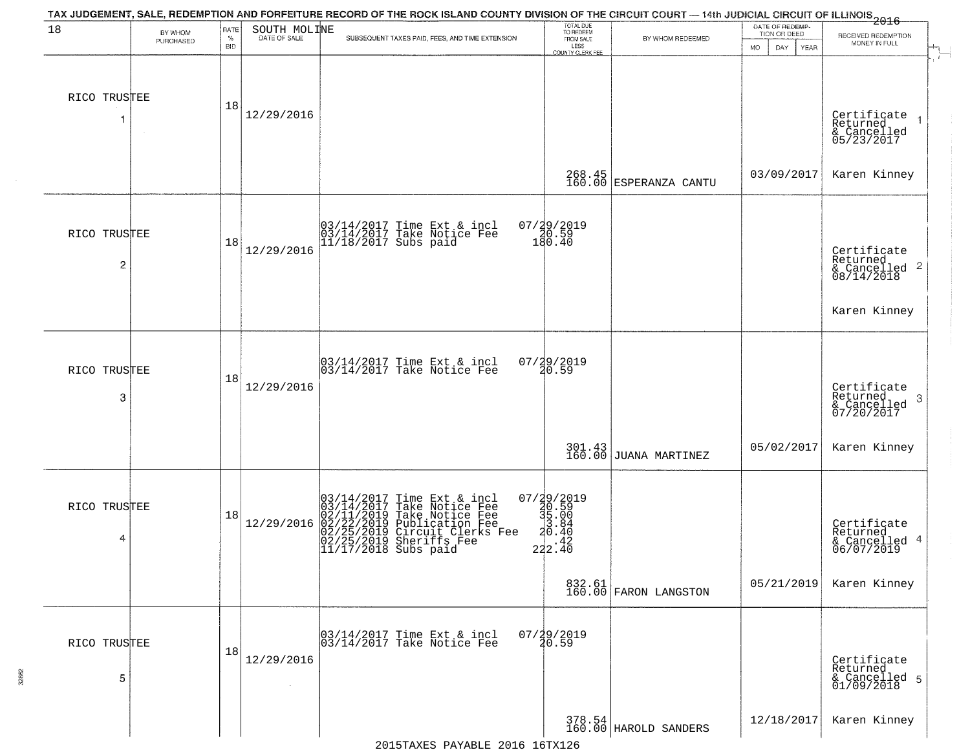| 18                | BY WHOM<br>PURCHASED | RATE<br>$\%$<br><b>BID</b> | SOUTH MOLINE | TAX JUDGEMENT, SALE, REDEMPTION AND FORFEITURE RECORD OF THE ROCK ISLAND COUNTY DIVISION OF THE CIRCUIT COURT — 14th JUDICIAL CIRCUIT OF ILLINOIS 2016<br>SUBSEQUENT TAXES PAID, FEES, AND TIME EXTENSION  | TOTAL DUE<br>TO REDEEM<br>FROM SALE<br>LESS<br>COUNTY CLERK FEE | BY WHOM REDEEMED                | DATE OF REDEMP-<br>TION OR DEED<br>MO.<br>DAY<br>YEAR | RECEIVED REDEMPTION<br>MONEY IN FULL                               |
|-------------------|----------------------|----------------------------|--------------|------------------------------------------------------------------------------------------------------------------------------------------------------------------------------------------------------------|-----------------------------------------------------------------|---------------------------------|-------------------------------------------------------|--------------------------------------------------------------------|
| RICO TRUSTEE      |                      | 18                         | 12/29/2016   |                                                                                                                                                                                                            |                                                                 |                                 |                                                       | Certificate<br>Returned<br>& Cancelled<br>05/23/2017               |
|                   |                      |                            |              |                                                                                                                                                                                                            | 268.45<br>160.00                                                | ESPERANZA CANTU                 | 03/09/2017                                            | Karen Kinney                                                       |
| RICO TRUSTEE<br>2 |                      | 18                         | 12/29/2016   | 03/14/2017 Time Ext & incl<br>03/14/2017 Take Notice Fee<br>11/18/2017 Subs paid                                                                                                                           | 07/29/2019<br>20.59<br>180.40                                   |                                 |                                                       | Certificate<br>Returned<br>$\frac{1}{6}$ Cancelled 2<br>08/14/2018 |
|                   |                      |                            |              |                                                                                                                                                                                                            |                                                                 |                                 |                                                       | Karen Kinney                                                       |
| RICO TRUSTEE<br>3 |                      | 18                         | 12/29/2016   | 03/14/2017 Time Ext & incl<br>03/14/2017 Take Notice Fee                                                                                                                                                   | 07/29/2019<br>20.59                                             |                                 |                                                       | Certificate<br>Returned<br>-3<br>& Cancelled<br>07/20/2017         |
|                   |                      |                            |              |                                                                                                                                                                                                            | 301.43<br>160.00                                                | <b>JUANA MARTINEZ</b>           | 05/02/2017                                            | Karen Kinney                                                       |
| RICO TRUSTEE<br>4 |                      | 18                         | 12/29/2016   | $03/14/2017$ Time Ext & incl<br>03/14/2017 Take Notice Fee<br>02/11/2019 Take Notice Fee<br>02/22/2019 Publication Fee<br>02/22/2019 Circuit Clerks Fee<br>02/25/2019 Sheriffs Fee<br>11/17/2018 Subs paid | 07/29/2019<br>30.59<br>35.004<br>222.40<br>222.40               |                                 |                                                       | Certificate<br>Returned<br>& Cancelled 4<br>06/07/2019             |
|                   |                      |                            |              |                                                                                                                                                                                                            |                                                                 | 832.61<br>160.00 FARON LANGSTON | 05/21/2019                                            | Karen Kinney                                                       |
| RICO TRUSTEE<br>5 |                      | 18                         | 12/29/2016   | 03/14/2017 Time Ext & incl<br>03/14/2017 Take Notice Fee                                                                                                                                                   | $07/29/2019$<br>$20.59$                                         |                                 |                                                       | Certificate<br>Returned<br>& Cancelled 5<br>01/09/2018             |
|                   |                      |                            |              |                                                                                                                                                                                                            |                                                                 | 378.54<br>160.00 HAROLD SANDERS | 12/18/2017                                            | Karen Kinney                                                       |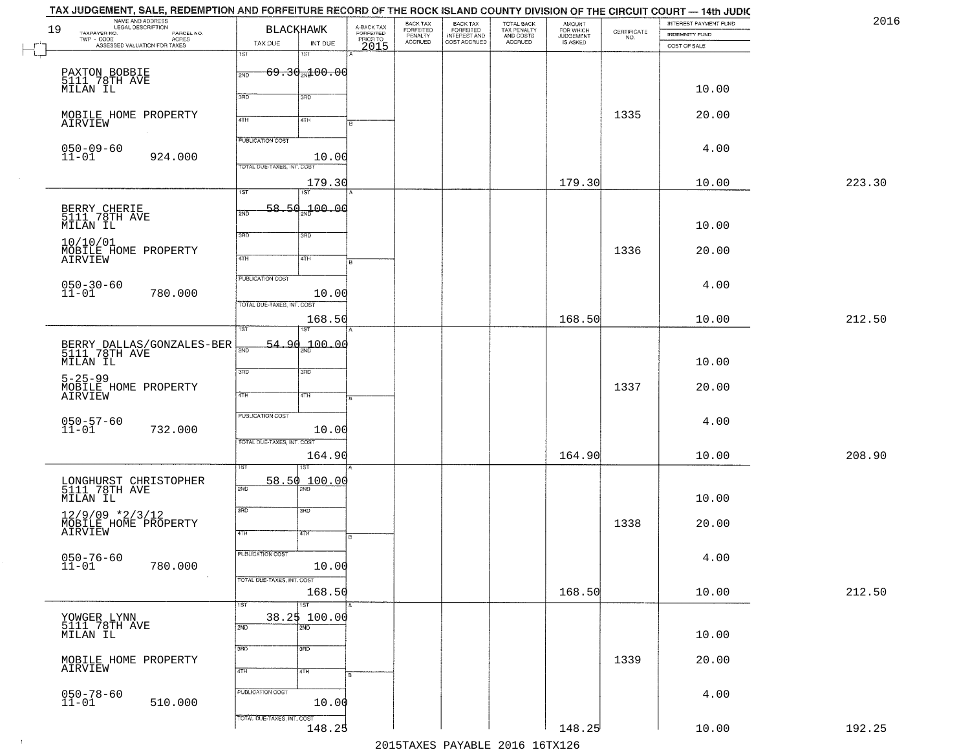|    | TAX JUDGEMENT, SALE, REDEMPTION AND FORFEITURE RECORD OF THE ROCK ISLAND COUNTY DIVISION OF THE CIRCUIT COURT — 14th JUDIC |                                                |                         |                       |                                                       |                                                   |                                    |                                                                |                                       | 2016   |
|----|----------------------------------------------------------------------------------------------------------------------------|------------------------------------------------|-------------------------|-----------------------|-------------------------------------------------------|---------------------------------------------------|------------------------------------|----------------------------------------------------------------|---------------------------------------|--------|
| 19 | NAME AND ADDRESS<br>LEGAL DESCRIPTION<br>TAXPAYER NO.<br>PARCEL NO.                                                        | <b>BLACKHAWK</b>                               | A-BACK TAX<br>FORFEITED | BACK TAX<br>FORFEITED |                                                       |                                                   | <b>AMOUNT</b>                      |                                                                | INTEREST PAYMENT FUND                 |        |
|    | TWP - CODE<br>- CODE ACRES<br>ASSESSED VALUATION FOR TAXES                                                                 | TAX DUE<br>INT DUE                             | PRIORTO                 | PENALTY<br>ACCRUED    | BACK TAX<br>FORFEITED<br>INTEREST AND<br>COST ACCRUED | TOTAL BACK<br>TAX PENALTY<br>AND COSTS<br>ACCRUED | FOR WHICH<br>JUDGEMENT<br>IS ASKED | $\begin{array}{c} \text{GETIFICATE} \\ \text{NO.} \end{array}$ | <b>INDEMNITY FUND</b><br>COST OF SALE |        |
|    |                                                                                                                            | 1ST<br>1ST                                     |                         |                       |                                                       |                                                   |                                    |                                                                |                                       |        |
|    |                                                                                                                            | $69.30_{20}100.00$                             |                         |                       |                                                       |                                                   |                                    |                                                                |                                       |        |
|    | PAXTON BOBBIE<br>5111 78TH AVE                                                                                             | 2ND                                            |                         |                       |                                                       |                                                   |                                    |                                                                |                                       |        |
|    | MILAN IL                                                                                                                   | 3RD<br>3RD                                     |                         |                       |                                                       |                                                   |                                    |                                                                | 10.00                                 |        |
|    |                                                                                                                            |                                                |                         |                       |                                                       |                                                   |                                    |                                                                |                                       |        |
|    | MOBILE HOME PROPERTY<br>AIRVIEW                                                                                            | 4TH<br>4TH                                     |                         |                       |                                                       |                                                   |                                    | 1335                                                           | 20.00                                 |        |
|    |                                                                                                                            |                                                |                         |                       |                                                       |                                                   |                                    |                                                                |                                       |        |
|    | $050 - 09 - 60$                                                                                                            | <b>PUBLICATION COST</b>                        |                         |                       |                                                       |                                                   |                                    |                                                                | 4.00                                  |        |
|    | $11 - 01$<br>924.000                                                                                                       | 10.00                                          |                         |                       |                                                       |                                                   |                                    |                                                                |                                       |        |
|    |                                                                                                                            | TOTAL DUE-TAXES, INT. COST                     |                         |                       |                                                       |                                                   |                                    |                                                                |                                       |        |
|    |                                                                                                                            | 179.30<br>$\overline{1ST}$<br>$\overline{1ST}$ |                         |                       |                                                       |                                                   | 179.30                             |                                                                | 10.00                                 | 223.30 |
|    |                                                                                                                            |                                                |                         |                       |                                                       |                                                   |                                    |                                                                |                                       |        |
|    | BERRY CHERIE<br>5111 78TH AVE                                                                                              | 58.50 <sub>2w</sub> 100.00<br>2ND              |                         |                       |                                                       |                                                   |                                    |                                                                |                                       |        |
|    | MILAN IL                                                                                                                   |                                                |                         |                       |                                                       |                                                   |                                    |                                                                | 10.00                                 |        |
|    | 10/10/01                                                                                                                   | 3RD<br>3RD                                     |                         |                       |                                                       |                                                   |                                    |                                                                |                                       |        |
|    | MOBILE HOME PROPERTY                                                                                                       | $\overline{47H}$<br>4TH                        |                         |                       |                                                       |                                                   |                                    | 1336                                                           | 20.00                                 |        |
|    | AIRVIEW                                                                                                                    |                                                |                         |                       |                                                       |                                                   |                                    |                                                                |                                       |        |
|    |                                                                                                                            | PUBLICATION COST                               |                         |                       |                                                       |                                                   |                                    |                                                                |                                       |        |
|    | $050 - 30 - 60$<br>11-01<br>780.000                                                                                        | 10.00                                          |                         |                       |                                                       |                                                   |                                    |                                                                | 4.00                                  |        |
|    |                                                                                                                            | TOTAL DUE-TAXES, INT. COST                     |                         |                       |                                                       |                                                   |                                    |                                                                |                                       |        |
|    |                                                                                                                            | 168.50                                         |                         |                       |                                                       |                                                   | 168.50                             |                                                                | 10.00                                 | 212.50 |
|    |                                                                                                                            | 1ST<br>ST                                      |                         |                       |                                                       |                                                   |                                    |                                                                |                                       |        |
|    | BERRY DALLAS/GONZALES-BER<br>5111_78TH AVE                                                                                 | 54.90 100.00<br>$\overline{200}$               |                         |                       |                                                       |                                                   |                                    |                                                                |                                       |        |
|    | MILAN IL                                                                                                                   |                                                |                         |                       |                                                       |                                                   |                                    |                                                                | 10.00                                 |        |
|    |                                                                                                                            | 3RD<br>3BD                                     |                         |                       |                                                       |                                                   |                                    |                                                                |                                       |        |
|    | $5 - 25 - 99$<br>MOBILE HOME PROPERTY                                                                                      |                                                |                         |                       |                                                       |                                                   |                                    | 1337                                                           | 20.00                                 |        |
|    | AIRVIEW                                                                                                                    | 4TH<br>4TH                                     |                         |                       |                                                       |                                                   |                                    |                                                                |                                       |        |
|    |                                                                                                                            | <b>PUBLICATION COST</b>                        |                         |                       |                                                       |                                                   |                                    |                                                                |                                       |        |
|    | 050-57-60<br>11-01<br>732.000                                                                                              | 10.00                                          |                         |                       |                                                       |                                                   |                                    |                                                                | 4.00                                  |        |
|    |                                                                                                                            | TOTAL OUE-TAXES, INT. COST                     |                         |                       |                                                       |                                                   |                                    |                                                                |                                       |        |
|    |                                                                                                                            | 164.90                                         |                         |                       |                                                       |                                                   | 164.90                             |                                                                | 10.00                                 | 208.90 |
|    |                                                                                                                            | ख़                                             |                         |                       |                                                       |                                                   |                                    |                                                                |                                       |        |
|    |                                                                                                                            | 58.50<br>100.00                                |                         |                       |                                                       |                                                   |                                    |                                                                |                                       |        |
|    | LONGHURST CHRISTOPHER<br>5111 78TH AVE                                                                                     | 2ND                                            |                         |                       |                                                       |                                                   |                                    |                                                                | 10.00                                 |        |
|    | MILAN IL                                                                                                                   | 3RD<br>3RD                                     |                         |                       |                                                       |                                                   |                                    |                                                                |                                       |        |
|    | $12/9/09$ *2/3/12<br>MOBILE HOME PROPERTY                                                                                  |                                                |                         |                       |                                                       |                                                   |                                    | 1338                                                           | 20.00                                 |        |
|    | AIRVIEW                                                                                                                    | 4TH<br>4TH                                     |                         |                       |                                                       |                                                   |                                    |                                                                |                                       |        |
|    |                                                                                                                            |                                                |                         |                       |                                                       |                                                   |                                    |                                                                |                                       |        |
|    | $050 - 76 - 60$<br>11-01                                                                                                   | PUBLICATION COST                               |                         |                       |                                                       |                                                   |                                    |                                                                | 4.00                                  |        |
|    | 780.000                                                                                                                    | 10.00                                          |                         |                       |                                                       |                                                   |                                    |                                                                |                                       |        |
|    |                                                                                                                            | TOTAL DUE-TAXES, INT. COST<br>168.50           |                         |                       |                                                       |                                                   | 168.50                             |                                                                | 10.00                                 | 212.50 |
|    |                                                                                                                            | 1ST<br>1ST                                     |                         |                       |                                                       |                                                   |                                    |                                                                |                                       |        |
|    |                                                                                                                            | 38.2\$ 100.00                                  |                         |                       |                                                       |                                                   |                                    |                                                                |                                       |        |
|    | YOWGER LYNN<br>5111 78TH AVE                                                                                               | 2ND<br>2ND                                     |                         |                       |                                                       |                                                   |                                    |                                                                |                                       |        |
|    | MILAN IL                                                                                                                   |                                                |                         |                       |                                                       |                                                   |                                    |                                                                | 10.00                                 |        |
|    |                                                                                                                            | 3RD<br>$\overline{3}$ RD                       |                         |                       |                                                       |                                                   |                                    |                                                                |                                       |        |
|    | MOBILE HOME PROPERTY<br>AIRVIEW                                                                                            | 4TH<br>4TH                                     |                         |                       |                                                       |                                                   |                                    | 1339                                                           | 20.00                                 |        |
|    |                                                                                                                            |                                                |                         |                       |                                                       |                                                   |                                    |                                                                |                                       |        |
|    | $050 - 78 - 60$<br>11-01                                                                                                   | PUBLICATION COST                               |                         |                       |                                                       |                                                   |                                    |                                                                | 4.00                                  |        |
|    | 510.000                                                                                                                    | 10.00                                          |                         |                       |                                                       |                                                   |                                    |                                                                |                                       |        |
|    |                                                                                                                            | TOTAL DUE-TAXES, INT. COST                     |                         |                       |                                                       |                                                   |                                    |                                                                |                                       |        |
|    |                                                                                                                            | 148.25                                         |                         |                       |                                                       |                                                   | 148.25                             |                                                                | 10.00                                 | 192.25 |
|    |                                                                                                                            |                                                |                         |                       |                                                       | 2015 TAVEC DAVADIE 2016 16 TV126                  |                                    |                                                                |                                       |        |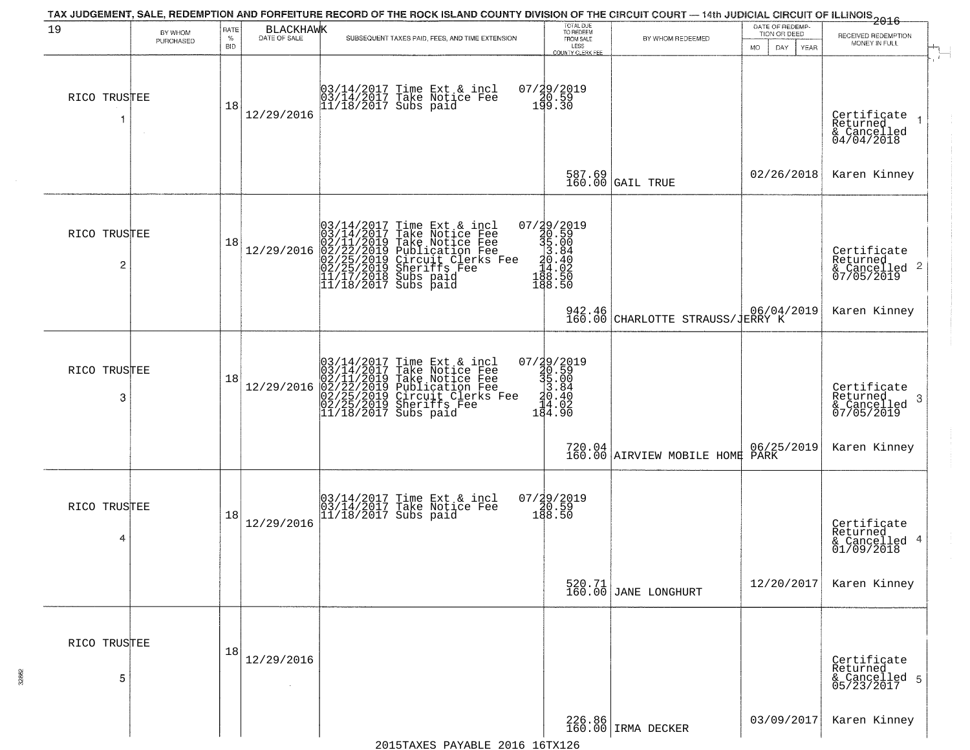| 19                             | BY WHOM<br>PURCHASED | RATE<br>$\%$<br><b>BID</b> | <b>BLACKHAWK</b><br>DATE OF SALE | TAX JUDGEMENT, SALE, REDEMPTION AND FORFEITURE RECORD OF THE ROCK ISLAND COUNTY DIVISION OF THE CIRCUIT COURT — 14th JUDICIAL CIRCUIT OF ILLINOIS 2016<br>SUBSEQUENT TAXES PAID, FEES, AND TIME EXTENSION                                  | TOTAL DUE<br>TO REDEEM<br>FROM SALE<br>LESS<br><b>COUNTY CLERK FEE</b>                               | BY WHOM REDEEMED                           | DATE OF REDEMP-<br>TION OR DEED<br>MO.<br>DAY.<br><b>YEAR</b> | RECEIVED REDEMPTION<br>MONEY IN FULL                                  |
|--------------------------------|----------------------|----------------------------|----------------------------------|--------------------------------------------------------------------------------------------------------------------------------------------------------------------------------------------------------------------------------------------|------------------------------------------------------------------------------------------------------|--------------------------------------------|---------------------------------------------------------------|-----------------------------------------------------------------------|
| RICO TRUSTEE                   |                      | 18                         | 12/29/2016                       | 03/14/2017 Time Ext & incl<br>03/14/2017 Take Notice Fee<br>11/18/2017 Subs paid                                                                                                                                                           | 07/29/2019<br>140.59<br>199.30                                                                       |                                            |                                                               | Certificate<br>Returned<br>$\rightarrow$<br>& Cancelled<br>04/04/2018 |
|                                |                      |                            |                                  |                                                                                                                                                                                                                                            |                                                                                                      | 587.69<br>160.00 GAIL TRUE                 | 02/26/2018                                                    | Karen Kinney                                                          |
| RICO TRUSTEE<br>$\overline{c}$ |                      | 18                         | 12/29/2016                       | $03/14/2017$ Time Ext & incl<br>$03/14/2017$ Take Notice Fee<br>$02/11/2019$ Take Notice Fee<br>$02/22/2019$ Publication Fee<br>$02/25/2019$ Sheriffs Fee<br>$02/25/2019$ Sheriffs Fee<br>$11/17/2018$ Subs paid<br>$11/18/2017$ Subs paid | $\begin{smallmatrix} 07/39/2019\\ 30.59\\ 35.00\\ 33.84\\ 14.02\\ 148.50\\ 198.50 \end{smallmatrix}$ |                                            |                                                               | Certificate<br>Returned<br>$\frac{1}{6}$ Cancelled 2<br>07/05/2019    |
|                                |                      |                            |                                  |                                                                                                                                                                                                                                            |                                                                                                      | 942.46<br>160.00 CHARLOTTE STRAUSS/JERRY K |                                                               | Karen Kinney                                                          |
| RICO TRUSTEE<br>3              |                      | 18                         | 12/29/2016                       | $03/14/2017$ Time Ext & incl<br>$03/14/2017$ Take Notice Fee<br>$02/11/2019$ Take Notice Fee<br>$02/22/2019$ Circuit Clerks Fee<br>$02/25/2019$ Circuit Clerks Fee<br>$02/25/2019$ Sheriffs Fee<br>$11/18/2017$ Subs paid                  | $07/\frac{29}{20.59}$<br>$30.59$<br>$35.00$<br>$30.40$<br>$14.02$<br>$184.90$                        |                                            |                                                               | Certificate<br>Returned<br>-3<br>& Cancelled<br>07/05/2019            |
|                                |                      |                            |                                  |                                                                                                                                                                                                                                            |                                                                                                      |                                            |                                                               | Karen Kinney                                                          |
| RICO TRUSTEE<br>4              |                      | 18                         | 12/29/2016                       | 03/14/2017 Time Ext & incl<br>03/14/2017 Take Notice Fee<br>11/18/2017 Subs paid                                                                                                                                                           | $07/29/2019$<br>$20.59$<br>$188.50$                                                                  |                                            |                                                               | Certificate<br>Returned<br>4<br>& Cancelled<br>01/09/2018             |
|                                |                      |                            |                                  |                                                                                                                                                                                                                                            |                                                                                                      | 520.71<br>160.00 JANE LONGHURT             | 12/20/2017                                                    | Karen Kinney                                                          |
| RICO TRUSTEE<br>5              |                      | 18                         | 12/29/2016                       |                                                                                                                                                                                                                                            |                                                                                                      |                                            |                                                               | Certificate<br>Returned<br>& Cancelled 5<br>05/23/2017                |
|                                |                      |                            |                                  |                                                                                                                                                                                                                                            |                                                                                                      | 226.86<br>160.00 IRMA DECKER               | 03/09/2017                                                    | Karen Kinney                                                          |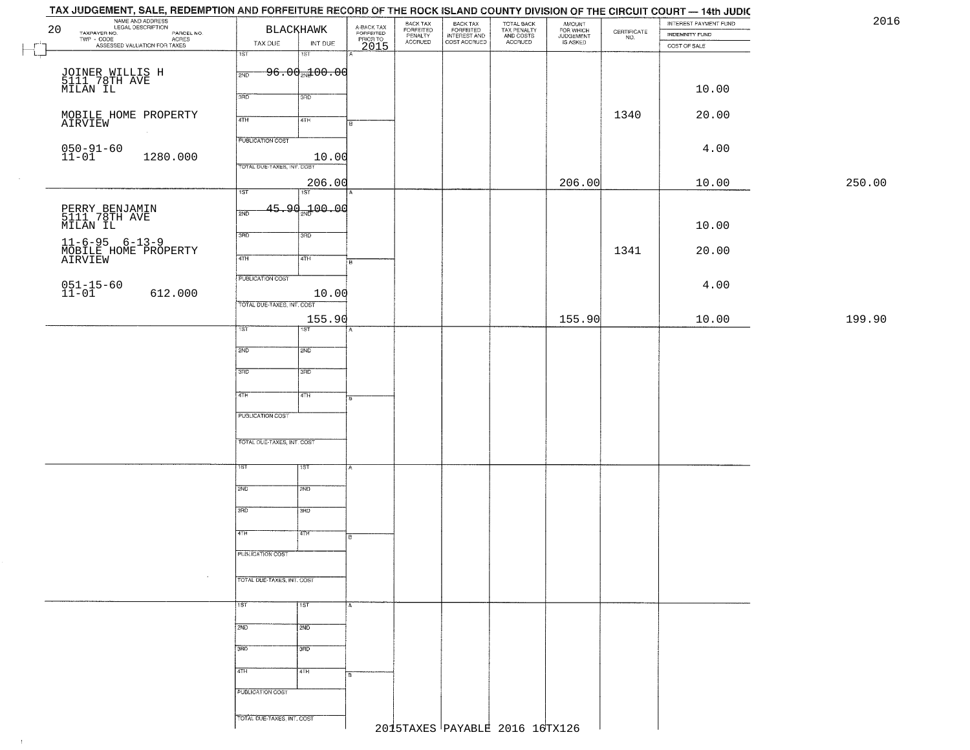| 20                                                                                                                                         | NAME AND ADDRESS                                                                     |                            | <b>BLACKHAWK</b>          | A-BACK TAX<br>FORFEITED<br>PRIOR TO<br>2015 | BACK TAX<br>FORFEITED<br>PENALTY | BACK TAX<br>FORFEITED<br>INTEREST AND | TOTAL BACK<br>TAX PENALTY<br>AND COSTS | AMOUNT<br>FOR WHICH<br>JUDGEMENT |                                                                 | INTEREST PAYMENT FUND | 2016   |
|--------------------------------------------------------------------------------------------------------------------------------------------|--------------------------------------------------------------------------------------|----------------------------|---------------------------|---------------------------------------------|----------------------------------|---------------------------------------|----------------------------------------|----------------------------------|-----------------------------------------------------------------|-----------------------|--------|
| TAXPAYER NO.                                                                                                                               | PAYER NO. COORDING THOM PARCEL NO.<br>- CODE ACRES<br>- ASSESSED VALUATION FOR TAXES | TAX DUE                    | INT DUE                   |                                             | ACCRUED                          | COST ACCRUED                          | ACCRUED                                | IS ASKED                         | $\begin{array}{c} \text{CERTIFICATE} \\ \text{NO.} \end{array}$ | <b>INDEMNITY FUND</b> |        |
|                                                                                                                                            |                                                                                      | 1ST                        | 18T                       |                                             |                                  |                                       |                                        |                                  |                                                                 | COST OF SALE          |        |
|                                                                                                                                            |                                                                                      |                            | $96.00 + 00.00$           |                                             |                                  |                                       |                                        |                                  |                                                                 |                       |        |
| JOINER WILLIS H<br>5111 78TH AVE<br>MILAN IL                                                                                               |                                                                                      | 2ND                        |                           |                                             |                                  |                                       |                                        |                                  |                                                                 |                       |        |
|                                                                                                                                            |                                                                                      | 3RD                        | 3RD                       |                                             |                                  |                                       |                                        |                                  |                                                                 | 10.00                 |        |
|                                                                                                                                            |                                                                                      |                            |                           |                                             |                                  |                                       |                                        |                                  | 1340                                                            | 20.00                 |        |
| MOBILE HOME PROPERTY<br>AIRVIEW                                                                                                            |                                                                                      | 4TH                        | 4TH                       | в                                           |                                  |                                       |                                        |                                  |                                                                 |                       |        |
|                                                                                                                                            |                                                                                      | <b>PUBLICATION COST</b>    |                           |                                             |                                  |                                       |                                        |                                  |                                                                 |                       |        |
| $050 - 91 - 60$<br>$11 - 01$                                                                                                               | 1280.000                                                                             |                            | 10.00                     |                                             |                                  |                                       |                                        |                                  |                                                                 | 4.00                  |        |
|                                                                                                                                            |                                                                                      | TOTAL DUE-TAXES, INT. COST |                           |                                             |                                  |                                       |                                        |                                  |                                                                 |                       |        |
|                                                                                                                                            |                                                                                      |                            | 206.00                    |                                             |                                  |                                       |                                        | 206.00                           |                                                                 | 10.00                 | 250.00 |
|                                                                                                                                            |                                                                                      | 1ST                        | 75T                       |                                             |                                  |                                       |                                        |                                  |                                                                 |                       |        |
|                                                                                                                                            |                                                                                      | 2ND                        | 45.90 <sub>%</sub> 100.00 |                                             |                                  |                                       |                                        |                                  |                                                                 |                       |        |
| PERRY BENJAMIN<br>5111 78TH AVE<br>MILAN IL                                                                                                |                                                                                      |                            |                           |                                             |                                  |                                       |                                        |                                  |                                                                 | 10.00                 |        |
|                                                                                                                                            |                                                                                      | 3BD                        | 3HD                       |                                             |                                  |                                       |                                        |                                  |                                                                 |                       |        |
| $\begin{array}{ll} 11\text{--}\,6\text{--}\,95 & 6\text{--}\,13\text{--}\,9 \\ \text{MOBILE HOME PROPERTIES}\\ \text{AIRVIEW} \end{array}$ |                                                                                      | 47H                        | 4TH                       |                                             |                                  |                                       |                                        |                                  | 1341                                                            | 20.00                 |        |
|                                                                                                                                            |                                                                                      |                            |                           | E                                           |                                  |                                       |                                        |                                  |                                                                 |                       |        |
|                                                                                                                                            |                                                                                      | PUBLICATION COST           |                           |                                             |                                  |                                       |                                        |                                  |                                                                 | 4.00                  |        |
| $051 - 15 - 60$<br>11-01                                                                                                                   | 612.000                                                                              |                            | 10.00                     |                                             |                                  |                                       |                                        |                                  |                                                                 |                       |        |
|                                                                                                                                            |                                                                                      | TOTAL DUE-TAXES, INT. COST |                           |                                             |                                  |                                       |                                        |                                  |                                                                 |                       |        |
|                                                                                                                                            |                                                                                      | 1ST.                       | 155.90<br>1ST             |                                             |                                  |                                       |                                        | 155.90                           |                                                                 | 10.00                 | 199.90 |
|                                                                                                                                            |                                                                                      |                            |                           |                                             |                                  |                                       |                                        |                                  |                                                                 |                       |        |
|                                                                                                                                            |                                                                                      | 2ND                        | 2ND                       |                                             |                                  |                                       |                                        |                                  |                                                                 |                       |        |
|                                                                                                                                            |                                                                                      | 3 <sub>BD</sub>            | 3 <sub>3</sub>            |                                             |                                  |                                       |                                        |                                  |                                                                 |                       |        |
|                                                                                                                                            |                                                                                      |                            |                           |                                             |                                  |                                       |                                        |                                  |                                                                 |                       |        |
|                                                                                                                                            |                                                                                      | 4TH                        | 4TH                       | B.                                          |                                  |                                       |                                        |                                  |                                                                 |                       |        |
|                                                                                                                                            |                                                                                      | <b>PUBLICATION COST</b>    |                           |                                             |                                  |                                       |                                        |                                  |                                                                 |                       |        |
|                                                                                                                                            |                                                                                      |                            |                           |                                             |                                  |                                       |                                        |                                  |                                                                 |                       |        |
|                                                                                                                                            |                                                                                      | TOTAL OUE-TAXES, INT. COST |                           |                                             |                                  |                                       |                                        |                                  |                                                                 |                       |        |
|                                                                                                                                            |                                                                                      | IST                        | १९४                       |                                             |                                  |                                       |                                        |                                  |                                                                 |                       |        |
|                                                                                                                                            |                                                                                      |                            |                           |                                             |                                  |                                       |                                        |                                  |                                                                 |                       |        |
|                                                                                                                                            |                                                                                      | 2ND                        | 2ND                       |                                             |                                  |                                       |                                        |                                  |                                                                 |                       |        |
|                                                                                                                                            |                                                                                      | 3RD                        | 3BD                       |                                             |                                  |                                       |                                        |                                  |                                                                 |                       |        |
|                                                                                                                                            |                                                                                      |                            |                           |                                             |                                  |                                       |                                        |                                  |                                                                 |                       |        |
|                                                                                                                                            |                                                                                      | 4TH                        | 47H                       | в                                           |                                  |                                       |                                        |                                  |                                                                 |                       |        |
|                                                                                                                                            |                                                                                      | PUBLICATION COST           |                           |                                             |                                  |                                       |                                        |                                  |                                                                 |                       |        |
|                                                                                                                                            |                                                                                      |                            |                           |                                             |                                  |                                       |                                        |                                  |                                                                 |                       |        |
|                                                                                                                                            |                                                                                      | TOTAL DUE-TAXES, INT. COST |                           |                                             |                                  |                                       |                                        |                                  |                                                                 |                       |        |
|                                                                                                                                            |                                                                                      |                            |                           |                                             |                                  |                                       |                                        |                                  |                                                                 |                       |        |
|                                                                                                                                            |                                                                                      | 1ST                        | <b>TST</b>                | $\overline{A}$                              |                                  |                                       |                                        |                                  |                                                                 |                       |        |
|                                                                                                                                            |                                                                                      | 2ND                        | 2ND                       |                                             |                                  |                                       |                                        |                                  |                                                                 |                       |        |
|                                                                                                                                            |                                                                                      |                            |                           |                                             |                                  |                                       |                                        |                                  |                                                                 |                       |        |
|                                                                                                                                            |                                                                                      | 3BD                        | 3BD                       |                                             |                                  |                                       |                                        |                                  |                                                                 |                       |        |
|                                                                                                                                            |                                                                                      | 4TH                        | 4TH                       |                                             |                                  |                                       |                                        |                                  |                                                                 |                       |        |
|                                                                                                                                            |                                                                                      |                            |                           |                                             |                                  |                                       |                                        |                                  |                                                                 |                       |        |
|                                                                                                                                            |                                                                                      | PUBLICATION COST           |                           |                                             |                                  |                                       |                                        |                                  |                                                                 |                       |        |
|                                                                                                                                            |                                                                                      |                            |                           |                                             |                                  |                                       |                                        |                                  |                                                                 |                       |        |
|                                                                                                                                            |                                                                                      | TOTAL DUE-TAXES, INT. COST |                           |                                             |                                  |                                       | 2015TAXES PAYABLE 2016 16TX126         |                                  |                                                                 |                       |        |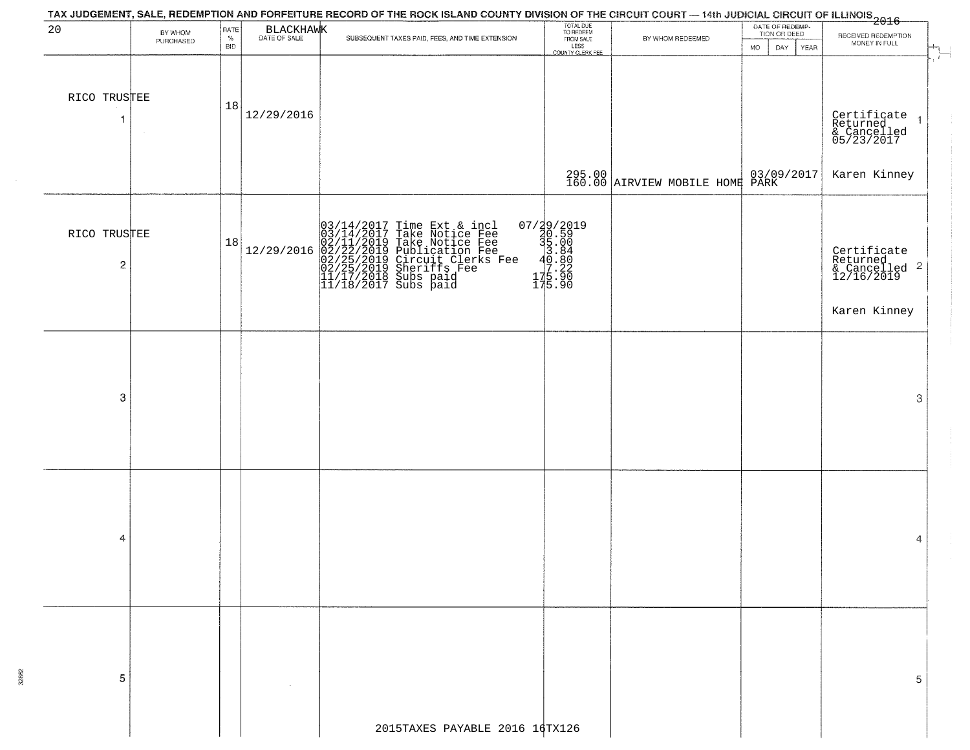|                                |                      |                     |            | TAX JUDGEMENT, SALE, REDEMPTION AND FORFEITURE RECORD OF THE ROCK ISLAND COUNTY DIVISION OF THE CIRCUIT COURT — 14th JUDICIAL CIRCUIT OF ILLINOIS<br>2016 - The Contract of Line Council Council Council Council Council Council           |                                                                                                                       |                                   |                                                              |                                                                      |
|--------------------------------|----------------------|---------------------|------------|--------------------------------------------------------------------------------------------------------------------------------------------------------------------------------------------------------------------------------------------|-----------------------------------------------------------------------------------------------------------------------|-----------------------------------|--------------------------------------------------------------|----------------------------------------------------------------------|
| 20                             | BY WHOM<br>PURCHASED | RATE<br>$\%$<br>BID | BLACKHAWK  | SUBSEQUENT TAXES PAID, FEES, AND TIME EXTENSION                                                                                                                                                                                            | TOTAL DUE<br>TO REDEEM<br>FROM SALE<br>LESS<br>COUNTY CLERK FEE                                                       | BY WHOM REDEEMED                  | DATE OF REDEMP-<br>TION OR DEED<br><b>MO</b><br>DAY.<br>YEAR | RECEIVED REDEMPTION<br>MONEY IN FULL                                 |
| RICO TRUSTEE                   |                      | 18                  | 12/29/2016 |                                                                                                                                                                                                                                            |                                                                                                                       |                                   |                                                              | $\mathbf{f}$<br>Certificate<br>Returned<br>& Cancelled<br>05/23/2017 |
|                                |                      |                     |            |                                                                                                                                                                                                                                            |                                                                                                                       | $295.00$ AIRVIEW MOBILE HOME PARK |                                                              | Karen Kinney                                                         |
| RICO TRUSTEE<br>$\overline{c}$ |                      | 18                  | 12/29/2016 | $03/14/2017$ Time Ext & incl<br>$03/14/2017$ Take Notice Fee<br>$02/11/2019$ Take Notice Fee<br>$02/22/2019$ Publication Fee<br>$02/25/2019$ Sheriffs Fee<br>$02/25/2019$ Sheriffs Fee<br>$11/17/2018$ Subs paid<br>$11/18/2017$ Subs paid | $\begin{smallmatrix} 07/39/2019\\ 30.59\\ 35.00\\ 3.84\\ 0.880\\ -40.880\\ 17.22\\ 175.90\\ 175.90 \end{smallmatrix}$ |                                   |                                                              | Certificate<br>Returned<br>& Cancelled <sup>2</sup><br>12/16/2019    |
|                                |                      |                     |            |                                                                                                                                                                                                                                            |                                                                                                                       |                                   |                                                              | Karen Kinney                                                         |
| 3                              |                      |                     |            |                                                                                                                                                                                                                                            |                                                                                                                       |                                   |                                                              | 3                                                                    |
| 4                              |                      |                     |            |                                                                                                                                                                                                                                            |                                                                                                                       |                                   |                                                              | 4                                                                    |
| 5                              |                      |                     |            | 2015TAXES PAYABLE 2016 16TX126                                                                                                                                                                                                             |                                                                                                                       |                                   |                                                              | 5                                                                    |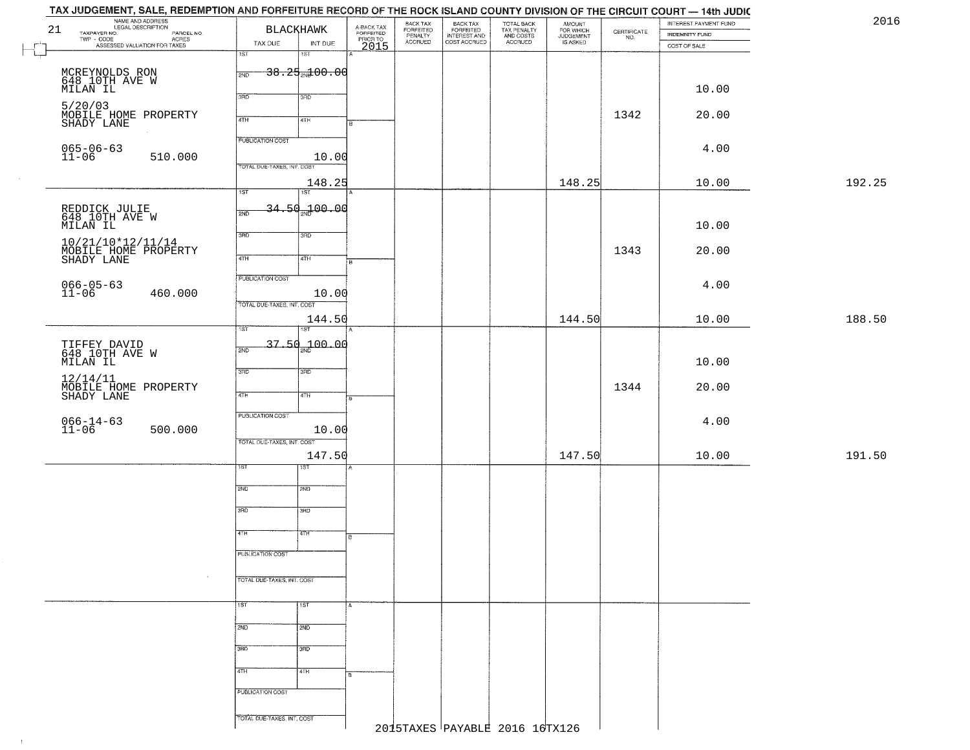| 21 | NAME AND ADDRESS<br>LEGAL DESCRIPTION<br>LEGAL DESCRIPTION PARCEL NO.<br>TWP - CODE PARCEL NO.<br>TWP - CODE ASSESSED VALUATION FOR TAXES | TAX DUE                    | <b>BLACKHAWK</b><br>INT DUE | A-BACK TAX<br>FORFEITED<br>PRIOR TO<br>2015 | BACK TAX<br>FORFEITED<br>PENALTY<br><b>ACCRUED</b> | BACK TAX<br>FORFEITED<br>INTEREST AND<br>COST ACCRUED | TOTAL BACK<br>TAX PENALTY<br>AND COSTS<br>ACCRUED | AMOUNT<br>FOR WHICH<br>JUDGEMENT<br>IS ASKED | $\begin{array}{c} \text{CERTIFICATE} \\ \text{NO.} \end{array}$ | INTEREST PAYMENT FUND<br>INDEMNITY FUND |        |
|----|-------------------------------------------------------------------------------------------------------------------------------------------|----------------------------|-----------------------------|---------------------------------------------|----------------------------------------------------|-------------------------------------------------------|---------------------------------------------------|----------------------------------------------|-----------------------------------------------------------------|-----------------------------------------|--------|
|    |                                                                                                                                           | 1ST                        | 15T                         |                                             |                                                    |                                                       |                                                   |                                              |                                                                 | COST OF SALE                            |        |
|    |                                                                                                                                           |                            | $38.25 + 00.00$             |                                             |                                                    |                                                       |                                                   |                                              |                                                                 |                                         |        |
|    | MCREYNOLDS RON<br>648 10TH AVE W<br>MILAN IL                                                                                              | 2ND                        |                             |                                             |                                                    |                                                       |                                                   |                                              |                                                                 |                                         |        |
|    |                                                                                                                                           | 3RD                        | 3RD                         |                                             |                                                    |                                                       |                                                   |                                              |                                                                 | 10.00                                   |        |
|    | 5/20/03<br>MOBILE HOME PROPERTY                                                                                                           |                            |                             |                                             |                                                    |                                                       |                                                   |                                              | 1342                                                            | 20.00                                   |        |
|    | SHADY LANE                                                                                                                                | 4TH                        | 4TH                         |                                             |                                                    |                                                       |                                                   |                                              |                                                                 |                                         |        |
|    |                                                                                                                                           | <b>PUBLICATION COST</b>    |                             |                                             |                                                    |                                                       |                                                   |                                              |                                                                 |                                         |        |
|    | $065 - 06 - 63$<br>11-06<br>510.000                                                                                                       |                            | 10.00                       |                                             |                                                    |                                                       |                                                   |                                              |                                                                 | 4.00                                    |        |
|    |                                                                                                                                           | TOTAL DUE-TAXES, INT. COST |                             |                                             |                                                    |                                                       |                                                   |                                              |                                                                 |                                         |        |
|    |                                                                                                                                           |                            | 148.25                      |                                             |                                                    |                                                       |                                                   | 148.25                                       |                                                                 | 10.00                                   | 192.25 |
|    |                                                                                                                                           | 1ST                        | ist                         |                                             |                                                    |                                                       |                                                   |                                              |                                                                 |                                         |        |
|    | REDDICK JULIE<br>648 10TH AVE W                                                                                                           | 2ND                        | 34.50 <sub>27</sub> 00.00   |                                             |                                                    |                                                       |                                                   |                                              |                                                                 |                                         |        |
|    | MILAN IL                                                                                                                                  |                            |                             |                                             |                                                    |                                                       |                                                   |                                              |                                                                 | 10.00                                   |        |
|    | 10/21/10*12/11/14                                                                                                                         | 3BD                        | 3RD                         |                                             |                                                    |                                                       |                                                   |                                              |                                                                 |                                         |        |
|    | MOBILE HOME PROPERTY<br>SHADY LANE                                                                                                        | 47H                        | 4TH                         |                                             |                                                    |                                                       |                                                   |                                              | 1343                                                            | 20.00                                   |        |
|    |                                                                                                                                           |                            |                             |                                             |                                                    |                                                       |                                                   |                                              |                                                                 |                                         |        |
|    |                                                                                                                                           | PUBLICATION COST           |                             |                                             |                                                    |                                                       |                                                   |                                              |                                                                 | 4.00                                    |        |
|    | $066 - 05 - 63$<br>11-06<br>460.000                                                                                                       |                            | 10.00                       |                                             |                                                    |                                                       |                                                   |                                              |                                                                 |                                         |        |
|    |                                                                                                                                           | TOTAL DUE-TAXES, INT. COST |                             |                                             |                                                    |                                                       |                                                   |                                              |                                                                 |                                         |        |
|    |                                                                                                                                           | 1ST                        | 144.50<br>IST               |                                             |                                                    |                                                       |                                                   | 144.50                                       |                                                                 | 10.00                                   | 188.50 |
|    |                                                                                                                                           |                            |                             |                                             |                                                    |                                                       |                                                   |                                              |                                                                 |                                         |        |
|    | TIFFEY DAVID<br>648 10TH AVE W<br>MILAN IL                                                                                                | 2ND                        | 37.50 <sub>22</sub> 00.00   |                                             |                                                    |                                                       |                                                   |                                              |                                                                 |                                         |        |
|    |                                                                                                                                           | 3 <sub>BD</sub>            | 3RD                         |                                             |                                                    |                                                       |                                                   |                                              |                                                                 | 10.00                                   |        |
|    | 12/14/11                                                                                                                                  |                            |                             |                                             |                                                    |                                                       |                                                   |                                              | 1344                                                            | 20.00                                   |        |
|    | MOBILE HOME PROPERTY<br>SHADY LANE                                                                                                        | 4TH                        | 4TH                         |                                             |                                                    |                                                       |                                                   |                                              |                                                                 |                                         |        |
|    |                                                                                                                                           | <b>PUBLICATION COST</b>    |                             |                                             |                                                    |                                                       |                                                   |                                              |                                                                 |                                         |        |
|    | $066 - 14 - 63$<br>11-06<br>500.000                                                                                                       |                            | 10.00                       |                                             |                                                    |                                                       |                                                   |                                              |                                                                 | 4.00                                    |        |
|    |                                                                                                                                           | TOTAL OUE-TAXES, INT. COST |                             |                                             |                                                    |                                                       |                                                   |                                              |                                                                 |                                         |        |
|    |                                                                                                                                           |                            | 147.50                      |                                             |                                                    |                                                       |                                                   | 147.50                                       |                                                                 | 10.00                                   | 191.50 |
|    |                                                                                                                                           | ST                         | १९४                         |                                             |                                                    |                                                       |                                                   |                                              |                                                                 |                                         |        |
|    |                                                                                                                                           | 2ND                        | 2ND                         |                                             |                                                    |                                                       |                                                   |                                              |                                                                 |                                         |        |
|    |                                                                                                                                           |                            |                             |                                             |                                                    |                                                       |                                                   |                                              |                                                                 |                                         |        |
|    |                                                                                                                                           | 3RD                        | 3BD                         |                                             |                                                    |                                                       |                                                   |                                              |                                                                 |                                         |        |
|    |                                                                                                                                           | 4TH                        | वाम                         |                                             |                                                    |                                                       |                                                   |                                              |                                                                 |                                         |        |
|    |                                                                                                                                           |                            |                             | в                                           |                                                    |                                                       |                                                   |                                              |                                                                 |                                         |        |
|    |                                                                                                                                           | PUBLICATION COST           |                             |                                             |                                                    |                                                       |                                                   |                                              |                                                                 |                                         |        |
|    |                                                                                                                                           |                            |                             |                                             |                                                    |                                                       |                                                   |                                              |                                                                 |                                         |        |
|    |                                                                                                                                           | TOTAL DUE-TAXES, INT. COST |                             |                                             |                                                    |                                                       |                                                   |                                              |                                                                 |                                         |        |
|    |                                                                                                                                           |                            | 1ST                         |                                             |                                                    |                                                       |                                                   |                                              |                                                                 |                                         |        |
|    |                                                                                                                                           | 1ST                        |                             |                                             |                                                    |                                                       |                                                   |                                              |                                                                 |                                         |        |
|    |                                                                                                                                           | 2ND                        | 2ND                         |                                             |                                                    |                                                       |                                                   |                                              |                                                                 |                                         |        |
|    |                                                                                                                                           |                            |                             |                                             |                                                    |                                                       |                                                   |                                              |                                                                 |                                         |        |
|    |                                                                                                                                           | 3RD                        | 3RD                         |                                             |                                                    |                                                       |                                                   |                                              |                                                                 |                                         |        |
|    |                                                                                                                                           | 4TH                        | 4TH                         |                                             |                                                    |                                                       |                                                   |                                              |                                                                 |                                         |        |
|    |                                                                                                                                           |                            |                             |                                             |                                                    |                                                       |                                                   |                                              |                                                                 |                                         |        |
|    |                                                                                                                                           | PUBLICATION COST           |                             |                                             |                                                    |                                                       |                                                   |                                              |                                                                 |                                         |        |
|    |                                                                                                                                           | TOTAL DUE-TAXES, INT. COST |                             |                                             |                                                    |                                                       |                                                   |                                              |                                                                 |                                         |        |
|    |                                                                                                                                           |                            |                             |                                             |                                                    | 2015TAXES PAYABLE 2016 16TX126                        |                                                   |                                              |                                                                 |                                         |        |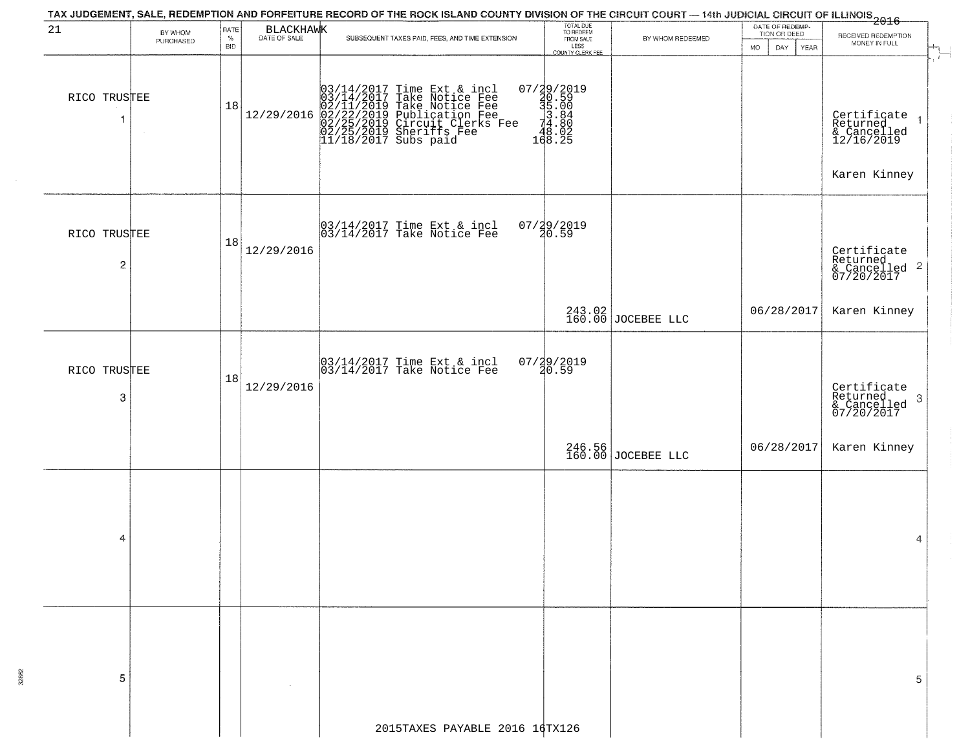|                                |           |                    |            | TAX JUDGEMENT, SALE, REDEMPTION AND FORFEITURE RECORD OF THE ROCK ISLAND COUNTY DIVISION OF THE CIRCUIT COURT — 14th JUDICIAL CIRCUIT OF ILLINOIS 2016                                                   |                                                                 |                                |                                 |                                                                                      |
|--------------------------------|-----------|--------------------|------------|----------------------------------------------------------------------------------------------------------------------------------------------------------------------------------------------------------|-----------------------------------------------------------------|--------------------------------|---------------------------------|--------------------------------------------------------------------------------------|
|                                | BY WHOM   | RATE               | BLACKHAWK  |                                                                                                                                                                                                          | TOTAL DUE<br>TO REDEEM                                          |                                | DATE OF REDEMP-<br>TION OR DEED | RECEIVED REDEMPTION                                                                  |
|                                | PURCHASED | $\%$<br><b>BID</b> |            | SUBSEQUENT TAXES PAID, FEES, AND TIME EXTENSION                                                                                                                                                          | FROM SALE<br>LESS<br>COUNTY CLERK FEE                           | BY WHOM REDEEMED               | YEAR<br><b>MO</b><br>DAY.       | MONEY IN FULL                                                                        |
| RICO TRUSTEE<br>-1             |           | 18                 | 12/29/2016 | 03/14/2017 Time Ext & incl<br>03/14/2017 Take Notice Fee<br>02/11/2019 Take Notice Fee<br>02/22/2019 Publication Fee<br>02/22/2019 Circuit Clerks Fee<br>02/25/2019 Sheriffs Fee<br>11/18/2017 Subs paid | 07/29/2019<br>30.59<br>31.004<br>3.80<br>3.84<br>3.02<br>168.25 |                                |                                 | $\mathbf{f}$<br>Certificate<br>Returned<br>& Cancelled<br>12/16/2019<br>Karen Kinney |
| RICO TRUSTEE<br>$\overline{c}$ |           | 18                 | 12/29/2016 | 03/14/2017 Time Ext & incl<br>03/14/2017 Take Notice Fee                                                                                                                                                 | $07/29/2019$<br>$20.59$                                         |                                |                                 | Certificate<br>Returned<br>& Cancelled <sup>2</sup><br>07/20/2017                    |
|                                |           |                    |            |                                                                                                                                                                                                          |                                                                 | 243.02<br>160.00 JOCEBEE LLC   | 06/28/2017                      | Karen Kinney                                                                         |
| RICO TRUSTEE<br>3              |           | 18                 | 12/29/2016 | $\begin{bmatrix} 03/14/2017 \\ 03/14/2017 \end{bmatrix}$ Time Ext & incl                                                                                                                                 | $07/29/2019$<br>$20.59$                                         |                                |                                 | Certificate<br>Returned<br>-3<br>& Cancelled<br>07/20/2017                           |
|                                |           |                    |            |                                                                                                                                                                                                          |                                                                 | 246.56<br>160.00 JOCEBEE LLC   | 06/28/2017                      | Karen Kinney                                                                         |
| 4                              |           |                    |            |                                                                                                                                                                                                          |                                                                 |                                |                                 | 4                                                                                    |
| 5                              |           |                    |            |                                                                                                                                                                                                          |                                                                 |                                |                                 | 5                                                                                    |
|                                |           |                    |            |                                                                                                                                                                                                          |                                                                 | 2015TAXES PAYABLE 2016 16TX126 |                                 |                                                                                      |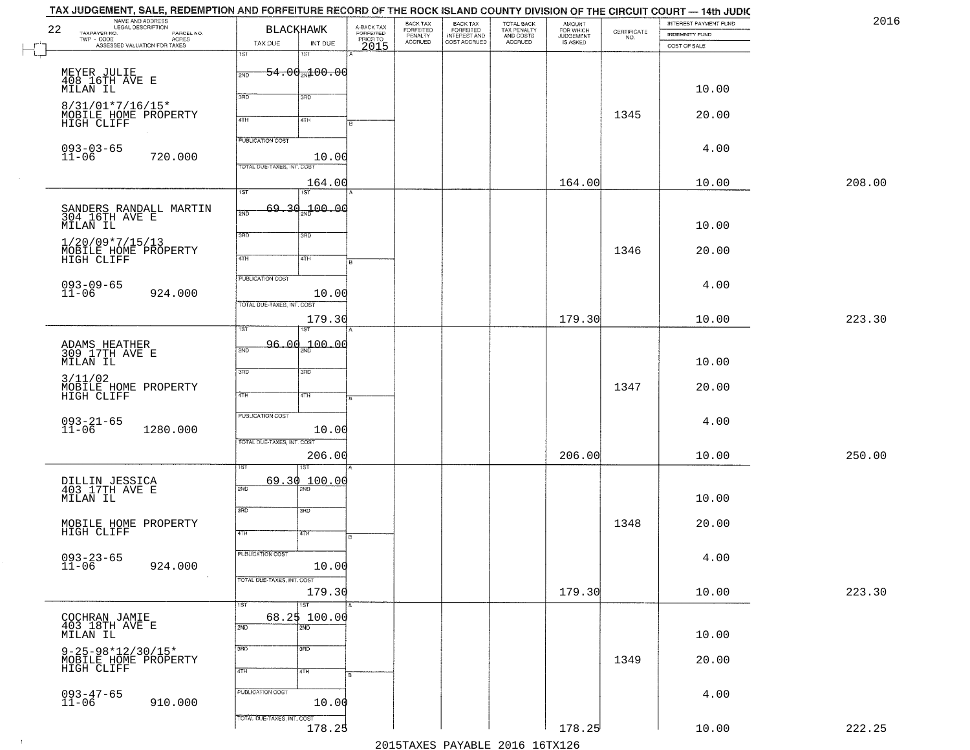| 22 | TAX JUDGEMENT, SALE, REDEMPTION AND FORFEITURE RECORD OF THE ROCK ISLAND COUNTY DIVISION OF THE CIRCUIT COURT — 14th JUDIC<br>NAME AND ADDRESS<br>LEGAL DESCRIPTION<br>TAXPAYER NO.<br>PARCEL NO. | BLACKHAWK                                             |                                         | A-BACK TAX<br>FORFEITED<br>PRIOR TO<br>2015 | BACK TAX<br>FORFEITED<br>PENALTY<br>ACCRUED | BACK TAX<br>FORFEITED<br>INTEREST AND<br>COST ACCRUED | TOTAL BACK<br>TAX PENALTY<br>AND COSTS<br>ACCRUED | <b>AMOUNT</b><br>FOR WHICH<br>JUDGEMENT<br>IS ASKED | $\begin{array}{c} \text{CERTIFICATE} \\ \text{NO.} \end{array}$ | INTEREST PAYMENT FUND<br>INDEMNITY FUND | 2016   |
|----|---------------------------------------------------------------------------------------------------------------------------------------------------------------------------------------------------|-------------------------------------------------------|-----------------------------------------|---------------------------------------------|---------------------------------------------|-------------------------------------------------------|---------------------------------------------------|-----------------------------------------------------|-----------------------------------------------------------------|-----------------------------------------|--------|
|    | TWP - CODE<br>ASSESSED VALUATION FOR TAXES                                                                                                                                                        | TAX DUE<br>1ST                                        | INT DUE<br>1ST                          |                                             |                                             |                                                       |                                                   |                                                     |                                                                 | COST OF SALE                            |        |
|    | MEYER JULIE<br>408 16TH AVE E<br><b>MILAN IL</b>                                                                                                                                                  | 2ND<br>3RD                                            | $-54.00$ <sub>2N</sub> $100.00$<br>3RD  |                                             |                                             |                                                       |                                                   |                                                     |                                                                 | 10.00                                   |        |
|    | 8/31/01*7/16/15*<br>MOBILE HOME PROPERTY<br>HIGH CLIFF                                                                                                                                            | 4TH                                                   | 4TH                                     |                                             |                                             |                                                       |                                                   |                                                     | 1345                                                            | 20.00                                   |        |
|    | $093 - 03 - 65$<br>$11 - 06$<br>720.000                                                                                                                                                           | <b>PUBLICATION COST</b><br>TOTAL DUE-TAXES, INT. COST | 10.00                                   |                                             |                                             |                                                       |                                                   |                                                     |                                                                 | 4.00                                    |        |
|    |                                                                                                                                                                                                   | 1ST                                                   | 164.00<br>1ST                           |                                             |                                             |                                                       |                                                   | 164.00                                              |                                                                 | 10.00                                   | 208.00 |
|    | SANDERS RANDALL MARTIN<br>304 16TH AVE E<br>MILAN IL                                                                                                                                              | 2ND                                                   | $69.30 - 00.00$                         |                                             |                                             |                                                       |                                                   |                                                     |                                                                 | 10.00                                   |        |
|    | $1/20/09*7/15/13$<br>MOBILE HOME PROPERTY<br>HIGH CLIFF                                                                                                                                           | 3BD<br>47H                                            | 3RD<br>4TH                              |                                             |                                             |                                                       |                                                   |                                                     | 1346                                                            | 20.00                                   |        |
|    | 093-09-65<br>11-06<br>924.000                                                                                                                                                                     | PUBLICATION COST                                      | 10.00                                   |                                             |                                             |                                                       |                                                   |                                                     |                                                                 | 4.00                                    |        |
|    |                                                                                                                                                                                                   | TOTAL DUE-TAXES, INT. COST                            | 179.30                                  |                                             |                                             |                                                       |                                                   | 179.30                                              |                                                                 | 10.00                                   | 223.30 |
|    | ADAMS HEATHER<br>309 17TH AVE E<br>MILAN IL                                                                                                                                                       | ist<br>2ND                                            | 96.00 <sub>20</sub> 100.00              |                                             |                                             |                                                       |                                                   |                                                     |                                                                 | 10.00                                   |        |
|    | 3/11/02<br>MOBILE HOME PROPERTY<br>HIGH CLIFF                                                                                                                                                     | 3RD<br>4TH                                            | 3BD<br>4TH                              |                                             |                                             |                                                       |                                                   |                                                     | 1347                                                            | 20.00                                   |        |
|    | $093 - 21 - 65$<br>11-06<br>1280.000                                                                                                                                                              | <b>PUBLICATION COST</b><br>TOTAL OUE-TAXES, INT. COST | 10.00                                   |                                             |                                             |                                                       |                                                   |                                                     |                                                                 | 4.00                                    |        |
|    |                                                                                                                                                                                                   |                                                       | 206.00<br>ख़                            |                                             |                                             |                                                       |                                                   | 206.00                                              |                                                                 | 10.00                                   | 250.00 |
|    | DILLIN JESSICA<br>403 17TH AVE E<br>MILAN IL                                                                                                                                                      | 69.30<br>2ND                                          | 100.00                                  |                                             |                                             |                                                       |                                                   |                                                     |                                                                 | 10.00                                   |        |
|    | MOBILE HOME PROPERTY<br>HIGH CLIFF                                                                                                                                                                | 3RD<br>4TH                                            | 3BD<br>वाम                              |                                             |                                             |                                                       |                                                   |                                                     | 1348                                                            | 20.00                                   |        |
|    | $093 - 23 - 65$<br>11-06<br>924.000<br>$\sim 100$                                                                                                                                                 | PUBLICATION COST                                      | 10.00                                   |                                             |                                             |                                                       |                                                   |                                                     |                                                                 | 4.00                                    |        |
|    |                                                                                                                                                                                                   | TOTAL DUE-TAXES, INT. COST                            | 179.30                                  |                                             |                                             |                                                       |                                                   | 179.30                                              |                                                                 | 10.00                                   | 223.30 |
|    | COCHRAN JAMIE<br>403 18TH AVE E<br>MILAN IL                                                                                                                                                       | 1ST<br>2ND                                            | 1ST<br>68.25 100.00<br>$\overline{2ND}$ |                                             |                                             |                                                       |                                                   |                                                     |                                                                 | 10.00                                   |        |
|    | $9 - 25 - 98 * 12 / 30 / 15*$<br>MOBILE HOME PROPERTY<br>HIGH CLIFF                                                                                                                               | 3RD<br>4TH                                            | 3 <sub>BD</sub><br>4TH                  |                                             |                                             |                                                       |                                                   |                                                     | 1349                                                            | 20.00                                   |        |
|    | $093 - 47 - 65$<br>11-06<br>910.000                                                                                                                                                               | PUBLICATION COST                                      | 10.00                                   |                                             |                                             |                                                       |                                                   |                                                     |                                                                 | 4.00                                    |        |
|    |                                                                                                                                                                                                   | TOTAL DUE-TAXES, INT. COST                            | 178.25                                  |                                             |                                             |                                                       | 2015 TAVEC DAVADIE 2016 16 TV126                  | 178.25                                              |                                                                 | 10.00                                   | 222.25 |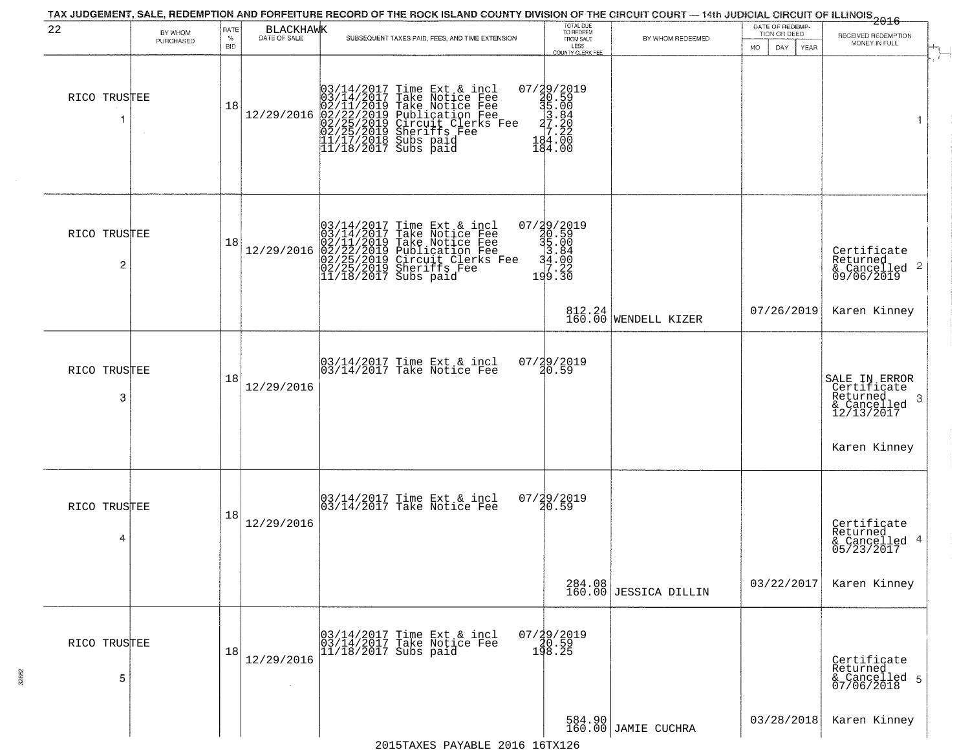|                   |                      |              |            | TAX JUDGEMENT, SALE, REDEMPTION AND FORFEITURE RECORD OF THE ROCK ISLAND COUNTY DIVISION OF THE CIRCUIT COURT - 14th JUDICIAL CIRCUIT OF ILLINOIS<br>2016 - The Case of Many Case of Management of Many Case of Many Case of Many          |                                                                             |                                 |                                 |                                                                            |
|-------------------|----------------------|--------------|------------|--------------------------------------------------------------------------------------------------------------------------------------------------------------------------------------------------------------------------------------------|-----------------------------------------------------------------------------|---------------------------------|---------------------------------|----------------------------------------------------------------------------|
| 22                | BY WHOM<br>PURCHASED | RATE<br>$\%$ | BLACKHAWK  | SUBSEQUENT TAXES PAID, FEES, AND TIME EXTENSION                                                                                                                                                                                            | TOTAL DUE<br>TO REDEEM<br>FROM SALE                                         | BY WHOM REDEEMED                | DATE OF REDEMP-<br>TION OR DEED | RECEIVED REDEMPTION                                                        |
|                   |                      | <b>BID</b>   |            |                                                                                                                                                                                                                                            | LESS<br>COUNTY CLERK FEE                                                    |                                 | MO.<br>DAY.<br>YEAR             | MONEY IN FULL                                                              |
| RICO TRUSTEE<br>1 | $\sim$               | 18           | 12/29/2016 | $03/14/2017$ Time Ext & incl<br>$03/14/2017$ Take Notice Fee<br>$02/11/2019$ Take Notice Fee<br>$02/22/2019$ Publication Fee<br>$02/25/2019$ Sheriffs Fee<br>$02/25/2019$ Sheriffs Fee<br>$11/17/2018$ Subs paid<br>$11/18/2017$ Subs paid | 07/29/2019<br>30.59<br>31.80<br>33.84<br>20.20<br>34.20<br>194.00<br>184.00 |                                 |                                 | 1                                                                          |
| RICO TRUSTEE<br>2 |                      | 18           | 12/29/2016 | $03/14/2017$ Time Ext & incl<br>03/14/2017 Take Notice Fee<br>02/11/2019 Take Notice Fee<br>02/22/2019 Publication Fee<br>02/25/2019 Circuit Clerks Fee<br>02/25/2019 Sheriffs Fee<br>11/18/2017 Subs paid                                 | 07/29/2019<br>30.59<br>31.00<br>34.00<br>34.00<br>30.22<br>199.30           |                                 |                                 | Certificate<br>Returned<br>$\frac{1}{6}$ Cancelled 2<br>09/06/2019         |
|                   |                      |              |            |                                                                                                                                                                                                                                            |                                                                             | 812.24<br>160.00 WENDELL KIZER  | 07/26/2019                      | Karen Kinney                                                               |
| RICO TRUSTEE<br>3 |                      | 18           | 12/29/2016 | $\begin{bmatrix} 03/14/2017 \\ 03/14/2017 \end{bmatrix}$ Time Ext & incl                                                                                                                                                                   | 07/29/2019<br>20.59                                                         |                                 |                                 | SALE IN ERROR<br>Certificate<br>Returned<br>3<br>& Cancelled<br>12/13/2017 |
|                   |                      |              |            |                                                                                                                                                                                                                                            |                                                                             |                                 |                                 | Karen Kinney                                                               |
| RICO TRUSTEE<br>4 |                      | 18           | 12/29/2016 | 03/14/2017 Time Ext & incl<br>03/14/2017 Take Notice Fee                                                                                                                                                                                   | $07/29/2019$<br>20.59                                                       |                                 |                                 | Certificate<br>Returned<br>& Cancelled 4<br>05/23/2017                     |
|                   |                      |              |            |                                                                                                                                                                                                                                            |                                                                             | 284.08<br>160.00 JESSICA DILLIN | 03/22/2017                      | Karen Kinney                                                               |
| RICO TRUSTEE<br>5 |                      | 18           | 12/29/2016 | 03/14/2017 Time Ext & incl<br>03/14/2017 Take Notice Fee<br>11/18/2017 Subs paid                                                                                                                                                           | 07/29/2019<br>10.59<br>198.25                                               |                                 |                                 | Certificate<br>Returned<br>& Cancelled 5<br>07/06/2018                     |
|                   |                      |              |            |                                                                                                                                                                                                                                            |                                                                             | 584.90<br>160.00 JAMIE CUCHRA   | 03/28/2018                      | Karen Kinney                                                               |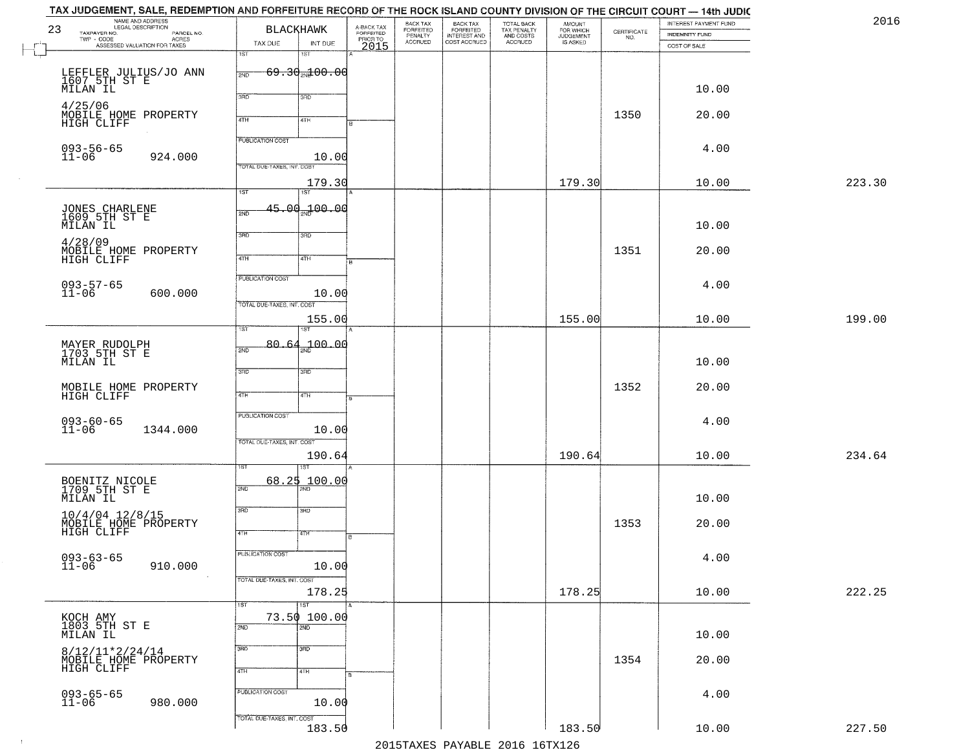| 2016   | INTEREST PAYMENT FUND<br>INDEMNITY FUND | $\begin{array}{c} \text{CERTIFICATE} \\ \text{NO.} \end{array}$ | AMOUNT<br>FOR WHICH<br><b>JUDGEMENT</b> | TOTAL BACK<br>TAX PENALTY<br>AND COSTS | BACK TAX<br>FORFEITED<br>INTEREST AND | BACK TAX<br>FORFEITED<br>PENALTY | A-BACK TAX<br>FORFEITED<br>PRIOR TO | <b>BLACKHAWK</b>                           | NAME AND ADDRESS<br>LEGAL DESCRIPTION<br>23<br>TAXPAYER NO.<br>PARCEL NO. |
|--------|-----------------------------------------|-----------------------------------------------------------------|-----------------------------------------|----------------------------------------|---------------------------------------|----------------------------------|-------------------------------------|--------------------------------------------|---------------------------------------------------------------------------|
|        | COST OF SALE                            |                                                                 | IS ASKED                                | <b>ACCRUED</b>                         | COST ACCRUED                          | <b>ACCRUED</b>                   | 2015                                | TAX DUE<br>INT DUE                         | ACRES<br>ASSESSED VALUATION FOR TAXES                                     |
|        |                                         |                                                                 |                                         |                                        |                                       |                                  |                                     | 1ST<br>1ST                                 |                                                                           |
|        |                                         |                                                                 |                                         |                                        |                                       |                                  |                                     | <del>69.30<sub>20</sub>100.00</del><br>2ND | LEFFLER JULIUS/JO ANN<br>1607 5TH ST E<br>MILAN IL                        |
|        | 10.00                                   |                                                                 |                                         |                                        |                                       |                                  |                                     | 3HD<br>3 <sub>BD</sub>                     |                                                                           |
|        | 20.00                                   | 1350                                                            |                                         |                                        |                                       |                                  |                                     |                                            | 4/25/06<br>MOBILE HOME PROPERTY                                           |
|        |                                         |                                                                 |                                         |                                        |                                       |                                  |                                     | 4TH<br>4TH                                 | HIGH CLIFF                                                                |
|        | 4.00                                    |                                                                 |                                         |                                        |                                       |                                  |                                     | <b>PUBLICATION COST</b>                    |                                                                           |
|        |                                         |                                                                 |                                         |                                        |                                       |                                  |                                     | 10.00<br>TOTAL DUE-TAXES, INT. COST        | 093-56-65<br>11-06<br>924.000                                             |
| 223.30 | 10.00                                   |                                                                 | 179.30                                  |                                        |                                       |                                  |                                     | 179.30                                     |                                                                           |
|        |                                         |                                                                 |                                         |                                        |                                       |                                  |                                     | 1ST<br>IST                                 |                                                                           |
|        |                                         |                                                                 |                                         |                                        |                                       |                                  |                                     | $45.00_{20}100.00$<br>2ND                  | JONES CHARLENE<br>1609 5TH ST E                                           |
|        | 10.00                                   |                                                                 |                                         |                                        |                                       |                                  |                                     | 3RD<br>3HD                                 | MILAN IL<br>4/28/09                                                       |
|        | 20.00                                   | 1351                                                            |                                         |                                        |                                       |                                  |                                     | 47H<br>4TH                                 | MOBILE HOME PROPERTY<br>HIGH CLIFF                                        |
|        |                                         |                                                                 |                                         |                                        |                                       |                                  |                                     | PUBLICATION COST                           |                                                                           |
|        | 4.00                                    |                                                                 |                                         |                                        |                                       |                                  |                                     | 10.00                                      | $093 - 57 - 65$<br>11-06<br>600.000                                       |
|        |                                         |                                                                 |                                         |                                        |                                       |                                  |                                     | TOTAL DUE-TAXES, INT. COST                 |                                                                           |
| 199.00 | 10.00                                   |                                                                 | 155.00                                  |                                        |                                       |                                  |                                     | 155.00<br>ST                               |                                                                           |
|        |                                         |                                                                 |                                         |                                        |                                       |                                  |                                     | 700.00<br>80.64<br>2ND                     | MAYER RUDOLPH<br>1703 5TH ST E                                            |
|        | 10.00                                   |                                                                 |                                         |                                        |                                       |                                  |                                     |                                            | MILAN IL                                                                  |
|        |                                         |                                                                 |                                         |                                        |                                       |                                  |                                     | 3BD<br>3 <sub>BD</sub>                     |                                                                           |
|        | 20.00                                   | 1352                                                            |                                         |                                        |                                       |                                  |                                     | 4TH<br>4TH                                 | MOBILE HOME PROPERTY<br>HIGH CLIFF                                        |
|        | 4.00                                    |                                                                 |                                         |                                        |                                       |                                  |                                     | <b>PUBLICATION COST</b>                    |                                                                           |
|        |                                         |                                                                 |                                         |                                        |                                       |                                  |                                     | 10.00                                      | 093-60-65<br>11-06<br>1344.000                                            |
| 234.64 | 10.00                                   |                                                                 | 190.64                                  |                                        |                                       |                                  |                                     | TOTAL OUE-TAXES, INT. COST<br>190.64       |                                                                           |
|        |                                         |                                                                 |                                         |                                        |                                       |                                  |                                     |                                            |                                                                           |
|        |                                         |                                                                 |                                         |                                        |                                       |                                  |                                     | $68.25$ 100.00<br>2ND                      | BOENITZ NICOLE<br>1709 5TH ST E                                           |
|        | 10.00                                   |                                                                 |                                         |                                        |                                       |                                  |                                     | 3RD<br>3RD                                 | MILAN IL                                                                  |
|        | 20.00                                   | 1353                                                            |                                         |                                        |                                       |                                  |                                     |                                            | $10/4/04$ $12/8/15$<br>MOBILE HOME PROPERTY                               |
|        |                                         |                                                                 |                                         |                                        |                                       |                                  |                                     | 47H<br>4TH                                 | HIGH CLIFF                                                                |
|        | 4.00                                    |                                                                 |                                         |                                        |                                       |                                  |                                     | PUBLICATION COST<br>10.00                  | $093 - 63 - 65$<br>11-06<br>910.000                                       |
|        |                                         |                                                                 |                                         |                                        |                                       |                                  |                                     | TOTAL DUE-TAXES, INT. COST                 |                                                                           |
| 222.25 | 10.00                                   |                                                                 | 178.25                                  |                                        |                                       |                                  |                                     | 178.25                                     |                                                                           |
|        |                                         |                                                                 |                                         |                                        |                                       |                                  |                                     | 1ST<br>1ST<br>73.50 100.00                 |                                                                           |
|        | 10.00                                   |                                                                 |                                         |                                        |                                       |                                  |                                     | 2ND<br>2ND                                 | KOCH AMY<br>1803 5TH ST E<br>MILAN IL                                     |
|        |                                         |                                                                 |                                         |                                        |                                       |                                  |                                     | 3RD<br>SRD.                                | $8/12/11*2/24/14$                                                         |
|        | 20.00                                   | 1354                                                            |                                         |                                        |                                       |                                  |                                     | 4TH<br>4TH                                 | MOBILE HOME PROPERTY<br>HIGH CLIFF                                        |
|        |                                         |                                                                 |                                         |                                        |                                       |                                  |                                     | PUBLICATION COST                           |                                                                           |
|        | 4.00                                    |                                                                 |                                         |                                        |                                       |                                  |                                     | 10.00                                      | 093-65-65<br>11-06<br>980.000                                             |
|        |                                         |                                                                 |                                         |                                        |                                       |                                  |                                     |                                            |                                                                           |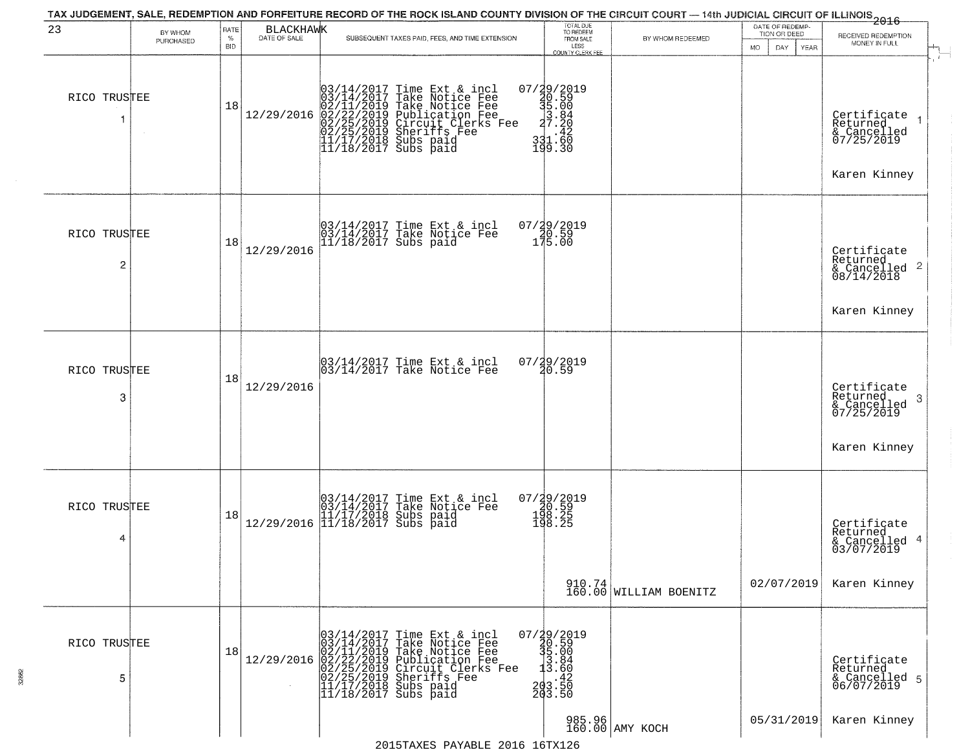| 23                | BY WHOM<br>PURCHASED | RATE<br>$\%$<br><b>BID</b> | BLACKHAWK  | SUBSEQUENT TAXES PAID, FEES, AND TIME EXTENSION                                                                                                                                                                                             | TOTAL DUE<br>TO REDEEM<br>FROM SALE<br>LESS<br><b>COUNTY CLERK FEE</b>                               | BY WHOM REDEEMED          | DATE OF REDEMP-<br>TION OR DEED<br>DAY<br>MO.<br>YEAR | $\frac{1}{2016}$<br>RECEIVED REDEMPTION<br>MONEY IN FULL                                      |
|-------------------|----------------------|----------------------------|------------|---------------------------------------------------------------------------------------------------------------------------------------------------------------------------------------------------------------------------------------------|------------------------------------------------------------------------------------------------------|---------------------------|-------------------------------------------------------|-----------------------------------------------------------------------------------------------|
| RICO TRUSTEE      |                      | 18                         |            | 03/14/2017 Time Ext & incl<br>03/14/2017 Take Notice Fee<br>02/11/2019 Take Notice Fee<br>12/29/2016 02/22/2019 Publication Fee<br>02/25/2019 Circuit Clerks Fee<br>02/25/2019 Sheriffs Fee<br>11/17/2018 Subs paid<br>11/18/2017 Subs paid | 07/29/2019<br>20.59<br>35.00<br>3.84<br>27.20<br>331.60<br>199.30                                    |                           |                                                       | Certificate 1<br>Returned<br>& Cancelled<br>07/25/2019                                        |
| RICO TRUSTEE<br>2 |                      | 18                         | 12/29/2016 | 03/14/2017 Time Ext & incl<br>03/14/2017 Take Notice Fee<br>11/18/2017 Subs paid                                                                                                                                                            | 07/29/2019<br>20.59<br>175.00                                                                        |                           |                                                       | Karen Kinney<br>Certificate<br>Returned<br>$\frac{1}{6}$ Cancelled <sup>2</sup><br>08/14/2018 |
| RICO TRUSTEE<br>3 |                      | 18                         | 12/29/2016 | $\begin{bmatrix} 03/14/2017 \\ 03/14/2017 \end{bmatrix}$ Time Ext & incl                                                                                                                                                                    | 07/29/2019<br>20.59                                                                                  |                           |                                                       | Karen Kinney<br>Certificate<br>Returned<br>3<br>& Cancelled<br>07/25/2019                     |
| RICO TRUSTEE<br>4 |                      | 18                         |            | $[03/14/2017 \tTime Ext & incl \\ [03/14/2017 \tTake Notice Free \\ [11/17/2018 Subs paid \\ [11/18/2017 Subs paid \\$                                                                                                                      | 07/29/2019<br>20.59<br>198.25<br>198.25                                                              |                           | 02/07/2019                                            | Karen Kinney<br>Certificate<br>Returned<br>& Cancelled 4<br>03/07/2019<br>Karen Kinney        |
| RICO TRUSTEE<br>5 |                      | 18                         | 12/29/2016 | $03/14/2017$ Time Ext & incl<br>$03/14/2017$ Take Notice Fee<br>$02/11/2019$ Take Notice Fee<br>$02/22/2019$ Publication Fee<br>$02/25/2019$ Sheriffs Fee<br>$11/17/2018$ Subs paid<br>$11/18/2017$ Subs paid                               | $\begin{smallmatrix} 07/39/2019\\ 30.59\\ 35.00\\ 13.84\\ 13.86\\ 203.50\\ 203.50 \end{smallmatrix}$ | $910.74$ WILLIAM BOENITZ  |                                                       | Certificate<br>Returned<br>& Cancelled 5<br>06/07/2019                                        |
|                   |                      |                            |            |                                                                                                                                                                                                                                             |                                                                                                      | 985.96<br>160.00 AMY KOCH | 05/31/2019                                            | Karen Kinney                                                                                  |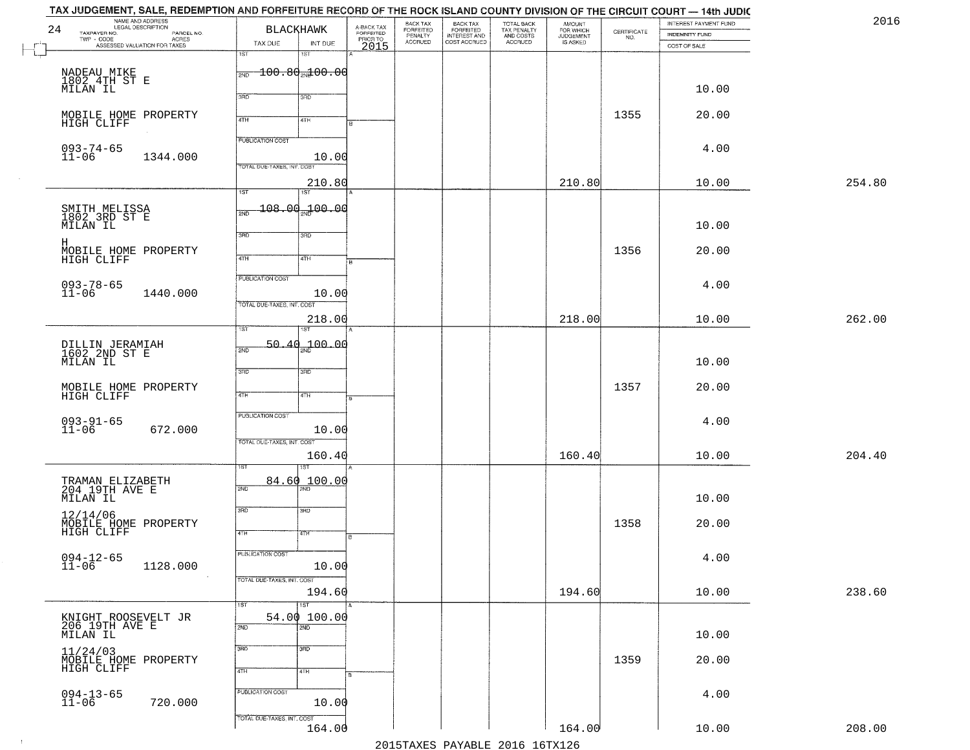| NAME AND ADDRESS<br>LEGAL DESCRIPTION<br>24<br>TAXPAYER NO.                                            | <b>BLACKHAWK</b>                             |         |                                             | BACK TAX<br>FORFEITED<br>PENALTY | BACK TAX<br>FORFEITED<br>INTEREST AND | TOTAL BACK<br>TAX PENALTY<br>AND COSTS | AMOUNT<br>FOR WHICH<br>JUDGEMENT<br>IS ASKED | $\begin{array}{c} \text{CERTIFICATE} \\ \text{NO.} \end{array}$ | INTEREST PAYMENT FUND<br><b>INDEMNITY FUND</b> | 2016   |
|--------------------------------------------------------------------------------------------------------|----------------------------------------------|---------|---------------------------------------------|----------------------------------|---------------------------------------|----------------------------------------|----------------------------------------------|-----------------------------------------------------------------|------------------------------------------------|--------|
| LEGAL DESCRIPTION<br>- CODE PARCEL NO.<br>- CODE ACRES<br>- ASSESSED VALUATION FOR TAXES<br>TWP - CODE | TAX DUE<br>1ST<br>1ST                        | INT DUE | A-BACK TAX<br>FORFEITED<br>PRIOR TO<br>2015 | <b>ACCRUED</b>                   | COST ACCRUED                          | ACCRUED                                |                                              |                                                                 | COST OF SALE                                   |        |
|                                                                                                        | $\frac{1}{2ND}$ 100.80 $\frac{1}{2ND}$ 00.00 |         |                                             |                                  |                                       |                                        |                                              |                                                                 |                                                |        |
| NADEAU MIKE<br>1802.4TH ST E<br>MILAN IL                                                               | 370<br>3RD                                   |         |                                             |                                  |                                       |                                        |                                              |                                                                 | 10.00                                          |        |
| MOBILE HOME PROPERTY                                                                                   | 4TH<br>41H                                   |         |                                             |                                  |                                       |                                        |                                              | 1355                                                            | 20.00                                          |        |
| HIGH CLIFF                                                                                             | <b>PUBLICATION COST</b>                      |         |                                             |                                  |                                       |                                        |                                              |                                                                 |                                                |        |
| $093 - 74 - 65$<br>$11 - 06$<br>1344.000                                                               |                                              | 10.00   |                                             |                                  |                                       |                                        |                                              |                                                                 | 4.00                                           |        |
|                                                                                                        | TOTAL DUE-TAXES, INT. COST                   | 210.80  |                                             |                                  |                                       |                                        | 210.80                                       |                                                                 | 10.00                                          | 254.80 |
|                                                                                                        | 1ST<br>1ST <sup>1</sup><br>$-108.00 - 00.00$ |         |                                             |                                  |                                       |                                        |                                              |                                                                 |                                                |        |
| SMITH MELISSA<br>1802 3RD ST E<br>MILAN IL                                                             | 2ND                                          |         |                                             |                                  |                                       |                                        |                                              |                                                                 | 10.00                                          |        |
| н                                                                                                      | 3BD<br>3RD                                   |         |                                             |                                  |                                       |                                        |                                              | 1356                                                            | 20.00                                          |        |
| MOBILE HOME PROPERTY<br>HIGH CLIFF                                                                     | $\sqrt{47H}$<br>4TH                          |         |                                             |                                  |                                       |                                        |                                              |                                                                 |                                                |        |
| $093 - 78 - 65$<br>11-06<br>1440.000                                                                   | PUBLICATION COST                             | 10.00   |                                             |                                  |                                       |                                        |                                              |                                                                 | 4.00                                           |        |
|                                                                                                        | TOTAL DUE-TAXES, INT. COST                   | 218.00  |                                             |                                  |                                       |                                        | 218.00                                       |                                                                 | 10.00                                          | 262.00 |
|                                                                                                        | TST.                                         |         |                                             |                                  |                                       |                                        |                                              |                                                                 |                                                |        |
| DILLIN JERAMIAH<br>1602 2ND ST E<br>MILAN IL                                                           | 50.40<br>2ND                                 | 100.00  |                                             |                                  |                                       |                                        |                                              |                                                                 | 10.00                                          |        |
|                                                                                                        | 3RD<br>3RD                                   |         |                                             |                                  |                                       |                                        |                                              | 1357                                                            | 20.00                                          |        |
| MOBILE HOME PROPERTY<br>HIGH CLIFF                                                                     | 4TH<br>4TH                                   |         |                                             |                                  |                                       |                                        |                                              |                                                                 |                                                |        |
| $093 - 91 - 65$<br>11-06<br>672.000                                                                    | <b>PUBLICATION COST</b>                      | 10.00   |                                             |                                  |                                       |                                        |                                              |                                                                 | 4.00                                           |        |
|                                                                                                        | TOTAL OUE-TAXES, INT. COST                   | 160.40  |                                             |                                  |                                       |                                        | 160.40                                       |                                                                 | 10.00                                          | 204.40 |
|                                                                                                        | ड़ा                                          |         |                                             |                                  |                                       |                                        |                                              |                                                                 |                                                |        |
| TRAMAN ELIZABETH<br>204 19TH AVE E<br>MILAN IL                                                         | 84.60<br>2ND                                 | 100.00  |                                             |                                  |                                       |                                        |                                              |                                                                 | 10.00                                          |        |
| 12/14/06                                                                                               | 3RD<br>3BD                                   |         |                                             |                                  |                                       |                                        |                                              | 1358                                                            | 20.00                                          |        |
| MOBILE HOME PROPERTY<br>HIGH CLIFF                                                                     | 4TH<br>4TH                                   | R       |                                             |                                  |                                       |                                        |                                              |                                                                 |                                                |        |
| $094 - 12 - 65$<br>11-06<br>1128.000                                                                   | PUBLICATION COST                             | 10.00   |                                             |                                  |                                       |                                        |                                              |                                                                 | 4.00                                           |        |
|                                                                                                        | TOTAL DUE-TAXES, INT. COST                   | 194.60  |                                             |                                  |                                       |                                        | 194.60                                       |                                                                 | 10.00                                          | 238.60 |
|                                                                                                        | $\overline{\text{1ST}}$<br>1ST               |         |                                             |                                  |                                       |                                        |                                              |                                                                 |                                                |        |
| KNIGHT ROOSEVELT JR<br>206 19TH AVE E<br>MILAN IL                                                      | 54.00 100.00<br>2ND.<br>2ND                  |         |                                             |                                  |                                       |                                        |                                              |                                                                 | 10.00                                          |        |
| 11/24/03                                                                                               | 3RD<br>3 <sub>BD</sub>                       |         |                                             |                                  |                                       |                                        |                                              |                                                                 |                                                |        |
| MOBILE HOME PROPERTY<br>HIGH CLIFF                                                                     | 4TH<br>4TH                                   |         |                                             |                                  |                                       |                                        |                                              | 1359                                                            | 20.00                                          |        |
| $094 - 13 - 65$<br>11-06<br>720.000                                                                    | PUBLICATION COST                             | 10.00   |                                             |                                  |                                       |                                        |                                              |                                                                 | 4.00                                           |        |
|                                                                                                        | TOTAL DUE-TAXES, INT. COST                   |         |                                             |                                  |                                       |                                        |                                              |                                                                 |                                                |        |
|                                                                                                        |                                              | 164.00  |                                             |                                  |                                       | 2015 TAVEC DAVADIE 2016 16 TV126       | 164.00                                       |                                                                 | 10.00                                          | 208.00 |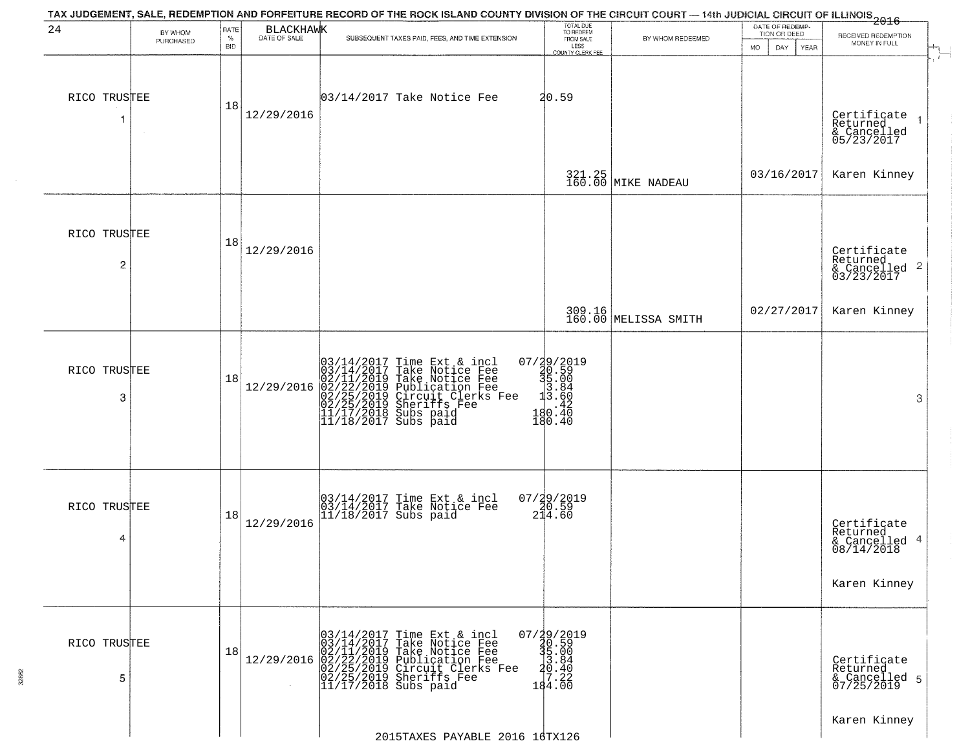| 24                             | BY WHOM   | RATE               | <b>BLACKHAWK</b> | TAX JUDGEMENT, SALE, REDEMPTION AND FORFEITURE RECORD OF THE ROCK ISLAND COUNTY DIVISION OF THE CIRCUIT COURT — 14th JUDICIAL CIRCUIT OF ILLINOIS 2016                                                                                     | TOTAL DUE<br>TO REDEEM<br>FROM SALE                                                 |                                | DATE OF REDEMP-<br>TION OR DEED | RECEIVED REDEMPTION                                                       |
|--------------------------------|-----------|--------------------|------------------|--------------------------------------------------------------------------------------------------------------------------------------------------------------------------------------------------------------------------------------------|-------------------------------------------------------------------------------------|--------------------------------|---------------------------------|---------------------------------------------------------------------------|
|                                | PURCHASED | $\%$<br><b>BID</b> | DATE OF SALE     | SUBSEQUENT TAXES PAID, FEES, AND TIME EXTENSION                                                                                                                                                                                            | LESS<br><b>COUNTY CLERK FEE</b>                                                     | BY WHOM REDEEMED               | <b>MO</b><br>DAY<br><b>YEAR</b> | MONEY IN FULL                                                             |
| RICO TRUSTEE<br>-1             |           | 18                 | 12/29/2016       | 03/14/2017 Take Notice Fee                                                                                                                                                                                                                 | 20.59                                                                               |                                |                                 | Certificate<br>Returned<br>$\rightarrow$<br>& Cancelled<br>05/23/2017     |
|                                |           |                    |                  |                                                                                                                                                                                                                                            |                                                                                     | 321.25 MIKE NADEAU             | 03/16/2017                      | Karen Kinney                                                              |
| RICO TRUSTEE<br>$\overline{c}$ |           | 18                 | 12/29/2016       |                                                                                                                                                                                                                                            |                                                                                     |                                |                                 | Certificate<br>Returned<br>$\overline{c}$<br>& Cancelled<br>03/23/2017    |
|                                |           |                    |                  |                                                                                                                                                                                                                                            |                                                                                     | 309.16<br>160.00 MELISSA SMITH | 02/27/2017                      | Karen Kinney                                                              |
| RICO TRUSTEE<br>3              |           | 18                 | 12/29/2016       | $03/14/2017$ Time Ext & incl<br>$03/14/2017$ Take Notice Fee<br>$02/11/2019$ Take Notice Fee<br>$02/22/2019$ Publication Fee<br>$02/25/2019$ Sheriffs Fee<br>$02/25/2019$ Sheriffs Fee<br>$11/17/2018$ Subs paid<br>$11/18/2017$ Subs paid | 07/29/2019<br>30.59<br>31.00<br>3.60<br>3.60<br>420.420<br>480.40<br>180.40         |                                |                                 | 3                                                                         |
| RICO TRUSTEE<br>4              |           | 18                 | 12/29/2016       | 03/14/2017 Time Ext & incl<br>03/14/2017 Take Notice Fee<br>11/18/2017 Subs paid                                                                                                                                                           | $07/29/2019$<br>20.59<br>214.60                                                     |                                |                                 | Certificate<br>Returned<br>4<br>& Cancelled<br>08/14/2018<br>Karen Kinney |
| RICO TRUSTEE<br>5              |           | 18                 | 12/29/2016       | $03/14/2017$ Time Ext & incl<br>03/14/2017 Take Notice Fee<br>02/11/2019 Take Notice Fee<br>02/22/2019 Publication Fee<br>02/22/2019 Circuit Clerks Fee<br>02/25/2019 Sheriffs Fee<br>11/17/2018 Subs paid                                 | $07/\frac{1}{2}9/\frac{2}{5}9$<br>$35.00$<br>$3.84$<br>$20.40$<br>$19.22$<br>184.00 |                                |                                 | Certificate<br>Returned<br>& Cancelled 5<br>07/25/2019                    |
|                                |           |                    |                  | 2015TAXES PAYABLE 2016 16TX126                                                                                                                                                                                                             |                                                                                     |                                |                                 | Karen Kinney                                                              |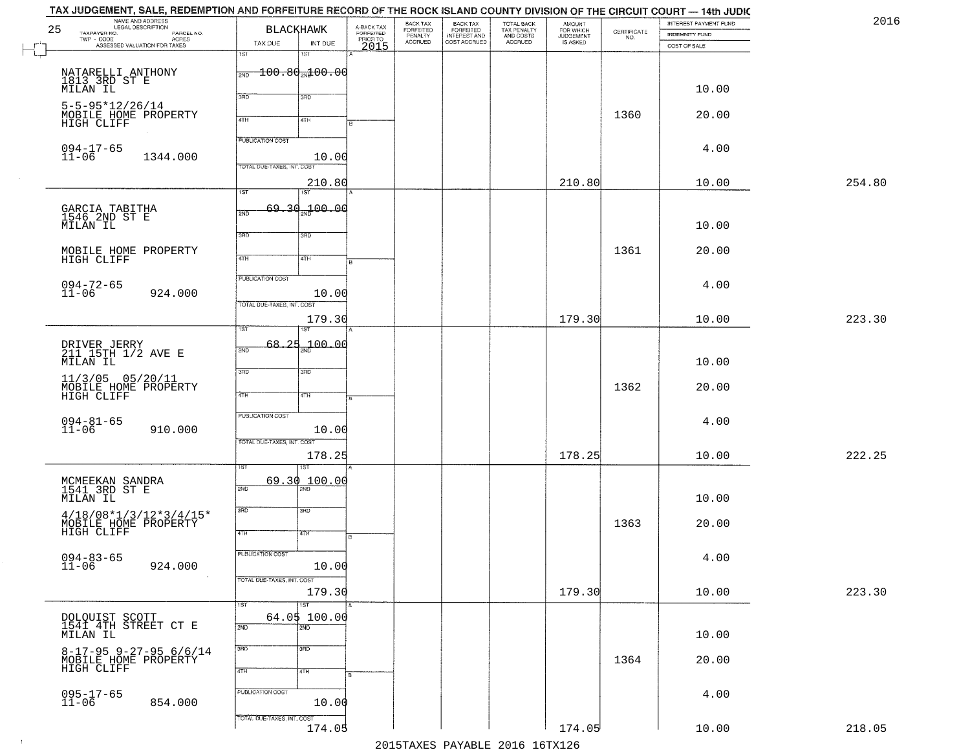| NAME AND ADDRESS<br>LEGAL DESCRIPTION<br>25                       | <b>BLACKHAWK</b>                                                | BACK TAX<br>A-BACK TAX<br>FORFEITED<br><b>FORFEITED</b> |                                                       |                                                   | <b>AMOUNT</b>                      |                                                                 | INTEREST PAYMENT FUND | 2016   |
|-------------------------------------------------------------------|-----------------------------------------------------------------|---------------------------------------------------------|-------------------------------------------------------|---------------------------------------------------|------------------------------------|-----------------------------------------------------------------|-----------------------|--------|
| TAXPAYER NO.<br>PARCEL NO.<br>TWP - CODE<br>ACRES                 |                                                                 | PENALTY<br>ACCRUED<br>PRIOR TO                          | BACK TAX<br>FORFEITED<br>INTEREST AND<br>COST ACCRUED | TOTAL BACK<br>TAX PENALTY<br>AND COSTS<br>ACCRUED | FOR WHICH<br>JUDGEMENT<br>IS ASKED | $\begin{array}{c} \text{CERTIFICATE} \\ \text{NO.} \end{array}$ | INDEMNITY FUND        |        |
| ASSESSED VALUATION FOR TAXES                                      | TAX DUE<br>INT DUE<br>1ST<br>1ST                                | 2015                                                    |                                                       |                                                   |                                    |                                                                 | COST OF SALE          |        |
| NATARELLI ANTHONY<br>1813_3RD ST E<br>MILAN IL                    | $-100.80$ an $100.00$<br>2ND                                    |                                                         |                                                       |                                                   |                                    |                                                                 | 10.00                 |        |
| $5 - 5 - 95 * 12 / 26 / 14$<br>MOBILE HOME PROPERTY<br>HIGH CLIFF | 3RD<br>3RD<br>4TH<br>4TH                                        |                                                         |                                                       |                                                   |                                    | 1360                                                            | 20.00                 |        |
| $094 - 17 - 65$<br>$11 - 06$<br>1344.000                          | <b>PUBLICATION COST</b><br>10.00                                |                                                         |                                                       |                                                   |                                    |                                                                 | 4.00                  |        |
|                                                                   | TOTAL DUE-TAXES, INT. COST<br>210.80<br>1ST<br>1ST <sup>-</sup> |                                                         |                                                       |                                                   | 210.80                             |                                                                 | 10.00                 | 254.80 |
| GARCIA TABITHA<br>1546 2ND ST E<br>MILAN IL                       | 69.30 <sub>37</sub> 00.00<br>2ND                                |                                                         |                                                       |                                                   |                                    |                                                                 | 10.00                 |        |
| MOBILE HOME PROPERTY<br>HIGH CLIFF                                | 3RD<br>3HD<br>47H<br>4TH                                        |                                                         |                                                       |                                                   |                                    | 1361                                                            | 20.00                 |        |
| $094 - 72 - 65$<br>11-06<br>924.000                               | PUBLICATION COST<br>10.00                                       |                                                         |                                                       |                                                   |                                    |                                                                 | 4.00                  |        |
|                                                                   | TOTAL DUE-TAXES, INT. COST<br>179.30<br>ist.<br><b>ST</b>       |                                                         |                                                       |                                                   | 179.30                             |                                                                 | 10.00                 | 223.30 |
| DRIVER JERRY<br>211 15TH 1/2 AVE E<br>MILAN IL                    | 68.25<br>$-100.00$<br>2ND<br>3RD                                |                                                         |                                                       |                                                   |                                    |                                                                 | 10.00                 |        |
| $11/3/05$ $05/20/11$<br>MOBILE HOME PROPERTY<br>HIGH CLIFF        | 3 <sub>3</sub><br>4TH<br>4TH                                    |                                                         |                                                       |                                                   |                                    | 1362                                                            | 20.00                 |        |
| $094 - 81 - 65$<br>11-06<br>910.000                               | <b>PUBLICATION COST</b><br>10.00<br>TOTAL OUE-TAXES, INT. COST  |                                                         |                                                       |                                                   |                                    |                                                                 | 4.00                  |        |
|                                                                   | 178.25                                                          |                                                         |                                                       |                                                   | 178.25                             |                                                                 | 10.00                 | 222.25 |
| MCMEEKAN SANDRA<br>1541 3RD ST E<br>MILAN IL                      | 69.30<br>$\frac{100.00}{200}$<br>2ND                            |                                                         |                                                       |                                                   |                                    |                                                                 | 10.00                 |        |
| $4/18/08*1/3/12*3/4/15*$<br>MOBILE HOME PROPERTY                  | 3RD<br>3RD<br>4TH<br>4TH.                                       |                                                         |                                                       |                                                   |                                    | 1363                                                            | 20.00                 |        |
| $094 - 83 - 65$<br>11-06<br>924.000                               | PUBLICATION COST<br>10.00                                       |                                                         |                                                       |                                                   |                                    |                                                                 | 4.00                  |        |
|                                                                   | TOTAL DUE-TAXES, INT. COST<br>179.30<br>75T<br>$\overline{1ST}$ |                                                         |                                                       |                                                   | 179.30                             |                                                                 | 10.00                 | 223.30 |
| DOLQUIST SCOTT<br>1541 4TH STREET CT E<br>MILAN IL                | 64.05 100.00<br>2ND<br>2ND                                      |                                                         |                                                       |                                                   |                                    |                                                                 | 10.00                 |        |
| $8-17-95$ 9-27-95 6/6/14<br>MOBILE HOME PROPERTY<br>HIGH CLIFF    | 3RD<br>$\overline{3}$ RD<br>4TH<br>4TH                          |                                                         |                                                       |                                                   |                                    | 1364                                                            | 20.00                 |        |
| 095-17-65<br>11-06<br>854.000                                     | PUBLICATION COST<br>10.00                                       |                                                         |                                                       |                                                   |                                    |                                                                 | 4.00                  |        |
|                                                                   | TOTAL DUE-TAXES, INT. COST<br>174.05                            |                                                         |                                                       |                                                   | 174.05                             |                                                                 | 10.00                 | 218.05 |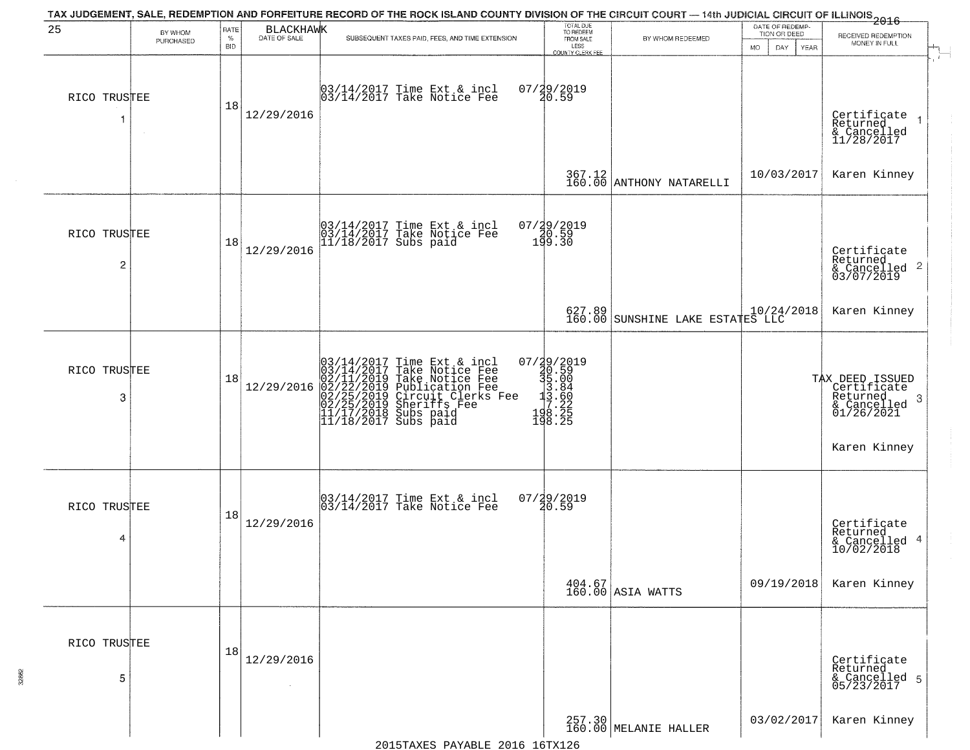| 25                | BY WHOM   | RATE               | <b>BLACKHAWK</b> | TAX JUDGEMENT, SALE, REDEMPTION AND FORFEITURE RECORD OF THE ROCK ISLAND COUNTY DIVISION OF THE CIRCUIT COURT — 14th JUDICIAL CIRCUIT OF ILLINOIS 2016                                                                                     | TOTAL DUE<br>TO REDEEM<br>FROM SALE                                                                          |                                                 | DATE OF REDEMP-<br>TION OR DEED | RECEIVED REDEMPTION                                                                           |
|-------------------|-----------|--------------------|------------------|--------------------------------------------------------------------------------------------------------------------------------------------------------------------------------------------------------------------------------------------|--------------------------------------------------------------------------------------------------------------|-------------------------------------------------|---------------------------------|-----------------------------------------------------------------------------------------------|
|                   | PURCHASED | $\%$<br><b>BID</b> | DATE OF SALE     | SUBSEQUENT TAXES PAID, FEES, AND TIME EXTENSION                                                                                                                                                                                            | LESS<br>COUNTY CLERK FEE                                                                                     | BY WHOM REDEEMED                                | MO.<br>DAY<br><b>YEAR</b>       | MONEY IN FULL                                                                                 |
| RICO TRUSTEE<br>1 | $\sim$    | 18                 | 12/29/2016       | 03/14/2017 Time Ext & incl<br>03/14/2017 Take Notice Fee                                                                                                                                                                                   | 07/29/2019<br>20.59                                                                                          |                                                 |                                 | Certificate<br>Returned<br>& Cancelled<br>11/28/2017                                          |
|                   |           |                    |                  |                                                                                                                                                                                                                                            |                                                                                                              | $367.12$ ANTHONY NATARELLI                      | 10/03/2017                      | Karen Kinney                                                                                  |
| RICO TRUSTEE<br>2 |           | 18                 | 12/29/2016       | 03/14/2017 Time Ext & incl<br>03/14/2017 Take Notice Fee<br>11/18/2017 Subs paid                                                                                                                                                           | 07/29/2019<br>20.59<br>199.30                                                                                |                                                 |                                 | Certificate<br>Returned<br>$\frac{1}{6}$ Cancelled 2<br>03/07/2019                            |
|                   |           |                    |                  |                                                                                                                                                                                                                                            |                                                                                                              |                                                 |                                 | Karen Kinney                                                                                  |
| RICO TRUSTEE<br>3 |           | 18                 | 12/29/2016       | $03/14/2017$ Time Ext & incl<br>$03/14/2017$ Take Notice Fee<br>$02/11/2019$ Take Notice Fee<br>$02/22/2019$ Publication Fee<br>$02/25/2019$ Sheriffs Fee<br>$02/25/2019$ Sheriffs Fee<br>$11/17/2018$ Subs paid<br>$11/18/2017$ Subs paid | $\begin{smallmatrix} 07/39/2019\\ 30.59\\ 35.00\\ 13.84\\ 13.86\\ 19.22\\ 198.25\\ 198.25 \end{smallmatrix}$ |                                                 |                                 | TAX DEED ISSUED<br>Certificate<br>Returned<br>-3<br>& Cancelled<br>01/26/2021<br>Karen Kinney |
| RICO TRUSTEE<br>4 |           | 18                 | 12/29/2016       | 03/14/2017 Time Ext & incl<br>03/14/2017 Take Notice Fee                                                                                                                                                                                   | $07/29/2019$<br>20.59                                                                                        |                                                 |                                 | Certificate<br>Returned<br>4<br>& Cancelled<br>10/02/2018                                     |
|                   |           |                    |                  |                                                                                                                                                                                                                                            |                                                                                                              | $\left.\frac{404.67}{160.00}\right $ ASIA WATTS | 09/19/2018                      | Karen Kinney                                                                                  |
| RICO TRUSTEE<br>5 |           | 18                 | 12/29/2016       |                                                                                                                                                                                                                                            |                                                                                                              |                                                 |                                 | Certificate<br>Returned<br>& Cancelled 5<br>05/23/2017                                        |
|                   |           |                    |                  |                                                                                                                                                                                                                                            |                                                                                                              | 257.30<br>160.00 MELANIE HALLER                 | 03/02/2017                      | Karen Kinney                                                                                  |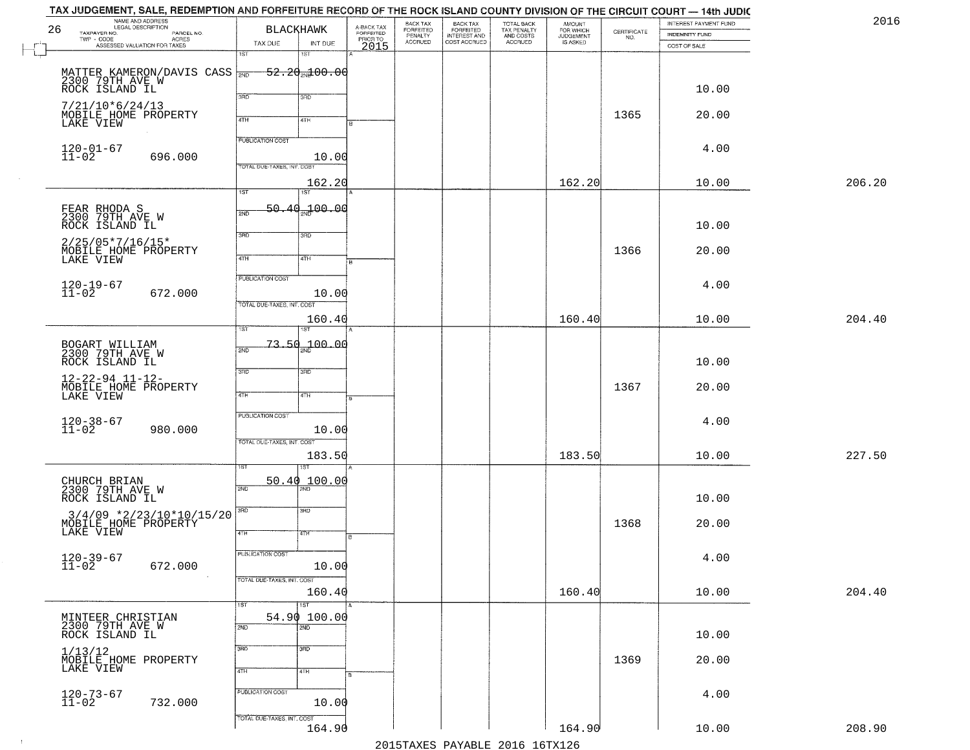|    | TAX JUDGEMENT, SALE, REDEMPTION AND FORFEITURE RECORD OF THE ROCK ISLAND COUNTY DIVISION OF THE CIRCUIT COURT — 14th JUDIC |                             |                   |                         |                              |                                                       |                                                   |                                    |                    |                       |        |
|----|----------------------------------------------------------------------------------------------------------------------------|-----------------------------|-------------------|-------------------------|------------------------------|-------------------------------------------------------|---------------------------------------------------|------------------------------------|--------------------|-----------------------|--------|
| 26 | NAME AND ADDRESS<br>LEGAL DESCRIPTION                                                                                      |                             | BLACKHAWK         | A-BACK TAX<br>FORFEITED | BACK TAX<br><b>FORFEITED</b> |                                                       |                                                   | <b>AMOUNT</b>                      |                    | INTEREST PAYMENT FUND | 2016   |
|    | TAXPAYER NO.<br>PARCEL NO.<br>TWP - CODE<br>- CODE ACRES<br>ASSESSED VALUATION FOR TAXES                                   |                             |                   |                         | PENALTY<br>ACCRUED           | BACK TAX<br>FORFEITED<br>INTEREST AND<br>COST ACCRUED | TOTAL BACK<br>TAX PENALTY<br>AND COSTS<br>ACCRUED | FOR WHICH<br>JUDGEMENT<br>IS ASKED | CERTIFICATE<br>NO. | <b>INDEMNITY FUND</b> |        |
|    |                                                                                                                            | TAX DUE<br>$\overline{1ST}$ | INT DUE<br>1ST    | PRIORTO                 |                              |                                                       |                                                   |                                    |                    | COST OF SALE          |        |
|    |                                                                                                                            |                             |                   |                         |                              |                                                       |                                                   |                                    |                    |                       |        |
|    | MATTER KAMERON/DAVIS CASS $\frac{1}{200}$ 52.2 $\frac{1}{200}$ 79TH AVE W                                                  |                             |                   |                         |                              |                                                       |                                                   |                                    |                    |                       |        |
|    | ROCK ISLAND IL                                                                                                             |                             |                   |                         |                              |                                                       |                                                   |                                    |                    | 10.00                 |        |
|    |                                                                                                                            | 3RD                         | 3RD               |                         |                              |                                                       |                                                   |                                    |                    |                       |        |
|    | $7/21/10*6/24/13$                                                                                                          |                             |                   |                         |                              |                                                       |                                                   |                                    |                    |                       |        |
|    | MOBILE HOME PROPERTY<br>LAKE VIEW                                                                                          | 4TH                         | 4TH               |                         |                              |                                                       |                                                   |                                    | 1365               | 20.00                 |        |
|    |                                                                                                                            |                             |                   |                         |                              |                                                       |                                                   |                                    |                    |                       |        |
|    |                                                                                                                            | <b>PUBLICATION COST</b>     |                   |                         |                              |                                                       |                                                   |                                    |                    | 4.00                  |        |
|    | $120 - 01 - 67$<br>$11 - 02$<br>696.000                                                                                    |                             | 10.00             |                         |                              |                                                       |                                                   |                                    |                    |                       |        |
|    |                                                                                                                            | TOTAL DUE-TAXES, INT. COST  |                   |                         |                              |                                                       |                                                   |                                    |                    |                       |        |
|    |                                                                                                                            |                             | 162.20            |                         |                              |                                                       |                                                   | 162.20                             |                    | 10.00                 | 206.20 |
|    |                                                                                                                            | 1ST                         | $\overline{1ST}$  |                         |                              |                                                       |                                                   |                                    |                    |                       |        |
|    |                                                                                                                            | 50.40<br>2ND                | 700.00            |                         |                              |                                                       |                                                   |                                    |                    |                       |        |
|    | FEAR RHODA S<br>2300 79TH AVE W                                                                                            |                             |                   |                         |                              |                                                       |                                                   |                                    |                    | 10.00                 |        |
|    | ROCK ISLAND IL                                                                                                             | 3BD                         | 3RD               |                         |                              |                                                       |                                                   |                                    |                    |                       |        |
|    | $2/25/05*7/16/15*$                                                                                                         |                             |                   |                         |                              |                                                       |                                                   |                                    |                    |                       |        |
|    | MOBILE HOME PROPERTY<br>LAKE VIEW                                                                                          | $\overline{47H}$            | 4TH               |                         |                              |                                                       |                                                   |                                    | 1366               | 20.00                 |        |
|    |                                                                                                                            |                             |                   |                         |                              |                                                       |                                                   |                                    |                    |                       |        |
|    |                                                                                                                            | PUBLICATION COST            |                   |                         |                              |                                                       |                                                   |                                    |                    | 4.00                  |        |
|    | $120 - 19 - 67$<br>$11 - 02$<br>672.000                                                                                    |                             | 10.00             |                         |                              |                                                       |                                                   |                                    |                    |                       |        |
|    |                                                                                                                            | TOTAL DUE-TAXES, INT. COST  |                   |                         |                              |                                                       |                                                   |                                    |                    |                       |        |
|    |                                                                                                                            |                             | 160.40            |                         |                              |                                                       |                                                   | 160.40                             |                    | 10.00                 | 204.40 |
|    |                                                                                                                            | 1ST                         |                   |                         |                              |                                                       |                                                   |                                    |                    |                       |        |
|    | BOGART WILLIAM<br>2300 79TH AVE W                                                                                          | 2ND                         | $-73.50 - 00.00$  |                         |                              |                                                       |                                                   |                                    |                    |                       |        |
|    |                                                                                                                            |                             |                   |                         |                              |                                                       |                                                   |                                    |                    | 10.00                 |        |
|    | ROCK ISLAND IL                                                                                                             | 3RD                         | 3BD               |                         |                              |                                                       |                                                   |                                    |                    |                       |        |
|    | $12 - 22 - 94$ $11 - 12 -$                                                                                                 |                             |                   |                         |                              |                                                       |                                                   |                                    |                    |                       |        |
|    | MOBILE HOME PROPERTY<br>LAKE VIEW                                                                                          | 4TH                         | 4TH               |                         |                              |                                                       |                                                   |                                    | 1367               | 20.00                 |        |
|    |                                                                                                                            |                             |                   |                         |                              |                                                       |                                                   |                                    |                    |                       |        |
|    |                                                                                                                            | <b>PUBLICATION COST</b>     |                   |                         |                              |                                                       |                                                   |                                    |                    | 4.00                  |        |
|    | $120 - 38 - 67$<br>$11 - 02$<br>980.000                                                                                    |                             | 10.00             |                         |                              |                                                       |                                                   |                                    |                    |                       |        |
|    |                                                                                                                            | TOTAL OUE-TAXES, INT. COST  |                   |                         |                              |                                                       |                                                   |                                    |                    |                       |        |
|    |                                                                                                                            |                             | 183.50            |                         |                              |                                                       |                                                   | 183.50                             |                    | 10.00                 | 227.50 |
|    |                                                                                                                            |                             | ख़                |                         |                              |                                                       |                                                   |                                    |                    |                       |        |
|    | CHURCH BRIAN<br>2300 79TH AVE W                                                                                            | 50.40                       | 100.00            |                         |                              |                                                       |                                                   |                                    |                    |                       |        |
|    | ROCK ISLAND IL                                                                                                             | 2ND                         |                   |                         |                              |                                                       |                                                   |                                    |                    | 10.00                 |        |
|    |                                                                                                                            | 3RD                         | 3RD               |                         |                              |                                                       |                                                   |                                    |                    |                       |        |
|    | $3/4/09$ *2/23/10*10/15/20                                                                                                 |                             |                   |                         |                              |                                                       |                                                   |                                    | 1368               | 20.00                 |        |
|    | MOBILE HOME PROPERTY<br>LAKE VIEW                                                                                          | 4TH                         | 4TH               |                         |                              |                                                       |                                                   |                                    |                    |                       |        |
|    |                                                                                                                            |                             |                   |                         |                              |                                                       |                                                   |                                    |                    |                       |        |
|    | $120 - 39 - 67$<br>$11 - 02$                                                                                               | PUBLICATION COST            |                   |                         |                              |                                                       |                                                   |                                    |                    | 4.00                  |        |
|    | 672.000                                                                                                                    |                             | 10.00             |                         |                              |                                                       |                                                   |                                    |                    |                       |        |
|    |                                                                                                                            | TOTAL DUE-TAXES, INT. COST  |                   |                         |                              |                                                       |                                                   |                                    |                    |                       |        |
|    |                                                                                                                            |                             | 160.40            |                         |                              |                                                       |                                                   | 160.40                             |                    | 10.00                 | 204.40 |
|    |                                                                                                                            | 1ST                         | $\overline{1}$ ST |                         |                              |                                                       |                                                   |                                    |                    |                       |        |
|    | MINTEER CHRISTIAN                                                                                                          |                             | 54.90 100.00      |                         |                              |                                                       |                                                   |                                    |                    |                       |        |
|    | 2300 79TH AVE W<br>ROCK ISLAND IL                                                                                          | 2ND                         | 2ND               |                         |                              |                                                       |                                                   |                                    |                    | 10.00                 |        |
|    |                                                                                                                            | 3RD                         | $\overline{3}$ RD |                         |                              |                                                       |                                                   |                                    |                    |                       |        |
|    | 1/13/12                                                                                                                    |                             |                   |                         |                              |                                                       |                                                   |                                    | 1369               | 20.00                 |        |
|    | MOBILE HOME PROPERTY<br>LAKE VIEW                                                                                          | 4TH                         | 4TH               |                         |                              |                                                       |                                                   |                                    |                    |                       |        |
|    |                                                                                                                            |                             |                   |                         |                              |                                                       |                                                   |                                    |                    |                       |        |
|    | $120 - 73 - 67$<br>$11 - 02$                                                                                               | PUBLICATION COST            |                   |                         |                              |                                                       |                                                   |                                    |                    | 4.00                  |        |
|    | 732.000                                                                                                                    |                             | 10.00             |                         |                              |                                                       |                                                   |                                    |                    |                       |        |
|    |                                                                                                                            | TOTAL DUE-TAXES, INT. COST  |                   |                         |                              |                                                       |                                                   |                                    |                    |                       |        |
|    |                                                                                                                            |                             | 164.90            |                         |                              |                                                       |                                                   | 164.90                             |                    | 10.00                 | 208.90 |
|    |                                                                                                                            |                             |                   |                         |                              |                                                       | 2015 TAVEC DAVADIE 2016 16 TV126                  |                                    |                    |                       |        |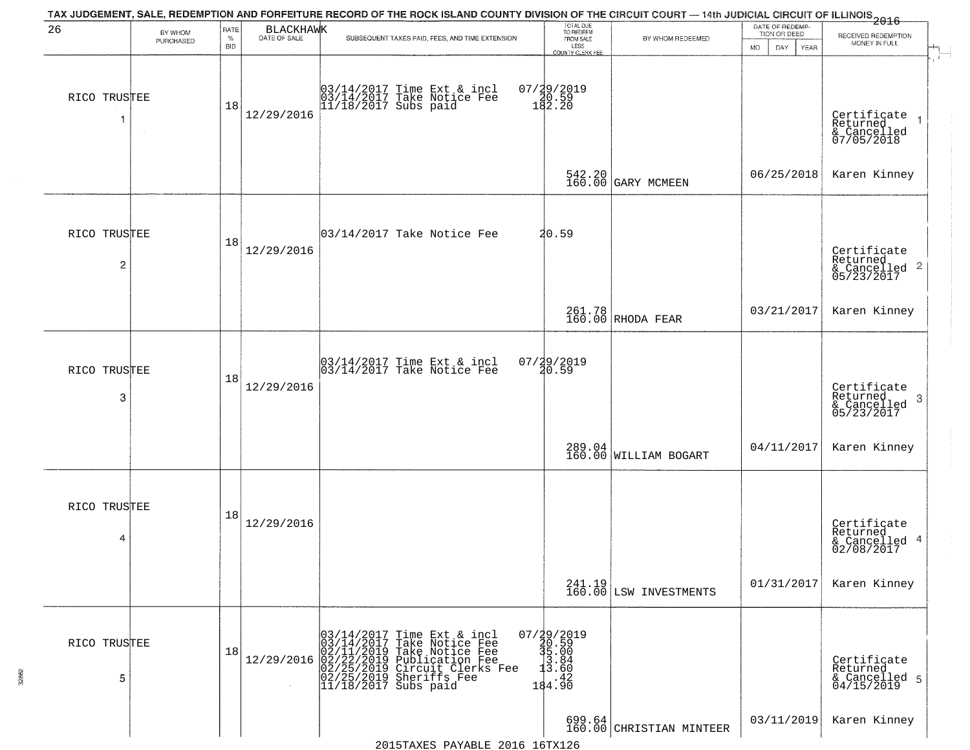| 26                | BY WHOM<br>PURCHASED | RATE<br>$\%$<br><b>BID</b> | <b>BLACKHAWK</b><br>DATE OF SALE | TAX JUDGEMENT, SALE, REDEMPTION AND FORFEITURE RECORD OF THE ROCK ISLAND COUNTY DIVISION OF THE CIRCUIT COURT — 14th JUDICIAL CIRCUIT OF ILLINOIS 2016<br>SUBSEQUENT TAXES PAID, FEES, AND TIME EXTENSION  | TOTAL DUE<br>TO REDEEM<br>FROM SALE<br>LESS            | BY WHOM REDEEMED                   | DATE OF REDEMP-<br>TION OR DEED<br><b>MO</b><br>DAY<br><b>YEAR</b> | RECEIVED REDEMPTION<br>MONEY IN FULL                                                  |
|-------------------|----------------------|----------------------------|----------------------------------|------------------------------------------------------------------------------------------------------------------------------------------------------------------------------------------------------------|--------------------------------------------------------|------------------------------------|--------------------------------------------------------------------|---------------------------------------------------------------------------------------|
| RICO TRUSTEE<br>1 | $\sim$               | 18                         | 12/29/2016                       | 03/14/2017 Time Ext & incl<br>03/14/2017 Take Notice Fee<br>11/18/2017 Subs paid                                                                                                                           | COUNTY CLERK FEE<br>07/29/2019<br>20.59<br>182.20      |                                    |                                                                    | Certificate<br>Returned<br>& Cancelled<br>07/05/2018                                  |
|                   |                      |                            |                                  |                                                                                                                                                                                                            |                                                        | 542.20<br>160.00 GARY MCMEEN       | 06/25/2018                                                         | Karen Kinney                                                                          |
| RICO TRUSTEE<br>2 |                      | 18                         | 12/29/2016                       | $ 03/14/2017$ Take Notice Fee                                                                                                                                                                              | 20.59                                                  |                                    |                                                                    | Certificate<br>Returned<br>$\overline{2}$<br>& Cancelled<br>& Cancelled<br>05/23/2017 |
|                   |                      |                            |                                  |                                                                                                                                                                                                            |                                                        | 261.78<br>160.00 RHODA FEAR        | 03/21/2017                                                         | Karen Kinney                                                                          |
| RICO TRUSTEE<br>3 |                      | 18                         | 12/29/2016                       | 03/14/2017 Time Ext & incl<br>03/14/2017 Take Notice Fee                                                                                                                                                   | 07/29/2019<br>20.59                                    |                                    |                                                                    | Certificate<br>Returned<br>3<br>& Cancelled<br>05/23/2017                             |
|                   |                      |                            |                                  |                                                                                                                                                                                                            |                                                        | $289.04$ WILLIAM BOGART            | 04/11/2017                                                         | Karen Kinney                                                                          |
| RICO TRUSTEE<br>4 |                      | 18                         | 12/29/2016                       |                                                                                                                                                                                                            |                                                        |                                    |                                                                    | Certificate<br>Returned<br>4<br>& Cancelled<br>02/08/2017                             |
|                   |                      |                            |                                  |                                                                                                                                                                                                            |                                                        | 241.19<br>160.00 LSW INVESTMENTS   | 01/31/2017                                                         | Karen Kinney                                                                          |
| RICO TRUSTEE<br>5 |                      | 18                         | 12/29/2016                       | $03/14/2017$ Time Ext & incl<br>03/14/2017 Take Notice Fee<br>02/11/2019 Take Notice Fee<br>02/22/2019 Publication Fee<br>02/22/2019 Circuit Clerks Fee<br>02/25/2019 Sheriffs Fee<br>11/18/2017 Subs paid | 07/29/2019<br>30.59<br>35.00<br>3.84<br>3.60<br>184.90 |                                    |                                                                    | Certificate<br>Returned<br>& Cancelled 5<br>04/15/2019                                |
|                   |                      |                            |                                  | $2015$ TAYES DAVABLE $2016$ $16$ TY $126$                                                                                                                                                                  |                                                        | 699.64<br>160.00 CHRISTIAN MINTEER | 03/11/2019                                                         | Karen Kinney                                                                          |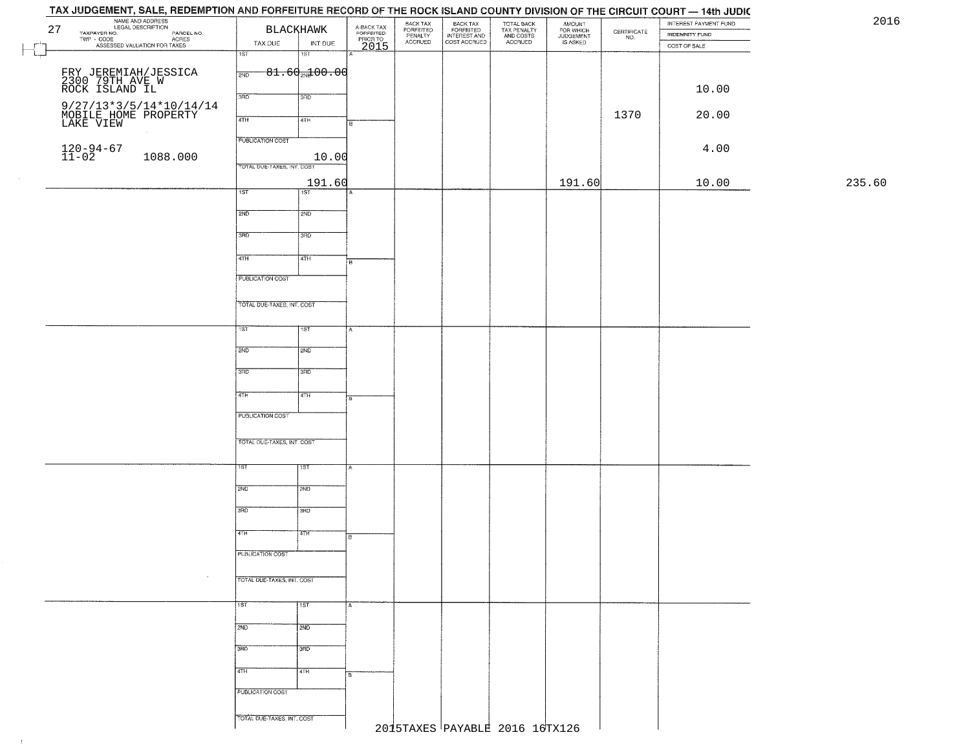## TAY JUDGEMENT SALE **REDEMOTION AND EQREEITHRE RECORD OF** THE DOOK ISLAND COUNTY DIVISION OF THE CIDOUIT COUPT  $1445$   $1150$

|               | NAME AND ADDRESS<br>NAME MODESCRIPTION<br>TAXPAYER NO. PARCEL NO.<br>TWP - CODE<br>ASSESSED VALUATION FOR TAXES<br>27 | TAX DUE                    | <b>BLACKHAWK</b><br>INT DUE | A-BACK TAX<br>FORFEITED<br>PRIOR TO<br>2015 | BACK TAX<br>FORFEITED<br>PENALTY<br>ACCRUED | BACK TAX<br>FORFEITED<br>INTEREST AND<br>COST ACCRUED | TOTAL BACK<br>TAX PENALTY<br>AND COSTS<br>ACCRUED | AMOUNT<br>FOR WHICH<br>JUDGEMENT<br>IS ASKED | $\begin{array}{c} \text{CERTIFICATE} \\ \text{NO.} \end{array}$ | INTEREST PAYMENT FUND<br>INDEMNITY FUND<br>COST OF SALE | 20     |
|---------------|-----------------------------------------------------------------------------------------------------------------------|----------------------------|-----------------------------|---------------------------------------------|---------------------------------------------|-------------------------------------------------------|---------------------------------------------------|----------------------------------------------|-----------------------------------------------------------------|---------------------------------------------------------|--------|
|               | FRY JEREMIAH/JESSICA<br>2300 79TH AVE W<br>ROCK ISLAND IL                                                             | 1ST<br>2ND                 | 1ST<br>$81.60$ and $00.00$  |                                             |                                             |                                                       |                                                   |                                              |                                                                 |                                                         |        |
|               |                                                                                                                       | 3RD                        | 3RD                         |                                             |                                             |                                                       |                                                   |                                              |                                                                 | 10.00                                                   |        |
|               | $\begin{array}{c} 9/27/13*3/5/14*10/14/14 \\ \text{MOBILE HOME PROPERTY} \\ \text{LAKE VIEW} \end{array}$             | 4TH                        | 4TH                         | в                                           |                                             |                                                       |                                                   |                                              | 1370                                                            | 20.00                                                   |        |
|               |                                                                                                                       | <b>PUBLICATION COST</b>    |                             |                                             |                                             |                                                       |                                                   |                                              |                                                                 |                                                         |        |
|               | $120 - 94 - 67$<br>$11 - 02$<br>1088.000                                                                              | TOTAL DUE-TAXES, INT. COST | 10.00                       |                                             |                                             |                                                       |                                                   |                                              |                                                                 | 4.00                                                    |        |
|               |                                                                                                                       | 1ST                        | 191.60<br>$\overline{1ST}$  |                                             |                                             |                                                       |                                                   | 191.60                                       |                                                                 | 10.00                                                   | 235.60 |
|               |                                                                                                                       | 2ND                        | 2ND                         |                                             |                                             |                                                       |                                                   |                                              |                                                                 |                                                         |        |
|               |                                                                                                                       | 3BD                        | 3BD                         |                                             |                                             |                                                       |                                                   |                                              |                                                                 |                                                         |        |
|               |                                                                                                                       | $\sqrt{41H}$               | 4TH                         | E                                           |                                             |                                                       |                                                   |                                              |                                                                 |                                                         |        |
|               |                                                                                                                       | PUBLICATION COST           |                             |                                             |                                             |                                                       |                                                   |                                              |                                                                 |                                                         |        |
|               |                                                                                                                       | TOTAL DUE-TAXES, INT. COST |                             |                                             |                                             |                                                       |                                                   |                                              |                                                                 |                                                         |        |
|               |                                                                                                                       | 1ST                        | 1ST                         |                                             |                                             |                                                       |                                                   |                                              |                                                                 |                                                         |        |
|               |                                                                                                                       | 2ND                        | 2ND                         |                                             |                                             |                                                       |                                                   |                                              |                                                                 |                                                         |        |
|               |                                                                                                                       | 3RD                        | 3RD                         |                                             |                                             |                                                       |                                                   |                                              |                                                                 |                                                         |        |
|               |                                                                                                                       | 4TH                        | 4TH                         |                                             |                                             |                                                       |                                                   |                                              |                                                                 |                                                         |        |
|               |                                                                                                                       | PUBLICATION COST           |                             |                                             |                                             |                                                       |                                                   |                                              |                                                                 |                                                         |        |
|               |                                                                                                                       | TOTAL OUE-TAXES, INT. COST |                             |                                             |                                             |                                                       |                                                   |                                              |                                                                 |                                                         |        |
|               |                                                                                                                       | 1ST.                       | १९४                         |                                             |                                             |                                                       |                                                   |                                              |                                                                 |                                                         |        |
|               |                                                                                                                       | 2ND                        | 2ND                         |                                             |                                             |                                                       |                                                   |                                              |                                                                 |                                                         |        |
|               |                                                                                                                       | 3RD                        | 3HD                         |                                             |                                             |                                                       |                                                   |                                              |                                                                 |                                                         |        |
|               |                                                                                                                       | 4TH                        | 47H                         |                                             |                                             |                                                       |                                                   |                                              |                                                                 |                                                         |        |
|               |                                                                                                                       | PUBLICATION COST           |                             |                                             |                                             |                                                       |                                                   |                                              |                                                                 |                                                         |        |
|               |                                                                                                                       | TOTAL DUE-TAXES, INT. COST |                             |                                             |                                             |                                                       |                                                   |                                              |                                                                 |                                                         |        |
|               |                                                                                                                       | 1ST                        | 1ST                         | А                                           |                                             |                                                       |                                                   |                                              |                                                                 |                                                         |        |
|               |                                                                                                                       | 2ND                        | 2ND                         |                                             |                                             |                                                       |                                                   |                                              |                                                                 |                                                         |        |
|               |                                                                                                                       | 3BD                        | 3RD                         |                                             |                                             |                                                       |                                                   |                                              |                                                                 |                                                         |        |
|               |                                                                                                                       | 4TH                        | 4TH                         |                                             |                                             |                                                       |                                                   |                                              |                                                                 |                                                         |        |
|               |                                                                                                                       | PUBLICATION COST           |                             |                                             |                                             |                                                       |                                                   |                                              |                                                                 |                                                         |        |
|               |                                                                                                                       | TOTAL DUE-TAXES, INT. COST |                             |                                             |                                             |                                                       |                                                   |                                              |                                                                 |                                                         |        |
| $\rightarrow$ |                                                                                                                       |                            |                             |                                             |                                             |                                                       | 2015TAXES PAYABLE 2016 16TX126                    |                                              |                                                                 |                                                         |        |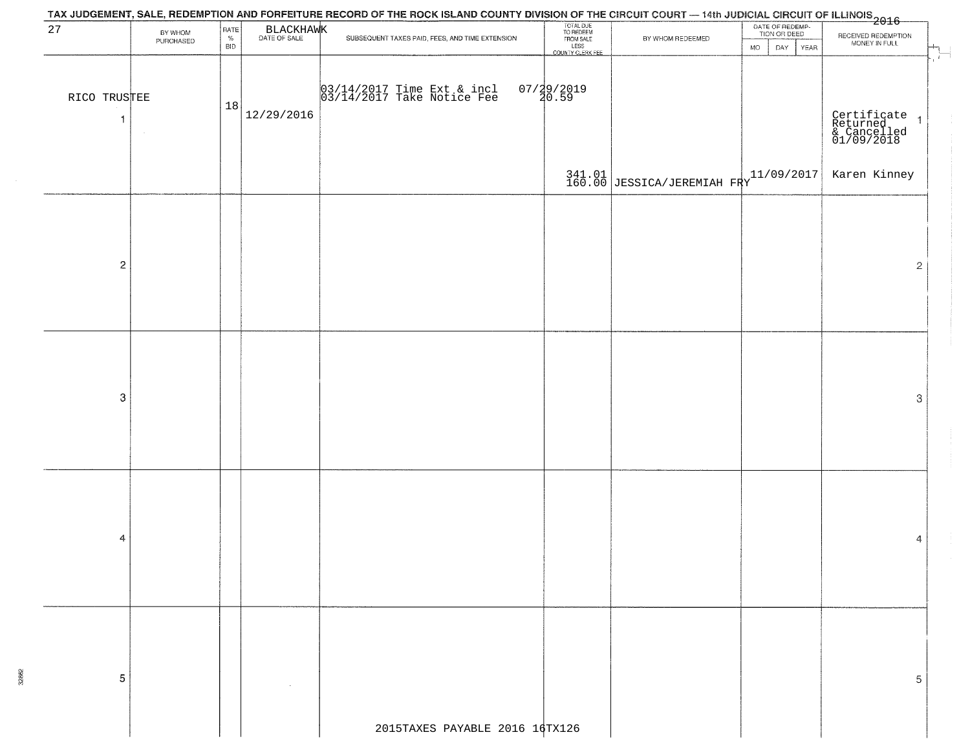| BY WHOM<br>PURCHASED<br>RICO TRUSTEE | RATE<br>$\%$<br><b>BID</b><br>18 | BLACKHAWK  | TAX JUDGEMENT, SALE, REDEMPTION AND FORFEITURE RECORD OF THE ROCK ISLAND COUNTY DIVISION OF THE CIRCUIT COURT — 14th JUDICIAL CIRCUIT OF ILLINOIS 2016<br>SUBSEQUENT TAXES PAID, FEES, AND TIME EXTENSION<br>03/14/2017 Time Ext & incl<br>03/14/2017 Take Notice Fee | TOTAL DUE<br>TO REDEEM<br>FROM SALE<br>LESS<br>LESS<br>COUNTY CLERK FEE | BY WHOM REDEEMED               | DATE OF REDEMP-<br>TION OR DEED<br><b>MO</b><br>DAY<br>YEAR | RECEIVED REDEMPTION<br>MONEY IN FULL<br>$\overline{1}$                                                                                    |
|--------------------------------------|----------------------------------|------------|-----------------------------------------------------------------------------------------------------------------------------------------------------------------------------------------------------------------------------------------------------------------------|-------------------------------------------------------------------------|--------------------------------|-------------------------------------------------------------|-------------------------------------------------------------------------------------------------------------------------------------------|
|                                      |                                  |            |                                                                                                                                                                                                                                                                       |                                                                         |                                |                                                             |                                                                                                                                           |
|                                      |                                  | 12/29/2016 |                                                                                                                                                                                                                                                                       | 07/29/2019<br>20.59                                                     |                                |                                                             | Certificate 1<br>Returned 1<br>& Cancelled<br>01/09/2018                                                                                  |
|                                      |                                  |            |                                                                                                                                                                                                                                                                       |                                                                         |                                |                                                             | Karen Kinney                                                                                                                              |
|                                      |                                  |            |                                                                                                                                                                                                                                                                       |                                                                         |                                |                                                             | $\overline{2}$                                                                                                                            |
|                                      |                                  |            |                                                                                                                                                                                                                                                                       |                                                                         |                                |                                                             | 3                                                                                                                                         |
|                                      |                                  |            |                                                                                                                                                                                                                                                                       |                                                                         |                                |                                                             | 4                                                                                                                                         |
|                                      |                                  |            |                                                                                                                                                                                                                                                                       |                                                                         |                                |                                                             | 5                                                                                                                                         |
|                                      |                                  |            |                                                                                                                                                                                                                                                                       |                                                                         | 2015TAXES PAYABLE 2016 16TX126 |                                                             | $\left.\begin{array}{c c}341.01\\160.00\end{array}\right  \texttt{JESSICA/JEREMIAH} \left.\begin{array}{c c}11/09/2017\end{array}\right $ |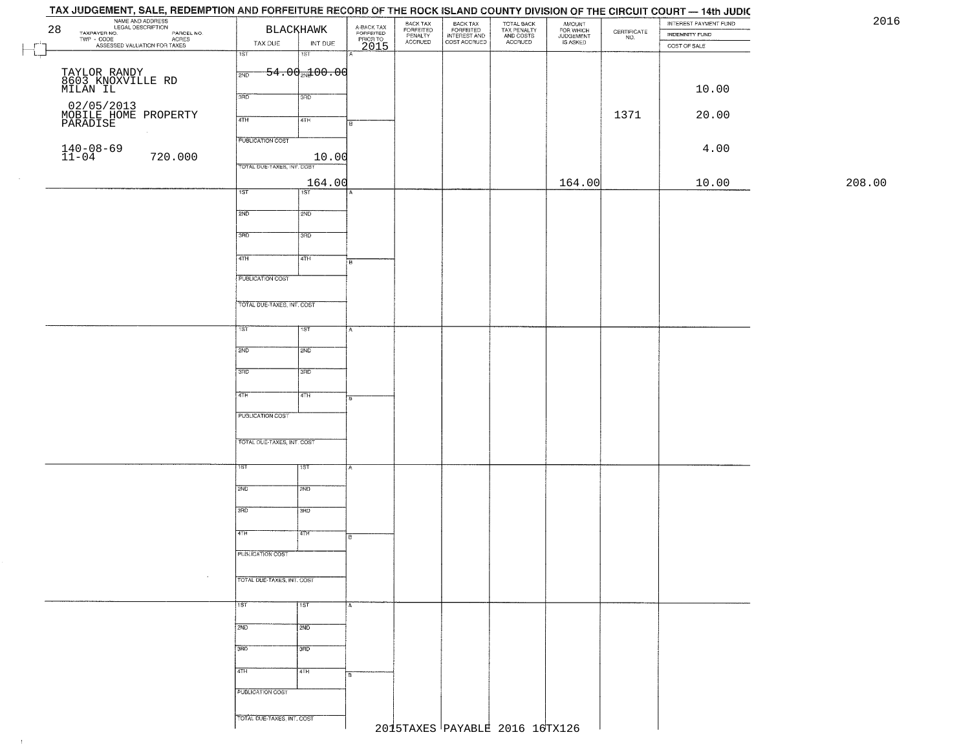## TAX JUDGEMENT, SALE, REDEMPTION AND FORFEITURE RECORD OF THE ROCK ISLAND COUNTY DIVISION OF THE CIRCUIT COURT - 14th JUDIC **EXAMPLE AND ADDRESS**<br>
TAXPAVER NO.<br>
TWP - CODE COAL DESCRIPTION<br>
PASSESSED VALUATION FOR TAXES<br>
TAX DUE INT DUE INT DUE BACK TAX<br>FORFEITED<br>INTEREST AND<br>COST ACCRUED TOTAL BACK<br>TAX PENALTY<br>AND COSTS AMOUNT<br>FOR WHICH<br>JUDGEMENT<br>IS ASKED INTEREST PAYMENT FUND 2016 BACK TAX FORFEITED<br>PENALTY<br>ACCRUED  $\begin{array}{c} \text{CEPTIFICATE} \\ \text{NO.} \end{array}$ INDEMNITY FUND INT DUE TAX DUE ACCRUED COST OF SALE 2015  $\Box$ ाडा 'ST  $54.00 \times 00.00$ TAYLOR RANDY 8603 KNOXVILLE RD MILAN IL 10.00 02/05/2013<br>MOBILE HOME PROPERTY<br>PARADISE 1371 20.00 20.00 PM 20.00 20 20:00 PM 20.00 PM 20.00 PM 20.00 PM 20.00 PM 20.00 PM 20.00 PM 20.00 PM 20.00 PM 20 **PUBLICATION COST** 140-08-69<br>11-04 720.000 10.00 4.00 TOTAL DUE-TAXES, INT. COST 208.00 164.00 164.00 10.00 208.00 $\overline{1ST}$ 1ST<sup>1</sup>  $2ND$ 12ND 3RD 3RD  $\overline{47H}$ 4TH **FUBLICATION COST** TOTAL DUE-TAXES, INT. COST TST ST  $2ND$ **SMD**  $3BD$ 3RD  $4TH$  $4TH$ PUBLICATION COST TOTAL OUE-TAXES, INT. COST 2ND **T2ND** 3RD tarao 4TH īΤH PUBLICATION COST TOTAL DUE-TAXES, INT. COST 1ST 1ST  $2ND$  $\frac{1}{2ND}$ 3RD 3RD 4TH 4TH **PUBLICATION COST** TOTAL DUE-TAXES, INT. COST 2015TAXES PAYABLE 2016 16TX126

 $\pm 1$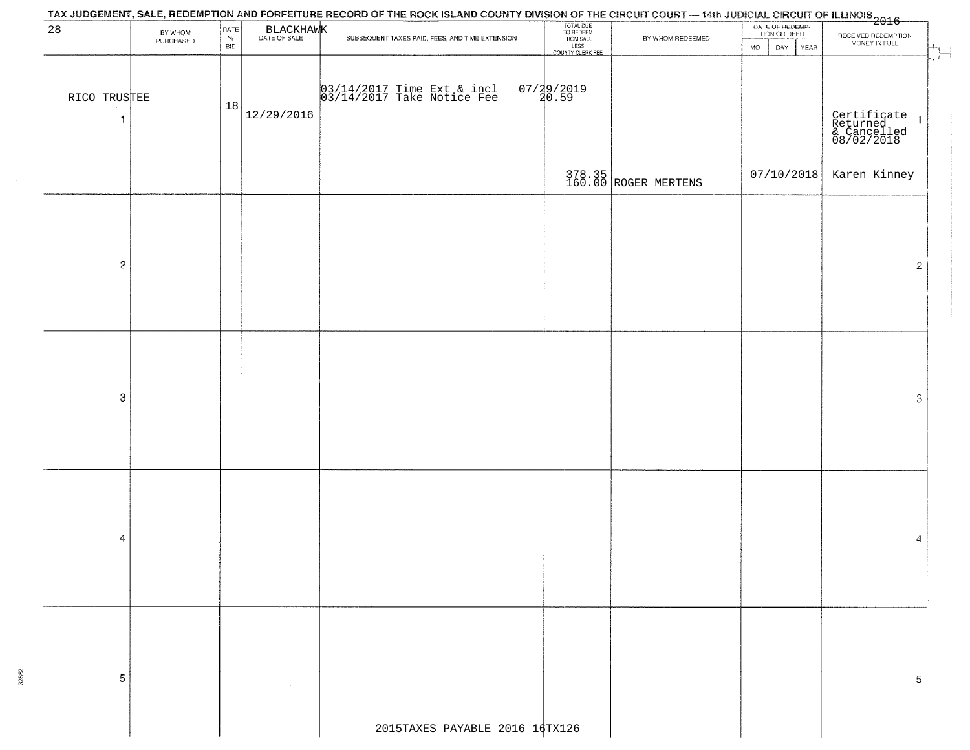|                    |                      |                            |            | TAX JUDGEMENT, SALE, REDEMPTION AND FORFEITURE RECORD OF THE ROCK ISLAND COUNTY DIVISION OF THE CIRCUIT COURT — 14th JUDICIAL CIRCUIT OF ILLINOIS<br>2016 - The Contract of December 1999 |                                                                         |                                |                                                      |                                                          |
|--------------------|----------------------|----------------------------|------------|-------------------------------------------------------------------------------------------------------------------------------------------------------------------------------------------|-------------------------------------------------------------------------|--------------------------------|------------------------------------------------------|----------------------------------------------------------|
| 28                 | BY WHOM<br>PURCHASED | RATE<br>$\%$<br><b>BID</b> | BLACKHAWK  | SUBSEQUENT TAXES PAID, FEES, AND TIME EXTENSION                                                                                                                                           | TOTAL DUE<br>TO REDEEM<br>FROM SALE<br>LESS<br>LESS<br>COUNTY CLERK FEE | BY WHOM REDEEMED               | DATE OF REDEMP-<br>TION OR DEED<br>DAY<br>MO<br>YEAR | RECEIVED REDEMPTION<br>MONEY IN FULL<br>$\overline{1}$   |
| RICO TRUSTEE<br>-1 |                      | 18                         | 12/29/2016 | 03/14/2017 Time Ext & incl<br>03/14/2017 Take Notice Fee                                                                                                                                  | 07/29/2019<br>20.59                                                     |                                |                                                      | Certificate 1<br>Returned 1<br>& Cancelled<br>08/02/2018 |
|                    |                      |                            |            |                                                                                                                                                                                           |                                                                         | 378.35<br>160.00 ROGER MERTENS | 07/10/2018                                           | Karen Kinney                                             |
| $\mathbf 2$        |                      |                            |            |                                                                                                                                                                                           |                                                                         |                                |                                                      | $\overline{2}$                                           |
| $\mbox{3}$         |                      |                            |            |                                                                                                                                                                                           |                                                                         |                                |                                                      | 3                                                        |
| 4                  |                      |                            |            |                                                                                                                                                                                           |                                                                         |                                |                                                      | 4                                                        |
| 5                  |                      |                            |            |                                                                                                                                                                                           |                                                                         |                                |                                                      | 5                                                        |
|                    |                      |                            |            | 2015TAXES PAYABLE 2016 16TX126                                                                                                                                                            |                                                                         |                                |                                                      |                                                          |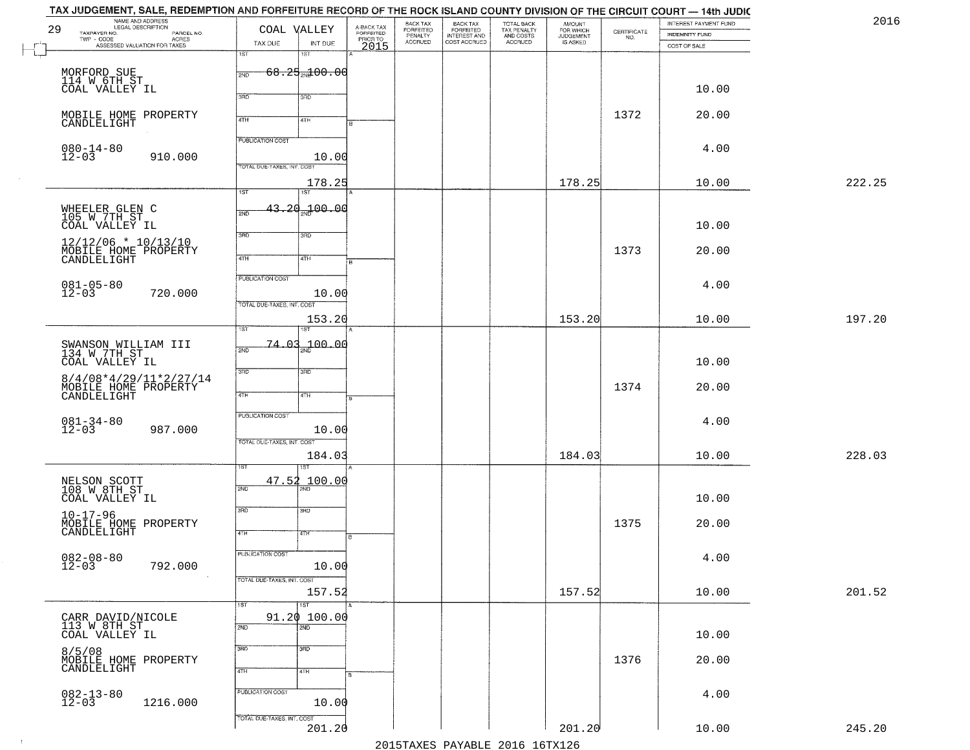|              | TAX JUDGEMENT, SALE, REDEMPTION AND FORFEITURE RECORD OF THE ROCK ISLAND COUNTY DIVISION OF THE CIRCUIT COURT — 14th JUDIC |                                         |                      |                         |                              |                                                       |                                                   |                                    |                    |                       |        |
|--------------|----------------------------------------------------------------------------------------------------------------------------|-----------------------------------------|----------------------|-------------------------|------------------------------|-------------------------------------------------------|---------------------------------------------------|------------------------------------|--------------------|-----------------------|--------|
| 29           | NAME AND ADDRESS<br>LEGAL DESCRIPTION                                                                                      | COAL VALLEY                             |                      | A-BACK TAX<br>FORFEITED | BACK TAX<br><b>FORFEITED</b> |                                                       |                                                   | <b>AMOUNT</b>                      |                    | INTEREST PAYMENT FUND | 2016   |
|              | TAXPAYER NO.<br>PARCEL NO.<br>TWP - CODE<br>- CODE ACRES<br>ASSESSED VALUATION FOR TAXES                                   | TAX DUE                                 | INT DUE              |                         | PENALTY<br>ACCRUED           | BACK TAX<br>FORFEITED<br>INTEREST AND<br>COST ACCRUED | TOTAL BACK<br>TAX PENALTY<br>AND COSTS<br>ACCRUED | FOR WHICH<br>JUDGEMENT<br>IS ASKED | CERTIFICATE<br>NO. | <b>INDEMNITY FUND</b> |        |
| $\mathbb{L}$ |                                                                                                                            | 1ST<br>15T                              |                      | PRIORTO                 |                              |                                                       |                                                   |                                    |                    | COST OF SALE          |        |
|              |                                                                                                                            |                                         |                      |                         |                              |                                                       |                                                   |                                    |                    |                       |        |
|              | MORFORD SUE<br>114 W 6TH ST                                                                                                | $68.25$ <sub>21</sub> 00.00<br>2ND      |                      |                         |                              |                                                       |                                                   |                                    |                    |                       |        |
|              | COAL VALLEY IL                                                                                                             |                                         |                      |                         |                              |                                                       |                                                   |                                    |                    | 10.00                 |        |
|              |                                                                                                                            | 3RD<br>3RD                              |                      |                         |                              |                                                       |                                                   |                                    |                    |                       |        |
|              | MOBILE HOME PROPERTY                                                                                                       |                                         |                      |                         |                              |                                                       |                                                   |                                    | 1372               | 20.00                 |        |
|              | CANDLELIGHT                                                                                                                | 4TH<br>4TH                              |                      |                         |                              |                                                       |                                                   |                                    |                    |                       |        |
|              |                                                                                                                            | <b>PUBLICATION COST</b>                 |                      |                         |                              |                                                       |                                                   |                                    |                    |                       |        |
|              | $080 - 14 - 80$<br>12-03                                                                                                   |                                         |                      |                         |                              |                                                       |                                                   |                                    |                    | 4.00                  |        |
|              | 910.000                                                                                                                    | TOTAL DUE-TAXES, INT. COST              | 10.00                |                         |                              |                                                       |                                                   |                                    |                    |                       |        |
|              |                                                                                                                            |                                         | 178.25               |                         |                              |                                                       |                                                   | 178.25                             |                    | 10.00                 | 222.25 |
|              |                                                                                                                            | 1ST<br>1ST                              |                      |                         |                              |                                                       |                                                   |                                    |                    |                       |        |
|              |                                                                                                                            | 43.20 <sub>2N</sub> 100.00              |                      |                         |                              |                                                       |                                                   |                                    |                    |                       |        |
|              | WHEELER GLEN C<br>105 W 7TH ST                                                                                             | 2ND                                     |                      |                         |                              |                                                       |                                                   |                                    |                    |                       |        |
|              | COAL VALLEY IL                                                                                                             | 3RD<br>3RD                              |                      |                         |                              |                                                       |                                                   |                                    |                    | 10.00                 |        |
|              | $12/12/06$ * $10/13/10$                                                                                                    |                                         |                      |                         |                              |                                                       |                                                   |                                    |                    |                       |        |
|              | MOBILE HOME PROPERTY<br>CANDLELIGHT                                                                                        | $\overline{47H}$<br>4TH                 |                      |                         |                              |                                                       |                                                   |                                    | 1373               | 20.00                 |        |
|              |                                                                                                                            |                                         |                      |                         |                              |                                                       |                                                   |                                    |                    |                       |        |
|              |                                                                                                                            | PUBLICATION COST                        |                      |                         |                              |                                                       |                                                   |                                    |                    | 4.00                  |        |
|              | $081 - 05 - 80$<br>12-03<br>720.000                                                                                        |                                         | 10.00                |                         |                              |                                                       |                                                   |                                    |                    |                       |        |
|              |                                                                                                                            | TOTAL DUE-TAXES, INT. COST              |                      |                         |                              |                                                       |                                                   |                                    |                    |                       |        |
|              |                                                                                                                            |                                         | 153.20               |                         |                              |                                                       |                                                   | 153.20                             |                    | 10.00                 | 197.20 |
|              |                                                                                                                            | 1ST<br>ST                               |                      |                         |                              |                                                       |                                                   |                                    |                    |                       |        |
|              | SWANSON WILLIAM III<br>134 W 7TH ST                                                                                        | $\Omega$<br>74.<br>2ND                  | <sub>2N0</sub> 00.00 |                         |                              |                                                       |                                                   |                                    |                    |                       |        |
|              | COAL VALLEY IL                                                                                                             |                                         |                      |                         |                              |                                                       |                                                   |                                    |                    | 10.00                 |        |
|              |                                                                                                                            | 3RD<br>3BD                              |                      |                         |                              |                                                       |                                                   |                                    |                    |                       |        |
|              | $8/4/08*4/29/11*2/27/14$<br>MOBILE HOME PROPERTY                                                                           |                                         |                      |                         |                              |                                                       |                                                   |                                    | 1374               | 20.00                 |        |
|              | CANDLELIGHT                                                                                                                | 4TH<br>4TH                              |                      |                         |                              |                                                       |                                                   |                                    |                    |                       |        |
|              |                                                                                                                            | <b>PUBLICATION COST</b>                 |                      |                         |                              |                                                       |                                                   |                                    |                    |                       |        |
|              | $081 - 34 - 80$<br>12-03<br>987.000                                                                                        |                                         | 10.00                |                         |                              |                                                       |                                                   |                                    |                    | 4.00                  |        |
|              |                                                                                                                            | TOTAL OUE-TAXES, INT. COST              |                      |                         |                              |                                                       |                                                   |                                    |                    |                       |        |
|              |                                                                                                                            |                                         | 184.03               |                         |                              |                                                       |                                                   | 184.03                             |                    | 10.00                 | 228.03 |
|              |                                                                                                                            | ख़                                      |                      |                         |                              |                                                       |                                                   |                                    |                    |                       |        |
|              |                                                                                                                            | 47.52                                   | 100.00               |                         |                              |                                                       |                                                   |                                    |                    |                       |        |
|              | NELSON SCOTT<br>108 W 8TH ST                                                                                               | 2ND                                     |                      |                         |                              |                                                       |                                                   |                                    |                    |                       |        |
|              | COAL VALLEY IL                                                                                                             |                                         |                      |                         |                              |                                                       |                                                   |                                    |                    | 10.00                 |        |
|              | $10 - 17 - 96$                                                                                                             | 3RD<br>3RD                              |                      |                         |                              |                                                       |                                                   |                                    |                    |                       |        |
|              | MOBILE HOME PROPERTY<br>CANDLELIGHT                                                                                        | 4TH<br>4TH                              |                      |                         |                              |                                                       |                                                   |                                    | 1375               | 20.00                 |        |
|              |                                                                                                                            |                                         |                      |                         |                              |                                                       |                                                   |                                    |                    |                       |        |
|              |                                                                                                                            | PUBLICATION COST                        |                      |                         |                              |                                                       |                                                   |                                    |                    | 4.00                  |        |
|              | $082 - 08 - 80$<br>12-03<br>792.000                                                                                        |                                         | 10.00                |                         |                              |                                                       |                                                   |                                    |                    |                       |        |
|              |                                                                                                                            | TOTAL DUE-TAXES, INT. COST              |                      |                         |                              |                                                       |                                                   |                                    |                    |                       |        |
|              |                                                                                                                            |                                         | 157.52               |                         |                              |                                                       |                                                   | 157.52                             |                    | 10.00                 | 201.52 |
|              |                                                                                                                            | $\overline{1ST}$<br>1ST                 |                      |                         |                              |                                                       |                                                   |                                    |                    |                       |        |
|              | CARR DAVID/NICOLE<br>113 W 8TH ST                                                                                          | 91.20 100.00<br>$\overline{2ND}$<br>2ND |                      |                         |                              |                                                       |                                                   |                                    |                    |                       |        |
|              | COAL VALLEY IL                                                                                                             |                                         |                      |                         |                              |                                                       |                                                   |                                    |                    | 10.00                 |        |
|              | 8/5/08                                                                                                                     | 3RD<br>$\overline{3}$ RD                |                      |                         |                              |                                                       |                                                   |                                    |                    |                       |        |
|              | MOBILE HOME PROPERTY<br>CANDLELIGHT                                                                                        |                                         |                      |                         |                              |                                                       |                                                   |                                    | 1376               | 20.00                 |        |
|              |                                                                                                                            | 4TH<br>4TH                              |                      |                         |                              |                                                       |                                                   |                                    |                    |                       |        |
|              |                                                                                                                            | PUBLICATION COST                        |                      |                         |                              |                                                       |                                                   |                                    |                    |                       |        |
|              | $082 - 13 - 80$<br>12-03<br>1216.000                                                                                       |                                         | 10.00                |                         |                              |                                                       |                                                   |                                    |                    | 4.00                  |        |
|              |                                                                                                                            | TOTAL DUE-TAXES, INT. COST              |                      |                         |                              |                                                       |                                                   |                                    |                    |                       |        |
|              |                                                                                                                            |                                         | 201.20               |                         |                              |                                                       |                                                   | 201.20                             |                    | 10.00                 | 245.20 |
|              |                                                                                                                            |                                         |                      |                         |                              |                                                       | 2015 TAVEC DAVADIE 2016 16 TV126                  |                                    |                    |                       |        |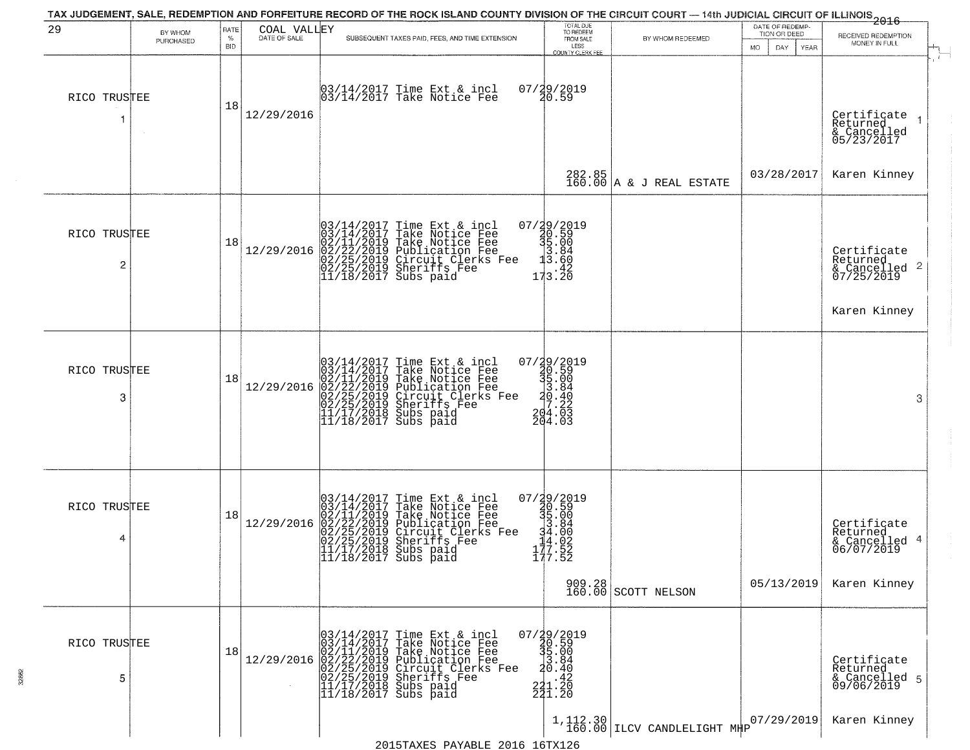| 29                             |                      | RATE             | COAL VALLEY  | TAX JUDGEMENT, SALE, REDEMPTION AND FORFEITURE RECORD OF THE ROCK ISLAND COUNTY DIVISION OF THE CIRCUIT COURT — 14th JUDICIAL CIRCUIT OF ILLINOIS 2016                                                                                     |                                                                                                              |                                                                | DATE OF REDEMP-<br>TION OR DEED |                                                                                    |
|--------------------------------|----------------------|------------------|--------------|--------------------------------------------------------------------------------------------------------------------------------------------------------------------------------------------------------------------------------------------|--------------------------------------------------------------------------------------------------------------|----------------------------------------------------------------|---------------------------------|------------------------------------------------------------------------------------|
|                                | BY WHOM<br>PURCHASED | $\%$             | DATE OF SALE | SUBSEQUENT TAXES PAID, FEES, AND TIME EXTENSION                                                                                                                                                                                            | TOTAL DUE<br>TO REDEEM<br>FROM SALE<br>LESS                                                                  | BY WHOM REDEEMED                                               |                                 | RECEIVED REDEMPTION<br>MONEY IN FULL                                               |
| RICO TRUSTEE<br>-1             |                      | <b>BID</b><br>18 | 12/29/2016   | 03/14/2017 Time Ext & incl<br>03/14/2017 Take Notice Fee                                                                                                                                                                                   | <b>COUNTY CLERK FEE</b><br>07/29/2019<br>20.59                                                               |                                                                | MO.<br>DAY<br><b>YEAR</b>       | Certificate<br>Returned<br>$\vert$                                                 |
|                                |                      |                  |              |                                                                                                                                                                                                                                            |                                                                                                              | $282.85$ A & J REAL ESTATE                                     | 03/28/2017                      | & Cancelled<br>05/23/2017<br>Karen Kinney                                          |
| RICO TRUSTEE<br>$\overline{2}$ |                      | 18               | 12/29/2016   | $03/14/2017$ Time Ext & incl<br>03/14/2017 Take Notice Fee<br>02/11/2019 Take Notice Fee<br>02/22/2019 Publication Fee<br>02/22/2019 Circuit Clerks Fee<br>02/25/2019 Sheriffs Fee<br>11/18/2017 Subs paid                                 | 07/29/2019<br>30.59<br>31.00<br>3.84<br>3.60<br>173.20                                                       |                                                                |                                 | Certificate<br>Returned<br>$\overline{2}$<br>$\frac{1}{2}$ Cancelled<br>07/25/2019 |
| RICO TRUSTEE<br>3              |                      | 18               | 12/29/2016   | $03/14/2017$ Time Ext & incl<br>$03/14/2017$ Take Notice Fee<br>$02/11/2019$ Take Notice Fee<br>$02/22/2019$ Publication Fee<br>$02/25/2019$ Sheriffs Fee<br>$02/25/2019$ Sheriffs Fee<br>$11/17/2018$ Subs paid<br>$11/18/2017$ Subs paid | $\begin{smallmatrix} 07/29/2019\\ 30.59\\ 35.00\\ 3.84\\ 20.40\\ 204.03\\ 204.03\\ 204.03 \end{smallmatrix}$ |                                                                |                                 | Karen Kinney<br>3                                                                  |
| RICO TRUSTEE<br>4              |                      | 18               | 12/29/2016   | $03/14/2017$ Time Ext & incl<br>$03/14/2017$ Take Notice Fee<br>$02/11/2019$ Take Notice Fee<br>$02/22/2019$ Publication Fee<br>$02/25/2019$ Sheriffs Fee<br>$02/25/2019$ Sheriffs Fee<br>$11/17/2018$ Subs paid<br>$11/18/2017$ Subs paid | $\begin{smallmatrix} 07/29/2019\\ 20.59\\ 35.00\\ 34.84\\ -14.02\\ 177.52\\ 177.52 \end{smallmatrix}$        | $\begin{array}{c c} 909.28 \\ 160.00 \end{array}$ SCOTT NELSON | 05/13/2019                      | Certificate<br>Returned<br>4<br>& Cancelled<br>06/07/2019<br>Karen Kinney          |
| RICO TRUSTEE<br>5              |                      | 18               | 12/29/2016   | $03/14/2017$ Time Ext & incl<br>$03/14/2017$ Take Notice Fee<br>$02/11/2019$ Take Notice Fee<br>$02/22/2019$ Publication Fee<br>$02/25/2019$ Sheriffs Fee<br>$02/25/2019$ Sheriffs Fee<br>$11/17/2018$ Subs paid<br>$11/18/2017$ Subs paid | 07/29/2019<br>30.59<br>35.00<br>3.84<br>3.84<br>$221.20$<br>$241.20$                                         | $1,112.30$ $160.00$ ILCV CANDLELIGHT MHP                       | 07/29/2019                      | Certificate<br>Returned<br>& Cancelled 5<br>09/06/2019<br>Karen Kinney             |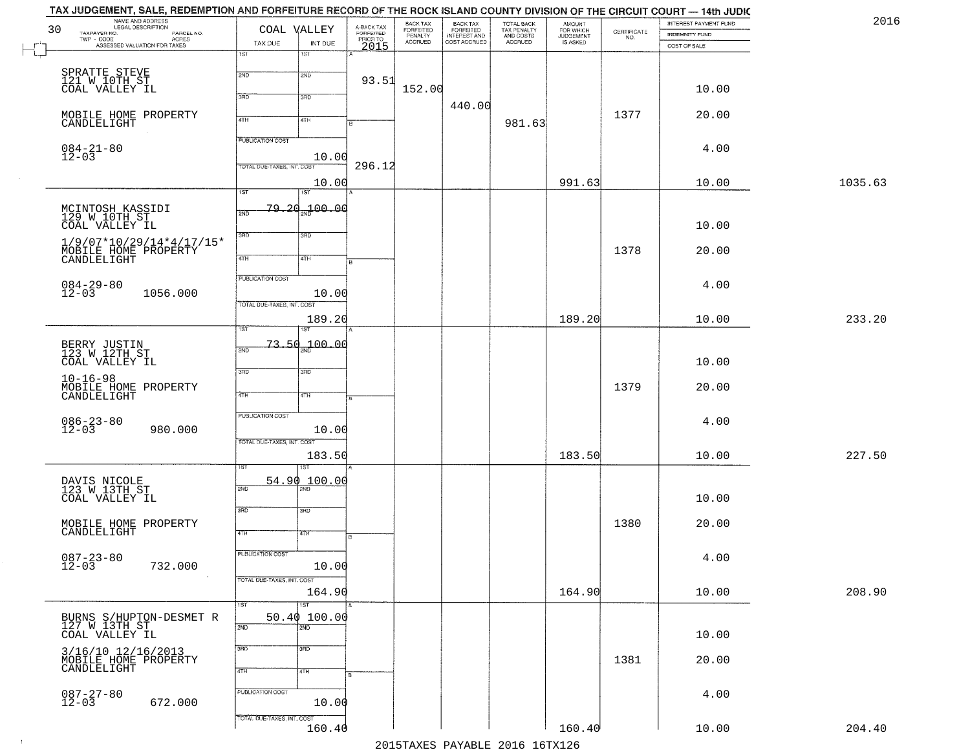|         | INTEREST PAYMENT FUND<br><b>INDEMNITY FUND</b> | $\begin{array}{c} \text{CERTIFICATE} \\ \text{NO.} \end{array}$ | AMOUNT<br>FOR WHICH<br><b>JUDGEMENT</b> | TOTAL BACK<br>TAX PENALTY<br>AND COSTS | BACK TAX<br>FORFEITED<br>INTEREST AND | BACK TAX<br>FORFEITED<br>PENALTY | A-BACK TAX<br>FORFEITED<br>PRIOR TO | COAL VALLEY                                                            | NAME AND ADDRESS<br>LEGAL DESCRIPTION<br>30<br>TAXPAYER NO.<br>PARCEL NO.<br>ACRES |
|---------|------------------------------------------------|-----------------------------------------------------------------|-----------------------------------------|----------------------------------------|---------------------------------------|----------------------------------|-------------------------------------|------------------------------------------------------------------------|------------------------------------------------------------------------------------|
|         | COST OF SALE                                   |                                                                 | IS ASKED                                | ACCRUED                                | COST ACCRUED                          | <b>ACCRUED</b>                   | 2015                                | TAX DUE<br>INT DUE<br>18T<br>1ST                                       | ASSESSED VALUATION FOR TAXES                                                       |
|         | 10.00                                          |                                                                 |                                         |                                        |                                       | 152.00                           | 93.51                               | 2ND<br>2ND<br>3RD<br>3RD                                               | SPRATTE STEVE<br>121 W 10TH ST<br>COAL VALLEY IL                                   |
|         | 20.00                                          | 1377                                                            |                                         | 981.63                                 | 440.00                                |                                  |                                     | 4TH<br>4TH                                                             | MOBILE HOME PROPERTY<br>CANDLELIGHT                                                |
|         | 4.00                                           |                                                                 |                                         |                                        |                                       |                                  | 296.12                              | <b>PUBLICATION COST</b><br>10.00<br>TOTAL DUE-TAXES, INT. COST         | $084 - 21 - 80$<br>12-03                                                           |
| 1035.63 | 10.00                                          |                                                                 | 991.63                                  |                                        |                                       |                                  |                                     | 10.00<br>1ST<br>1ST                                                    |                                                                                    |
|         | 10.00                                          |                                                                 |                                         |                                        |                                       |                                  |                                     | <del>79.20.100.0</del> 0<br>2ND<br>$\overline{3BD}$<br>3RD             | MCINTOSH KASSIDI<br>129 W 10TH ST<br>COAL VALLEY IL                                |
|         | 20.00                                          | 1378                                                            |                                         |                                        |                                       |                                  |                                     | 47H<br>4TH                                                             | $1/9/07*10/29/14*4/17/15*$<br>MOBILE HOME PROPERTY                                 |
|         | 4.00                                           |                                                                 |                                         |                                        |                                       |                                  |                                     | PUBLICATION COST<br>10.00                                              | $084 - 29 - 80$<br>12-03<br>1056.000                                               |
| 233.20  | 10.00                                          |                                                                 | 189.20                                  |                                        |                                       |                                  |                                     | TOTAL DUE-TAXES, INT. COST<br>189.20<br>1ST<br>ist.                    |                                                                                    |
|         | 10.00                                          |                                                                 |                                         |                                        |                                       |                                  |                                     | $73.50_{20}$ 00.00<br>2ND<br>3RD<br>3 <sub>BD</sub>                    | BERRY JUSTIN<br>123 W 12TH ST<br>COAL VALLEY IL                                    |
|         | 20.00                                          | 1379                                                            |                                         |                                        |                                       |                                  |                                     | 4TH<br>4TH                                                             | $10 - 16 - 98$<br>MOBILE HOME PROPERTY<br>CANDLELIGHT                              |
|         | 4.00                                           |                                                                 |                                         |                                        |                                       |                                  |                                     | <b>PUBLICATION COST</b><br>10.00<br>TOTAL OUE-TAXES, INT. COST         | $086 - 23 - 80$<br>12-03<br>980.000                                                |
| 227.50  | 10.00                                          |                                                                 | 183.50                                  |                                        |                                       |                                  |                                     | 183.50                                                                 |                                                                                    |
|         | 10.00                                          |                                                                 |                                         |                                        |                                       |                                  |                                     | <u> 100.00</u><br>54.90<br>2ND<br>$\overline{\text{MD}}$<br>3RD<br>3BD | DAVIS NICOLE<br>123 W 13TH ST<br>COAL VALLEY IL                                    |
|         | 20.00                                          | 1380                                                            |                                         |                                        |                                       |                                  |                                     | 4TH<br>4TH                                                             | MOBILE HOME PROPERTY<br>CANDLELIGHT                                                |
|         | 4.00                                           |                                                                 |                                         |                                        |                                       |                                  |                                     | PUBLICATION COST<br>10.00<br>TOTAL DUE-TAXES, INT. COST                | $087 - 23 - 80$<br>12-03<br>732.000                                                |
| 208.90  | 10.00                                          |                                                                 | 164.90                                  |                                        |                                       |                                  |                                     | 164.90<br>1ST<br>1ST                                                   |                                                                                    |
|         | 10.00                                          |                                                                 |                                         |                                        |                                       |                                  |                                     | 50.40100.00<br>2ND<br>2ND                                              | BURNS S/HUPTON-DESMET R<br>127 W 13TH ST<br>COAL VALLEY IL                         |
|         | 20.00                                          | 1381                                                            |                                         |                                        |                                       |                                  |                                     | 3 <sub>RD</sub><br>3RD<br>4TH<br>4TH                                   | 3/16/10 12/16/2013<br>MOBILE HOME PROPERTY<br>CANDLELIGHT                          |
|         | 4.00                                           |                                                                 |                                         |                                        |                                       |                                  |                                     | PUBLICATION COST<br>10.00                                              | $087 - 27 - 80$<br>12-03<br>672.000                                                |
|         |                                                |                                                                 |                                         |                                        |                                       |                                  |                                     | TOTAL DUE-TAXES, INT. COST                                             |                                                                                    |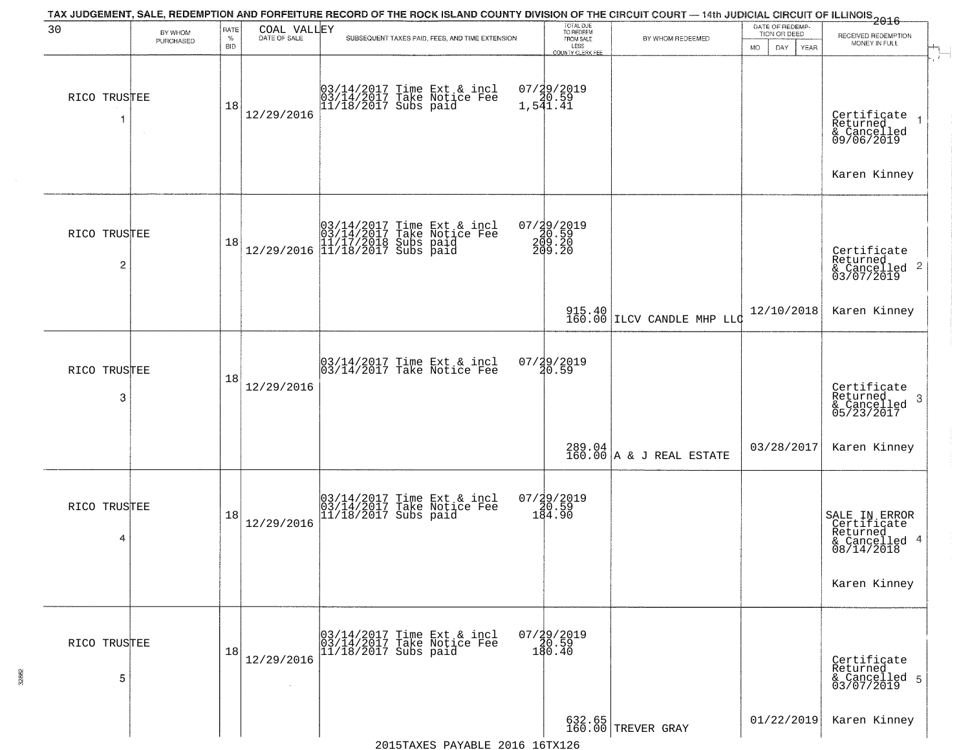| 30                             | BY WHOM   | RATE               | COAL VALLEY  | TAX JUDGEMENT, SALE, REDEMPTION AND FORFEITURE RECORD OF THE ROCK ISLAND COUNTY DIVISION OF THE CIRCUIT COURT — 14th JUDICIAL CIRCUIT OF ILLINOIS 2016 | TOTAL DUE<br>TO REDEEM<br>FROM SALE       |                              | DATE OF REDEMP-<br>TION OR DEED |                                                                         |
|--------------------------------|-----------|--------------------|--------------|--------------------------------------------------------------------------------------------------------------------------------------------------------|-------------------------------------------|------------------------------|---------------------------------|-------------------------------------------------------------------------|
|                                | PURCHASED | $\%$<br><b>BID</b> | DATE OF SALE | SUBSEQUENT TAXES PAID, FEES, AND TIME EXTENSION                                                                                                        | LESS<br>COUNTY CLERK FEE                  | BY WHOM REDEEMED             | MO.<br>DAY.<br>YEAR             | RECEIVED REDEMPTION<br>MONEY IN FULL                                    |
| RICO TRUSTEE                   |           | 18                 | 12/29/2016   | 03/14/2017 Time Ext & incl<br>03/14/2017 Take Notice Fee<br>11/18/2017 Subs paid                                                                       | 07/29/2019<br>20.59<br>1,541.41           |                              |                                 | Certificate<br>Returned<br>& Cancelled<br>09/06/2019                    |
|                                |           |                    |              |                                                                                                                                                        |                                           |                              |                                 | Karen Kinney                                                            |
| RICO TRUSTEE<br>$\overline{c}$ |           | 18                 |              | $[03/14/2017 \tTime Ext & incl \\ 03/14/2017 \tTake Notice Free \\ 11/17/2018 Subs paid \\ 12/29/2016 \t[11/18/2017 Subs paid]$                        | $07/29/2019$<br>20.59<br>200.20<br>209.20 |                              |                                 | Certificate<br>Returned<br>& Cancelled 2<br>03/07/2019                  |
|                                |           |                    |              |                                                                                                                                                        |                                           | $915.40$ LLCV CANDLE MHP LLC | 12/10/2018                      | Karen Kinney                                                            |
| RICO TRUSTEE<br>3              |           | 18                 | 12/29/2016   | 03/14/2017 Time Ext & incl<br>03/14/2017 Take Notice Fee                                                                                               | 07/29/2019<br>20.59                       |                              |                                 | Certificate<br>Returned<br>3<br>& Cancelled<br>05/23/2017               |
|                                |           |                    |              |                                                                                                                                                        |                                           | $289.04$ A & J REAL ESTATE   | 03/28/2017                      | Karen Kinney                                                            |
| RICO TRUSTEE<br>4              |           | 18                 | 12/29/2016   | 03/14/2017 Time Ext & incl<br>03/14/2017 Take Notice Fee<br>11/18/2017 Subs paid                                                                       | $07/29/2019$<br>$184.90$                  |                              |                                 | SALE IN ERROR<br>Certificate<br>Returned<br>& Cancelled 4<br>08/14/2018 |
|                                |           |                    |              |                                                                                                                                                        |                                           |                              |                                 | Karen Kinney                                                            |
| RICO TRUSTEE<br>5              |           | 18                 | 12/29/2016   | 03/14/2017 Time Ext & incl<br>03/14/2017 Take Notice Fee<br>11/18/2017 Subs paid                                                                       | $07/\frac{29}{20.59}$<br>180.40           |                              |                                 | Certificate<br>Returned<br>& Cancelled 5<br>03/07/2019                  |
|                                |           |                    |              |                                                                                                                                                        |                                           | 632.65<br>160.00 TREVER GRAY | 01/22/2019                      | Karen Kinney                                                            |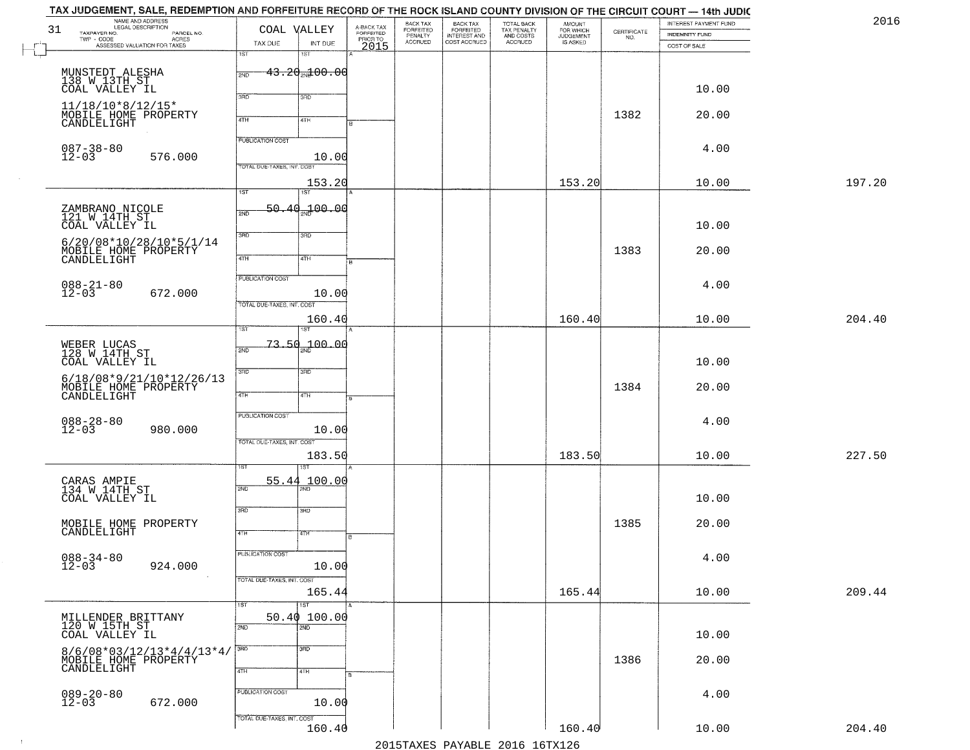|        | INTEREST PAYMENT FUND |                                                                 | AMOUNT<br>FOR WHICH<br>JUDGEMENT | TOTAL BACK<br>TAX PENALTY<br>AND COSTS | BACK TAX<br>FORFEITED<br>INTEREST AND | BACK TAX<br>FORFEITED<br>PENALTY |                                             | COAL VALLEY                       |                            | LEGAL DESCRIPTION<br>TAXPAYER NO.                                                                                    | 31 |
|--------|-----------------------|-----------------------------------------------------------------|----------------------------------|----------------------------------------|---------------------------------------|----------------------------------|---------------------------------------------|-----------------------------------|----------------------------|----------------------------------------------------------------------------------------------------------------------|----|
|        | <b>INDEMNITY FUND</b> | $\begin{array}{c} \text{CERTIFICATE} \\ \text{NO.} \end{array}$ | IS ASKED                         | ACCRUED                                | COST ACCRUED                          | <b>ACCRUED</b>                   | A-BACK TAX<br>FORFEITED<br>PRIOR TO<br>2015 | INT DUE                           | TAX DUE                    | LEGAL DESCRIPTION<br>- CODE ACRES<br>- CODE ACRES<br>- ASSESSED VALUATION FOR TAXES<br>$\textsf{TWP} \textsf{-CODE}$ |    |
|        | COST OF SALE          |                                                                 |                                  |                                        |                                       |                                  |                                             | 18T                               | 1ST                        |                                                                                                                      |    |
|        |                       |                                                                 |                                  |                                        |                                       |                                  |                                             |                                   |                            |                                                                                                                      |    |
|        |                       |                                                                 |                                  |                                        |                                       |                                  |                                             | $43.20$ and $00.00$               | 2ND                        | MUNSTEDT ALESHA<br>138 W.13TH.ST                                                                                     |    |
|        | 10.00                 |                                                                 |                                  |                                        |                                       |                                  |                                             | 3RD                               | 370                        | COAL VALLEY IL                                                                                                       |    |
|        |                       |                                                                 |                                  |                                        |                                       |                                  |                                             |                                   |                            | $11/18/10*8/12/15*$                                                                                                  |    |
|        | 20.00                 | 1382                                                            |                                  |                                        |                                       |                                  |                                             | 4TH                               | 4TH                        | MOBILE HOME PROPERTY<br>CANDLELIGHT                                                                                  |    |
|        |                       |                                                                 |                                  |                                        |                                       |                                  |                                             |                                   |                            |                                                                                                                      |    |
|        | 4.00                  |                                                                 |                                  |                                        |                                       |                                  |                                             |                                   | <b>PUBLICATION COST</b>    |                                                                                                                      |    |
|        |                       |                                                                 |                                  |                                        |                                       |                                  |                                             | 10.00                             |                            | 087-38-80<br>12-03<br>576.000                                                                                        |    |
|        |                       |                                                                 |                                  |                                        |                                       |                                  |                                             |                                   | TOTAL DUE-TAXES, INT. COST |                                                                                                                      |    |
| 197.20 | 10.00                 |                                                                 | 153.20                           |                                        |                                       |                                  |                                             | 153.20                            |                            |                                                                                                                      |    |
|        |                       |                                                                 |                                  |                                        |                                       |                                  |                                             | 1ST                               | 1ST                        |                                                                                                                      |    |
|        |                       |                                                                 |                                  |                                        |                                       |                                  |                                             | 50.40 <sub>37</sub> 00.00         | 2ND                        | ZAMBRANO NICOLE<br>121 W 14TH ST                                                                                     |    |
|        | 10.00                 |                                                                 |                                  |                                        |                                       |                                  |                                             |                                   |                            | COAL VALLEY IL                                                                                                       |    |
|        |                       |                                                                 |                                  |                                        |                                       |                                  |                                             | 3RD                               | 3RD                        | $6/20/08*10/28/10*5/1/14$                                                                                            |    |
|        | 20.00                 | 1383                                                            |                                  |                                        |                                       |                                  |                                             | 4TH                               | $\sqrt{4}$                 | MOBILE HOME PROPERTY                                                                                                 |    |
|        |                       |                                                                 |                                  |                                        |                                       |                                  | $\overline{B}$                              |                                   |                            |                                                                                                                      |    |
|        | 4.00                  |                                                                 |                                  |                                        |                                       |                                  |                                             |                                   | PUBLICATION COST           |                                                                                                                      |    |
|        |                       |                                                                 |                                  |                                        |                                       |                                  |                                             | 10.00                             |                            | $088 - 21 - 80$<br>12-03<br>672.000                                                                                  |    |
|        |                       |                                                                 |                                  |                                        |                                       |                                  |                                             |                                   | TOTAL DUE-TAXES, INT. COST |                                                                                                                      |    |
| 204.40 | 10.00                 |                                                                 | 160.40                           |                                        |                                       |                                  |                                             | 160.40                            |                            |                                                                                                                      |    |
|        |                       |                                                                 |                                  |                                        |                                       |                                  |                                             |                                   | īst                        |                                                                                                                      |    |
|        |                       |                                                                 |                                  |                                        |                                       |                                  |                                             | 700.00                            | 73.50<br>2ND               | WEBER LUCAS<br>128 W 14TH ST                                                                                         |    |
|        | 10.00                 |                                                                 |                                  |                                        |                                       |                                  |                                             |                                   |                            | COAL VALLEY IL                                                                                                       |    |
|        |                       |                                                                 |                                  |                                        |                                       |                                  |                                             | 3 <sub>BD</sub>                   | 3 <sub>BD</sub>            | $6/18/08*9/21/10*12/26/13$                                                                                           |    |
|        | 20.00                 | 1384                                                            |                                  |                                        |                                       |                                  |                                             | 4TH                               | 4TH                        | MOBILE HOME PROPERTY<br>CANDLELIGHT                                                                                  |    |
|        |                       |                                                                 |                                  |                                        |                                       |                                  |                                             |                                   |                            |                                                                                                                      |    |
|        | 4.00                  |                                                                 |                                  |                                        |                                       |                                  |                                             |                                   | PUBLICATION COST           |                                                                                                                      |    |
|        |                       |                                                                 |                                  |                                        |                                       |                                  |                                             | 10.00                             |                            | $088 - 28 - 80$<br>12-03<br>980.000                                                                                  |    |
|        |                       |                                                                 |                                  |                                        |                                       |                                  |                                             |                                   | TOTAL OUE-TAXES, INT. COST |                                                                                                                      |    |
| 227.50 | 10.00                 |                                                                 | 183.50                           |                                        |                                       |                                  |                                             | 183.50                            |                            |                                                                                                                      |    |
|        |                       |                                                                 |                                  |                                        |                                       |                                  |                                             |                                   |                            |                                                                                                                      |    |
|        |                       |                                                                 |                                  |                                        |                                       |                                  |                                             | 100.00                            | 55.44<br>2ND               | CARAS AMPIE<br>134 W 14TH ST                                                                                         |    |
|        | 10.00                 |                                                                 |                                  |                                        |                                       |                                  |                                             |                                   |                            | COAL VALLEY IL                                                                                                       |    |
|        |                       |                                                                 |                                  |                                        |                                       |                                  |                                             | 3BD                               | 3RD                        |                                                                                                                      |    |
|        | 20.00                 | 1385                                                            |                                  |                                        |                                       |                                  |                                             | वाम                               | 4TH                        | MOBILE HOME PROPERTY<br>CANDLELIGHT                                                                                  |    |
|        |                       |                                                                 |                                  |                                        |                                       |                                  | в.                                          |                                   |                            |                                                                                                                      |    |
|        | 4.00                  |                                                                 |                                  |                                        |                                       |                                  |                                             |                                   | PUBLICATION COST           | $088 - 34 - 80$<br>12-03                                                                                             |    |
|        |                       |                                                                 |                                  |                                        |                                       |                                  |                                             | 10.00                             |                            | 924.000                                                                                                              |    |
|        |                       |                                                                 |                                  |                                        |                                       |                                  |                                             |                                   | TOTAL DUE-TAXES, INT. COST |                                                                                                                      |    |
| 209.44 | 10.00                 |                                                                 | 165.44                           |                                        |                                       |                                  |                                             | 165.44<br>$\overline{\text{1ST}}$ |                            |                                                                                                                      |    |
|        |                       |                                                                 |                                  |                                        |                                       |                                  |                                             | 50.40100.00                       | 1ST                        | MILLENDER BRITTANY                                                                                                   |    |
|        |                       |                                                                 |                                  |                                        |                                       |                                  |                                             | 2ND                               | 2ND                        | 120 W 15TH ST                                                                                                        |    |
|        | 10.00                 |                                                                 |                                  |                                        |                                       |                                  |                                             |                                   |                            | COAL VALLEY IL                                                                                                       |    |
|        |                       | 1386                                                            |                                  |                                        |                                       |                                  |                                             | 3HD                               | 3BD                        | 8/6/08*03/12/13*4/4/13*4/<br>MOBILE HOME PROPERTY                                                                    |    |
|        | 20.00                 |                                                                 |                                  |                                        |                                       |                                  |                                             | 4TH                               | 4TH                        | CANDLELIGHT                                                                                                          |    |
|        |                       |                                                                 |                                  |                                        |                                       |                                  |                                             |                                   |                            |                                                                                                                      |    |
|        | 4.00                  |                                                                 |                                  |                                        |                                       |                                  |                                             |                                   | PUBLICATION COST           | $089 - 20 - 80$<br>12-03                                                                                             |    |
|        |                       |                                                                 |                                  |                                        |                                       |                                  |                                             | 10.00                             |                            | 672.000                                                                                                              |    |
|        |                       |                                                                 |                                  |                                        |                                       |                                  |                                             |                                   | TOTAL DUE-TAXES, INT. COST |                                                                                                                      |    |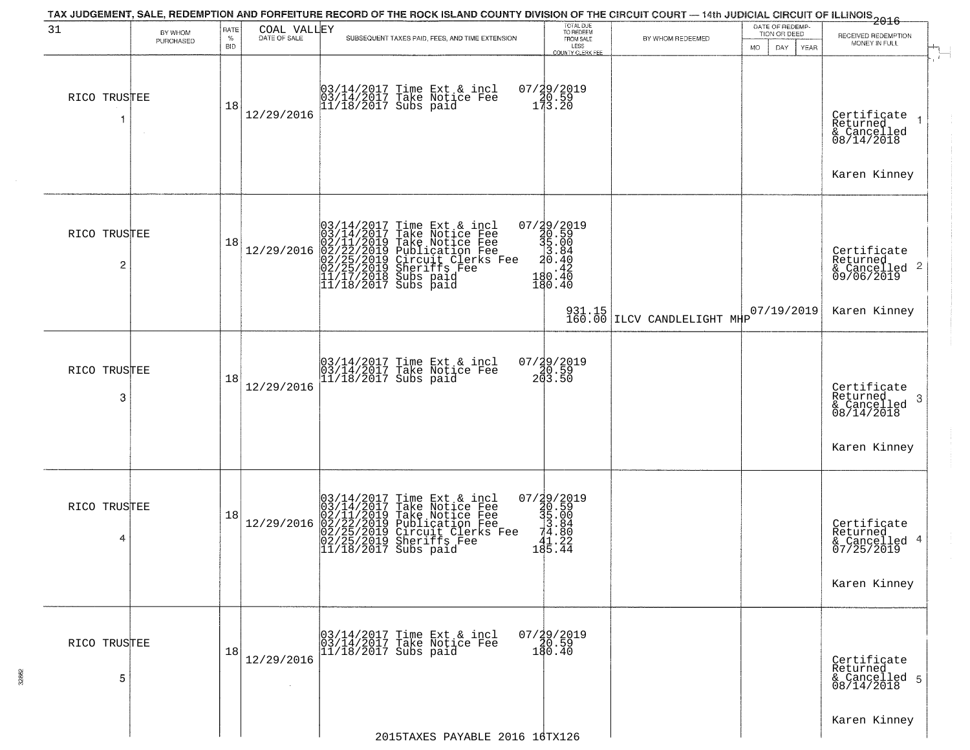| 31                | BY WHOM   | RATE               | COAL VALLEY |                        | TAX JUDGEMENT, SALE, REDEMPTION AND FORFEITURE RECORD OF THE ROCK ISLAND COUNTY DIVISION OF THE CIRCUIT COURT — 14th JUDICIAL CIRCUIT OF ILLINOIS 2016                                                                                     | TOTAL DUE<br>TO REDEEM                                                             |                                       | DATE OF REDEMP<br>TION OR DEED |                                                                       |
|-------------------|-----------|--------------------|-------------|------------------------|--------------------------------------------------------------------------------------------------------------------------------------------------------------------------------------------------------------------------------------------|------------------------------------------------------------------------------------|---------------------------------------|--------------------------------|-----------------------------------------------------------------------|
|                   | PURCHASED | $\%$<br><b>BID</b> |             |                        | SUBSEQUENT TAXES PAID, FEES, AND TIME EXTENSION                                                                                                                                                                                            | FROM SALE<br>LESS<br><b>COUNTY CLERK FEE</b>                                       | BY WHOM REDEEMED                      | DAY.<br>MO.<br>YEAR            | RECEIVED REDEMPTION<br>MONEY IN FULL                                  |
| RICO TRUSTEE<br>1 |           | 18                 | 12/29/2016  |                        | 03/14/2017 Time Ext & incl<br>03/14/2017 Take Notice Fee<br>11/18/2017 Subs paid                                                                                                                                                           | 07/29/2019<br>140.59<br>173.20                                                     |                                       |                                | Certificate<br>Returned<br>& Cancelled<br>08/14/2018<br>Karen Kinney  |
|                   |           |                    |             |                        |                                                                                                                                                                                                                                            |                                                                                    |                                       |                                |                                                                       |
| RICO TRUSTEE<br>2 |           | 18                 | 12/29/2016  |                        | $03/14/2017$ Time Ext & incl<br>$03/14/2017$ Take Notice Fee<br>$02/11/2019$ Take Notice Fee<br>$02/22/2019$ Publication Fee<br>$02/25/2019$ Sheriffs Fee<br>$02/25/2019$ Sheriffs Fee<br>$11/17/2018$ Subs paid<br>$11/18/2017$ Subs paid | 07/29/2019<br>30.59<br>35.00<br>3.84<br>3.84<br>$\frac{3}{42}$<br>180.40<br>180.40 |                                       |                                | Certificate<br>Returned<br>$\frac{12}{6}$ Cancelled 2<br>09/06/2019   |
|                   |           |                    |             |                        |                                                                                                                                                                                                                                            |                                                                                    | 931.15<br>160.00 ILCV CANDLELIGHT MHP | 07/19/2019                     | Karen Kinney                                                          |
| RICO TRUSTEE<br>3 |           | 18                 | 12/29/2016  |                        | 03/14/2017 Time Ext & incl<br>03/14/2017 Take Notice Fee<br>11/18/2017 Subs paid                                                                                                                                                           | $07/29/2019$<br>20.59<br>203.50                                                    |                                       |                                | Certificate<br>Returned<br>3<br>$\frac{1}{2}$ Cancelled<br>08/14/2018 |
|                   |           |                    |             |                        |                                                                                                                                                                                                                                            |                                                                                    |                                       |                                | Karen Kinney                                                          |
| RICO TRUSTEE<br>4 |           | 18                 | 12/29/2016  |                        | $03/14/2017$ Time Ext & incl<br>03/14/2017 Take Notice Fee<br>02/11/2019 Take Notice Fee<br>02/22/2019 Publication Fee<br>02/25/2019 Circuit Clerks Fee<br>02/25/2019 Sheriffs Fee<br>11/18/2017 Subs paid                                 | 07/29/2019<br>30.59<br>31.004<br>34.80<br>2<br>41.22<br>195.44                     |                                       |                                | Certificate<br>Returned<br>& Cancelled 4<br>07/25/2019                |
|                   |           |                    |             |                        |                                                                                                                                                                                                                                            |                                                                                    |                                       |                                | Karen Kinney                                                          |
| RICO TRUSTEE<br>5 |           | 18                 | 12/29/2016  | $11/18/2017$ Subs paid | 03/14/2017 Time Ext & incl<br>03/14/2017 Take Notice Fee                                                                                                                                                                                   | $07/29/2019$<br>$40.59$<br>180.40                                                  |                                       |                                | Certificate<br>Returned<br>& Cancelled 5<br>08/14/2018                |
|                   |           |                    |             |                        | 2015TAXES PAYABLE 2016 16TX126                                                                                                                                                                                                             |                                                                                    |                                       |                                | Karen Kinney                                                          |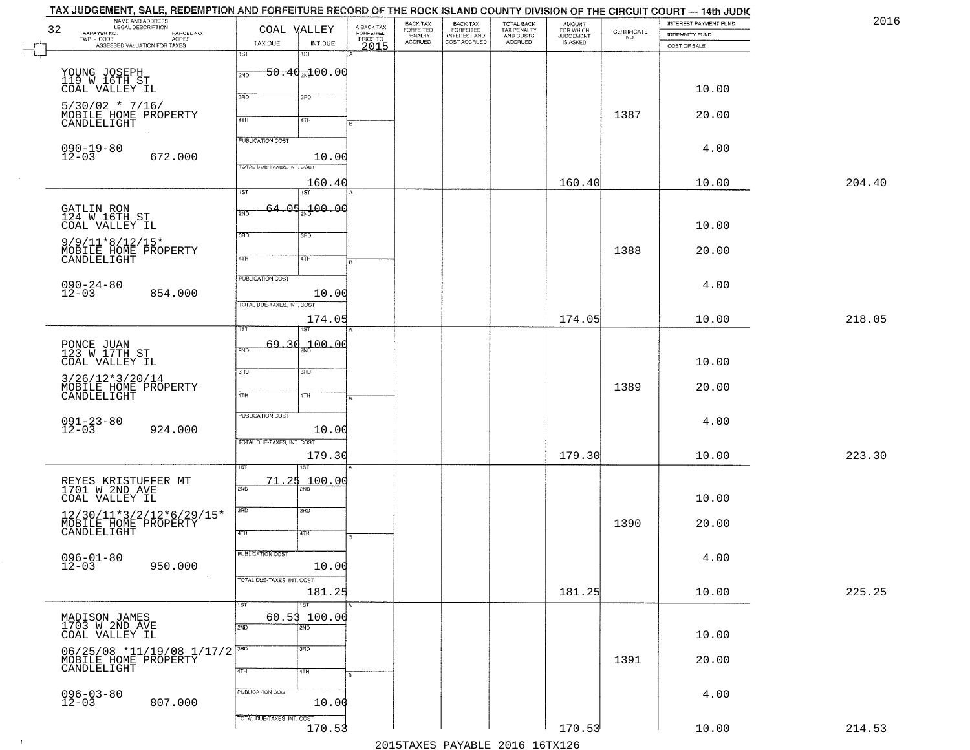| TAX JUDGEMENT, SALE, REDEMPTION AND FORFEITURE RECORD OF THE ROCK ISLAND COUNTY DIVISION OF THE CIRCUIT COURT — 14th JUDIC<br>NAME AND ADDRESS<br>LEGAL DESCRIPTION<br>32 | COAL VALLEY                                                      |                                             | BACK TAX                        |                                                       |                                                   | <b>AMOUNT</b>                      |                                                                 | INTEREST PAYMENT FUND          | 2016   |
|---------------------------------------------------------------------------------------------------------------------------------------------------------------------------|------------------------------------------------------------------|---------------------------------------------|---------------------------------|-------------------------------------------------------|---------------------------------------------------|------------------------------------|-----------------------------------------------------------------|--------------------------------|--------|
| TAXPAYER NO.<br>PARCEL NO.<br>TWP - CODE<br>ASSESSED VALUATION FOR TAXES                                                                                                  | TAX DUE<br>INT DUE<br>1ST<br>1ST                                 | A-BACK TAX<br>FORFEITED<br>PRIOR TO<br>2015 | FORFEITED<br>PENALTY<br>ACCRUED | BACK TAX<br>FORFEITED<br>INTEREST AND<br>COST ACCRUED | TOTAL BACK<br>TAX PENALTY<br>AND COSTS<br>ACCRUED | FOR WHICH<br>JUDGEMENT<br>IS ASKED | $\begin{array}{c} \text{CERTIFICATE} \\ \text{NO.} \end{array}$ | INDEMNITY FUND<br>COST OF SALE |        |
| YOUNG JOSEPH<br>119 W 16TH ST                                                                                                                                             | $50.40$ and $00.00$<br>2ND                                       |                                             |                                 |                                                       |                                                   |                                    |                                                                 |                                |        |
| COAL VALLEY IL<br>$5/30/02$ * 7/16/                                                                                                                                       | 3RD<br>3RD                                                       |                                             |                                 |                                                       |                                                   |                                    |                                                                 | 10.00                          |        |
| MOBILE HOME PROPERTY<br>CANDLELIGHT                                                                                                                                       | 4TH<br>4TH                                                       |                                             |                                 |                                                       |                                                   |                                    | 1387                                                            | 20.00                          |        |
| $090 - 19 - 80$<br>$12 - 03$<br>672.000                                                                                                                                   | <b>PUBLICATION COST</b>                                          | 10.00                                       |                                 |                                                       |                                                   |                                    |                                                                 | 4.00                           |        |
|                                                                                                                                                                           | TOTAL DUE-TAXES, INT. COST<br>160.40<br>$\overline{1ST}$<br>1ST  |                                             |                                 |                                                       |                                                   | 160.40                             |                                                                 | 10.00                          | 204.40 |
| GATLIN RON<br>124 W 16TH ST<br>COAL VALLEY IL                                                                                                                             | 64.05.100.00<br>2ND                                              |                                             |                                 |                                                       |                                                   |                                    |                                                                 | 10.00                          |        |
| $9/9/11*8/12/15*$<br>MOBILE HOME PROPERTY<br>CANDLELIGHT                                                                                                                  | 3BD<br>3RD<br>47H<br>4TH                                         |                                             |                                 |                                                       |                                                   |                                    | 1388                                                            | 20.00                          |        |
| $090 - 24 - 80$<br>12-03<br>854.000                                                                                                                                       | <b>PUBLICATION COST</b>                                          | 10.00                                       |                                 |                                                       |                                                   |                                    |                                                                 | 4.00                           |        |
|                                                                                                                                                                           | TOTAL DUE-TAXES, INT. COST<br>174.05<br>ist                      |                                             |                                 |                                                       |                                                   | 174.05                             |                                                                 | 10.00                          | 218.05 |
| PONCE JUAN<br>123 W 17TH ST<br>COAL VALLEY IL                                                                                                                             | 69.30 <sub>an</sub> 100.00<br>2ND                                |                                             |                                 |                                                       |                                                   |                                    |                                                                 | 10.00                          |        |
| $3/26/12*3/20/14$<br>MOBILE HOME PROPERTY<br>CANDLELIGHT                                                                                                                  | 3RD<br>3 <sub>3</sub><br>4TH<br>4TH                              |                                             |                                 |                                                       |                                                   |                                    | 1389                                                            | 20.00                          |        |
| $091 - 23 - 80$<br>$12 - 03$<br>924.000                                                                                                                                   | <b>PUBLICATION COST</b>                                          | 10.00                                       |                                 |                                                       |                                                   |                                    |                                                                 | 4.00                           |        |
|                                                                                                                                                                           | TOTAL OUE-TAXES, INT. COST<br>179.30<br>ख़                       |                                             |                                 |                                                       |                                                   | 179.30                             |                                                                 | 10.00                          | 223.30 |
| REYES KRISTUFFER MT<br>1701 W 2ND AVE<br>COAL VALLEY IL                                                                                                                   | 71.25<br>100.00<br>2ND                                           |                                             |                                 |                                                       |                                                   |                                    |                                                                 | 10.00                          |        |
| $\begin{array}{c} 12/30/11*3/2/12*6/29/15*\\ {\tt MOBILE HOME PROPERTIES}\\ {\tt CANDLELIGHT} \end{array}$                                                                | 3BD<br>3BD<br>4TH<br>वाम                                         |                                             |                                 |                                                       |                                                   |                                    | 1390                                                            | 20.00                          |        |
| $096 - 01 - 80$<br>12-03<br>950.000                                                                                                                                       | PUBLICATION COST                                                 | 10.00                                       |                                 |                                                       |                                                   |                                    |                                                                 | 4.00                           |        |
|                                                                                                                                                                           | TOTAL DUE-TAXES, INT. COST<br>181.25<br>$\overline{1}$ ST<br>1ST |                                             |                                 |                                                       |                                                   | 181.25                             |                                                                 | 10.00                          | 225.25 |
| MADISON JAMES<br>1703 W 2ND AVE<br>COAL VALLEY IL                                                                                                                         | 60.53 100.00<br>$\overline{2ND}$<br>2ND                          |                                             |                                 |                                                       |                                                   |                                    |                                                                 | 10.00                          |        |
| 06/25/08 *11/19/08 1/17/2<br>MOBILE HOME PROPERTY                                                                                                                         | $\overline{3}$ RD<br>3RD<br>4TH<br>4TH                           |                                             |                                 |                                                       |                                                   |                                    | 1391                                                            | 20.00                          |        |
| $096 - 03 - 80$<br>12-03<br>807.000                                                                                                                                       | PUBLICATION COST                                                 | 10.00                                       |                                 |                                                       |                                                   |                                    |                                                                 | 4.00                           |        |
|                                                                                                                                                                           | TOTAL DUE-TAXES, INT. COST                                       | 170.53                                      |                                 |                                                       | 2015 TAVEC DAVADIE 2016 16 TV126                  | 170.53                             |                                                                 | 10.00                          | 214.53 |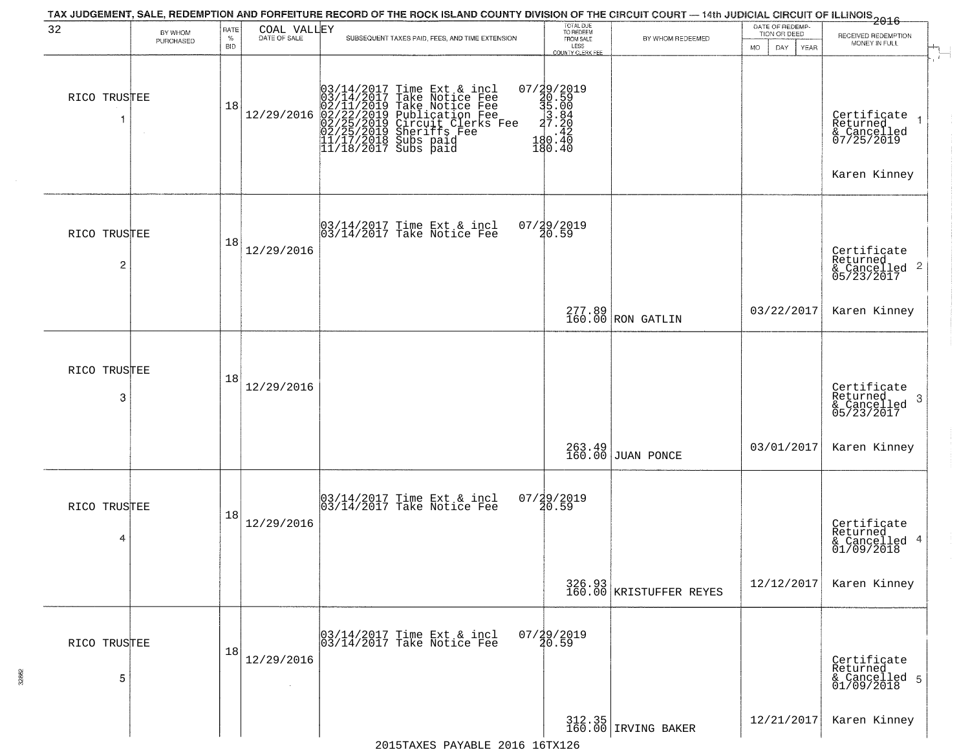| 32                             | BY WHOM<br>PURCHASED | <b>RATE</b><br>$\%$<br><b>BID</b> | COAL VALLEY<br>DATE OF SALE | SUBSEQUENT TAXES PAID, FEES, AND TIME EXTENSION                                                                                                                                                                                                                                                                                                                                                              | TOTAL DUE<br>TO REDEEM<br>FROM SALE<br>LESS                                                   | BY WHOM REDEEMED                  | DATE OF REDEMP-<br>TION OR DEED<br><b>MO</b><br>DAY<br>YEAR | $\frac{1}{2016}$<br>RECEIVED REDEMPTION<br>MONEY IN FULL                  |
|--------------------------------|----------------------|-----------------------------------|-----------------------------|--------------------------------------------------------------------------------------------------------------------------------------------------------------------------------------------------------------------------------------------------------------------------------------------------------------------------------------------------------------------------------------------------------------|-----------------------------------------------------------------------------------------------|-----------------------------------|-------------------------------------------------------------|---------------------------------------------------------------------------|
| RICO TRUSTEE                   |                      | 18                                |                             | $[03/14/2017 \text{ Time Ext & incl} \newline [03/14/2017 \text{ Take Notice Free} \newline 02/11/2019 \text{ Take Notice Free} \newline 02/11/2019 \text{ Public action Free} \newline 02/22/2019 \text{ Publication Free} \newline 02/25/2019 \text{ Sheriffs } \text{Free} \newline 02/25/2019 \text{ Sheriffs } \text{Free} \newline 11/17/2018 \text{ Subs paid} \newline 11/18/2017 \text{ Subs paid}$ | COUNTY CLERK FEE<br>07/29/2019<br>30.59<br>35.00<br>3.84<br>3.84<br>27.20<br>180.42<br>180.40 |                                   |                                                             | Certificate<br>Returned<br>& Cancelled<br>07/25/2019<br>Karen Kinney      |
| RICO TRUSTEE<br>$\overline{c}$ |                      | 18                                | 12/29/2016                  | 03/14/2017 Time Ext & incl<br>03/14/2017 Take Notice Fee                                                                                                                                                                                                                                                                                                                                                     | 07/29/2019<br>20.59                                                                           |                                   |                                                             | Certificate<br>Returned<br>$\frac{12241164}{6}$ Cancelled 2<br>05/23/2017 |
|                                |                      |                                   |                             |                                                                                                                                                                                                                                                                                                                                                                                                              |                                                                                               | 277.89<br>160.00 RON GATLIN       | 03/22/2017                                                  | Karen Kinney                                                              |
| RICO TRUSTEE<br>3              |                      | 18                                | 12/29/2016                  |                                                                                                                                                                                                                                                                                                                                                                                                              |                                                                                               |                                   |                                                             | Certificate<br>Returned<br>& Cancelled<br>05/23/2017<br>-3                |
|                                |                      |                                   |                             |                                                                                                                                                                                                                                                                                                                                                                                                              | 263.49<br>160.00                                                                              | <b>JUAN PONCE</b>                 | 03/01/2017                                                  | Karen Kinney                                                              |
| RICO TRUSTEE<br>4              |                      | 18                                | 12/29/2016                  | 03/14/2017 Time Ext & incl<br>03/14/2017 Take Notice Fee                                                                                                                                                                                                                                                                                                                                                     | $07/29/2019$<br>$20.59$                                                                       |                                   |                                                             | Certificate<br>Returned<br>& Cancelled 4<br>01/09/2018                    |
|                                |                      |                                   |                             |                                                                                                                                                                                                                                                                                                                                                                                                              |                                                                                               | 326.93<br>160.00 KRISTUFFER REYES | 12/12/2017                                                  | Karen Kinney                                                              |
| RICO TRUSTEE<br>5              |                      | 18                                | 12/29/2016                  | 03/14/2017 Time Ext & incl<br>03/14/2017 Take Notice Fee                                                                                                                                                                                                                                                                                                                                                     | $07/29/2019$<br>$20.59$                                                                       |                                   |                                                             | Certificate<br>Returned<br>& Cancelled 5<br>01/09/2018                    |
|                                |                      |                                   |                             | $201$ ETAVEC DAVADIE 2016 16TV126                                                                                                                                                                                                                                                                                                                                                                            |                                                                                               | 312.35<br>160.00 IRVING BAKER     | 12/21/2017                                                  | Karen Kinney                                                              |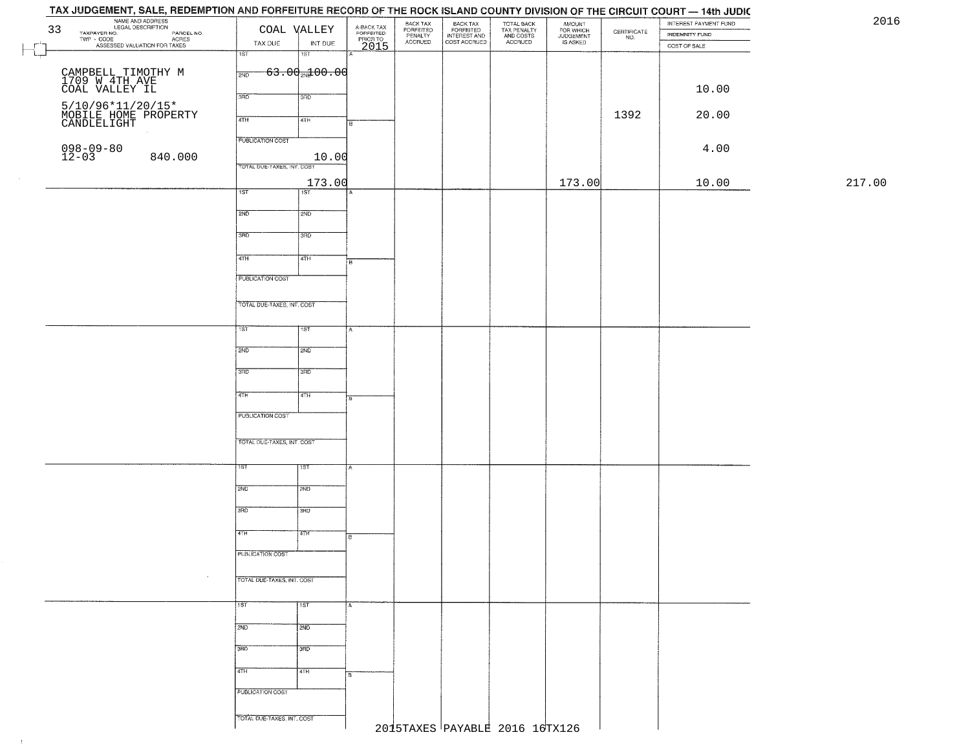## TAX JUDGEMENT, SALE, REDEMPTION AND FORFEITURE RECORD OF THE ROCK ISLAND COUNTY DIVISION OF THE CIRCUIT COURT - 14th JUDIC NAME AND ADDRESS<br>
TAXPAYER NO.<br>
TWP - CODE COAL DESCRIPTION<br>
TWP - CODE COAL ONCES<br>
TAX DUE INT DUE<br>
NOT ASSESSED VALUATION FOR TAXES<br>
TAX DUE INT DUE 2016BACK TAX<br>FORFEITED<br>INTEREST AND<br>COST ACCRUED TOTAL BACK<br>TAX PENALTY<br>AND COSTS AMOUNT<br>FOR WHICH<br>JUDGEMENT<br>IS ASKED BACK TAX INTEREST PAYMENT FUND FORFEITED<br>PENALTY<br>ACCRUED  $\begin{array}{c} \text{CEPTIFICATE} \\ \text{NO.} \end{array}$ INDEMNITY FUND ACRES INT DUE TAX DUE ACCRUED COST OF SALE 2015  $\Box$ गडा IST  $63.002100.00$ CAMPBELL TIMOTHY M  $\frac{200}{200}$ 1709 W 4TH AVE COAL VALLEY IL 10.00 5/10/96\*11/20/15\*<br>MOBILE HOME PROPERTY<br>CANDLELIGHT 1392 20.00 20.00 20.00 20.00 20.00 20.00 20.00 20.00 20.00 20.00 20.00 20.00 20.00 20.00 20.00 20.00 20.00 20 **PUBLICATION COST** 098-09-80<br>12-03 840.000 10.00 4.00 TOTAL DUE-TAXES INT COST 173.00 173.00 10.00 217.00 $\overline{1ST}$ ist  $2ND$ 12ND 3RD 3RD 4TH ৰিয়া **FUBLICATION COST** TOTAL DUE-TAXES, INT. COST TST ST  $2ND$ **SMD**  $3BD$ 3RD  $4TH$  $4TH$ PUBLICATION COST TOTAL OUE-TAXES, INT. COST 2ND **T2ND** 3RD tarao 4TH īΤH PUBLICATION COST TOTAL DUE-TAXES, INT. COST 1ST 1ST  $2ND$  $\frac{1}{2ND}$ 3RD 3RD 4TH 4TH **PUBLICATION COST** TOTAL DUE-TAXES, INT. COST 2015TAXES PAYABLE 2016 16TX126

 $\pm 1$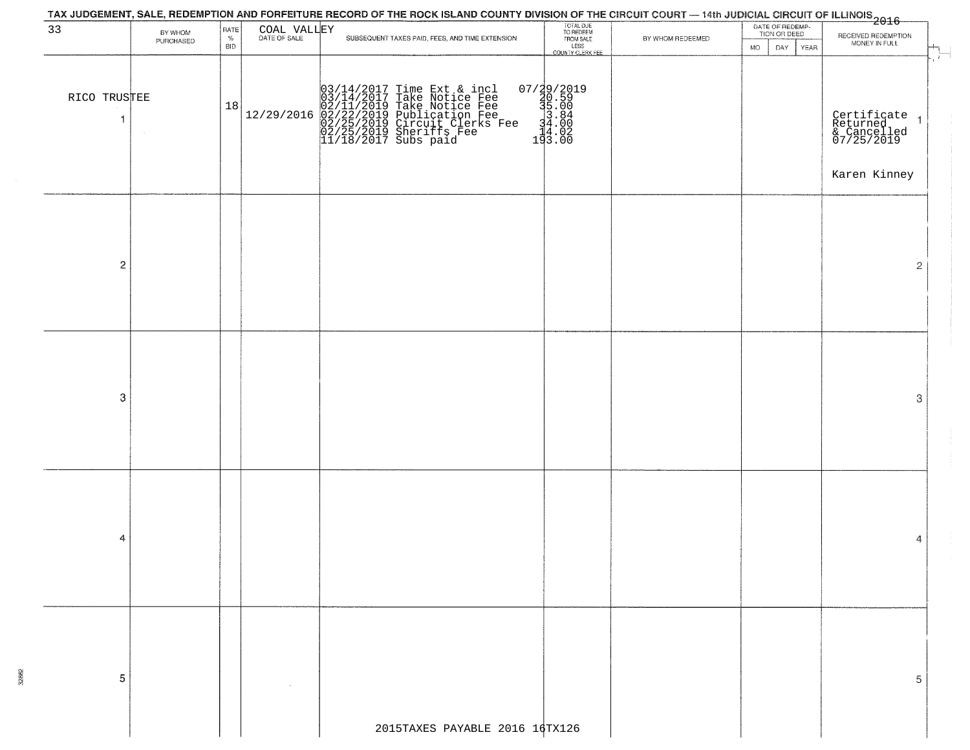| BY WHOM<br>PURCHASED | RATE<br>%<br><b>BID</b>       | COAL VALLEY | TAX JUDGEMENT, SALE, REDEMPTION AND FORFEITURE RECORD OF THE ROCK ISLAND COUNTY DIVISION OF THE CIRCUIT COURT — 14th JUDICIAL CIRCUIT OF ILLINOIS<br>2016 - The Contract of December 1999<br>SUBSEQUENT TAXES PAID, FEES, AND TIME EXTENSION | TOTAL DUE<br>TO REDEEM<br>FROM SALE                     | BY WHOM REDEEMED               | DATE OF REDEMP-<br>TION OR DEED |                                                                               |
|----------------------|-------------------------------|-------------|----------------------------------------------------------------------------------------------------------------------------------------------------------------------------------------------------------------------------------------------|---------------------------------------------------------|--------------------------------|---------------------------------|-------------------------------------------------------------------------------|
|                      |                               |             |                                                                                                                                                                                                                                              | LESS<br>COUNTY CLERK FEE                                |                                | <b>MO</b><br>DAY<br><b>YEAR</b> | RECEIVED REDEMPTION<br>MONEY IN FULL                                          |
| RICO TRUSTEE         |                               | 12/29/2016  | $03/14/2017$ Time Ext & incl<br>03/14/2017 Take Notice Fee<br>02/11/2019 Take Notice Fee<br>02/22/2019 Publication Fee<br>02/25/2019 Circuit Clerks Fee<br>02/25/2019 Sheriffs Fee<br>11/18/2017 Subs paid                                   | 07/29/2019<br>30.59<br>31.00<br>34.00<br>3.02<br>193.00 |                                |                                 | التها<br>Certificate<br>Returned<br>& Cancelled<br>07/25/2019<br>Karen Kinney |
|                      |                               |             |                                                                                                                                                                                                                                              |                                                         |                                |                                 | 2                                                                             |
|                      |                               |             |                                                                                                                                                                                                                                              |                                                         |                                |                                 | 3                                                                             |
|                      |                               |             |                                                                                                                                                                                                                                              |                                                         |                                |                                 | 4                                                                             |
|                      |                               |             |                                                                                                                                                                                                                                              |                                                         |                                |                                 | 5                                                                             |
|                      | $\overline{c}$<br>3<br>4<br>5 |             | 18                                                                                                                                                                                                                                           |                                                         | 2015TAXES PAYABLE 2016 16TX126 |                                 |                                                                               |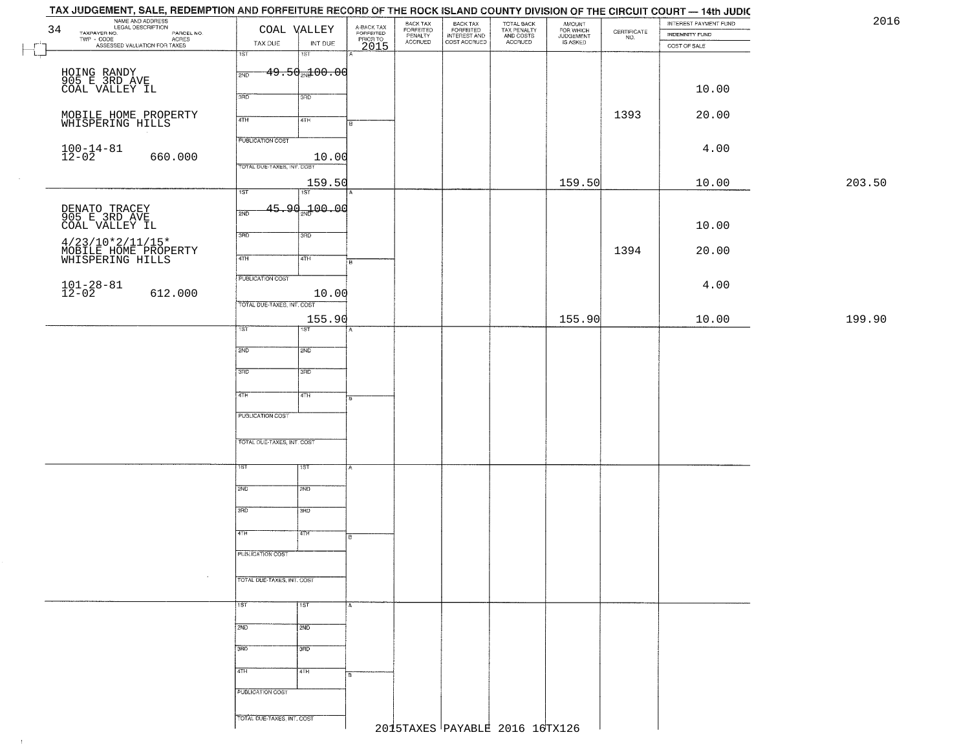| 2016   | INTEREST PAYMENT FUND |                                                                 | AMOUNT<br>FOR WHICH<br>JUDGEMENT | TOTAL BACK<br>TAX PENALTY<br>AND COSTS | BACK TAX<br>FORFEITED<br>INTEREST AND | BACK TAX<br>FORFEITED<br>PENALTY | A-BACK TAX<br>FORFEITED<br>PRIOR TO | COAL VALLEY                              | NAME AND ADDRESS<br>LEGAL DESCRIPTION<br>34<br>TAXPAYER NO.                                 |
|--------|-----------------------|-----------------------------------------------------------------|----------------------------------|----------------------------------------|---------------------------------------|----------------------------------|-------------------------------------|------------------------------------------|---------------------------------------------------------------------------------------------|
|        | <b>INDEMNITY FUND</b> | $\begin{array}{c} \text{CERTIFICATE} \\ \text{NO.} \end{array}$ | IS ASKED                         | ACCRUED                                | COST ACCRUED                          | <b>ACCRUED</b>                   |                                     | TAX DUE<br>INT DUE                       | NAMERING.<br>- CODE ACRES<br>- CODE ACRES<br>- ASSESSED VALUATION FOR TAXES<br>$TWP - CODE$ |
|        | COST OF SALE          |                                                                 |                                  |                                        |                                       |                                  | 2015                                | 1ST<br>1ST                               |                                                                                             |
|        |                       |                                                                 |                                  |                                        |                                       |                                  |                                     |                                          |                                                                                             |
|        |                       |                                                                 |                                  |                                        |                                       |                                  |                                     | $49.50 + 00.00$<br>2ND                   | HOING RANDY<br>905 E 3RD AVE<br>COAL VALLEY IL                                              |
|        | 10.00                 |                                                                 |                                  |                                        |                                       |                                  |                                     | 3RD<br>3 <sub>BD</sub>                   |                                                                                             |
|        |                       |                                                                 |                                  |                                        |                                       |                                  |                                     |                                          |                                                                                             |
|        | 20.00                 | 1393                                                            |                                  |                                        |                                       |                                  | R                                   | 4TH<br>4TH                               | MOBILE HOME PROPERTY<br>WHISPERING HILLS                                                    |
|        |                       |                                                                 |                                  |                                        |                                       |                                  |                                     |                                          |                                                                                             |
|        | 4.00                  |                                                                 |                                  |                                        |                                       |                                  |                                     | <b>PUBLICATION COST</b>                  |                                                                                             |
|        |                       |                                                                 |                                  |                                        |                                       |                                  |                                     | 10.00<br>TOTAL DUE-TAXES, INT. COST      | $100 - 14 - 81$<br>12-02<br>660.000                                                         |
|        |                       |                                                                 |                                  |                                        |                                       |                                  |                                     |                                          |                                                                                             |
| 203.50 | 10.00                 |                                                                 | 159.50                           |                                        |                                       |                                  |                                     | 159.50<br>$\overline{1ST}$<br>1ST        |                                                                                             |
|        |                       |                                                                 |                                  |                                        |                                       |                                  |                                     |                                          |                                                                                             |
|        |                       |                                                                 |                                  |                                        |                                       |                                  |                                     | $45.90\%$ 00.00<br>2ND                   | DENATO TRACEY<br>905 E 3RD AVE<br>COAL VALLEY IL                                            |
|        | 10.00                 |                                                                 |                                  |                                        |                                       |                                  |                                     | 3RD                                      |                                                                                             |
|        |                       |                                                                 |                                  |                                        |                                       |                                  |                                     | 3RD                                      |                                                                                             |
|        | 20.00                 | 1394                                                            |                                  |                                        |                                       |                                  |                                     | $\overline{47H}$<br>4TH<br>B             | 4/23/10*2/11/15*<br>MOBILE HOME PROPERTY<br>WHISPERING HILLS                                |
|        |                       |                                                                 |                                  |                                        |                                       |                                  |                                     |                                          |                                                                                             |
|        | 4.00                  |                                                                 |                                  |                                        |                                       |                                  |                                     | PUBLICATION COST                         | $101 - 28 - 81$<br>12-02                                                                    |
|        |                       |                                                                 |                                  |                                        |                                       |                                  |                                     | 10.00<br>TOTAL DUE-TAXES, INT. COST      | 612.000                                                                                     |
| 199.90 |                       |                                                                 | 155.90                           |                                        |                                       |                                  |                                     |                                          |                                                                                             |
|        | 10.00                 |                                                                 |                                  |                                        |                                       |                                  |                                     | 155.90<br>1ST<br><b>IST</b>              |                                                                                             |
|        |                       |                                                                 |                                  |                                        |                                       |                                  |                                     |                                          |                                                                                             |
|        |                       |                                                                 |                                  |                                        |                                       |                                  |                                     | 2ND<br>2ND                               |                                                                                             |
|        |                       |                                                                 |                                  |                                        |                                       |                                  |                                     | 3RD<br>3 <sub>3</sub>                    |                                                                                             |
|        |                       |                                                                 |                                  |                                        |                                       |                                  |                                     |                                          |                                                                                             |
|        |                       |                                                                 |                                  |                                        |                                       |                                  |                                     | 4TH<br>4TH<br>l B.                       |                                                                                             |
|        |                       |                                                                 |                                  |                                        |                                       |                                  |                                     | PUBLICATION COST                         |                                                                                             |
|        |                       |                                                                 |                                  |                                        |                                       |                                  |                                     |                                          |                                                                                             |
|        |                       |                                                                 |                                  |                                        |                                       |                                  |                                     | TOTAL OUE-TAXES, INT. COST               |                                                                                             |
|        |                       |                                                                 |                                  |                                        |                                       |                                  |                                     |                                          |                                                                                             |
|        |                       |                                                                 |                                  |                                        |                                       |                                  |                                     | 15T<br>1ST                               |                                                                                             |
|        |                       |                                                                 |                                  |                                        |                                       |                                  |                                     |                                          |                                                                                             |
|        |                       |                                                                 |                                  |                                        |                                       |                                  |                                     | 2ND<br>2ND                               |                                                                                             |
|        |                       |                                                                 |                                  |                                        |                                       |                                  |                                     | 3RD<br>3BD                               |                                                                                             |
|        |                       |                                                                 |                                  |                                        |                                       |                                  |                                     |                                          |                                                                                             |
|        |                       |                                                                 |                                  |                                        |                                       |                                  |                                     | 77H<br>4TH                               |                                                                                             |
|        |                       |                                                                 |                                  |                                        |                                       |                                  |                                     | PUBLICATION COST                         |                                                                                             |
|        |                       |                                                                 |                                  |                                        |                                       |                                  |                                     |                                          |                                                                                             |
|        |                       |                                                                 |                                  |                                        |                                       |                                  |                                     | TOTAL DUE-TAXES, INT. COST               |                                                                                             |
|        |                       |                                                                 |                                  |                                        |                                       |                                  |                                     |                                          |                                                                                             |
|        |                       |                                                                 |                                  |                                        |                                       |                                  |                                     | $\overline{11ST}$<br>1ST<br>$\mathbf{A}$ |                                                                                             |
|        |                       |                                                                 |                                  |                                        |                                       |                                  |                                     | 2ND<br>2ND                               |                                                                                             |
|        |                       |                                                                 |                                  |                                        |                                       |                                  |                                     |                                          |                                                                                             |
|        |                       |                                                                 |                                  |                                        |                                       |                                  |                                     | 3RD<br>3RD                               |                                                                                             |
|        |                       |                                                                 |                                  |                                        |                                       |                                  |                                     |                                          |                                                                                             |
|        |                       |                                                                 |                                  |                                        |                                       |                                  |                                     | 4TH<br>4TH<br>l B                        |                                                                                             |
|        |                       |                                                                 |                                  |                                        |                                       |                                  |                                     | PUBLICATION COST                         |                                                                                             |
|        |                       |                                                                 |                                  |                                        |                                       |                                  |                                     |                                          |                                                                                             |
|        |                       |                                                                 | 2015TAXES PAYABLE 2016 16TX126   |                                        |                                       |                                  |                                     | TOTAL DUE-TAXES, INT. COST               |                                                                                             |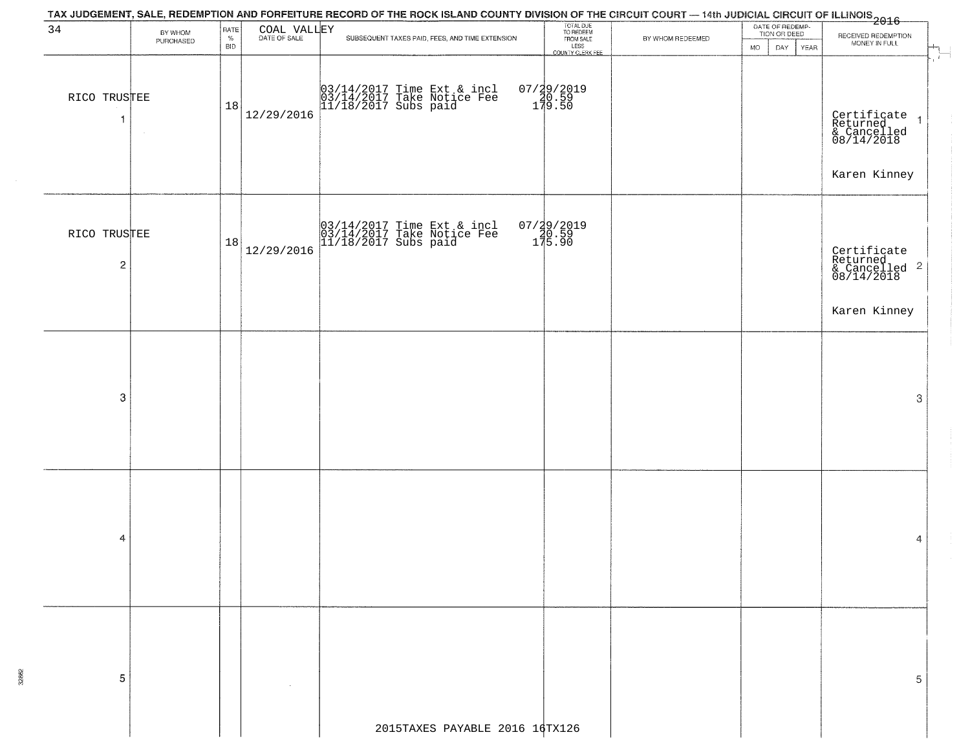| BY WHOM                                                  |                              |            |            |                                                                                                                                                                                                                                        |                                                                                                                                                                     |                  | RECEIVED REDEMPTION                                                                                                                                                                                            |
|----------------------------------------------------------|------------------------------|------------|------------|----------------------------------------------------------------------------------------------------------------------------------------------------------------------------------------------------------------------------------------|---------------------------------------------------------------------------------------------------------------------------------------------------------------------|------------------|----------------------------------------------------------------------------------------------------------------------------------------------------------------------------------------------------------------|
| PURCHASED                                                | <b>BID</b>                   |            |            |                                                                                                                                                                                                                                        |                                                                                                                                                                     | <b>MO</b>        | MONEY IN FULL                                                                                                                                                                                                  |
|                                                          | 18                           | 12/29/2016 |            |                                                                                                                                                                                                                                        |                                                                                                                                                                     |                  | $\mathcal{L}_{\mathcal{L}}$<br>Certificate 1<br>Returned 1<br>& Cancelled<br>08/14/2018<br>Karen Kinney                                                                                                        |
|                                                          |                              | 12/29/2016 |            |                                                                                                                                                                                                                                        |                                                                                                                                                                     |                  | Certificate<br>Returned<br>& Cancelled <sup>2</sup><br>08/14/2018<br>Karen Kinney                                                                                                                              |
|                                                          |                              |            |            |                                                                                                                                                                                                                                        |                                                                                                                                                                     |                  | 3                                                                                                                                                                                                              |
|                                                          |                              |            |            |                                                                                                                                                                                                                                        |                                                                                                                                                                     |                  | 4                                                                                                                                                                                                              |
|                                                          |                              |            |            |                                                                                                                                                                                                                                        |                                                                                                                                                                     |                  | 5                                                                                                                                                                                                              |
| $\overline{1}$<br>$\overline{\mathbf{c}}$<br>3<br>4<br>5 | RICO TRUSTEE<br>RICO TRUSTEE | $\%$       | RATE<br>18 | COAL VALLEY<br>SUBSEQUENT TAXES PAID, FEES, AND TIME EXTENSION<br>03/14/2017 Time Ext & incl<br>03/14/2017 Take Notice Fee<br>11/18/2017 Subs paid<br>03/14/2017 Time Ext & incl<br>03/14/2017 Take Notice Fee<br>11/18/2017 Subs paid | TOTAL DUE<br>TO REDEEM<br>FROM SALE<br>LESS<br>COUNTY CLERK FEE<br>07/29/2019<br>20.59<br>179.50<br>07/29/2019<br>20.59<br>175.90<br>2015TAXES PAYABLE 2016 16TX126 | BY WHOM REDEEMED | TAX JUDGEMENT, SALE, REDEMPTION AND FORFEITURE RECORD OF THE ROCK ISLAND COUNTY DIVISION OF THE CIRCUIT COURT - 14th JUDICIAL CIRCUIT OF ILLINOIS<br>1 2016<br>DATE OF REDEMP-<br>TION OR DEED<br>YEAR<br>DAY. |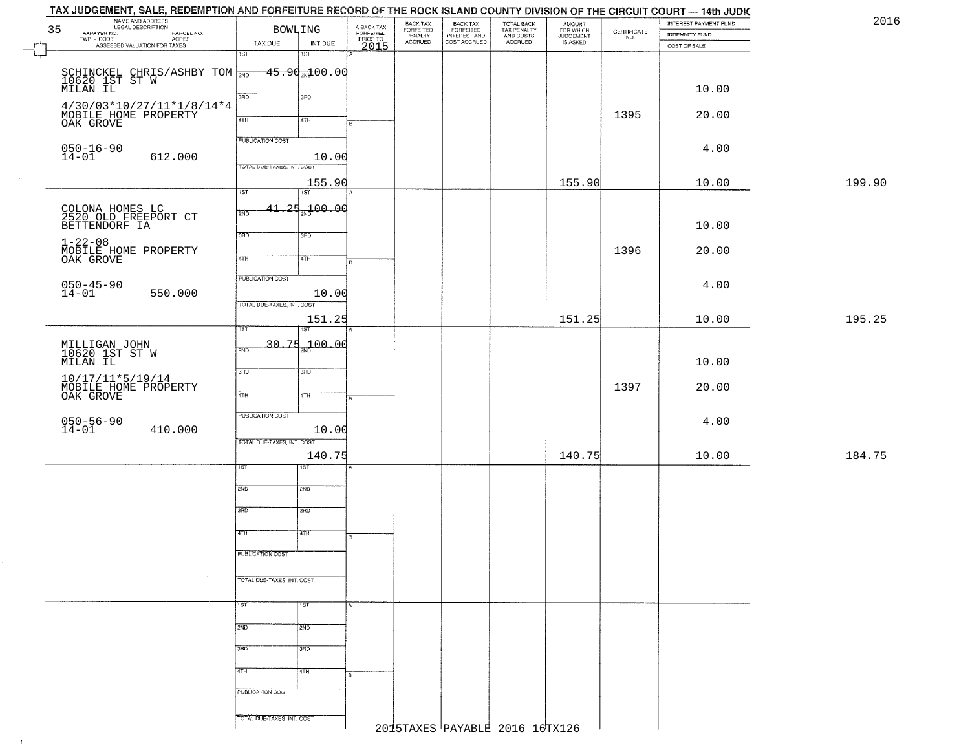| 35 | NAME AND ADDRESS<br>LEGAL DESCRIPTION                                                         |                            | BOWLING                               |                                             | BACK TAX                        |                                                       |                                                   | <b>AMOUNT</b>                      | $\begin{array}{c} \text{CERTIFICATE} \\ \text{NO.} \end{array}$ | INTEREST PAYMENT FUND<br><b>INDEMNITY FUND</b> |        |
|----|-----------------------------------------------------------------------------------------------|----------------------------|---------------------------------------|---------------------------------------------|---------------------------------|-------------------------------------------------------|---------------------------------------------------|------------------------------------|-----------------------------------------------------------------|------------------------------------------------|--------|
|    | TAXPAYER NO. LEGAL DESCRIPTION PARCEL NO.<br>TWP - CODE ACRES<br>ASSESSED VALUATION FOR TAXES | TAX DUE                    | INT DUE                               | A-BACK TAX<br>FORFEITED<br>PRIOR TO<br>2015 | FORFEITED<br>PENALTY<br>ACCRUED | BACK TAX<br>FORFEITED<br>INTEREST AND<br>COST ACCRUED | TOTAL BACK<br>TAX PENALTY<br>AND COSTS<br>ACCRUED | FOR WHICH<br>JUDGEMENT<br>IS ASKED |                                                                 | COST OF SALE                                   |        |
|    |                                                                                               | । अ                        | 1ST                                   |                                             |                                 |                                                       |                                                   |                                    |                                                                 |                                                |        |
|    |                                                                                               |                            |                                       |                                             |                                 |                                                       |                                                   |                                    |                                                                 |                                                |        |
|    | SCHINCKEL CHRIS/ASHBY TOM 2ND-<br>10620 1ST ST W<br>MILAN IL                                  |                            | <del>- 45.90<sub>20</sub>100.00</del> |                                             |                                 |                                                       |                                                   |                                    |                                                                 |                                                |        |
|    |                                                                                               |                            |                                       |                                             |                                 |                                                       |                                                   |                                    |                                                                 | 10.00                                          |        |
|    | $4/30/03*10/27/11*1/8/14*4$                                                                   | 3BD                        | 3RD                                   |                                             |                                 |                                                       |                                                   |                                    |                                                                 |                                                |        |
|    |                                                                                               |                            |                                       |                                             |                                 |                                                       |                                                   |                                    | 1395                                                            | 20.00                                          |        |
|    | MOBILE HOME PROPERTY                                                                          | 4TH                        | 4TH                                   |                                             |                                 |                                                       |                                                   |                                    |                                                                 |                                                |        |
|    |                                                                                               | <b>PUBLICATION COST</b>    |                                       |                                             |                                 |                                                       |                                                   |                                    |                                                                 |                                                |        |
|    | $050 - 16 - 90$                                                                               |                            |                                       |                                             |                                 |                                                       |                                                   |                                    |                                                                 | 4.00                                           |        |
|    | $14 - 01$<br>612.000                                                                          |                            | 10.00                                 |                                             |                                 |                                                       |                                                   |                                    |                                                                 |                                                |        |
|    |                                                                                               | TOTAL DUE-TAXES, INT. COST |                                       |                                             |                                 |                                                       |                                                   |                                    |                                                                 |                                                |        |
|    |                                                                                               |                            | 155.90                                |                                             |                                 |                                                       |                                                   | 155.90                             |                                                                 | 10.00                                          | 199.90 |
|    |                                                                                               | 1ST                        | TST                                   |                                             |                                 |                                                       |                                                   |                                    |                                                                 |                                                |        |
|    |                                                                                               |                            | $41.25 + 00.00$                       |                                             |                                 |                                                       |                                                   |                                    |                                                                 |                                                |        |
|    | COLONA HOMES LC<br>2520 OLD FREEPORT CT                                                       | 2ND                        |                                       |                                             |                                 |                                                       |                                                   |                                    |                                                                 |                                                |        |
|    | BETTENDORF IA                                                                                 |                            |                                       |                                             |                                 |                                                       |                                                   |                                    |                                                                 | 10.00                                          |        |
|    | $1 - 22 - 08$                                                                                 | 3RD                        | 3RD                                   |                                             |                                 |                                                       |                                                   |                                    |                                                                 |                                                |        |
|    | MOBILE HOME PROPERTY                                                                          |                            |                                       |                                             |                                 |                                                       |                                                   |                                    | 1396                                                            | 20.00                                          |        |
|    | OAK GROVE                                                                                     | 47H                        | 4TH                                   |                                             |                                 |                                                       |                                                   |                                    |                                                                 |                                                |        |
|    |                                                                                               | PUBLICATION COST           |                                       |                                             |                                 |                                                       |                                                   |                                    |                                                                 |                                                |        |
|    | $050 - 45 - 90$<br>14-01                                                                      |                            |                                       |                                             |                                 |                                                       |                                                   |                                    |                                                                 | 4.00                                           |        |
|    | 550.000                                                                                       |                            | 10.00                                 |                                             |                                 |                                                       |                                                   |                                    |                                                                 |                                                |        |
|    |                                                                                               | TOTAL DUE-TAXES, INT. COST |                                       |                                             |                                 |                                                       |                                                   |                                    |                                                                 |                                                |        |
|    |                                                                                               |                            | 151.25                                |                                             |                                 |                                                       |                                                   | 151.25                             |                                                                 | 10.00                                          | 195.25 |
|    |                                                                                               | TST.                       | <b>IST</b>                            |                                             |                                 |                                                       |                                                   |                                    |                                                                 |                                                |        |
|    |                                                                                               | 2ND                        | $30.75 + 100.00$                      |                                             |                                 |                                                       |                                                   |                                    |                                                                 |                                                |        |
|    | MILLIGAN JOHN<br>10620 1ST ST W<br>MILAN IL                                                   |                            |                                       |                                             |                                 |                                                       |                                                   |                                    |                                                                 |                                                |        |
|    |                                                                                               | 3RD                        | 3 <sub>3</sub>                        |                                             |                                 |                                                       |                                                   |                                    |                                                                 | 10.00                                          |        |
|    | 10/17/11*5/19/14<br>MOBILE HOME PROPERTY                                                      |                            |                                       |                                             |                                 |                                                       |                                                   |                                    |                                                                 |                                                |        |
|    |                                                                                               | 4TH                        | $\overline{4TH}$                      |                                             |                                 |                                                       |                                                   |                                    | 1397                                                            | 20.00                                          |        |
|    | OAK GROVE                                                                                     |                            |                                       |                                             |                                 |                                                       |                                                   |                                    |                                                                 |                                                |        |
|    |                                                                                               | PUBLICATION COST           |                                       |                                             |                                 |                                                       |                                                   |                                    |                                                                 |                                                |        |
|    | $050 - 56 - 90$<br>14-01<br>410.000                                                           |                            | 10.00                                 |                                             |                                 |                                                       |                                                   |                                    |                                                                 | 4.00                                           |        |
|    |                                                                                               | TOTAL OUE-TAXES, INT. COST |                                       |                                             |                                 |                                                       |                                                   |                                    |                                                                 |                                                |        |
|    |                                                                                               |                            |                                       |                                             |                                 |                                                       |                                                   | 140.75                             |                                                                 |                                                | 184.75 |
|    |                                                                                               |                            | 140.75<br>डिक                         |                                             |                                 |                                                       |                                                   |                                    |                                                                 | 10.00                                          |        |
|    |                                                                                               |                            |                                       |                                             |                                 |                                                       |                                                   |                                    |                                                                 |                                                |        |
|    |                                                                                               | 2ND                        | 2ND                                   |                                             |                                 |                                                       |                                                   |                                    |                                                                 |                                                |        |
|    |                                                                                               |                            |                                       |                                             |                                 |                                                       |                                                   |                                    |                                                                 |                                                |        |
|    |                                                                                               | 3RD                        | 3BD                                   |                                             |                                 |                                                       |                                                   |                                    |                                                                 |                                                |        |
|    |                                                                                               |                            |                                       |                                             |                                 |                                                       |                                                   |                                    |                                                                 |                                                |        |
|    |                                                                                               | 4TH                        | 47H                                   |                                             |                                 |                                                       |                                                   |                                    |                                                                 |                                                |        |
|    |                                                                                               |                            |                                       |                                             |                                 |                                                       |                                                   |                                    |                                                                 |                                                |        |
|    |                                                                                               | PUBLICATION COST           |                                       |                                             |                                 |                                                       |                                                   |                                    |                                                                 |                                                |        |
|    |                                                                                               |                            |                                       |                                             |                                 |                                                       |                                                   |                                    |                                                                 |                                                |        |
|    |                                                                                               | TOTAL DUE-TAXES, INT. COST |                                       |                                             |                                 |                                                       |                                                   |                                    |                                                                 |                                                |        |
|    |                                                                                               |                            |                                       |                                             |                                 |                                                       |                                                   |                                    |                                                                 |                                                |        |
|    |                                                                                               | 1ST                        | 1ST                                   |                                             |                                 |                                                       |                                                   |                                    |                                                                 |                                                |        |
|    |                                                                                               |                            |                                       |                                             |                                 |                                                       |                                                   |                                    |                                                                 |                                                |        |
|    |                                                                                               | 2ND                        | 2ND                                   |                                             |                                 |                                                       |                                                   |                                    |                                                                 |                                                |        |
|    |                                                                                               |                            |                                       |                                             |                                 |                                                       |                                                   |                                    |                                                                 |                                                |        |
|    |                                                                                               | 3RD                        | 3HD                                   |                                             |                                 |                                                       |                                                   |                                    |                                                                 |                                                |        |
|    |                                                                                               |                            |                                       |                                             |                                 |                                                       |                                                   |                                    |                                                                 |                                                |        |
|    |                                                                                               | 4TH                        | 4TH                                   | в.                                          |                                 |                                                       |                                                   |                                    |                                                                 |                                                |        |
|    |                                                                                               |                            |                                       |                                             |                                 |                                                       |                                                   |                                    |                                                                 |                                                |        |
|    |                                                                                               | PUBLICATION COST           |                                       |                                             |                                 |                                                       |                                                   |                                    |                                                                 |                                                |        |
|    |                                                                                               |                            |                                       |                                             |                                 |                                                       |                                                   |                                    |                                                                 |                                                |        |
|    |                                                                                               | TOTAL DUE-TAXES, INT. COST |                                       |                                             |                                 |                                                       |                                                   |                                    |                                                                 |                                                |        |
|    |                                                                                               |                            |                                       |                                             |                                 |                                                       | 2015TAXES PAYABLE 2016 16TX126                    |                                    |                                                                 |                                                |        |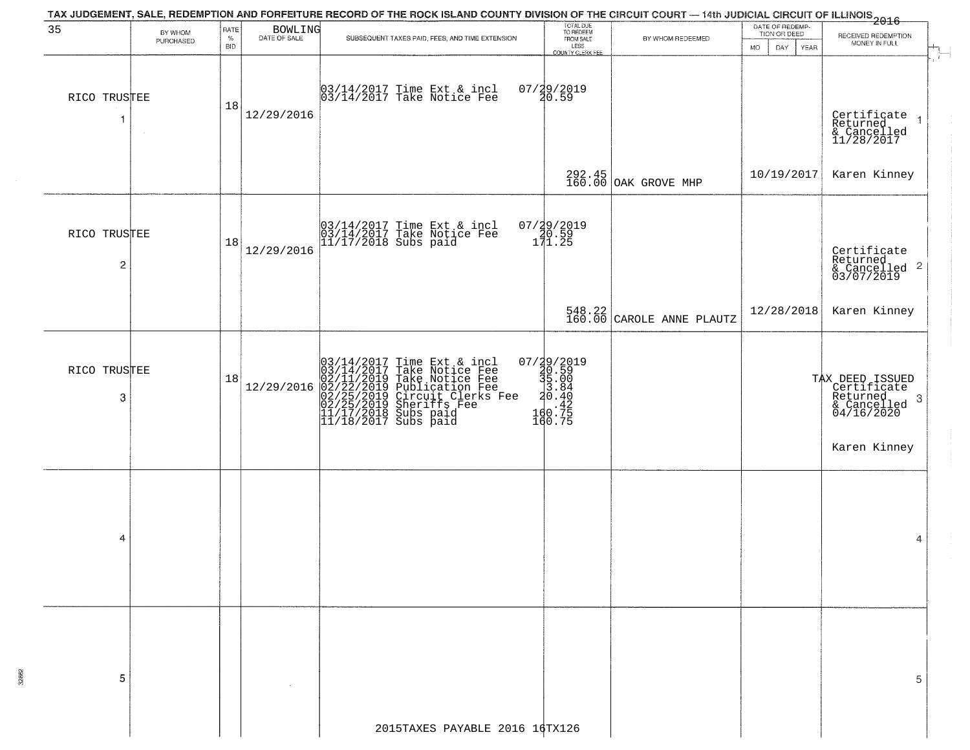|                   |                      |                  |                         | TAX JUDGEMENT, SALE, REDEMPTION AND FORFEITURE RECORD OF THE ROCK ISLAND COUNTY DIVISION OF THE CIRCUIT COURT — 14th JUDICIAL CIRCUIT OF ILLINOIS<br>2016 - 1992                                                             |                                                                                                              |                                                                      |                                 |                                                                                              |
|-------------------|----------------------|------------------|-------------------------|------------------------------------------------------------------------------------------------------------------------------------------------------------------------------------------------------------------------------|--------------------------------------------------------------------------------------------------------------|----------------------------------------------------------------------|---------------------------------|----------------------------------------------------------------------------------------------|
| 35                | BY WHOM<br>PURCHASED | RATE<br>$\%$     | BOWLING<br>DATE OF SALE | SUBSEQUENT TAXES PAID, FEES, AND TIME EXTENSION.                                                                                                                                                                             | TOTAL DUE<br>TO REDEEM<br>FROM SALE                                                                          | BY WHOM REDEEMED                                                     | DATE OF REDEMP-<br>TION OR DEED | RECEIVED REDEMPTION<br>MONEY IN FULL                                                         |
| RICO TRUSTEE<br>1 |                      | <b>BID</b><br>18 | 12/29/2016              | 03/14/2017 Time Ext & incl<br>03/14/2017 Take Notice Fee                                                                                                                                                                     | LESS<br>COUNTY CLERK FEE<br>07/29/2019<br>20.59                                                              |                                                                      | MO.<br>DAY.<br><b>YEAR</b>      | Certificate<br>Returned<br>& Cancelled<br>11/28/2017<br>$\overline{1}$                       |
|                   |                      |                  |                         |                                                                                                                                                                                                                              |                                                                                                              | 292.45<br>160.00 OAK GROVE MHP                                       | 10/19/2017                      | Karen Kinney                                                                                 |
| RICO TRUSTEE<br>2 |                      | 18               | 12/29/2016              | 03/14/2017 Time Ext & incl<br>03/14/2017 Take Notice Fee<br>11/17/2018 Subs paid                                                                                                                                             | 07/29/2019<br>20.59<br>171.25                                                                                |                                                                      |                                 | Certificate<br>Returned<br>$\frac{1}{2}$ Cancelled 2<br>03/07/2019                           |
|                   |                      |                  |                         |                                                                                                                                                                                                                              |                                                                                                              | $\begin{array}{c c} 548.22 \\ 160.00 \end{array}$ CAROLE ANNE PLAUTZ | 12/28/2018                      | Karen Kinney                                                                                 |
| RICO TRUSTEE<br>3 |                      | 18               | 12/29/2016              | $03/14/2017$ Time Ext & incl<br>03/14/2017 Take Notice Fee<br>02/11/2019 Take Notice Fee<br>02/22/2019 Publication Fee<br>02/25/2019 Sheriffs Fee<br>02/25/2019 Sheriffs Fee<br>11/17/2018 Subs paid<br>11/18/2017 Subs paid | $\begin{smallmatrix} 07/29/2019\\ 20.59\\ 35.00\\ 3.84\\ 20.40\\ \vdots\\ 160.75\\ 160.75 \end{smallmatrix}$ |                                                                      |                                 | TAX DEED ISSUED<br>Certificate<br>Returned<br>& Cancelled<br>04/16/2020<br>3<br>Karen Kinney |
| 4                 |                      |                  |                         |                                                                                                                                                                                                                              |                                                                                                              |                                                                      |                                 | 4                                                                                            |
| 5                 |                      |                  |                         |                                                                                                                                                                                                                              |                                                                                                              |                                                                      |                                 | 5                                                                                            |
|                   |                      |                  |                         | 2015TAXES PAYABLE 2016 16TX126                                                                                                                                                                                               |                                                                                                              |                                                                      |                                 |                                                                                              |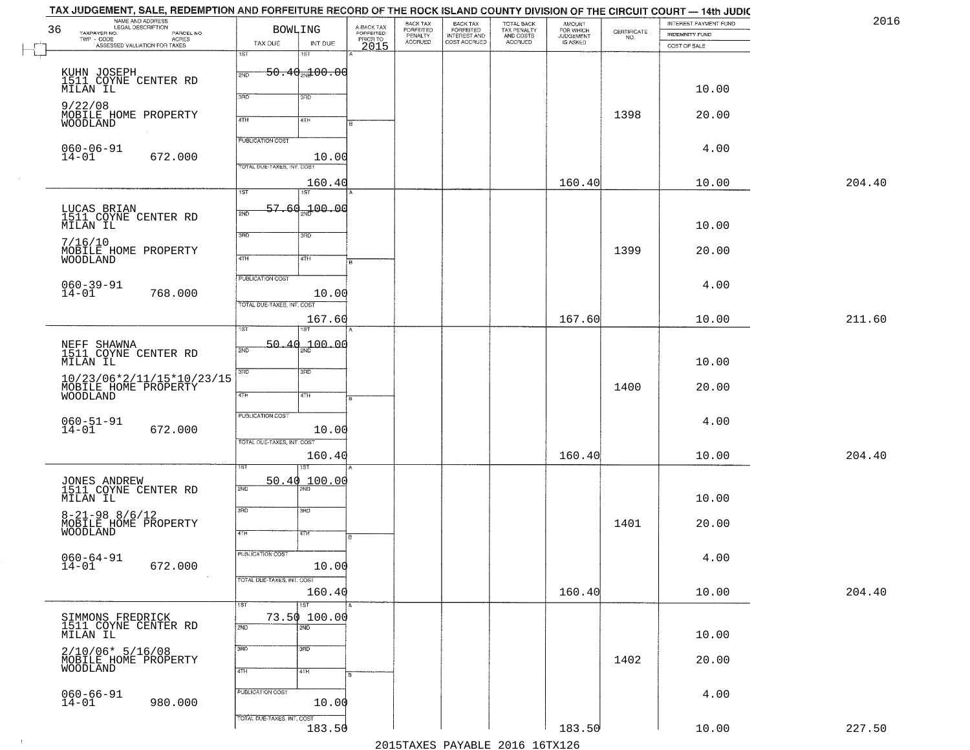| 36 | TAX JUDGEMENT, SALE, REDEMPTION AND FORFEITURE RECORD OF THE ROCK ISLAND COUNTY DIVISION OF THE CIRCUIT COURT — 14th JUDIC<br>NAME AND ADDRESS<br>LEGAL DESCRIPTION | <b>BOWLING</b>             |                                     |                                             | BACK TAX                        |                                                       |                                                   | <b>AMOUNT</b>                      |                                                                 | INTEREST PAYMENT FUND          | 2016   |
|----|---------------------------------------------------------------------------------------------------------------------------------------------------------------------|----------------------------|-------------------------------------|---------------------------------------------|---------------------------------|-------------------------------------------------------|---------------------------------------------------|------------------------------------|-----------------------------------------------------------------|--------------------------------|--------|
|    | TAXPAYER NO.<br>PARCEL NO.<br>TWP - CODE<br>ASSESSED VALUATION FOR TAXES                                                                                            | TAX DUE                    | INT DUE                             | A-BACK TAX<br>FORFEITED<br>PRIOR TO<br>2015 | FORFEITED<br>PENALTY<br>ACCRUED | BACK TAX<br>FORFEITED<br>INTEREST AND<br>COST ACCRUED | TOTAL BACK<br>TAX PENALTY<br>AND COSTS<br>ACCRUED | FOR WHICH<br>JUDGEMENT<br>IS ASKED | $\begin{array}{c} \text{CERTIFICATE} \\ \text{NO.} \end{array}$ | INDEMNITY FUND<br>COST OF SALE |        |
|    |                                                                                                                                                                     | 1ST                        | 1ST                                 |                                             |                                 |                                                       |                                                   |                                    |                                                                 |                                |        |
|    | KUHN JOSEPH<br>1511 COYNE CENTER RD                                                                                                                                 | 2ND                        | <del>50.40<sub>20</sub>100.00</del> |                                             |                                 |                                                       |                                                   |                                    |                                                                 |                                |        |
|    | MILAN IL                                                                                                                                                            | 3RD                        | 3RD                                 |                                             |                                 |                                                       |                                                   |                                    |                                                                 | 10.00                          |        |
|    | 9/22/08                                                                                                                                                             |                            |                                     |                                             |                                 |                                                       |                                                   |                                    | 1398                                                            |                                |        |
|    | MOBILE HOME PROPERTY<br>WOODLAND                                                                                                                                    | 4TH                        | 4TH                                 |                                             |                                 |                                                       |                                                   |                                    |                                                                 | 20.00                          |        |
|    | $060 - 06 - 91$                                                                                                                                                     | <b>PUBLICATION COST</b>    |                                     |                                             |                                 |                                                       |                                                   |                                    |                                                                 | 4.00                           |        |
|    | $14 - 01$<br>672.000                                                                                                                                                | TOTAL DUE-TAXES, INT. COST | 10.00                               |                                             |                                 |                                                       |                                                   |                                    |                                                                 |                                |        |
|    |                                                                                                                                                                     |                            | 160.40                              |                                             |                                 |                                                       |                                                   | 160.40                             |                                                                 | 10.00                          | 204.40 |
|    |                                                                                                                                                                     | 1ST                        | 1ST                                 |                                             |                                 |                                                       |                                                   |                                    |                                                                 |                                |        |
|    | LUCAS BRIAN<br>1511 COYNE CENTER RD                                                                                                                                 | 57 60<br>2ND               | 00.04 <del>سر</del>                 |                                             |                                 |                                                       |                                                   |                                    |                                                                 |                                |        |
|    | MILAN IL                                                                                                                                                            | 3BD                        | 3RD                                 |                                             |                                 |                                                       |                                                   |                                    |                                                                 | 10.00                          |        |
|    | 7/16/10<br>MOBILE HOME PROPERTY                                                                                                                                     |                            |                                     |                                             |                                 |                                                       |                                                   |                                    | 1399                                                            | 20.00                          |        |
|    | WOODLAND                                                                                                                                                            | 47H                        | 4TH                                 |                                             |                                 |                                                       |                                                   |                                    |                                                                 |                                |        |
|    |                                                                                                                                                                     | PUBLICATION COST           |                                     |                                             |                                 |                                                       |                                                   |                                    |                                                                 | 4.00                           |        |
|    | $060 - 39 - 91$<br>14-01<br>768.000                                                                                                                                 | TOTAL DUE-TAXES, INT. COST | 10.00                               |                                             |                                 |                                                       |                                                   |                                    |                                                                 |                                |        |
|    |                                                                                                                                                                     |                            | 167.60                              |                                             |                                 |                                                       |                                                   | 167.60                             |                                                                 | 10.00                          | 211.60 |
|    |                                                                                                                                                                     | ist                        |                                     |                                             |                                 |                                                       |                                                   |                                    |                                                                 |                                |        |
|    | NEFF SHAWNA<br>1511 COYNE CENTER RD                                                                                                                                 | 2ND                        | 50.40 100.00                        |                                             |                                 |                                                       |                                                   |                                    |                                                                 |                                |        |
|    | MILAN IL                                                                                                                                                            | 3 <sub>BD</sub>            | 3 <sub>3</sub>                      |                                             |                                 |                                                       |                                                   |                                    |                                                                 | 10.00                          |        |
|    | 10/23/06*2/11/15*10/23/15<br>MOBILE HOME PROPERTY<br>WOODLAND                                                                                                       |                            |                                     |                                             |                                 |                                                       |                                                   |                                    | 1400                                                            | 20.00                          |        |
|    |                                                                                                                                                                     | 4TH                        | 4TH                                 |                                             |                                 |                                                       |                                                   |                                    |                                                                 |                                |        |
|    | $060 - 51 - 91$<br>14-01                                                                                                                                            | <b>PUBLICATION COST</b>    |                                     |                                             |                                 |                                                       |                                                   |                                    |                                                                 | 4.00                           |        |
|    | 672.000                                                                                                                                                             | TOTAL OUE-TAXES, INT. COST | 10.00                               |                                             |                                 |                                                       |                                                   |                                    |                                                                 |                                |        |
|    |                                                                                                                                                                     |                            | 160.40                              |                                             |                                 |                                                       |                                                   | 160.40                             |                                                                 | 10.00                          | 204.40 |
|    |                                                                                                                                                                     |                            | ख़                                  |                                             |                                 |                                                       |                                                   |                                    |                                                                 |                                |        |
|    | JONES ANDREW<br>1511 COYNE CENTER RD                                                                                                                                | 2ND                        | 50.40 100.00                        |                                             |                                 |                                                       |                                                   |                                    |                                                                 |                                |        |
|    | MILAN IL                                                                                                                                                            | 3RD                        | 3BD                                 |                                             |                                 |                                                       |                                                   |                                    |                                                                 | 10.00                          |        |
|    | $8 - 21 - 98$ $8/6/12$<br>MOBĪLĒ HŎMĔ PROPERTY<br>WOODLAND                                                                                                          | 4TH                        |                                     |                                             |                                 |                                                       |                                                   |                                    | 1401                                                            | 20.00                          |        |
|    |                                                                                                                                                                     |                            | वाम                                 |                                             |                                 |                                                       |                                                   |                                    |                                                                 |                                |        |
|    | $060 - 64 - 91$<br>14-01<br>672.000                                                                                                                                 | PUBLICATION COST           | 10.00                               |                                             |                                 |                                                       |                                                   |                                    |                                                                 | 4.00                           |        |
|    | $\sim 100$                                                                                                                                                          | TOTAL DUE-TAXES, INT. COST |                                     |                                             |                                 |                                                       |                                                   |                                    |                                                                 |                                |        |
|    |                                                                                                                                                                     |                            | 160.40                              |                                             |                                 |                                                       |                                                   | 160.40                             |                                                                 | 10.00                          | 204.40 |
|    |                                                                                                                                                                     | 1ST                        | 1ST<br>73.50 100.00                 |                                             |                                 |                                                       |                                                   |                                    |                                                                 |                                |        |
|    | SIMMONS FREDRICK<br>1511 COYNE CENTER RD<br>MILAN IL                                                                                                                | 2ND                        | 2ND                                 |                                             |                                 |                                                       |                                                   |                                    |                                                                 | 10.00                          |        |
|    | $2/10/06* 5/16/08$                                                                                                                                                  | 3RD                        | 3 <sub>BD</sub>                     |                                             |                                 |                                                       |                                                   |                                    |                                                                 |                                |        |
|    | MOBILE HOME PROPERTY<br>WOODLAND                                                                                                                                    | 4TH                        | 4TH                                 |                                             |                                 |                                                       |                                                   |                                    | 1402                                                            | 20.00                          |        |
|    |                                                                                                                                                                     |                            |                                     |                                             |                                 |                                                       |                                                   |                                    |                                                                 |                                |        |
|    | $060 - 66 - 91$<br>14-01<br>980.000                                                                                                                                 | PUBLICATION COST           | 10.00                               |                                             |                                 |                                                       |                                                   |                                    |                                                                 | 4.00                           |        |
|    |                                                                                                                                                                     | TOTAL DUE-TAXES, INT. COST |                                     |                                             |                                 |                                                       |                                                   |                                    |                                                                 |                                |        |
|    |                                                                                                                                                                     |                            | 183.50                              |                                             |                                 |                                                       | 2015 TAVEC DAVADIE 2016 16 TV126                  | 183.50                             |                                                                 | 10.00                          | 227.50 |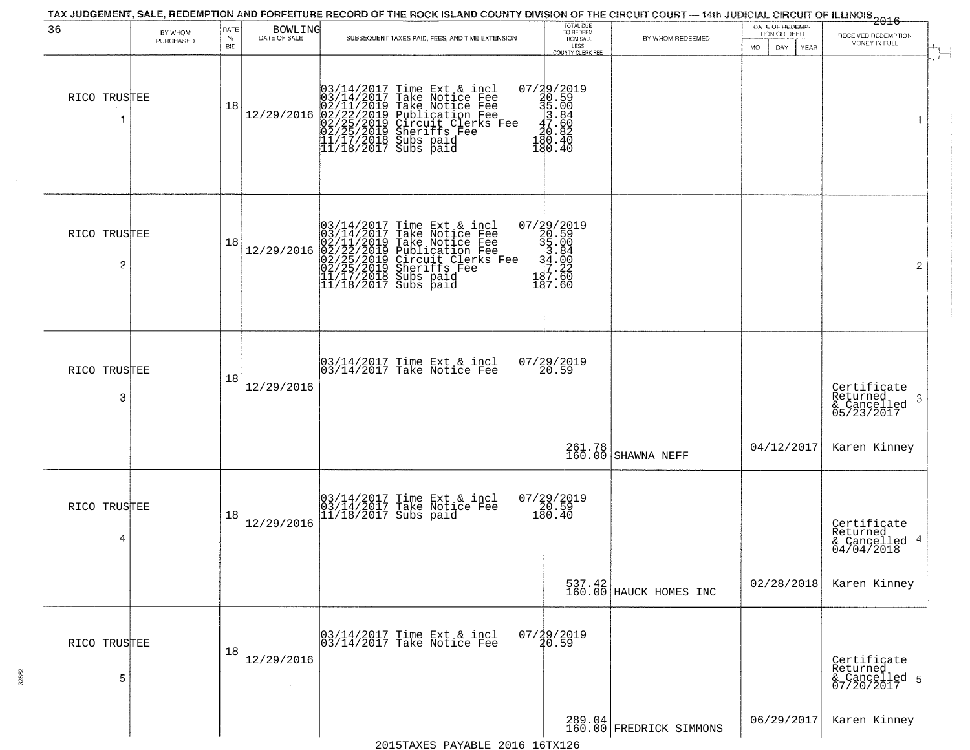| 36                | BY WHOM<br>PURCHASED | RATE<br>$\%$<br><b>BID</b> | BOWLING<br>DATE OF SALE | SUBSEQUENT TAXES PAID, FEES, AND TIME EXTENSION.                                                                                                                                                                                                                                                                                                                    | TOTAL DUE<br>TO REDEEM<br>FROM SALE<br>LESS<br>COUNTY CLERK FEE                                                           | BY WHOM REDEEMED                  | DATE OF REDEMP-<br>TION OR DEED<br><b>MO</b><br>DAY<br>YEAR | <del>2016</del><br>RECEIVED REDEMPTION<br>MONEY IN FULL   |
|-------------------|----------------------|----------------------------|-------------------------|---------------------------------------------------------------------------------------------------------------------------------------------------------------------------------------------------------------------------------------------------------------------------------------------------------------------------------------------------------------------|---------------------------------------------------------------------------------------------------------------------------|-----------------------------------|-------------------------------------------------------------|-----------------------------------------------------------|
| RICO TRUSTEE      |                      | 18                         |                         | $[03/14/2017 \text{ Time Ext & incl} \newline [03/14/2017 \text{ Take Notice Free} \newline [02/11/2019 \text{ Take Notice Free} \newline [02/11/2019 \text{ Public action Free} \newline [02/22/2019 \text{ Publication Free} \newline [02/25/2019 \text{Sheriffs Free} \newline [11/17/2018 \text{ Subs paid} \newline [11/18/2017 \text{ Subs paid} \newline ]]$ | $\begin{array}{r} 07 \ / \ \frac{29}{2019} \\ 40.59 \\ 35.00 \\ 47.86 \\ 40.82 \\ 180.40 \\ 190.40 \end{array}$<br>180.40 |                                   |                                                             | $\pm$                                                     |
| RICO TRUSTEE<br>2 |                      | 18                         | 12/29/2016              | $03/14/2017$ Time Ext & incl<br>$03/14/2017$ Take Notice Fee<br>$02/11/2019$ Take Notice Fee<br>$02/22/2019$ Publication Fee<br>$02/25/2019$ Sheriffs Fee<br>$02/25/2019$ Sheriffs Fee<br>$11/17/2018$ Subs paid<br>$11/18/2017$ Subs paid                                                                                                                          | 07/29/2019<br>30.59<br>35.00<br>34.00<br>34.00<br>37.22<br>487.60<br>187.60                                               |                                   |                                                             | $\mathbf{2}$                                              |
| RICO TRUSTEE<br>3 |                      | 18                         | 12/29/2016              | 03/14/2017 Time Ext & incl<br>03/14/2017 Take Notice Fee                                                                                                                                                                                                                                                                                                            | 07/29/2019<br>20.59                                                                                                       |                                   |                                                             | Certificate<br>Returned<br>3<br>& Cancelled<br>05/23/2017 |
|                   |                      |                            |                         |                                                                                                                                                                                                                                                                                                                                                                     | 261.78<br>160.00                                                                                                          | SHAWNA NEFF                       | 04/12/2017                                                  | Karen Kinney                                              |
| RICO TRUSTEE<br>4 |                      | 18                         | 12/29/2016              | 03/14/2017 Time Ext & incl<br>03/14/2017 Take Notice Fee<br>11/18/2017 Subs paid                                                                                                                                                                                                                                                                                    | 07/29/2019<br>20.59<br>180.40                                                                                             |                                   |                                                             | Certificate<br>Returned<br>& Cancelled 4<br>04/04/2018    |
|                   |                      |                            |                         |                                                                                                                                                                                                                                                                                                                                                                     |                                                                                                                           | 537.42<br>160.00 HAUCK HOMES INC  | 02/28/2018                                                  | Karen Kinney                                              |
| RICO TRUSTEE<br>5 |                      | 18                         | 12/29/2016              | 03/14/2017 Time Ext & incl<br>03/14/2017 Take Notice Fee                                                                                                                                                                                                                                                                                                            | $07/29/2019$<br>$20.59$                                                                                                   |                                   |                                                             | Certificate<br>Returned<br>& Cancelled 5<br>07/20/2017    |
|                   |                      |                            |                         |                                                                                                                                                                                                                                                                                                                                                                     |                                                                                                                           | 289.04<br>160.00 FREDRICK SIMMONS | 06/29/2017                                                  | Karen Kinney                                              |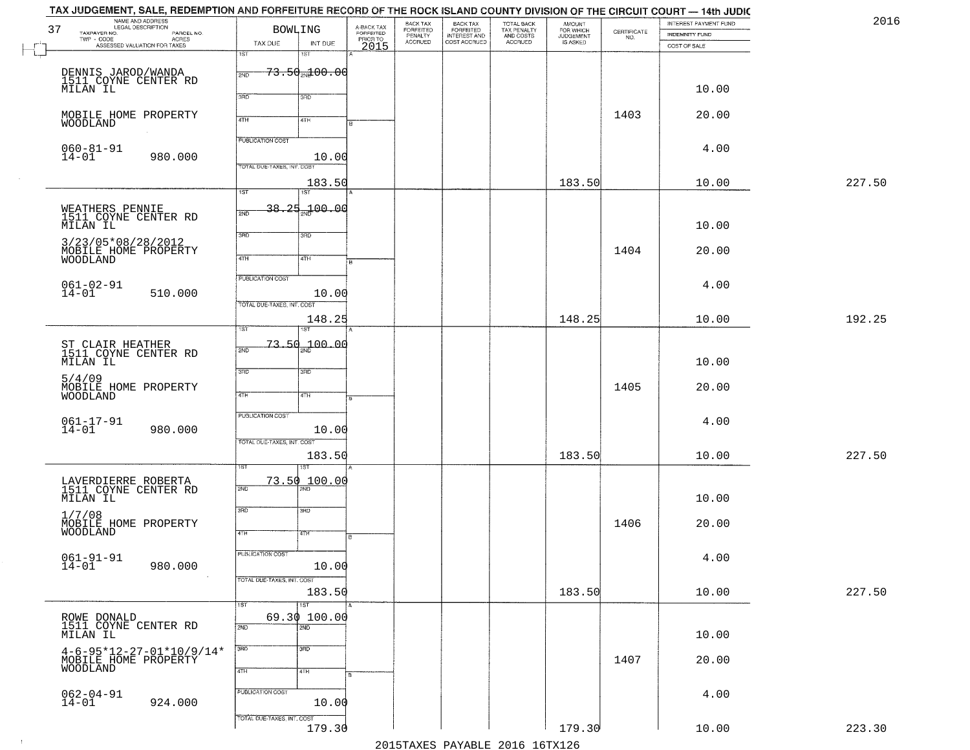| 37 | TAX JUDGEMENT, SALE, REDEMPTION AND FORFEITURE RECORD OF THE ROCK ISLAND COUNTY DIVISION OF THE CIRCUIT COURT — 14th JUDIC<br>NAME AND ADDRESS<br>LEGAL DESCRIPTION<br>TAXPAYER NO.<br>PARCEL NO. | <b>BOWLING</b>                                        |                                     |                                             | BACK TAX                        | BACK TAX<br>FORFEITED<br>INTEREST AND<br>COST ACCRUED | TOTAL BACK<br>TAX PENALTY<br>AND COSTS<br>ACCRUED | <b>AMOUNT</b>                      |                                                                 | INTEREST PAYMENT FUND          | 2016   |
|----|---------------------------------------------------------------------------------------------------------------------------------------------------------------------------------------------------|-------------------------------------------------------|-------------------------------------|---------------------------------------------|---------------------------------|-------------------------------------------------------|---------------------------------------------------|------------------------------------|-----------------------------------------------------------------|--------------------------------|--------|
|    | TWP - CODE<br>ASSESSED VALUATION FOR TAXES                                                                                                                                                        | TAX DUE<br>1ST                                        | INT DUE<br>1ST                      | A-BACK TAX<br>FORFEITED<br>PRIOR TO<br>2015 | FORFEITED<br>PENALTY<br>ACCRUED |                                                       |                                                   | FOR WHICH<br>JUDGEMENT<br>IS ASKED | $\begin{array}{c} \text{CERTIFICATE} \\ \text{NO.} \end{array}$ | INDEMNITY FUND<br>COST OF SALE |        |
|    | DENNIS JAROD/WANDA<br>1511 COYNE CENTER RD<br>MILAN IL                                                                                                                                            | 2ND                                                   | <del>73.50<sub>2N</sub>100.00</del> |                                             |                                 |                                                       |                                                   |                                    |                                                                 | 10.00                          |        |
|    |                                                                                                                                                                                                   | 3RD                                                   | 3RD                                 |                                             |                                 |                                                       |                                                   |                                    | 1403                                                            | 20.00                          |        |
|    | MOBILE HOME PROPERTY<br>WOODLAND                                                                                                                                                                  | 4TH                                                   | 4TH                                 |                                             |                                 |                                                       |                                                   |                                    |                                                                 |                                |        |
|    | $060 - 81 - 91$<br>$14 - 01$<br>980.000                                                                                                                                                           | <b>PUBLICATION COST</b><br>TOTAL DUE-TAXES, INT. COST | 10.00                               |                                             |                                 |                                                       |                                                   |                                    |                                                                 | 4.00                           |        |
|    |                                                                                                                                                                                                   | 1ST                                                   | 183.50<br>1ST                       |                                             |                                 |                                                       |                                                   | 183.50                             |                                                                 | 10.00                          | 227.50 |
|    | WEATHERS PENNIE<br>1511 COYNE CENTER RD<br>MILAN IL                                                                                                                                               | 38.25<br>2ND                                          | $-100.00$                           |                                             |                                 |                                                       |                                                   |                                    |                                                                 | 10.00                          |        |
|    | 3/23/05*08/28/2012<br>MOBILE HOME PROPERTY<br>WOODLAND                                                                                                                                            | 3BD<br>47H                                            | 3RD<br>4TH                          |                                             |                                 |                                                       |                                                   |                                    | 1404                                                            | 20.00                          |        |
|    | $061 - 02 - 91$<br>14-01<br>510.000                                                                                                                                                               | PUBLICATION COST                                      | 10.00                               |                                             |                                 |                                                       |                                                   |                                    |                                                                 | 4.00                           |        |
|    |                                                                                                                                                                                                   | TOTAL DUE-TAXES, INT. COST                            | 148.25                              |                                             |                                 |                                                       |                                                   | 148.25                             |                                                                 | 10.00                          | 192.25 |
|    | ST CLAIR HEATHER<br>1511 COYNE CENTER RD<br>MILAN IL                                                                                                                                              | 1ST<br>2ND                                            | 1ST<br>$-73.50 - 00.00$             |                                             |                                 |                                                       |                                                   |                                    |                                                                 | 10.00                          |        |
|    | 5/4/09<br>MOBILE HOME PROPERTY<br><b>WOODLAND</b>                                                                                                                                                 | 3RD<br>4TH                                            | 3 <sub>3</sub><br>4TH               |                                             |                                 |                                                       |                                                   |                                    | 1405                                                            | 20.00                          |        |
|    | $061 - 17 - 91$<br>14-01<br>980.000                                                                                                                                                               | <b>PUBLICATION COST</b>                               | 10.00                               |                                             |                                 |                                                       |                                                   |                                    |                                                                 | 4.00                           |        |
|    |                                                                                                                                                                                                   | TOTAL OUE-TAXES, INT. COST                            | 183.50                              |                                             |                                 |                                                       |                                                   | 183.50                             |                                                                 | 10.00                          | 227.50 |
|    | LAVERDIERRE ROBERTA<br>1511 COYNE CENTER RD<br>MILAN IL                                                                                                                                           | 73.50<br>2ND                                          | ख़<br>$\_100$ , $00$                |                                             |                                 |                                                       |                                                   |                                    |                                                                 | 10.00                          |        |
|    | 1/7/08<br>MOBILE HOME PROPERTY<br>WOODLAND                                                                                                                                                        | 3RD<br>4TH                                            | 3BD<br>वाम                          |                                             |                                 |                                                       |                                                   |                                    | 1406                                                            | 20.00                          |        |
|    | 061-91-91<br>14-01<br>980.000<br>$\sim 100$                                                                                                                                                       | PUBLICATION COST                                      | 10.00                               |                                             |                                 |                                                       |                                                   |                                    |                                                                 | 4.00                           |        |
|    |                                                                                                                                                                                                   | TOTAL DUE-TAXES, INT. COST                            | 183.50                              |                                             |                                 |                                                       |                                                   | 183.50                             |                                                                 | 10.00                          | 227.50 |
|    | ROWE DONALD<br>1511 COYNE CENTER RD<br>MILAN IL                                                                                                                                                   | $\overline{1ST}$<br>1ST<br>2ND                        | 69.30 100.00<br>$\overline{2ND}$    |                                             |                                 |                                                       |                                                   |                                    |                                                                 | 10.00                          |        |
|    | $4-6-95*12-27-01*10/9/14*$<br>MOBILE HOME PROPERTY                                                                                                                                                | 3RD<br>4TH                                            | $\overline{3}$ RD<br>4TH            |                                             |                                 |                                                       |                                                   |                                    | 1407                                                            | 20.00                          |        |
|    | $062 - 04 - 91$<br>14-01<br>924.000                                                                                                                                                               | PUBLICATION COST                                      | 10.00                               |                                             |                                 |                                                       |                                                   |                                    |                                                                 | 4.00                           |        |
|    |                                                                                                                                                                                                   | TOTAL DUE-TAXES, INT. COST                            | 179.30                              |                                             |                                 |                                                       | 2015 TAVEC DAVADIE 2016 16 TV126                  | 179.30                             |                                                                 | 10.00                          | 223.30 |

2015TAXES PAYABLE 2016 16TX126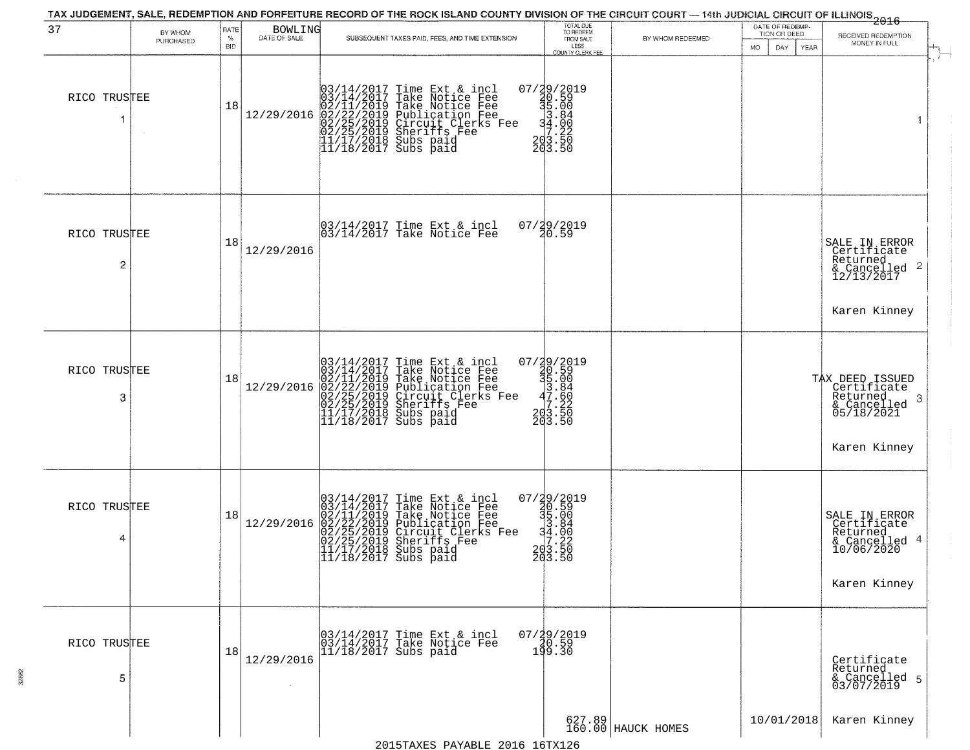| 37                | BY WHOM<br>PURCHASED | RATE<br>$\%$<br><b>BID</b> | <b>BOWLING</b><br>DATE OF SALE | SUBSEQUENT TAXES PAID, FEES, AND TIME EXTENSION                                                                                                                                                                                            | TOTAL DUE<br>TO REDEEM<br>FROM SALE<br>LESS<br><b>COUNTY CLERK FEE</b>                              | BY WHOM REDEEMED             | DATE OF REDEMP-<br>TION OR DEED<br>DAY.<br><b>YEAR</b><br>MO. | $-2016$<br>RECEIVED REDEMPTION<br>MONEY IN FULL                                              |
|-------------------|----------------------|----------------------------|--------------------------------|--------------------------------------------------------------------------------------------------------------------------------------------------------------------------------------------------------------------------------------------|-----------------------------------------------------------------------------------------------------|------------------------------|---------------------------------------------------------------|----------------------------------------------------------------------------------------------|
| RICO TRUSTEE      |                      | 18                         | 12/29/2016                     | $03/14/2017$ Time Ext & incl<br>$03/14/2017$ Take Notice Fee<br>$02/11/2019$ Take Notice Fee<br>$02/22/2019$ Publication Fee<br>$02/25/2019$ Sheriffs Fee<br>$02/25/2019$ Sheriffs Fee<br>$11/17/2018$ Subs paid<br>$11/18/2017$ Subs paid | 07/29/2019<br>$39.59$<br>$35.00$<br>$34.80$<br>$34.222$<br>$203.50$<br>203.50                       |                              |                                                               | 1                                                                                            |
| RICO TRUSTEE<br>2 |                      | 18                         | 12/29/2016                     | 03/14/2017 Time Ext & incl<br>03/14/2017 Take Notice Fee                                                                                                                                                                                   | 07/29/2019<br>20.59                                                                                 |                              |                                                               | SALE IN ERROR<br>Certificate<br>Returned<br>& Cancelled 2<br>12/13/2017<br>Karen Kinney      |
| RICO TRUSTEE<br>3 |                      | 18                         | 12/29/2016                     | $03/14/2017$ Time Ext & incl<br>$03/14/2017$ Take Notice Fee<br>$02/11/2019$ Take Notice Fee<br>$02/22/2019$ Publication Fee<br>$02/25/2019$ Sheriffs Fee<br>$02/25/2019$ Sheriffs Fee<br>$11/17/2018$ Subs paid<br>$11/18/2017$ Subs paid | $\begin{smallmatrix} 07/29/2019\\ 20.59\\ 35.00\\ 35.84\\ 7.86\\ 203.50\\ 203.50 \end{smallmatrix}$ |                              |                                                               | TAX DEED ISSUED<br>Certificate<br>Returned<br>3<br>& Cancelled<br>05/18/2021<br>Karen Kinney |
| RICO TRUSTEE<br>4 |                      | 18                         | 12/29/2016                     | $03/14/2017$ Time Ext & incl<br>03/14/2017 Take Notice Fee<br>02/11/2019 Take Notice Fee<br>02/22/2019 Publication Fee<br>02/25/2019 Sheriffs Fee<br>02/25/2019 Sheriffs Fee<br>11/17/2018 Subs paid<br>11/18/2017 Subs paid               | $07/29/2019$<br>$30.59$<br>$35.00$<br>$3.84$<br>$34.00$<br>$7.22$<br>$203.50$<br>203.50             |                              |                                                               | SALE IN ERROR<br>Certificate<br>Returned<br>& Cancelled 4<br>10/06/2020<br>Karen Kinney      |
| RICO TRUSTEE<br>5 |                      | 18                         | 12/29/2016                     | 03/14/2017 Time Ext & incl<br>03/14/2017 Take Notice Fee<br>11/18/2017 Subs paid                                                                                                                                                           | 07/29/2019<br>10.59<br>199.30                                                                       |                              |                                                               | Certificate<br>Returned<br>& Cancelled 5<br>03/07/2019                                       |
|                   |                      |                            |                                |                                                                                                                                                                                                                                            |                                                                                                     | 627.89<br>160.00 HAUCK HOMES | 10/01/2018                                                    | Karen Kinney                                                                                 |

2015TAXES PAYABLE 2016 16TX126

32862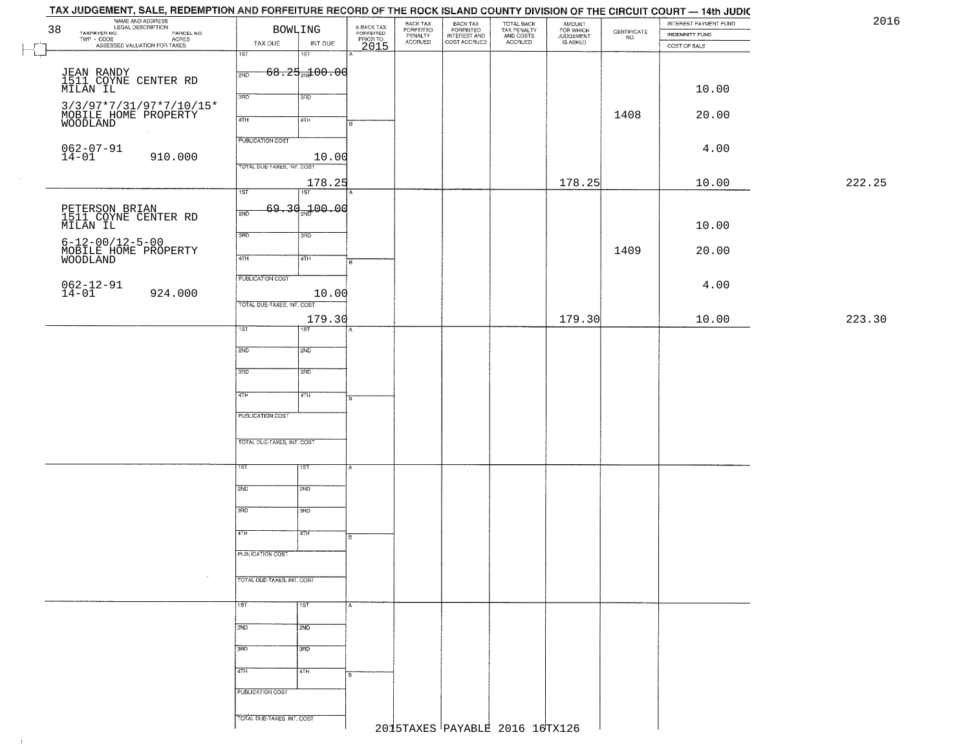|        | INTEREST PAYMENT FUND<br><b>INDEMNITY FUND</b> | $\begin{array}{c} \text{CEPTIFICATE} \\ \text{NO.} \end{array}$ | AMOUNT<br>FOR WHICH<br>JUDGEMENT<br>IS ASKED | TOTAL BACK<br>TAX PENALTY<br>AND COSTS | BACK TAX<br>FORFEITED<br>INTEREST AND<br>COST ACCRUED | BACK TAX<br>FORFEITED<br>PENALTY | A-BACK TAX<br>FORFEITED<br>PRIOR TO<br>2015 | <b>BOWLING</b>             |                                   | NAME AND ADDRESS<br>LEGAL DESCRIPTION                                                            | 38       |
|--------|------------------------------------------------|-----------------------------------------------------------------|----------------------------------------------|----------------------------------------|-------------------------------------------------------|----------------------------------|---------------------------------------------|----------------------------|-----------------------------------|--------------------------------------------------------------------------------------------------|----------|
|        | COST OF SALE                                   |                                                                 |                                              | ACCRUED                                |                                                       | <b>ACCRUED</b>                   |                                             | INT DUE                    | TAX DUE                           | LESAL DESCRIPTION PARCEL NO.<br>TWP - CODE PARCEL NO.<br>TWP - CODE ASSESSED VALUATION FOR TAXES |          |
|        |                                                |                                                                 |                                              |                                        |                                                       |                                  |                                             | $\overline{181}$           | 1ST                               |                                                                                                  |          |
|        |                                                |                                                                 |                                              |                                        |                                                       |                                  |                                             | $68.25 + 00.06$            | 2ND                               | JEAN RANDY<br>1511 COYNE CENTER RD                                                               |          |
|        | 10.00                                          |                                                                 |                                              |                                        |                                                       |                                  |                                             | 3RD                        | 3BD                               |                                                                                                  | MILAN IL |
|        |                                                |                                                                 |                                              |                                        |                                                       |                                  |                                             |                            |                                   | $3/3/97*7/31/97*7/10/15*$                                                                        |          |
|        | 20.00                                          | 1408                                                            |                                              |                                        |                                                       |                                  |                                             | 4TH                        | 4TH                               | MOBILE HOME PROPERTY                                                                             | WOODLAND |
|        |                                                |                                                                 |                                              |                                        |                                                       |                                  |                                             |                            | <b>PUBLICATION COST</b>           |                                                                                                  |          |
|        | 4.00                                           |                                                                 |                                              |                                        |                                                       |                                  |                                             | 10.00                      |                                   | $062 - 07 - 91$<br>14-01<br>910.000                                                              |          |
|        |                                                |                                                                 |                                              |                                        |                                                       |                                  |                                             |                            | TOTAL DUE-TAXES, INT. COST        |                                                                                                  |          |
| 222.25 | 10.00                                          |                                                                 | 178.25                                       |                                        |                                                       |                                  |                                             | 178.25                     |                                   |                                                                                                  |          |
|        |                                                |                                                                 |                                              |                                        |                                                       |                                  |                                             | ist                        | $\overline{1ST}$                  |                                                                                                  |          |
|        |                                                |                                                                 |                                              |                                        |                                                       |                                  |                                             | 69.30 <sub>2w</sub> 100.00 | 2ND                               | PETERSON BRIAN<br>1511 COYNE CENTER RD                                                           |          |
|        | 10.00                                          |                                                                 |                                              |                                        |                                                       |                                  |                                             | 3RD                        | 3RD                               |                                                                                                  | MILAN IL |
|        | 20.00                                          | 1409                                                            |                                              |                                        |                                                       |                                  |                                             |                            |                                   | $6 - 12 - 00/12 - 5 - 00$                                                                        |          |
|        |                                                |                                                                 |                                              |                                        |                                                       |                                  |                                             | 4TH                        | $\overline{47H}$                  | MOBILE HOME PROPERTY<br>WOODLAND                                                                 |          |
|        |                                                |                                                                 |                                              |                                        |                                                       |                                  |                                             |                            | PUBLICATION COST                  |                                                                                                  |          |
|        | 4.00                                           |                                                                 |                                              |                                        |                                                       |                                  |                                             | 10.00                      |                                   | $062 - 12 - 91$<br>14-01<br>924.000                                                              |          |
|        |                                                |                                                                 |                                              |                                        |                                                       |                                  |                                             |                            | TOTAL DUE-TAXES, INT. COST        |                                                                                                  |          |
| 223.30 | 10.00                                          |                                                                 | 179.30                                       |                                        |                                                       |                                  |                                             | 179.30<br>IST              | 1ST                               |                                                                                                  |          |
|        |                                                |                                                                 |                                              |                                        |                                                       |                                  |                                             |                            |                                   |                                                                                                  |          |
|        |                                                |                                                                 |                                              |                                        |                                                       |                                  |                                             | SMD <sub>1</sub>           | 2ND                               |                                                                                                  |          |
|        |                                                |                                                                 |                                              |                                        |                                                       |                                  |                                             | 3RD                        | 3 <sub>BD</sub>                   |                                                                                                  |          |
|        |                                                |                                                                 |                                              |                                        |                                                       |                                  |                                             |                            |                                   |                                                                                                  |          |
|        |                                                |                                                                 |                                              |                                        |                                                       |                                  |                                             | 4TH                        | 4TH                               |                                                                                                  |          |
|        |                                                |                                                                 |                                              |                                        |                                                       |                                  |                                             |                            | <b>PUBLICATION COST</b>           |                                                                                                  |          |
|        |                                                |                                                                 |                                              |                                        |                                                       |                                  |                                             |                            |                                   |                                                                                                  |          |
|        |                                                |                                                                 |                                              |                                        |                                                       |                                  |                                             |                            | TOTAL OUE-TAXES, INT. COST        |                                                                                                  |          |
|        |                                                |                                                                 |                                              |                                        |                                                       |                                  |                                             | १९४                        | ۱ST                               |                                                                                                  |          |
|        |                                                |                                                                 |                                              |                                        |                                                       |                                  |                                             |                            |                                   |                                                                                                  |          |
|        |                                                |                                                                 |                                              |                                        |                                                       |                                  |                                             | 2ND                        | 2ND                               |                                                                                                  |          |
|        |                                                |                                                                 |                                              |                                        |                                                       |                                  |                                             | 3BD                        | 3RD                               |                                                                                                  |          |
|        |                                                |                                                                 |                                              |                                        |                                                       |                                  |                                             | वितमा                      | 4TH                               |                                                                                                  |          |
|        |                                                |                                                                 |                                              |                                        |                                                       |                                  | в                                           |                            |                                   |                                                                                                  |          |
|        |                                                |                                                                 |                                              |                                        |                                                       |                                  |                                             |                            | PUBLICATION COST                  |                                                                                                  |          |
|        |                                                |                                                                 |                                              |                                        |                                                       |                                  |                                             |                            | <b>TOTAL DUE-TAXES, INT. COST</b> |                                                                                                  |          |
|        |                                                |                                                                 |                                              |                                        |                                                       |                                  |                                             |                            |                                   |                                                                                                  |          |
|        |                                                |                                                                 |                                              |                                        |                                                       |                                  |                                             | 1ST                        | 15T                               |                                                                                                  |          |
|        |                                                |                                                                 |                                              |                                        |                                                       |                                  |                                             | 2ND                        | 2ND                               |                                                                                                  |          |
|        |                                                |                                                                 |                                              |                                        |                                                       |                                  |                                             |                            |                                   |                                                                                                  |          |
|        |                                                |                                                                 |                                              |                                        |                                                       |                                  |                                             | 3BD                        | 3RD                               |                                                                                                  |          |
|        |                                                |                                                                 |                                              |                                        |                                                       |                                  |                                             | 4TH                        | 4TH                               |                                                                                                  |          |
|        |                                                |                                                                 |                                              |                                        |                                                       |                                  |                                             |                            |                                   |                                                                                                  |          |
|        |                                                |                                                                 |                                              |                                        |                                                       |                                  |                                             |                            | PUBLICATION COST                  |                                                                                                  |          |
|        |                                                |                                                                 |                                              |                                        |                                                       |                                  |                                             |                            | TOTAL DUE-TAXES, INT. COST        |                                                                                                  |          |
|        |                                                |                                                                 |                                              | 2015TAXES PAYABLE 2016 16TX126         |                                                       |                                  |                                             |                            |                                   |                                                                                                  |          |